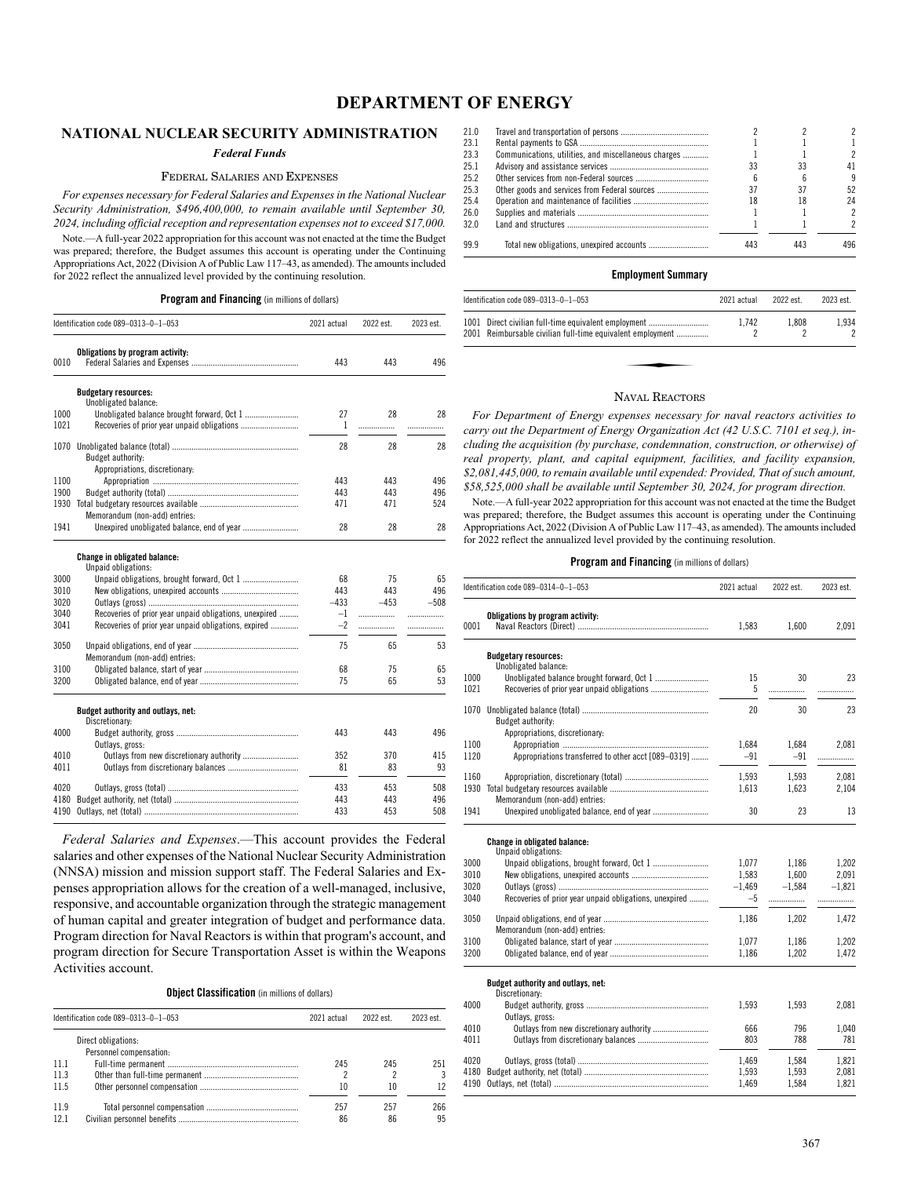# **DEPARTMENT OF ENERGY**

# **NATIONAL NUCLEAR SECURITY ADMINISTRATION**

# *Federal Funds*

### FEDERAL SALARIES AND EXPENSES

*For expenses necessary for Federal Salaries and Expenses in the National Nuclear Security Administration, \$496,400,000, to remain available until September 30, 2024, including official reception and representation expenses not to exceed \$17,000.*

Note.—A full-year 2022 appropriation for this account was not enacted at the time the Budget was prepared; therefore, the Budget assumes this account is operating under the Continuing Appropriations Act, 2022 (Division A of Public Law 117–43, as amended). The amounts included for 2022 reflect the annualized level provided by the continuing resolution.

|      | Identification code 089-0313-0-1-053                   | 2021 actual | 2022 est. | 2023 est. |
|------|--------------------------------------------------------|-------------|-----------|-----------|
| 0010 | Obligations by program activity:                       | 443         | 443       | 496       |
|      | <b>Budgetary resources:</b>                            |             |           |           |
|      | Unobligated balance:                                   |             |           |           |
| 1000 | Unobligated balance brought forward, Oct 1             | 27          | 28        | 28        |
| 1021 |                                                        | 1           | .         | .         |
| 1070 |                                                        | 28          | 28        | 28        |
|      | Budget authority:                                      |             |           |           |
|      | Appropriations, discretionary:                         |             |           |           |
| 1100 |                                                        | 443         | 443       | 496       |
| 1900 |                                                        | 443         | 443       | 496       |
| 1930 |                                                        | 471         | 471       | 524       |
|      | Memorandum (non-add) entries:                          |             |           |           |
| 1941 | Unexpired unobligated balance, end of year             | 28          | 28        | 28        |
|      | Change in obligated balance:                           |             |           |           |
| 3000 | Unpaid obligations:                                    | 68          | 75        | 65        |
| 3010 |                                                        | 443         | 443       | 496       |
| 3020 |                                                        | $-433$      | $-453$    | $-508$    |
| 3040 | Recoveries of prior year unpaid obligations, unexpired | $-1$        | .         | .         |
| 3041 | Recoveries of prior year unpaid obligations, expired   | $-2$        | .         | .         |
|      |                                                        |             |           |           |
| 3050 | Memorandum (non-add) entries:                          | 75          | 65        | 53        |
| 3100 |                                                        | 68          | 75        | 65        |
| 3200 |                                                        | 75          | 65        | 53        |
|      | Budget authority and outlays, net:<br>Discretionary:   |             |           |           |
| 4000 | Outlays, gross:                                        | 443         | 443       | 496       |
| 4010 |                                                        | 352         | 370       | 415       |
| 4011 |                                                        | 81          | 83        | 93        |
| 4020 |                                                        | 433         | 453       | 508       |
| 4180 |                                                        | 443         | 443       | 496       |
| 4190 |                                                        | 433         | 453       | 508       |

*Federal Salaries and Expenses*.—This account provides the Federal salaries and other expenses of the National Nuclear Security Administration (NNSA) mission and mission support staff. The Federal Salaries and Expenses appropriation allows for the creation of a well-managed, inclusive, responsive, and accountable organization through the strategic management of human capital and greater integration of budget and performance data. Program direction for Naval Reactors is within that program's account, and program direction for Secure Transportation Asset is within the Weapons Activities account.

**Object Classification** (in millions of dollars)

|      | Identification code 089-0313-0-1-053           | 2021 actual | 2022 est. | 2023 est. |
|------|------------------------------------------------|-------------|-----------|-----------|
|      | Direct obligations:<br>Personnel compensation: |             |           |           |
| 11.1 |                                                | 245         | 245       | 251       |
| 11.3 |                                                |             |           | 3         |
| 11.5 |                                                | 10          | 10        | 12        |
| 11.9 |                                                | 257         | 257       | 266       |
| 12.1 |                                                | 86          | 86        | 95        |

| 21.0 |                                                      |     |     |               |
|------|------------------------------------------------------|-----|-----|---------------|
| 23.1 |                                                      |     |     |               |
| 23.3 | Communications, utilities, and miscellaneous charges |     |     | 2             |
| 25.1 |                                                      | 33  | 33  | 41            |
| 25.2 |                                                      |     |     | 9             |
| 25.3 |                                                      | 37  | 37  | 52            |
| 25.4 |                                                      | 18  | 18  | 24            |
| 26.0 |                                                      |     |     | $\mathcal{P}$ |
| 32.0 |                                                      |     |     | 2             |
| 99 9 |                                                      | 443 | 443 | 496           |

### **Employment Summary**

| Identification code $089-0313-0-1-053$                                                                             | 2021 actual | 2022 est. | 2023 est.               |
|--------------------------------------------------------------------------------------------------------------------|-------------|-----------|-------------------------|
| 1001 Direct civilian full-time equivalent employment<br>2001 Reimbursable civilian full-time equivalent employment | 1.742       | 1.808     | 1,934<br>$\overline{2}$ |
|                                                                                                                    |             |           |                         |
| $\mathbf{M}$ $\mathbf{D}$                                                                                          |             |           |                         |

### NAVAL REACTORS

*For Department of Energy expenses necessary for naval reactors activities to carry out the Department of Energy Organization Act (42 U.S.C. 7101 et seq.), including the acquisition (by purchase, condemnation, construction, or otherwise) of real property, plant, and capital equipment, facilities, and facility expansion, \$2,081,445,000, to remain available until expended: Provided, That of such amount, \$58,525,000 shall be available until September 30, 2024, for program direction.*

Note.—A full-year 2022 appropriation for this account was not enacted at the time the Budget was prepared; therefore, the Budget assumes this account is operating under the Continuing Appropriations Act, 2022 (Division A of Public Law 117–43, as amended). The amounts included for 2022 reflect the annualized level provided by the continuing resolution.

| 1,600 | 2,091                                                    |
|-------|----------------------------------------------------------|
|       |                                                          |
|       |                                                          |
|       | 23                                                       |
| .     | .                                                        |
|       | 23                                                       |
|       |                                                          |
|       |                                                          |
| 1,684 | 2,081                                                    |
| $-91$ | .                                                        |
| 1,593 | 2,081                                                    |
| 1,623 | 2,104                                                    |
|       |                                                          |
| 23    | 13                                                       |
|       |                                                          |
|       |                                                          |
|       | 1,202                                                    |
|       | 2,091                                                    |
|       | $-1.821$                                                 |
| .     |                                                          |
|       | 1,472                                                    |
|       |                                                          |
| 1.186 | 1.202                                                    |
| 1,202 | 1,472                                                    |
|       |                                                          |
|       |                                                          |
|       | 2,081                                                    |
|       |                                                          |
| 796   | 1,040                                                    |
| 788   | 781                                                      |
| 1,584 | 1,821                                                    |
| 1,593 | 2,081                                                    |
| 1,584 | 1,821                                                    |
|       | 30<br>30<br>1,186<br>1,600<br>$-1.584$<br>1,202<br>1,593 |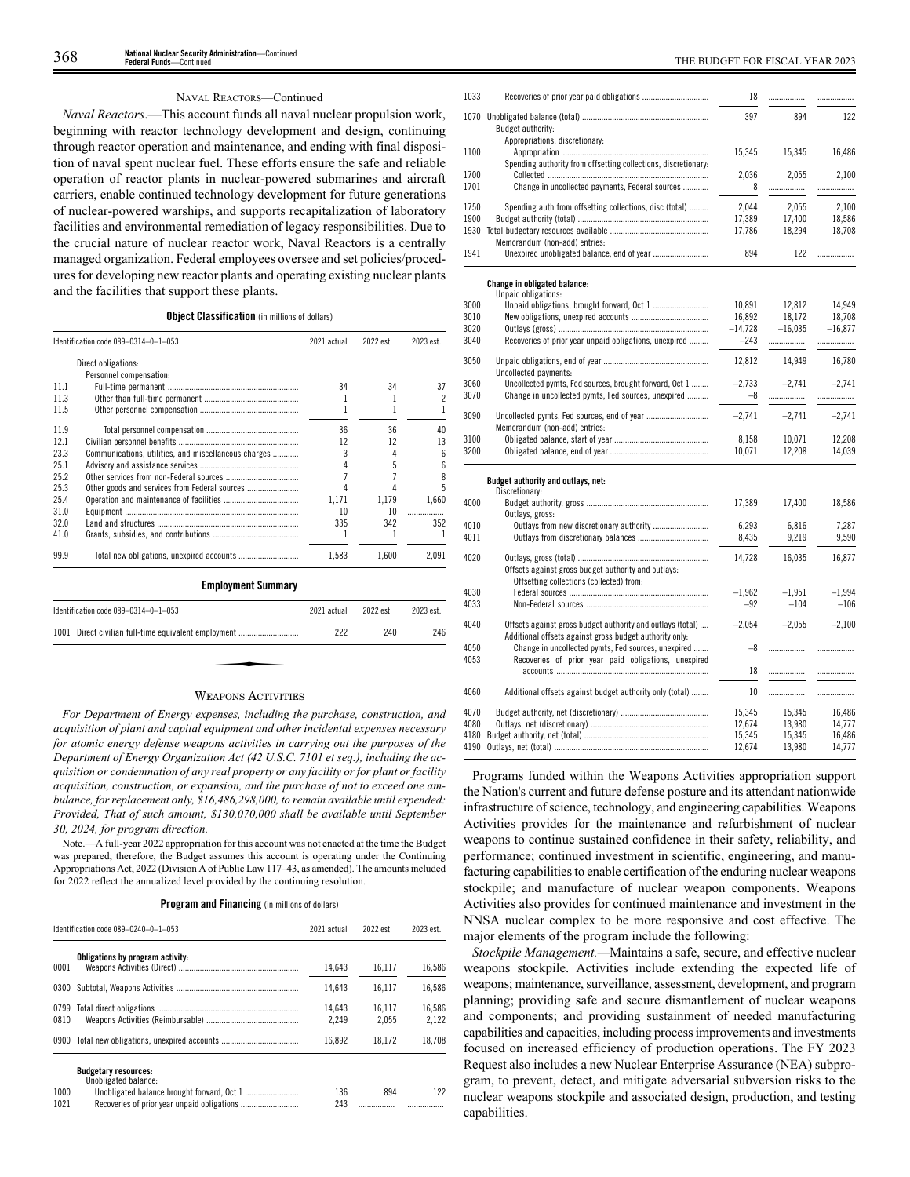### NAVAL REACTORS—Continued

*Naval Reactors*.—This account funds all naval nuclear propulsion work, beginning with reactor technology development and design, continuing through reactor operation and maintenance, and ending with final disposition of naval spent nuclear fuel. These efforts ensure the safe and reliable operation of reactor plants in nuclear-powered submarines and aircraft carriers, enable continued technology development for future generations of nuclear-powered warships, and supports recapitalization of laboratory facilities and environmental remediation of legacy responsibilities. Due to the crucial nature of nuclear reactor work, Naval Reactors is a centrally managed organization. Federal employees oversee and set policies/procedures for developing new reactor plants and operating existing nuclear plants and the facilities that support these plants.

### **Object Classification** (in millions of dollars)

|      | Identification code 089-0314-0-1-053                 | 2021 actual | 2022 est. | 2023 est. |
|------|------------------------------------------------------|-------------|-----------|-----------|
|      | Direct obligations:                                  |             |           |           |
|      | Personnel compensation:                              |             |           |           |
| 11.1 |                                                      | 34          | 34        | 37        |
| 11.3 |                                                      |             |           |           |
| 11.5 |                                                      |             |           |           |
| 11.9 |                                                      | 36          | 36        | 40        |
| 12.1 |                                                      | 12          | 12        | 13        |
| 23.3 | Communications, utilities, and miscellaneous charges | 3           | 4         | 6         |
| 25.1 |                                                      |             | 5         | h         |
| 25.2 |                                                      |             |           |           |
| 25.3 |                                                      |             |           | 5         |
| 25.4 |                                                      | 1.171       | 1.179     | 1,660     |
| 31.0 |                                                      | 10          | 10        | .         |
| 32.0 |                                                      | 335         | 342       | 352       |
| 41.0 |                                                      |             |           |           |
| 99.9 |                                                      | 1,583       | 1.600     | 2,091     |

| Identification code 089-0314-0-1-053                 | 2021 actual | 2022 est. | 2023 est. |
|------------------------------------------------------|-------------|-----------|-----------|
| 1001 Direct civilian full-time equivalent employment | 222         | 240       | 246       |
|                                                      |             |           |           |
|                                                      |             |           |           |

 $\overline{4}$ 

### WEAPONS ACTIVITIES

*For Department of Energy expenses, including the purchase, construction, and acquisition of plant and capital equipment and other incidental expenses necessary for atomic energy defense weapons activities in carrying out the purposes of the Department of Energy Organization Act (42 U.S.C. 7101 et seq.), including the acquisition or condemnation of any real property or any facility or for plant or facility acquisition, construction, or expansion, and the purchase of not to exceed one ambulance, for replacement only, \$16,486,298,000, to remain available until expended: Provided, That of such amount, \$130,070,000 shall be available until September 30, 2024, for program direction.*

Note.—A full-year 2022 appropriation for this account was not enacted at the time the Budget was prepared; therefore, the Budget assumes this account is operating under the Continuing Appropriations Act, 2022 (Division A of Public Law 117–43, as amended). The amounts included for 2022 reflect the annualized level provided by the continuing resolution.

| Program and Financing (in millions of dollars) |  |  |  |
|------------------------------------------------|--|--|--|
|------------------------------------------------|--|--|--|

|              | Identification code 089-0240-0-1-053                | 2021 actual     | 2022 est.       | 2023 est.       |
|--------------|-----------------------------------------------------|-----------------|-----------------|-----------------|
| 0001         | Obligations by program activity:                    | 14.643          | 16.117          | 16,586          |
| 0300         |                                                     | 14.643          | 16.117          | 16,586          |
| 0799<br>0810 |                                                     | 14.643<br>2.249 | 16.117<br>2.055 | 16.586<br>2,122 |
| 0900         |                                                     | 16.892          | 18.172          | 18.708          |
|              | <b>Budgetary resources:</b><br>Unobligated balance: |                 |                 |                 |
| 1000<br>1021 |                                                     | 136<br>243      | 894             | 122             |

| 1033 |                                                                                                                       | 18        | .         | .         |
|------|-----------------------------------------------------------------------------------------------------------------------|-----------|-----------|-----------|
|      |                                                                                                                       | 397       | 894       | 122       |
|      | Budget authority:                                                                                                     |           |           |           |
|      | Appropriations, discretionary:                                                                                        |           |           |           |
| 1100 |                                                                                                                       | 15,345    | 15,345    | 16,486    |
|      | Spending authority from offsetting collections, discretionary:                                                        |           |           |           |
| 1700 |                                                                                                                       | 2,036     | 2,055     | 2,100     |
| 1701 | Change in uncollected payments, Federal sources                                                                       | 8         |           | .         |
| 1750 | Spending auth from offsetting collections, disc (total)                                                               | 2,044     | 2,055     | 2,100     |
| 1900 |                                                                                                                       | 17,389    | 17,400    | 18,586    |
| 1930 |                                                                                                                       | 17,786    | 18,294    | 18,708    |
|      | Memorandum (non-add) entries:                                                                                         |           |           |           |
| 1941 | Unexpired unobligated balance, end of year                                                                            | 894       | 122       | .         |
|      | <b>Change in obligated balance:</b>                                                                                   |           |           |           |
| 3000 | Unpaid obligations:                                                                                                   | 10,891    | 12,812    | 14,949    |
| 3010 |                                                                                                                       | 16,892    | 18,172    | 18,708    |
| 3020 |                                                                                                                       | $-14,728$ | $-16,035$ | $-16,877$ |
| 3040 | Recoveries of prior year unpaid obligations, unexpired                                                                | $-243$    | .         | .         |
|      |                                                                                                                       |           |           |           |
| 3050 |                                                                                                                       | 12,812    | 14,949    | 16,780    |
|      | Uncollected payments:                                                                                                 |           |           |           |
| 3060 | Uncollected pymts, Fed sources, brought forward, Oct 1                                                                | $-2.733$  | $-2.741$  | $-2.741$  |
| 3070 | Change in uncollected pymts, Fed sources, unexpired                                                                   | $-8$      | .         |           |
| 3090 |                                                                                                                       | $-2.741$  | $-2,741$  | $-2,741$  |
|      | Memorandum (non-add) entries:                                                                                         |           |           |           |
| 3100 |                                                                                                                       | 8,158     | 10,071    | 12,208    |
| 3200 |                                                                                                                       | 10,071    | 12,208    | 14,039    |
|      | Budget authority and outlays, net:                                                                                    |           |           |           |
|      | Discretionary:                                                                                                        |           |           |           |
| 4000 |                                                                                                                       | 17,389    | 17,400    | 18,586    |
|      | Outlays, gross:                                                                                                       |           |           |           |
| 4010 | Outlays from new discretionary authority                                                                              | 6,293     | 6,816     | 7,287     |
| 4011 |                                                                                                                       | 8,435     | 9,219     | 9,590     |
| 4020 |                                                                                                                       | 14,728    | 16,035    | 16,877    |
|      | Offsets against gross budget authority and outlays:                                                                   |           |           |           |
|      | Offsetting collections (collected) from:                                                                              |           |           |           |
| 4030 |                                                                                                                       | $-1,962$  | $-1,951$  | $-1,994$  |
| 4033 |                                                                                                                       | $-92$     | $-104$    | $-106$    |
|      |                                                                                                                       |           |           |           |
| 4040 | Offsets against gross budget authority and outlays (total)<br>Additional offsets against gross budget authority only: | $-2,054$  | $-2,055$  | $-2,100$  |
| 4050 | Change in uncollected pymts, Fed sources, unexpired                                                                   | -8        |           | .         |
| 4053 | Recoveries of prior year paid obligations, unexpired                                                                  |           |           |           |
|      |                                                                                                                       | 18        | .         |           |
| 4060 | Additional offsets against budget authority only (total)                                                              | 10        | .         | .         |
| 4070 |                                                                                                                       | 15,345    | 15,345    | 16,486    |
| 4080 |                                                                                                                       | 12,674    | 13,980    | 14,777    |
| 4180 |                                                                                                                       | 15,345    | 15,345    | 16,486    |
| 4190 |                                                                                                                       | 12,674    | 13,980    | 14,777    |

Programs funded within the Weapons Activities appropriation support the Nation's current and future defense posture and its attendant nationwide infrastructure of science, technology, and engineering capabilities. Weapons Activities provides for the maintenance and refurbishment of nuclear weapons to continue sustained confidence in their safety, reliability, and performance; continued investment in scientific, engineering, and manufacturing capabilities to enable certification of the enduring nuclear weapons stockpile; and manufacture of nuclear weapon components. Weapons Activities also provides for continued maintenance and investment in the NNSA nuclear complex to be more responsive and cost effective. The major elements of the program include the following:

*Stockpile Management.—*Maintains a safe, secure, and effective nuclear weapons stockpile. Activities include extending the expected life of weapons; maintenance, surveillance, assessment, development, and program planning; providing safe and secure dismantlement of nuclear weapons and components; and providing sustainment of needed manufacturing capabilities and capacities, including process improvements and investments focused on increased efficiency of production operations. The FY 2023 Request also includes a new Nuclear Enterprise Assurance (NEA) subprogram, to prevent, detect, and mitigate adversarial subversion risks to the nuclear weapons stockpile and associated design, production, and testing capabilities.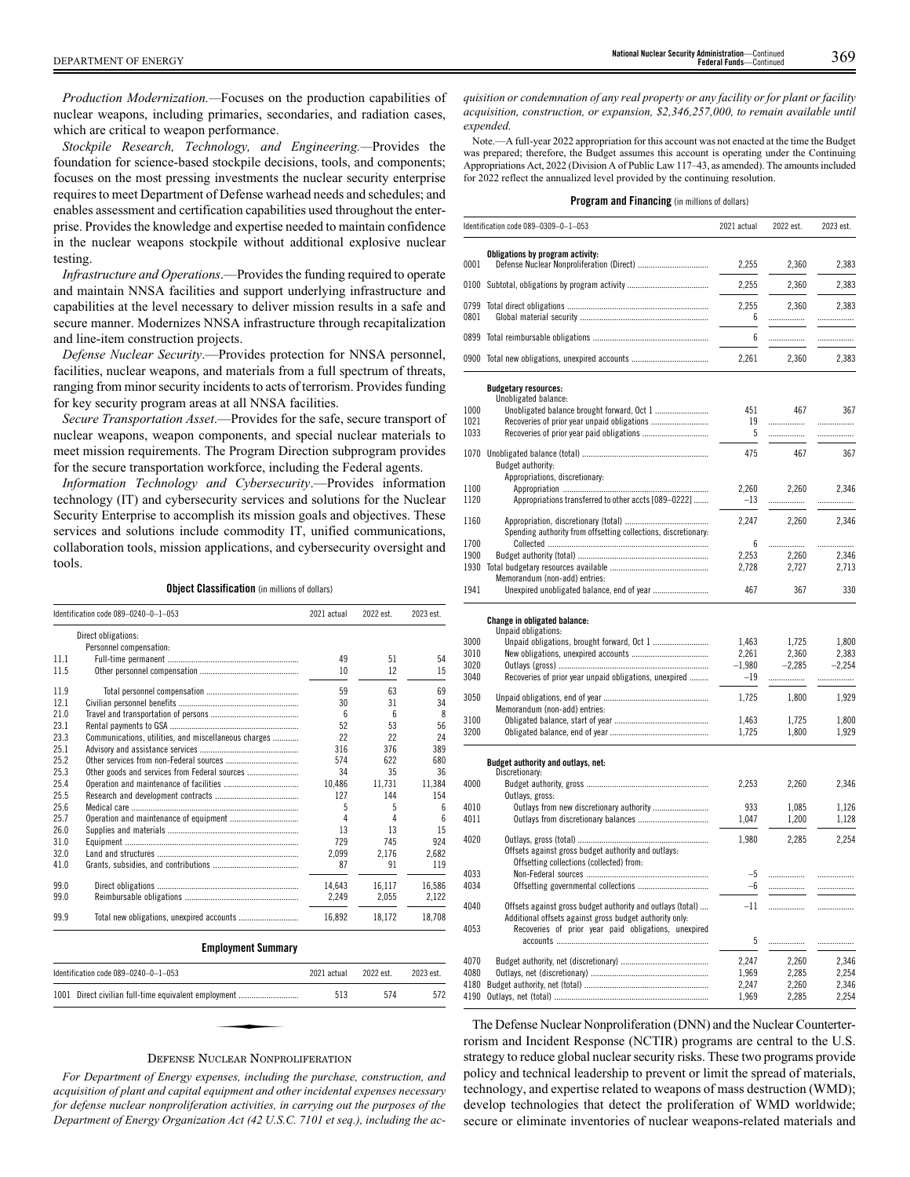*Production Modernization.—*Focuses on the production capabilities of nuclear weapons, including primaries, secondaries, and radiation cases, which are critical to weapon performance.

*Stockpile Research, Technology, and Engineering.—*Provides the foundation for science-based stockpile decisions, tools, and components; focuses on the most pressing investments the nuclear security enterprise requires to meet Department of Defense warhead needs and schedules; and enables assessment and certification capabilities used throughout the enterprise. Provides the knowledge and expertise needed to maintain confidence in the nuclear weapons stockpile without additional explosive nuclear testing.

*Infrastructure and Operations*.—Provides the funding required to operate and maintain NNSA facilities and support underlying infrastructure and capabilities at the level necessary to deliver mission results in a safe and secure manner. Modernizes NNSA infrastructure through recapitalization and line-item construction projects.

*Defense Nuclear Security*.—Provides protection for NNSA personnel, facilities, nuclear weapons, and materials from a full spectrum of threats, ranging from minor security incidents to acts of terrorism. Provides funding for key security program areas at all NNSA facilities.

*Secure Transportation Asset*.—Provides for the safe, secure transport of nuclear weapons, weapon components, and special nuclear materials to meet mission requirements. The Program Direction subprogram provides for the secure transportation workforce, including the Federal agents.

*Information Technology and Cybersecurity*.—Provides information technology (IT) and cybersecurity services and solutions for the Nuclear Security Enterprise to accomplish its mission goals and objectives. These services and solutions include commodity IT, unified communications, collaboration tools, mission applications, and cybersecurity oversight and tools.

**Object Classification** (in millions of dollars)

| Identification code 089-0240-0-1-053 |                                                      | 2021 actual | 2022 est. | 2023 est. |
|--------------------------------------|------------------------------------------------------|-------------|-----------|-----------|
|                                      | Direct obligations:                                  |             |           |           |
|                                      | Personnel compensation:                              |             |           |           |
| 11.1                                 |                                                      | 49          | 51        | 54        |
| 11.5                                 |                                                      | 10          | 12        | 15        |
| 11.9                                 |                                                      | 59          | 63        | 69        |
| 12.1                                 |                                                      | 30          | 31        | 34        |
| 21.0                                 |                                                      | 6           | 6         | 8         |
| 23.1                                 |                                                      | 52          | 53        | 56        |
| 23.3                                 | Communications, utilities, and miscellaneous charges | 22          | 22        | 24        |
| 25.1                                 |                                                      | 316         | 376       | 389       |
| 25.2                                 |                                                      | 574         | 622       | 680       |
| 25.3                                 |                                                      | 34          | 35        | 36        |
| 25.4                                 |                                                      | 10.486      | 11,731    | 11.384    |
| 25.5                                 |                                                      | 127         | 144       | 154       |
| 25.6                                 |                                                      | 5           | 5         | 6         |
| 25.7                                 |                                                      | 4           | 4         | 6         |
| 26.0                                 |                                                      | 13          | 13        | 15        |
| 31.0                                 |                                                      | 729         | 745       | 924       |
| 32.0                                 |                                                      | 2.099       | 2.176     | 2,682     |
| 41.0                                 |                                                      | 87          | 91        | 119       |
| 99.0                                 |                                                      | 14.643      | 16.117    | 16.586    |
| 99.0                                 |                                                      | 2,249       | 2,055     | 2,122     |
| 99.9                                 |                                                      | 16.892      | 18,172    | 18.708    |

| Identification code 089-0240-0-1-053                 | 2021 actual | 2022 est. | 2023 est. |
|------------------------------------------------------|-------------|-----------|-----------|
| 1001 Direct civilian full-time equivalent employment | 513         | 574       | 572       |
|                                                      |             |           |           |
| $\mathbf{r}$ at $\mathbf{r}$ at $\mathbf{r}$         |             |           |           |

### DEFENSE NUCLEAR NONPROLIFERATION

*For Department of Energy expenses, including the purchase, construction, and acquisition of plant and capital equipment and other incidental expenses necessary for defense nuclear nonproliferation activities, in carrying out the purposes of the Department of Energy Organization Act (42 U.S.C. 7101 et seq.), including the ac-*

*quisition or condemnation of any real property or any facility or for plant or facility acquisition, construction, or expansion, \$2,346,257,000, to remain available until expended.*

Note.—A full-year 2022 appropriation for this account was not enacted at the time the Budget was prepared; therefore, the Budget assumes this account is operating under the Continuing Appropriations Act, 2022 (Division A of Public Law 117–43, as amended). The amounts included for 2022 reflect the annualized level provided by the continuing resolution.

### **Program and Financing** (in millions of dollars)

|      | Identification code 089-0309-0-1-053                                                                                  | 2021 actual | 2022 est. | 2023 est. |
|------|-----------------------------------------------------------------------------------------------------------------------|-------------|-----------|-----------|
|      | Obligations by program activity:                                                                                      |             |           |           |
| 0001 |                                                                                                                       | 2,255       | 2,360     | 2,383     |
| 0100 |                                                                                                                       | 2,255       | 2,360     | 2,383     |
| 0799 |                                                                                                                       | 2,255       | 2,360     | 2,383     |
| 0801 |                                                                                                                       | 6           | .         | .         |
|      |                                                                                                                       | 6           | .         | .         |
|      | 0900 Total new obligations, unexpired accounts                                                                        | 2,261       | 2,360     | 2,383     |
|      |                                                                                                                       |             |           |           |
|      | <b>Budgetary resources:</b><br>Unobligated balance:                                                                   |             |           |           |
| 1000 | Unobligated balance brought forward, Oct 1                                                                            | 451         | 467       | 367       |
| 1021 |                                                                                                                       | 19          | .         | .         |
| 1033 |                                                                                                                       | 5           | .         | .         |
| 1070 |                                                                                                                       | 475         | 467       | 367       |
|      | Budget authority:                                                                                                     |             |           |           |
|      | Appropriations, discretionary:                                                                                        |             |           |           |
| 1100 |                                                                                                                       | 2,260       | 2,260     | 2,346     |
| 1120 | Appropriations transferred to other accts [089–0222]                                                                  | $-13$       | .         | .         |
| 1160 |                                                                                                                       | 2,247       | 2,260     | 2,346     |
|      | Spending authority from offsetting collections, discretionary:                                                        |             |           |           |
| 1700 |                                                                                                                       | 6           |           |           |
| 1900 |                                                                                                                       | 2,253       | 2,260     | 2,346     |
|      | Memorandum (non-add) entries:                                                                                         | 2,728       | 2,727     | 2,713     |
| 1941 | Unexpired unobligated balance, end of year                                                                            | 467         | 367       | 330       |
|      | Change in obligated balance:<br>Unpaid obligations:                                                                   |             |           |           |
| 3000 | Unpaid obligations, brought forward, Oct 1                                                                            | 1,463       | 1,725     | 1,800     |
| 3010 |                                                                                                                       | 2,261       | 2,360     | 2,383     |
| 3020 |                                                                                                                       | $-1,980$    | $-2,285$  | $-2,254$  |
| 3040 | Recoveries of prior year unpaid obligations, unexpired                                                                | $-19$       | .         | .         |
| 3050 |                                                                                                                       | 1,725       | 1,800     | 1,929     |
|      | Memorandum (non-add) entries:                                                                                         |             |           |           |
| 3100 |                                                                                                                       | 1,463       | 1,725     | 1,800     |
| 3200 |                                                                                                                       | 1,725       | 1,800     | 1,929     |
|      | Budget authority and outlays, net:<br>Discretionary:                                                                  |             |           |           |
| 4000 |                                                                                                                       | 2,253       | 2,260     | 2,346     |
|      | Outlays, gross:                                                                                                       |             |           |           |
| 4010 | Outlays from new discretionary authority                                                                              | 933         | 1,085     | 1,126     |
| 4011 |                                                                                                                       | 1,047       | 1,200     | 1,128     |
| 4020 |                                                                                                                       | 1,980       | 2,285     | 2,254     |
|      | Offsets against gross budget authority and outlays:                                                                   |             |           |           |
|      | Offsetting collections (collected) from:                                                                              |             |           |           |
| 4033 |                                                                                                                       | -5          | .         | .         |
| 4034 |                                                                                                                       | -6          | .         | .         |
| 4040 | Offsets against gross budget authority and outlays (total)<br>Additional offsets against gross budget authority only: | $-11$       | .         | .         |
| 4053 | Recoveries of prior year paid obligations, unexpired                                                                  |             |           |           |
|      |                                                                                                                       | 5           | .         | .         |
| 4070 |                                                                                                                       | 2,247       | 2,260     | 2,346     |
| 4080 |                                                                                                                       | 1,969       | 2,285     | 2,254     |
| 4180 |                                                                                                                       | 2,247       | 2,260     | 2,346     |
| 4190 |                                                                                                                       | 1,969       | 2,285     | 2,254     |

The Defense Nuclear Nonproliferation (DNN) and the Nuclear Counterterrorism and Incident Response (NCTIR) programs are central to the U.S. strategy to reduce global nuclear security risks. These two programs provide policy and technical leadership to prevent or limit the spread of materials, technology, and expertise related to weapons of mass destruction (WMD); develop technologies that detect the proliferation of WMD worldwide; secure or eliminate inventories of nuclear weapons-related materials and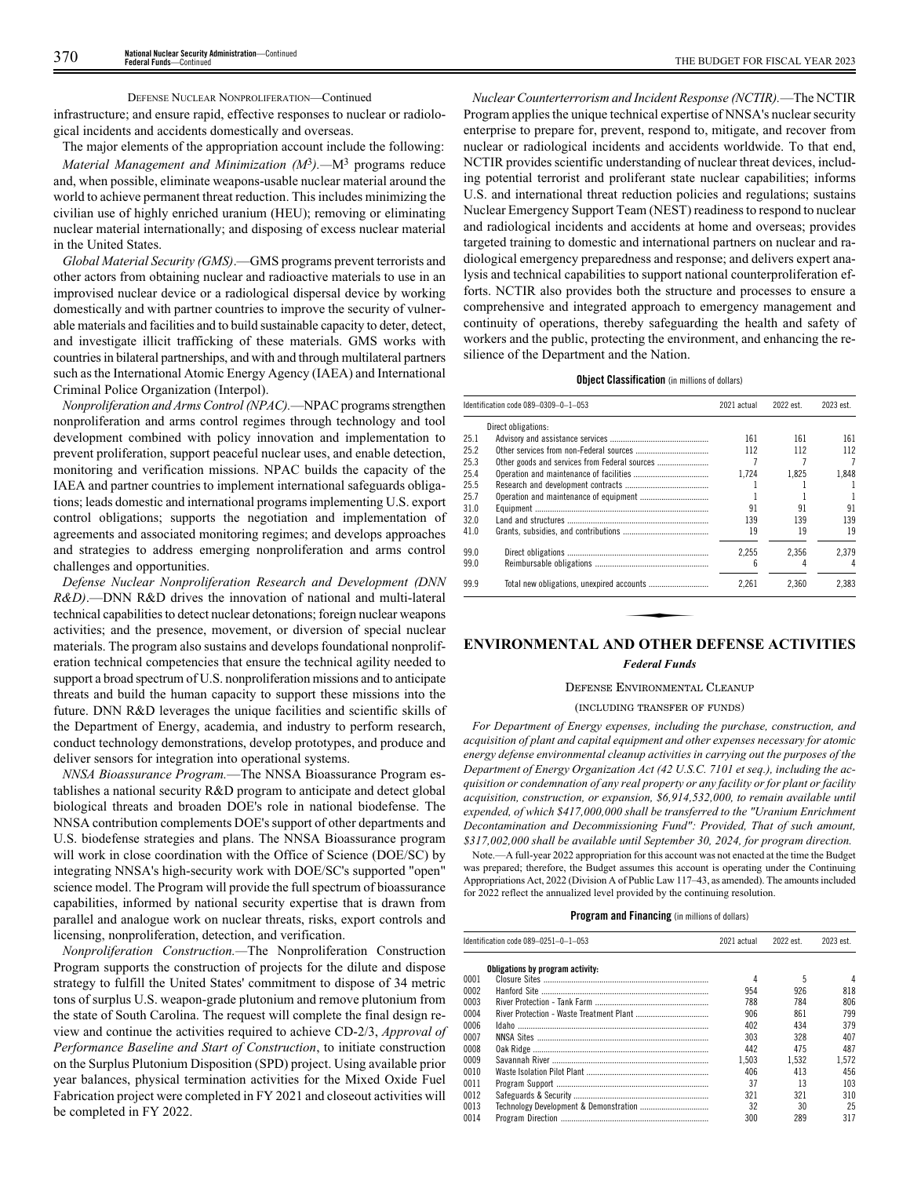### DEFENSE NUCLEAR NONPROLIFERATION—Continued

infrastructure; and ensure rapid, effective responses to nuclear or radiological incidents and accidents domestically and overseas.

The major elements of the appropriation account include the following: *Material Management and Minimization (M*<sup>3</sup> *).—*M<sup>3</sup> programs reduce and, when possible, eliminate weapons-usable nuclear material around the world to achieve permanent threat reduction. This includes minimizing the civilian use of highly enriched uranium (HEU); removing or eliminating nuclear material internationally; and disposing of excess nuclear material in the United States.

*Global Material Security (GMS)*.—GMS programs prevent terrorists and other actors from obtaining nuclear and radioactive materials to use in an improvised nuclear device or a radiological dispersal device by working domestically and with partner countries to improve the security of vulnerable materials and facilities and to build sustainable capacity to deter, detect, and investigate illicit trafficking of these materials. GMS works with countries in bilateral partnerships, and with and through multilateral partners such as the International Atomic Energy Agency (IAEA) and International Criminal Police Organization (Interpol).

*Nonproliferation and Arms Control (NPAC).*—NPAC programs strengthen nonproliferation and arms control regimes through technology and tool development combined with policy innovation and implementation to prevent proliferation, support peaceful nuclear uses, and enable detection, monitoring and verification missions. NPAC builds the capacity of the IAEA and partner countries to implement international safeguards obligations; leads domestic and international programs implementing U.S. export control obligations; supports the negotiation and implementation of agreements and associated monitoring regimes; and develops approaches and strategies to address emerging nonproliferation and arms control challenges and opportunities.

*Defense Nuclear Nonproliferation Research and Development (DNN R&D)*.—DNN R&D drives the innovation of national and multi-lateral technical capabilities to detect nuclear detonations; foreign nuclear weapons activities; and the presence, movement, or diversion of special nuclear materials. The program also sustains and develops foundational nonproliferation technical competencies that ensure the technical agility needed to support a broad spectrum of U.S. nonproliferation missions and to anticipate threats and build the human capacity to support these missions into the future. DNN R&D leverages the unique facilities and scientific skills of the Department of Energy, academia, and industry to perform research, conduct technology demonstrations, develop prototypes, and produce and deliver sensors for integration into operational systems.

*NNSA Bioassurance Program.*—The NNSA Bioassurance Program establishes a national security R&D program to anticipate and detect global biological threats and broaden DOE's role in national biodefense. The NNSA contribution complements DOE's support of other departments and U.S. biodefense strategies and plans. The NNSA Bioassurance program will work in close coordination with the Office of Science (DOE/SC) by integrating NNSA's high-security work with DOE/SC's supported "open" science model. The Program will provide the full spectrum of bioassurance capabilities, informed by national security expertise that is drawn from parallel and analogue work on nuclear threats, risks, export controls and licensing, nonproliferation, detection, and verification.

*Nonproliferation Construction.—*The Nonproliferation Construction Program supports the construction of projects for the dilute and dispose strategy to fulfill the United States' commitment to dispose of 34 metric tons of surplus U.S. weapon-grade plutonium and remove plutonium from the state of South Carolina. The request will complete the final design review and continue the activities required to achieve CD-2/3, *Approval of Performance Baseline and Start of Construction*, to initiate construction on the Surplus Plutonium Disposition (SPD) project. Using available prior year balances, physical termination activities for the Mixed Oxide Fuel Fabrication project were completed in FY 2021 and closeout activities will be completed in FY 2022.

*Nuclear Counterterrorism and Incident Response (NCTIR).*—The NCTIR Program applies the unique technical expertise of NNSA's nuclear security enterprise to prepare for, prevent, respond to, mitigate, and recover from nuclear or radiological incidents and accidents worldwide. To that end, NCTIR provides scientific understanding of nuclear threat devices, including potential terrorist and proliferant state nuclear capabilities; informs U.S. and international threat reduction policies and regulations; sustains Nuclear Emergency Support Team (NEST) readiness to respond to nuclear and radiological incidents and accidents at home and overseas; provides targeted training to domestic and international partners on nuclear and radiological emergency preparedness and response; and delivers expert analysis and technical capabilities to support national counterproliferation efforts. NCTIR also provides both the structure and processes to ensure a comprehensive and integrated approach to emergency management and continuity of operations, thereby safeguarding the health and safety of workers and the public, protecting the environment, and enhancing the resilience of the Department and the Nation.

### **Object Classification** (in millions of dollars)

| Direct obligations:<br>161<br>161<br>112<br>112<br>Other goods and services from Federal sources<br>1.724<br>1,825<br>91<br>91<br>139<br>139<br>19<br>19<br>2.255<br>2.356 | 2023 est. |
|----------------------------------------------------------------------------------------------------------------------------------------------------------------------------|-----------|
| 25.1<br>25.4<br>41.0<br>99.0                                                                                                                                               |           |
| 25.2<br>25.3<br>25.5<br>25.7<br>31.0<br>32.0                                                                                                                               | 161       |
|                                                                                                                                                                            | 112       |
|                                                                                                                                                                            | 7         |
|                                                                                                                                                                            | 1,848     |
|                                                                                                                                                                            |           |
|                                                                                                                                                                            |           |
|                                                                                                                                                                            | 91        |
|                                                                                                                                                                            | 139       |
|                                                                                                                                                                            | 19        |
|                                                                                                                                                                            | 2.379     |
| 6<br>99.0                                                                                                                                                                  |           |
| 99.9<br>2,261<br>2,360                                                                                                                                                     | 2,383     |
|                                                                                                                                                                            |           |

### *Federal Funds*

### DEFENSE ENVIRONMENTAL CLEANUP

### (INCLUDING TRANSFER OF FUNDS)

*For Department of Energy expenses, including the purchase, construction, and acquisition of plant and capital equipment and other expenses necessary for atomic energy defense environmental cleanup activities in carrying out the purposes of the Department of Energy Organization Act (42 U.S.C. 7101 et seq.), including the acquisition or condemnation of any real property or any facility or for plant or facility acquisition, construction, or expansion, \$6,914,532,000, to remain available until expended, of which \$417,000,000 shall be transferred to the "Uranium Enrichment Decontamination and Decommissioning Fund": Provided, That of such amount, \$317,002,000 shall be available until September 30, 2024, for program direction.*

Note.—A full-year 2022 appropriation for this account was not enacted at the time the Budget was prepared; therefore, the Budget assumes this account is operating under the Continuing Appropriations Act, 2022 (Division A of Public Law 117–43, as amended). The amounts included for 2022 reflect the annualized level provided by the continuing resolution.

|      | Identification code 089-0251-0-1-053 | 2021 actual | 2022 est. | 2023 est. |
|------|--------------------------------------|-------------|-----------|-----------|
|      | Obligations by program activity:     |             |           |           |
| 0001 |                                      | 4           | 5         | 4         |
| 0002 |                                      | 954         | 926       | 818       |
| 0003 |                                      | 788         | 784       | 806       |
| 0004 |                                      | 906         | 861       | 799       |
| 0006 |                                      | 402         | 434       | 379       |
| 0007 |                                      | 303         | 328       | 407       |
| 0008 |                                      | 442         | 475       | 487       |
| 0009 |                                      | 1.503       | 1.532     | 1.572     |
| 0010 |                                      | 406         | 413       | 456       |
| 0011 |                                      | 37          | 13        | 103       |
| 0012 |                                      | 321         | 321       | 310       |
| 0013 |                                      | 32          | 30        | 25        |
| 0014 |                                      | 300         | 289       | 317       |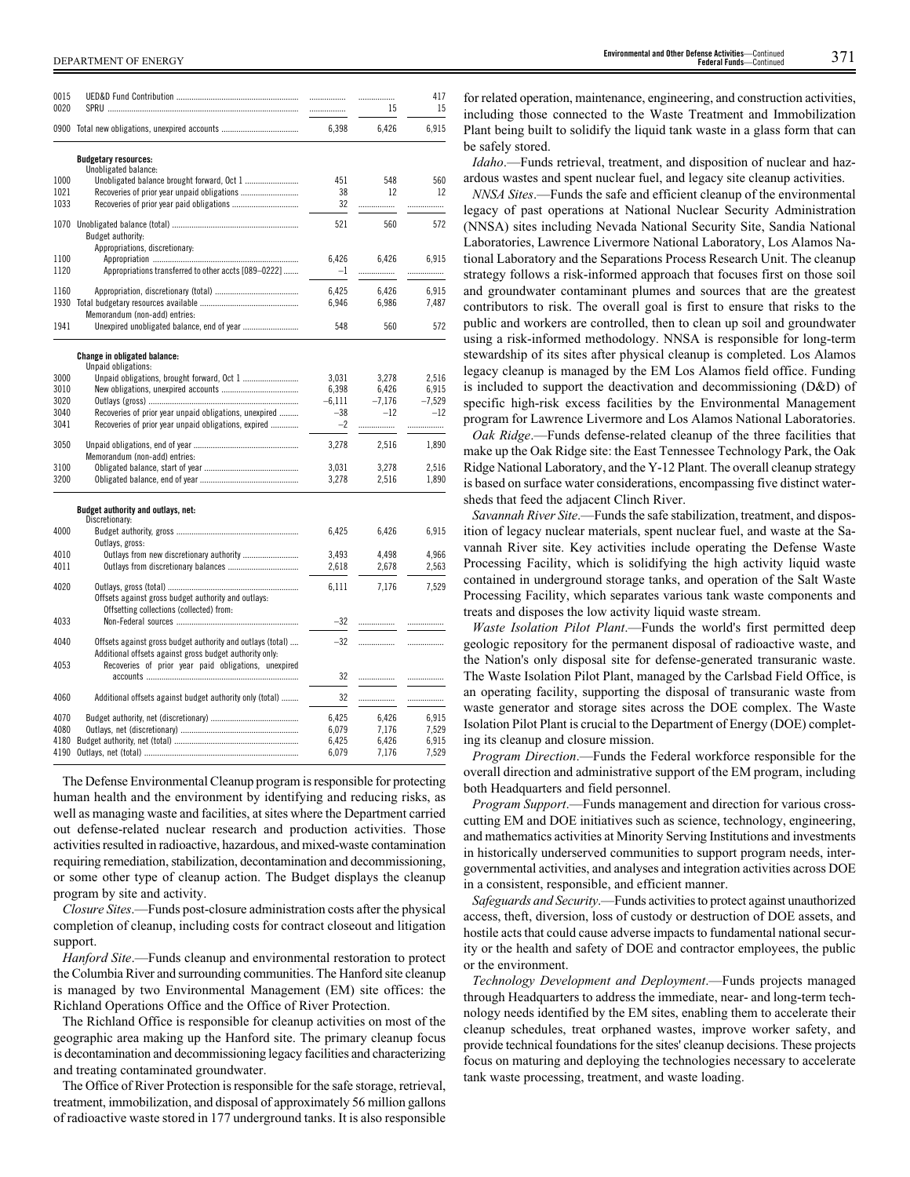| 0015         |                                                                                                 | .              | .              | 417            |
|--------------|-------------------------------------------------------------------------------------------------|----------------|----------------|----------------|
| 0020         |                                                                                                 | .              | 15             | 15             |
|              | 0900 Total new obligations, unexpired accounts                                                  | 6,398          | 6,426          | 6,915          |
|              | <b>Budgetary resources:</b>                                                                     |                |                |                |
|              | Unobligated balance:                                                                            |                |                |                |
| 1000<br>1021 |                                                                                                 | 451<br>38      | 548<br>12      | 560<br>12      |
| 1033         |                                                                                                 | 32             |                |                |
|              |                                                                                                 |                | .              | .              |
| 1070         |                                                                                                 | 521            | 560            | 572            |
|              | Budget authority:                                                                               |                |                |                |
|              | Appropriations, discretionary:                                                                  |                |                |                |
| 1100         |                                                                                                 | 6,426          | 6,426          | 6,915          |
| 1120         | Appropriations transferred to other accts [089-0222]                                            | $-1$           |                | .              |
| 1160         |                                                                                                 | 6,425          | 6,426          | 6,915          |
| 1930         |                                                                                                 | 6,946          | 6,986          | 7,487          |
|              | Memorandum (non-add) entries:                                                                   |                |                |                |
| 1941         |                                                                                                 | 548            | 560            | 572            |
|              |                                                                                                 |                |                |                |
|              | Change in obligated balance:                                                                    |                |                |                |
| 3000         | Unpaid obligations:                                                                             | 3,031          | 3,278          | 2,516          |
| 3010         |                                                                                                 | 6.398          | 6.426          | 6,915          |
| 3020         |                                                                                                 | $-6,111$       | $-7,176$       | $-7,529$       |
| 3040         | Recoveries of prior year unpaid obligations, unexpired                                          | $-38$          | $-12$          | $-12$          |
| 3041         | Recoveries of prior year unpaid obligations, expired                                            | $-2$           |                | .              |
|              |                                                                                                 |                |                |                |
| 3050         | Memorandum (non-add) entries:                                                                   | 3,278          | 2,516          | 1,890          |
| 3100         |                                                                                                 | 3,031          | 3,278          | 2,516          |
| 3200         |                                                                                                 | 3,278          | 2,516          | 1,890          |
|              |                                                                                                 |                |                |                |
|              | Budget authority and outlays, net:                                                              |                |                |                |
|              | Discretionary:                                                                                  |                |                |                |
| 4000         | Outlays, gross:                                                                                 | 6,425          | 6,426          | 6.915          |
| 4010         |                                                                                                 | 3.493          | 4.498          | 4.966          |
| 4011         |                                                                                                 | 2,618          | 2,678          | 2,563          |
|              |                                                                                                 |                |                |                |
| 4020         |                                                                                                 | 6,111          | 7,176          | 7,529          |
|              | Offsets against gross budget authority and outlays:<br>Offsetting collections (collected) from: |                |                |                |
| 4033         |                                                                                                 | $-32$          | .              | .              |
|              |                                                                                                 |                |                |                |
| 4040         | Offsets against gross budget authority and outlays (total)                                      | $-32$          |                | .              |
|              | Additional offsets against gross budget authority only:                                         |                |                |                |
| 4053         | Recoveries of prior year paid obligations, unexpired                                            |                |                |                |
|              |                                                                                                 | 32             | .              | .              |
| 4060         | Additional offsets against budget authority only (total)                                        | 32             | .              |                |
|              |                                                                                                 |                |                |                |
| 4070         |                                                                                                 | 6,425          | 6,426          | 6,915          |
| 4080<br>4180 |                                                                                                 | 6,079<br>6,425 | 7,176<br>6,426 | 7,529<br>6,915 |
| 4190         |                                                                                                 | 6,079          | 7,176          | 7,529          |
|              |                                                                                                 |                |                |                |

The Defense Environmental Cleanup program is responsible for protecting human health and the environment by identifying and reducing risks, as well as managing waste and facilities, at sites where the Department carried out defense-related nuclear research and production activities. Those activities resulted in radioactive, hazardous, and mixed-waste contamination requiring remediation, stabilization, decontamination and decommissioning, or some other type of cleanup action. The Budget displays the cleanup program by site and activity.

*Closure Sites*.—Funds post-closure administration costs after the physical completion of cleanup, including costs for contract closeout and litigation support.

*Hanford Site*.—Funds cleanup and environmental restoration to protect the Columbia River and surrounding communities. The Hanford site cleanup is managed by two Environmental Management (EM) site offices: the Richland Operations Office and the Office of River Protection.

The Richland Office is responsible for cleanup activities on most of the geographic area making up the Hanford site. The primary cleanup focus is decontamination and decommissioning legacy facilities and characterizing and treating contaminated groundwater.

The Office of River Protection is responsible for the safe storage, retrieval, treatment, immobilization, and disposal of approximately 56 million gallons of radioactive waste stored in 177 underground tanks. It is also responsible

for related operation, maintenance, engineering, and construction activities, including those connected to the Waste Treatment and Immobilization Plant being built to solidify the liquid tank waste in a glass form that can be safely stored.

*Idaho*.—Funds retrieval, treatment, and disposition of nuclear and hazardous wastes and spent nuclear fuel, and legacy site cleanup activities.

*NNSA Sites*.—Funds the safe and efficient cleanup of the environmental legacy of past operations at National Nuclear Security Administration (NNSA) sites including Nevada National Security Site, Sandia National Laboratories, Lawrence Livermore National Laboratory, Los Alamos National Laboratory and the Separations Process Research Unit. The cleanup strategy follows a risk-informed approach that focuses first on those soil and groundwater contaminant plumes and sources that are the greatest contributors to risk. The overall goal is first to ensure that risks to the public and workers are controlled, then to clean up soil and groundwater using a risk-informed methodology. NNSA is responsible for long-term stewardship of its sites after physical cleanup is completed. Los Alamos legacy cleanup is managed by the EM Los Alamos field office. Funding is included to support the deactivation and decommissioning (D&D) of specific high-risk excess facilities by the Environmental Management program for Lawrence Livermore and Los Alamos National Laboratories.

*Oak Ridge*.—Funds defense-related cleanup of the three facilities that make up the Oak Ridge site: the East Tennessee Technology Park, the Oak Ridge National Laboratory, and the Y-12 Plant. The overall cleanup strategy is based on surface water considerations, encompassing five distinct watersheds that feed the adjacent Clinch River.

*Savannah River Site*.—Funds the safe stabilization, treatment, and disposition of legacy nuclear materials, spent nuclear fuel, and waste at the Savannah River site. Key activities include operating the Defense Waste Processing Facility, which is solidifying the high activity liquid waste contained in underground storage tanks, and operation of the Salt Waste Processing Facility, which separates various tank waste components and treats and disposes the low activity liquid waste stream.

*Waste Isolation Pilot Plant*.—Funds the world's first permitted deep geologic repository for the permanent disposal of radioactive waste, and the Nation's only disposal site for defense-generated transuranic waste. The Waste Isolation Pilot Plant, managed by the Carlsbad Field Office, is an operating facility, supporting the disposal of transuranic waste from waste generator and storage sites across the DOE complex. The Waste Isolation Pilot Plant is crucial to the Department of Energy (DOE) completing its cleanup and closure mission.

*Program Direction*.—Funds the Federal workforce responsible for the overall direction and administrative support of the EM program, including both Headquarters and field personnel.

*Program Support*.—Funds management and direction for various crosscutting EM and DOE initiatives such as science, technology, engineering, and mathematics activities at Minority Serving Institutions and investments in historically underserved communities to support program needs, intergovernmental activities, and analyses and integration activities across DOE in a consistent, responsible, and efficient manner.

*Safeguards and Security*.—Funds activities to protect against unauthorized access, theft, diversion, loss of custody or destruction of DOE assets, and hostile acts that could cause adverse impacts to fundamental national security or the health and safety of DOE and contractor employees, the public or the environment.

*Technology Development and Deployment*.—Funds projects managed through Headquarters to address the immediate, near- and long-term technology needs identified by the EM sites, enabling them to accelerate their cleanup schedules, treat orphaned wastes, improve worker safety, and provide technical foundations for the sites' cleanup decisions. These projects focus on maturing and deploying the technologies necessary to accelerate tank waste processing, treatment, and waste loading.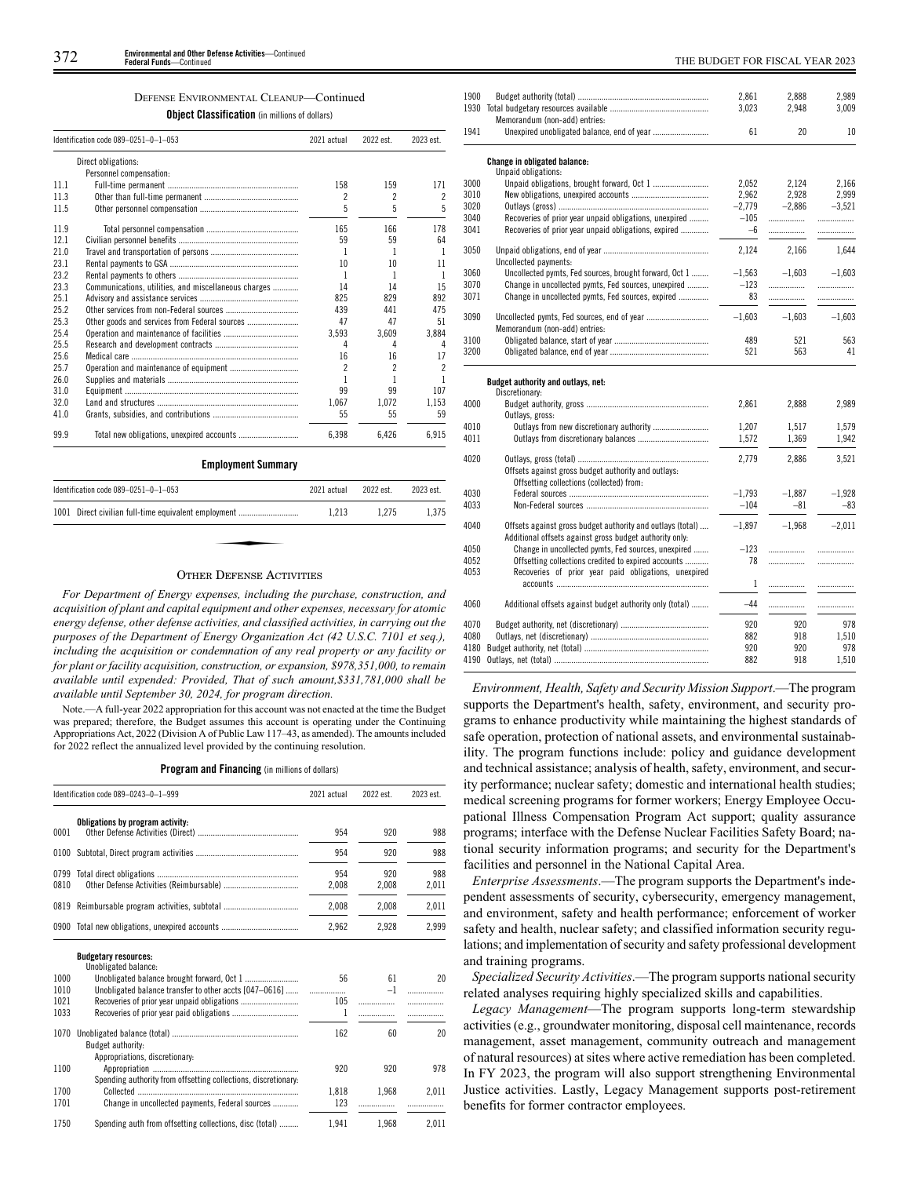### DEFENSE ENVIRONMENTAL CLEANUP—Continued

**Object Classification** (in millions of dollars)

|      | Identification code 089-0251-0-1-053                 | 2021 actual | 2022 est. | 2023 est. |
|------|------------------------------------------------------|-------------|-----------|-----------|
|      | Direct obligations:                                  |             |           |           |
|      | Personnel compensation:                              |             |           |           |
| 11.1 |                                                      | 158         | 159       | 171       |
| 11.3 |                                                      | 2           | 2         | 2         |
| 11.5 |                                                      | 5           | 5         | 5         |
| 11.9 |                                                      | 165         | 166       | 178       |
| 12.1 |                                                      | 59          | 59        | 64        |
| 21.0 |                                                      | 1           | 1         | 1         |
| 23.1 |                                                      | 10          | 10        | 11        |
| 23.2 |                                                      | 1           | 1         | 1         |
| 23.3 | Communications, utilities, and miscellaneous charges | 14          | 14        | 15        |
| 25.1 |                                                      | 825         | 829       | 892       |
| 25.2 |                                                      | 439         | 441       | 475       |
| 25.3 | Other goods and services from Federal sources        | 47          | 47        | 51        |
| 25.4 |                                                      | 3.593       | 3.609     | 3.884     |
| 25.5 |                                                      | 4           | 4         | 4         |
| 25.6 |                                                      | 16          | 16        | 17        |
| 25.7 |                                                      | 2           | 2         | 2         |
| 26.0 |                                                      | 1           | 1         | 1         |
| 31.0 |                                                      | 99          | 99        | 107       |
| 32.0 |                                                      | 1.067       | 1,072     | 1.153     |
| 41.0 |                                                      | 55          | 55        | 59        |
| 99.9 |                                                      | 6,398       | 6,426     | 6.915     |
|      | <b>Employment Summary</b>                            |             |           |           |
|      | Identification code 089-0251-0-1-053                 | 2021 actual | 2022 est. | 2023 est. |
|      | 1001 Direct civilian full-time equivalent employment | 1,213       | 1,275     | 1,375     |

### OTHER DEFENSE ACTIVITIES

*For Department of Energy expenses, including the purchase, construction, and acquisition of plant and capital equipment and other expenses, necessary for atomic energy defense, other defense activities, and classified activities, in carrying out the purposes of the Department of Energy Organization Act (42 U.S.C. 7101 et seq.), including the acquisition or condemnation of any real property or any facility or for plant or facility acquisition, construction, or expansion, \$978,351,000, to remain available until expended: Provided, That of such amount,\$331,781,000 shall be available until September 30, 2024, for program direction.*

Note.—A full-year 2022 appropriation for this account was not enacted at the time the Budget was prepared; therefore, the Budget assumes this account is operating under the Continuing Appropriations Act, 2022 (Division A of Public Law 117–43, as amended). The amounts included for 2022 reflect the annualized level provided by the continuing resolution.

|  |  |  | <b>Program and Financing</b> (in millions of dollars) |
|--|--|--|-------------------------------------------------------|
|--|--|--|-------------------------------------------------------|

|              | Identification code 089-0243-0-1-999                           |              | 2022 est.    | 2023 est.    |
|--------------|----------------------------------------------------------------|--------------|--------------|--------------|
| 0001         | Obligations by program activity:                               | 954          | 920          | 988          |
| 0100         |                                                                | 954          | 920          | 988          |
| 0799<br>0810 |                                                                | 954<br>2,008 | 920<br>2,008 | 988<br>2,011 |
| 0819         |                                                                | 2,008        | 2.008        | 2,011        |
|              | 0900 Total new obligations, unexpired accounts                 | 2.962        | 2,928        | 2.999        |
| 1000         | <b>Budgetary resources:</b><br>Unobligated balance:            | 56           | 61           | 20           |
| 1010         | Unobligated balance transfer to other accts [047-0616]         | .            | $-1$         | .            |
| 1021<br>1033 |                                                                | 105<br>1     |              | .            |
| 1070         | Budget authority:<br>Appropriations, discretionary:            | 162          | 60           | 20           |
| 1100         | Spending authority from offsetting collections, discretionary: | 920          | 920          | 978          |
| 1700         |                                                                | 1.818        | 1.968        | 2.011        |
| 1701         | Change in uncollected payments, Federal sources                | 123          |              |              |
| 1750         | Spending auth from offsetting collections, disc (total)        | 1.941        | 1.968        | 2.011        |

| 1900 |                                                            | 2,861    | 2,888    | 2,989    |
|------|------------------------------------------------------------|----------|----------|----------|
|      |                                                            | 3,023    | 2,948    | 3,009    |
|      | Memorandum (non-add) entries:                              |          |          |          |
| 1941 |                                                            | 61       | 20       | 10       |
|      | <b>Change in obligated balance:</b>                        |          |          |          |
|      | Unpaid obligations:                                        |          |          |          |
| 3000 |                                                            | 2.052    | 2,124    | 2,166    |
| 3010 |                                                            | 2,962    | 2,928    | 2,999    |
| 3020 |                                                            | $-2,779$ | $-2,886$ | $-3,521$ |
| 3040 | Recoveries of prior year unpaid obligations, unexpired     | $-105$   | .        | .        |
| 3041 | Recoveries of prior year unpaid obligations, expired       | $-6$     | .        | .        |
| 3050 |                                                            | 2,124    | 2,166    | 1,644    |
|      | Uncollected payments:                                      |          |          |          |
| 3060 | Uncollected pymts, Fed sources, brought forward, Oct 1     | $-1,563$ | $-1,603$ | $-1,603$ |
| 3070 |                                                            | $-123$   |          |          |
| 3071 | Change in uncollected pymts, Fed sources, unexpired        | 83       |          | .        |
|      | Change in uncollected pymts, Fed sources, expired          |          |          | .        |
| 3090 |                                                            | $-1.603$ | $-1.603$ | $-1,603$ |
|      | Memorandum (non-add) entries:                              |          |          |          |
| 3100 |                                                            | 489      | 521      | 563      |
| 3200 |                                                            | 521      | 563      | 41       |
|      |                                                            |          |          |          |
|      | Budget authority and outlays, net:<br>Discretionary:       |          |          |          |
| 4000 |                                                            | 2,861    | 2,888    | 2,989    |
|      | Outlays, gross:                                            |          |          |          |
| 4010 |                                                            | 1,207    | 1,517    | 1,579    |
| 4011 |                                                            | 1,572    | 1,369    | 1,942    |
| 4020 |                                                            | 2,779    | 2.886    | 3,521    |
|      | Offsets against gross budget authority and outlays:        |          |          |          |
|      | Offsetting collections (collected) from:                   |          |          |          |
| 4030 |                                                            | $-1,793$ | $-1,887$ | $-1,928$ |
| 4033 |                                                            | $-104$   | $-81$    | $-83$    |
|      |                                                            |          |          |          |
| 4040 | Offsets against gross budget authority and outlays (total) | $-1,897$ | $-1.968$ | $-2.011$ |
|      | Additional offsets against gross budget authority only:    |          |          |          |
| 4050 | Change in uncollected pymts, Fed sources, unexpired        | $-123$   | .        | .        |
| 4052 | Offsetting collections credited to expired accounts        | 78       |          | .        |
| 4053 | Recoveries of prior year paid obligations, unexpired       |          |          |          |
|      |                                                            | 1        | .        | .        |
| 4060 | Additional offsets against budget authority only (total)   | $-44$    | .        | .        |
|      |                                                            |          |          |          |
| 4070 |                                                            | 920      | 920      | 978      |
| 4080 |                                                            | 882      | 918      | 1,510    |
| 4180 |                                                            | 920      | 920      | 978      |
| 4190 |                                                            | 882      | 918      | 1,510    |
|      |                                                            |          |          |          |

*Environment, Health, Safety and Security Mission Support*.—The program supports the Department's health, safety, environment, and security programs to enhance productivity while maintaining the highest standards of safe operation, protection of national assets, and environmental sustainability. The program functions include: policy and guidance development and technical assistance; analysis of health, safety, environment, and security performance; nuclear safety; domestic and international health studies; medical screening programs for former workers; Energy Employee Occupational Illness Compensation Program Act support; quality assurance programs; interface with the Defense Nuclear Facilities Safety Board; national security information programs; and security for the Department's facilities and personnel in the National Capital Area.

*Enterprise Assessments*.—The program supports the Department's independent assessments of security, cybersecurity, emergency management, and environment, safety and health performance; enforcement of worker safety and health, nuclear safety; and classified information security regulations; and implementation of security and safety professional development and training programs.

*Specialized Security Activities*.—The program supports national security related analyses requiring highly specialized skills and capabilities.

*Legacy Management*—The program supports long-term stewardship activities (e.g., groundwater monitoring, disposal cell maintenance, records management, asset management, community outreach and management of natural resources) at sites where active remediation has been completed. In FY 2023, the program will also support strengthening Environmental Justice activities. Lastly, Legacy Management supports post-retirement benefits for former contractor employees.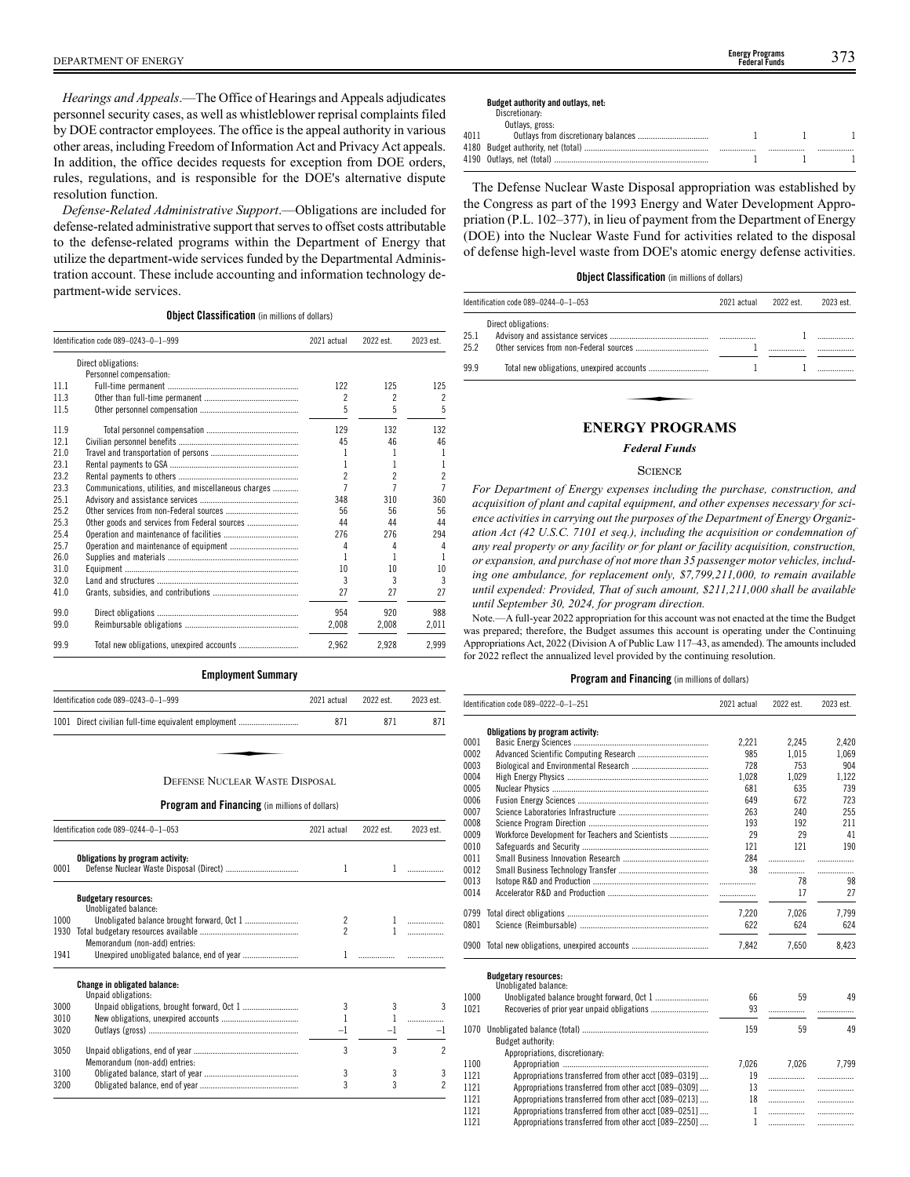*Hearings and Appeals*.—The Office of Hearings and Appeals adjudicates personnel security cases, as well as whistleblower reprisal complaints filed by DOE contractor employees. The office is the appeal authority in various other areas, including Freedom of Information Act and Privacy Act appeals. In addition, the office decides requests for exception from DOE orders, rules, regulations, and is responsible for the DOE's alternative dispute resolution function.

*Defense-Related Administrative Support*.—Obligations are included for defense-related administrative support that serves to offset costs attributable to the defense-related programs within the Department of Energy that utilize the department-wide services funded by the Departmental Administration account. These include accounting and information technology department-wide services.

### **Object Classification** (in millions of dollars)

|      | Identification code 089-0243-0-1-999                 | 2021 actual    | 2022 est.                | 2023 est.                |
|------|------------------------------------------------------|----------------|--------------------------|--------------------------|
|      | Direct obligations:                                  |                |                          |                          |
|      | Personnel compensation:                              |                |                          |                          |
| 111  |                                                      | 122            | 125                      | 125                      |
| 11.3 |                                                      | 2              | 2                        | 2                        |
| 11.5 |                                                      | 5              | 5                        | 5                        |
| 11.9 |                                                      | 129            | 132                      | 132                      |
| 12.1 |                                                      | 45             | 46                       | 46                       |
| 210  |                                                      |                | 1                        |                          |
| 23.1 |                                                      |                | 1                        |                          |
| 23.2 |                                                      | $\overline{c}$ | $\overline{\phantom{a}}$ | $\overline{\mathcal{L}}$ |
| 23.3 | Communications, utilities, and miscellaneous charges |                | 7                        | 7                        |
| 25.1 |                                                      | 348            | 310                      | 360                      |
| 25.2 |                                                      | 56             | 56                       | 56                       |
| 25.3 | Other goods and services from Federal sources        | 44             | 44                       | 44                       |
| 25.4 |                                                      | 276            | 276                      | 294                      |
| 25.7 |                                                      | 4              | 4                        | 4                        |
| 26.0 |                                                      |                | 1                        |                          |
| 31.0 |                                                      | 10             | 10                       | 10                       |
| 32.0 |                                                      | 3              | 3                        | 3                        |
| 41.0 |                                                      | 27             | 27                       | 27                       |
| 99.0 |                                                      | 954            | 920                      | 988                      |
| 99.0 |                                                      | 2,008          | 2,008                    | 2,011                    |
| 99.9 |                                                      | 2.962          | 2.928                    | 2.999                    |

### **Employment Summary**

| Identification code 089-0243-0-1-999                 | 2021 actual | 2022 est. | 2023 est. |
|------------------------------------------------------|-------------|-----------|-----------|
| 1001 Direct civilian full-time equivalent employment | 871         | 871       | 871       |
|                                                      |             |           |           |
| DEFENSE NUCLEAR WASTE DISPOSAL                       |             |           |           |

### DEFENSE NUCLEAR WASTE DISPOSAL

### **Program and Financing** (in millions of dollars)

|      | Identification code 089-0244-0-1-053                       |                | 2022 est. | 2023 est. |
|------|------------------------------------------------------------|----------------|-----------|-----------|
| 0001 | Obligations by program activity:                           | 1              | 1         |           |
|      | <b>Budgetary resources:</b><br>Unobligated balance:        |                |           |           |
| 1000 |                                                            | 2              |           |           |
| 1930 | Memorandum (non-add) entries:                              | $\overline{c}$ |           |           |
| 1941 |                                                            | 1              |           |           |
|      | <b>Change in obligated balance:</b><br>Unpaid obligations: |                |           |           |
| 3000 |                                                            | 3              | 3         |           |
| 3010 |                                                            |                |           |           |
| 3020 |                                                            | $-1$           |           | $-1$      |
| 3050 | Memorandum (non-add) entries:                              | 3              | 3         | 2         |
| 3100 |                                                            | 3              | 3         | 3         |
| 3200 |                                                            | 3              | 3         | 2         |

# **Budget authority and outlays, net:**

| Discretionary: |  |  |
|----------------|--|--|
|                |  |  |

|      | Outlays, gross: |      |  |
|------|-----------------|------|--|
| 4011 |                 |      |  |
|      |                 | <br> |  |
|      |                 |      |  |
|      |                 |      |  |

The Defense Nuclear Waste Disposal appropriation was established by the Congress as part of the 1993 Energy and Water Development Appropriation (P.L. 102–377), in lieu of payment from the Department of Energy (DOE) into the Nuclear Waste Fund for activities related to the disposal of defense high-level waste from DOE's atomic energy defense activities.

### **Object Classification** (in millions of dollars)

|              | Identification code 089-0244-0-1-053 | 2021 actual | 2022 est. | 2023 est. |
|--------------|--------------------------------------|-------------|-----------|-----------|
| 25.1<br>25.2 | Direct obligations:                  |             |           |           |
| 99.9         |                                      |             |           |           |
|              | <b>ENERGY PROGRAMS</b>               |             |           |           |

### *Federal Funds*

### **SCIENCE**

*For Department of Energy expenses including the purchase, construction, and acquisition of plant and capital equipment, and other expenses necessary for science activities in carrying out the purposes of the Department of Energy Organization Act (42 U.S.C. 7101 et seq.), including the acquisition or condemnation of any real property or any facility or for plant or facility acquisition, construction, or expansion, and purchase of not more than 35 passenger motor vehicles, including one ambulance, for replacement only, \$7,799,211,000, to remain available until expended: Provided, That of such amount, \$211,211,000 shall be available until September 30, 2024, for program direction.*

Note.—A full-year 2022 appropriation for this account was not enacted at the time the Budget was prepared; therefore, the Budget assumes this account is operating under the Continuing Appropriations Act, 2022 (Division A of Public Law 117–43, as amended). The amounts included for 2022 reflect the annualized level provided by the continuing resolution.

|      | Identification code 089-0222-0-1-251                  | 2021 actual  | 2022 est. | 2023 est. |
|------|-------------------------------------------------------|--------------|-----------|-----------|
|      | Obligations by program activity:                      |              |           |           |
| 0001 |                                                       | 2,221        | 2,245     | 2,420     |
| 0002 |                                                       | 985          | 1,015     | 1,069     |
| 0003 |                                                       | 728          | 753       | 904       |
| 0004 |                                                       | 1.028        | 1.029     | 1.122     |
| 0005 |                                                       | 681          | 635       | 739       |
| 0006 |                                                       | 649          | 672       | 723       |
| 0007 |                                                       | 263          | 240       | 255       |
| 0008 |                                                       | 193          | 192       | 211       |
| 0009 | Workforce Development for Teachers and Scientists     | 29           | 29        | 41        |
| 0010 |                                                       | 121          | 121       | 190       |
| 0011 |                                                       | 284          | .         | .         |
| 0012 |                                                       | 38           |           | .         |
| 0013 |                                                       | .            | 78        | 98        |
| 0014 |                                                       | .            | 17        | 27        |
| 0799 |                                                       | 7,220        | 7,026     | 7,799     |
| 0801 |                                                       | 622          | 624       | 624       |
|      | 0900 Total new obligations, unexpired accounts        | 7,842        | 7.650     | 8,423     |
|      | <b>Budgetary resources:</b>                           |              |           |           |
|      | Unobligated balance:                                  |              |           |           |
| 1000 |                                                       | 66           | 59        | 49        |
| 1021 |                                                       | 93           | .         |           |
| 1070 |                                                       | 159          | 59        | 49        |
|      | Budget authority:                                     |              |           |           |
|      | Appropriations, discretionary:                        |              |           |           |
| 1100 |                                                       | 7,026        | 7.026     | 7.799     |
| 1121 | Appropriations transferred from other acct [089-0319] | 19           |           | .         |
| 1121 | Appropriations transferred from other acct [089-0309] | 13           |           | .         |
| 1121 | Appropriations transferred from other acct [089-0213] | 18           |           | .         |
| 1121 | Appropriations transferred from other acct [089-0251] | $\mathbf{1}$ |           | .         |
| 1121 | Appropriations transferred from other acct [089-2250] | 1            | .         | .         |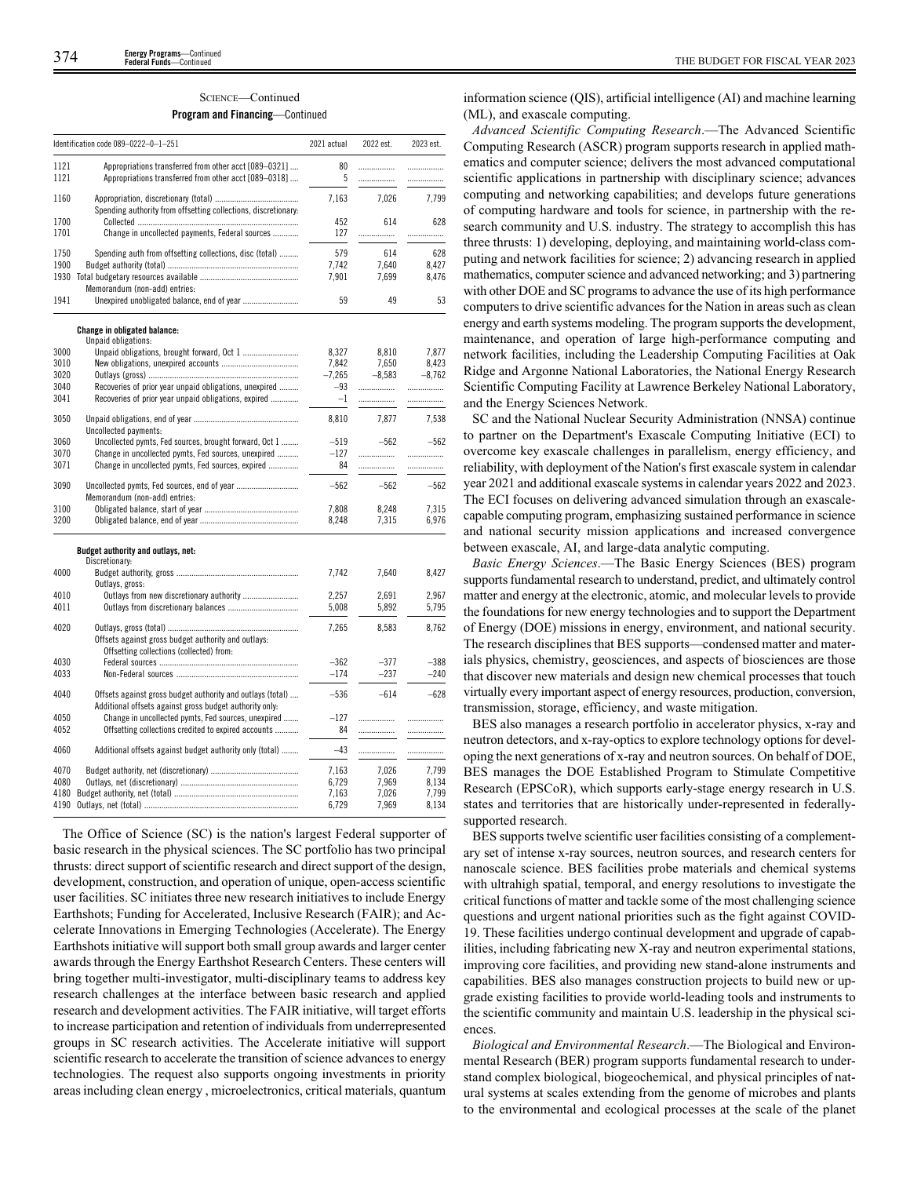# SCIENCE—Continued

# **Program and Financing**—Continued

|              | Identification code 089-0222-0-1-251                                                                                  | 2021 actual       | 2022 est. | 2023 est. |
|--------------|-----------------------------------------------------------------------------------------------------------------------|-------------------|-----------|-----------|
| 1121         | Appropriations transferred from other acct [089-0321]                                                                 | 80                | .         | .         |
| 1121         | Appropriations transferred from other acct [089-0318]                                                                 | 5                 | .         | .         |
| 1160         |                                                                                                                       | 7,163             | 7,026     | 7,799     |
|              | Spending authority from offsetting collections, discretionary.                                                        |                   |           |           |
| 1700<br>1701 | Change in uncollected payments, Federal sources                                                                       | 452<br>127        | 614<br>.  | 628<br>.  |
| 1750         |                                                                                                                       | 579               | 614       | 628       |
| 1900         | Spending auth from offsetting collections, disc (total)                                                               | 7.742             | 7.640     | 8.427     |
|              |                                                                                                                       | 7.901             | 7,699     | 8.476     |
| 1941         | Memorandum (non-add) entries:<br>Unexpired unobligated balance, end of year                                           | 59                | 49        | 53        |
|              |                                                                                                                       |                   |           |           |
|              | Change in obligated balance:<br>Unpaid obligations:                                                                   |                   |           |           |
| 3000         |                                                                                                                       | 8.327             | 8,810     | 7.877     |
| 3010         |                                                                                                                       | 7,842             | 7,650     | 8,423     |
| 3020<br>3040 |                                                                                                                       | $-7.265$<br>$-93$ | $-8.583$  | $-8.762$  |
| 3041         | Recoveries of prior year unpaid obligations, unexpired<br>Recoveries of prior year unpaid obligations, expired        | $-1$              | .<br>     | <br>      |
| 3050         |                                                                                                                       | 8,810             | 7,877     | 7,538     |
|              | Uncollected payments:                                                                                                 |                   |           |           |
| 3060         | Uncollected pymts, Fed sources, brought forward, Oct 1                                                                | $-519$            | $-562$    | $-562$    |
| 3070<br>3071 | Change in uncollected pymts, Fed sources, unexpired<br>Change in uncollected pymts, Fed sources, expired              | $-127$<br>84      |           | .         |
|              |                                                                                                                       |                   | .         | .         |
| 3090         | Memorandum (non-add) entries:                                                                                         | $-562$            | $-562$    | $-562$    |
| 3100         |                                                                                                                       | 7,808             | 8,248     | 7,315     |
| 3200         |                                                                                                                       | 8.248             | 7,315     | 6,976     |
|              | Budget authority and outlays, net:<br>Discretionary:                                                                  |                   |           |           |
| 4000         |                                                                                                                       | 7,742             | 7,640     | 8,427     |
| 4010         | Outlays, gross:<br>Outlays from new discretionary authority                                                           | 2.257             | 2.691     | 2.967     |
| 4011         |                                                                                                                       | 5,008             | 5,892     | 5,795     |
| 4020         |                                                                                                                       | 7,265             | 8,583     | 8,762     |
|              | Offsets against gross budget authority and outlays:<br>Offsetting collections (collected) from:                       |                   |           |           |
| 4030         |                                                                                                                       | $-362$            | $-377$    | $-388$    |
| 4033         |                                                                                                                       | $-174$            | $-237$    | $-240$    |
| 4040         | Offsets against gross budget authority and outlays (total)<br>Additional offsets against gross budget authority only: | $-536$            | $-614$    | $-628$    |
| 4050         | Change in uncollected pymts, Fed sources, unexpired                                                                   | $-127$            | .         |           |
| 4052         | Offsetting collections credited to expired accounts                                                                   | 84                | .         | .         |
| 4060         | Additional offsets against budget authority only (total)                                                              | $-43$             |           |           |
| 4070         |                                                                                                                       | 7.163             | 7,026     | 7,799     |
| 4080         |                                                                                                                       | 6,729             | 7,969     | 8,134     |
| 4180         |                                                                                                                       | 7,163             | 7,026     | 7.799     |
| 4190         |                                                                                                                       | 6,729             | 7,969     | 8,134     |

The Office of Science (SC) is the nation's largest Federal supporter of basic research in the physical sciences. The SC portfolio has two principal thrusts: direct support of scientific research and direct support of the design, development, construction, and operation of unique, open-access scientific user facilities. SC initiates three new research initiatives to include Energy Earthshots; Funding for Accelerated, Inclusive Research (FAIR); and Accelerate Innovations in Emerging Technologies (Accelerate). The Energy Earthshots initiative will support both small group awards and larger center awards through the Energy Earthshot Research Centers. These centers will bring together multi-investigator, multi-disciplinary teams to address key research challenges at the interface between basic research and applied research and development activities. The FAIR initiative, will target efforts to increase participation and retention of individuals from underrepresented groups in SC research activities. The Accelerate initiative will support scientific research to accelerate the transition of science advances to energy technologies. The request also supports ongoing investments in priority areas including clean energy , microelectronics, critical materials, quantum

information science (QIS), artificial intelligence (AI) and machine learning (ML), and exascale computing.

*Advanced Scientific Computing Research*.—The Advanced Scientific Computing Research (ASCR) program supports research in applied mathematics and computer science; delivers the most advanced computational scientific applications in partnership with disciplinary science; advances computing and networking capabilities; and develops future generations of computing hardware and tools for science, in partnership with the research community and U.S. industry. The strategy to accomplish this has three thrusts: 1) developing, deploying, and maintaining world-class computing and network facilities for science; 2) advancing research in applied mathematics, computer science and advanced networking; and 3) partnering with other DOE and SC programs to advance the use of its high performance computers to drive scientific advances for the Nation in areas such as clean energy and earth systems modeling. The program supports the development, maintenance, and operation of large high-performance computing and network facilities, including the Leadership Computing Facilities at Oak Ridge and Argonne National Laboratories, the National Energy Research Scientific Computing Facility at Lawrence Berkeley National Laboratory, and the Energy Sciences Network.

SC and the National Nuclear Security Administration (NNSA) continue to partner on the Department's Exascale Computing Initiative (ECI) to overcome key exascale challenges in parallelism, energy efficiency, and reliability, with deployment of the Nation's first exascale system in calendar year 2021 and additional exascale systems in calendar years 2022 and 2023. The ECI focuses on delivering advanced simulation through an exascalecapable computing program, emphasizing sustained performance in science and national security mission applications and increased convergence between exascale, AI, and large-data analytic computing.

*Basic Energy Sciences*.—The Basic Energy Sciences (BES) program supports fundamental research to understand, predict, and ultimately control matter and energy at the electronic, atomic, and molecular levels to provide the foundations for new energy technologies and to support the Department of Energy (DOE) missions in energy, environment, and national security. The research disciplines that BES supports—condensed matter and materials physics, chemistry, geosciences, and aspects of biosciences are those that discover new materials and design new chemical processes that touch virtually every important aspect of energy resources, production, conversion, transmission, storage, efficiency, and waste mitigation.

BES also manages a research portfolio in accelerator physics, x-ray and neutron detectors, and x-ray-optics to explore technology options for developing the next generations of x-ray and neutron sources. On behalf of DOE, BES manages the DOE Established Program to Stimulate Competitive Research (EPSCoR), which supports early-stage energy research in U.S. states and territories that are historically under-represented in federallysupported research.

BES supports twelve scientific user facilities consisting of a complementary set of intense x-ray sources, neutron sources, and research centers for nanoscale science. BES facilities probe materials and chemical systems with ultrahigh spatial, temporal, and energy resolutions to investigate the critical functions of matter and tackle some of the most challenging science questions and urgent national priorities such as the fight against COVID-19. These facilities undergo continual development and upgrade of capabilities, including fabricating new X-ray and neutron experimental stations, improving core facilities, and providing new stand-alone instruments and capabilities. BES also manages construction projects to build new or upgrade existing facilities to provide world-leading tools and instruments to the scientific community and maintain U.S. leadership in the physical sciences.

*Biological and Environmental Research*.—The Biological and Environmental Research (BER) program supports fundamental research to understand complex biological, biogeochemical, and physical principles of natural systems at scales extending from the genome of microbes and plants to the environmental and ecological processes at the scale of the planet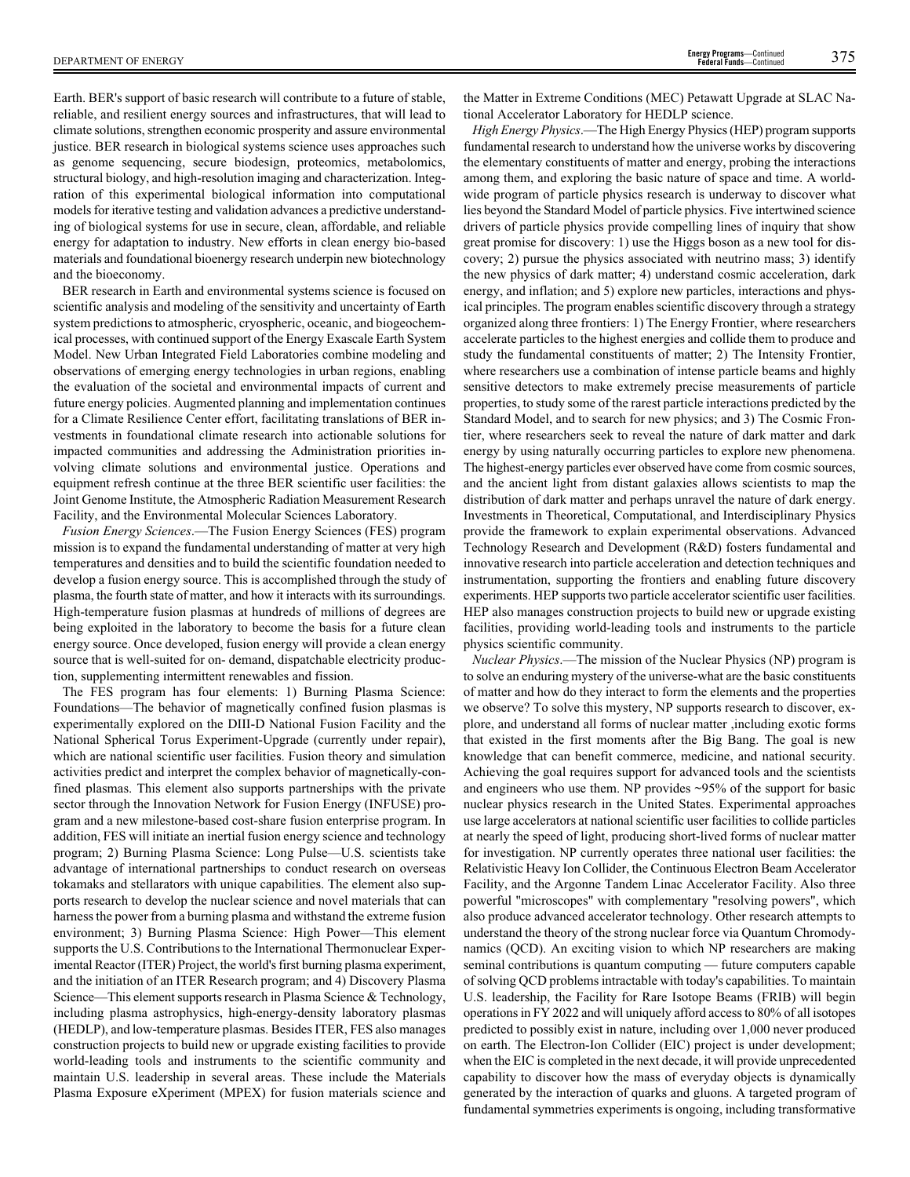Earth. BER's support of basic research will contribute to a future of stable, reliable, and resilient energy sources and infrastructures, that will lead to climate solutions, strengthen economic prosperity and assure environmental justice. BER research in biological systems science uses approaches such as genome sequencing, secure biodesign, proteomics, metabolomics, structural biology, and high-resolution imaging and characterization. Integration of this experimental biological information into computational models for iterative testing and validation advances a predictive understanding of biological systems for use in secure, clean, affordable, and reliable energy for adaptation to industry. New efforts in clean energy bio-based materials and foundational bioenergy research underpin new biotechnology and the bioeconomy.

BER research in Earth and environmental systems science is focused on scientific analysis and modeling of the sensitivity and uncertainty of Earth system predictions to atmospheric, cryospheric, oceanic, and biogeochemical processes, with continued support of the Energy Exascale Earth System Model. New Urban Integrated Field Laboratories combine modeling and observations of emerging energy technologies in urban regions, enabling the evaluation of the societal and environmental impacts of current and future energy policies. Augmented planning and implementation continues for a Climate Resilience Center effort, facilitating translations of BER investments in foundational climate research into actionable solutions for impacted communities and addressing the Administration priorities involving climate solutions and environmental justice. Operations and equipment refresh continue at the three BER scientific user facilities: the Joint Genome Institute, the Atmospheric Radiation Measurement Research Facility, and the Environmental Molecular Sciences Laboratory.

*Fusion Energy Sciences*.—The Fusion Energy Sciences (FES) program mission is to expand the fundamental understanding of matter at very high temperatures and densities and to build the scientific foundation needed to develop a fusion energy source. This is accomplished through the study of plasma, the fourth state of matter, and how it interacts with its surroundings. High-temperature fusion plasmas at hundreds of millions of degrees are being exploited in the laboratory to become the basis for a future clean energy source. Once developed, fusion energy will provide a clean energy source that is well-suited for on- demand, dispatchable electricity production, supplementing intermittent renewables and fission.

The FES program has four elements: 1) Burning Plasma Science: Foundations—The behavior of magnetically confined fusion plasmas is experimentally explored on the DIII-D National Fusion Facility and the National Spherical Torus Experiment-Upgrade (currently under repair), which are national scientific user facilities. Fusion theory and simulation activities predict and interpret the complex behavior of magnetically-confined plasmas. This element also supports partnerships with the private sector through the Innovation Network for Fusion Energy (INFUSE) program and a new milestone-based cost-share fusion enterprise program. In addition, FES will initiate an inertial fusion energy science and technology program; 2) Burning Plasma Science: Long Pulse—U.S. scientists take advantage of international partnerships to conduct research on overseas tokamaks and stellarators with unique capabilities. The element also supports research to develop the nuclear science and novel materials that can harness the power from a burning plasma and withstand the extreme fusion environment; 3) Burning Plasma Science: High Power—This element supports the U.S. Contributions to the International Thermonuclear Experimental Reactor (ITER) Project, the world's first burning plasma experiment, and the initiation of an ITER Research program; and 4) Discovery Plasma Science—This element supports research in Plasma Science & Technology, including plasma astrophysics, high-energy-density laboratory plasmas (HEDLP), and low-temperature plasmas. Besides ITER, FES also manages construction projects to build new or upgrade existing facilities to provide world-leading tools and instruments to the scientific community and maintain U.S. leadership in several areas. These include the Materials Plasma Exposure eXperiment (MPEX) for fusion materials science and

the Matter in Extreme Conditions (MEC) Petawatt Upgrade at SLAC National Accelerator Laboratory for HEDLP science.

*High Energy Physics*.—The High Energy Physics (HEP) program supports fundamental research to understand how the universe works by discovering the elementary constituents of matter and energy, probing the interactions among them, and exploring the basic nature of space and time. A worldwide program of particle physics research is underway to discover what lies beyond the Standard Model of particle physics. Five intertwined science drivers of particle physics provide compelling lines of inquiry that show great promise for discovery: 1) use the Higgs boson as a new tool for discovery; 2) pursue the physics associated with neutrino mass; 3) identify the new physics of dark matter; 4) understand cosmic acceleration, dark energy, and inflation; and 5) explore new particles, interactions and physical principles. The program enables scientific discovery through a strategy organized along three frontiers: 1) The Energy Frontier, where researchers accelerate particles to the highest energies and collide them to produce and study the fundamental constituents of matter; 2) The Intensity Frontier, where researchers use a combination of intense particle beams and highly sensitive detectors to make extremely precise measurements of particle properties, to study some of the rarest particle interactions predicted by the Standard Model, and to search for new physics; and 3) The Cosmic Frontier, where researchers seek to reveal the nature of dark matter and dark energy by using naturally occurring particles to explore new phenomena. The highest-energy particles ever observed have come from cosmic sources, and the ancient light from distant galaxies allows scientists to map the distribution of dark matter and perhaps unravel the nature of dark energy. Investments in Theoretical, Computational, and Interdisciplinary Physics provide the framework to explain experimental observations. Advanced Technology Research and Development (R&D) fosters fundamental and innovative research into particle acceleration and detection techniques and instrumentation, supporting the frontiers and enabling future discovery experiments. HEP supports two particle accelerator scientific user facilities. HEP also manages construction projects to build new or upgrade existing facilities, providing world-leading tools and instruments to the particle physics scientific community.

*Nuclear Physics*.—The mission of the Nuclear Physics (NP) program is to solve an enduring mystery of the universe-what are the basic constituents of matter and how do they interact to form the elements and the properties we observe? To solve this mystery, NP supports research to discover, explore, and understand all forms of nuclear matter ,including exotic forms that existed in the first moments after the Big Bang. The goal is new knowledge that can benefit commerce, medicine, and national security. Achieving the goal requires support for advanced tools and the scientists and engineers who use them. NP provides ~95% of the support for basic nuclear physics research in the United States. Experimental approaches use large accelerators at national scientific user facilities to collide particles at nearly the speed of light, producing short-lived forms of nuclear matter for investigation. NP currently operates three national user facilities: the Relativistic Heavy Ion Collider, the Continuous Electron Beam Accelerator Facility, and the Argonne Tandem Linac Accelerator Facility. Also three powerful "microscopes" with complementary "resolving powers", which also produce advanced accelerator technology. Other research attempts to understand the theory of the strong nuclear force via Quantum Chromodynamics (QCD). An exciting vision to which NP researchers are making seminal contributions is quantum computing — future computers capable of solving QCD problems intractable with today's capabilities. To maintain U.S. leadership, the Facility for Rare Isotope Beams (FRIB) will begin operations in FY 2022 and will uniquely afford access to 80% of all isotopes predicted to possibly exist in nature, including over 1,000 never produced on earth. The Electron-Ion Collider (EIC) project is under development; when the EIC is completed in the next decade, it will provide unprecedented capability to discover how the mass of everyday objects is dynamically generated by the interaction of quarks and gluons. A targeted program of fundamental symmetries experiments is ongoing, including transformative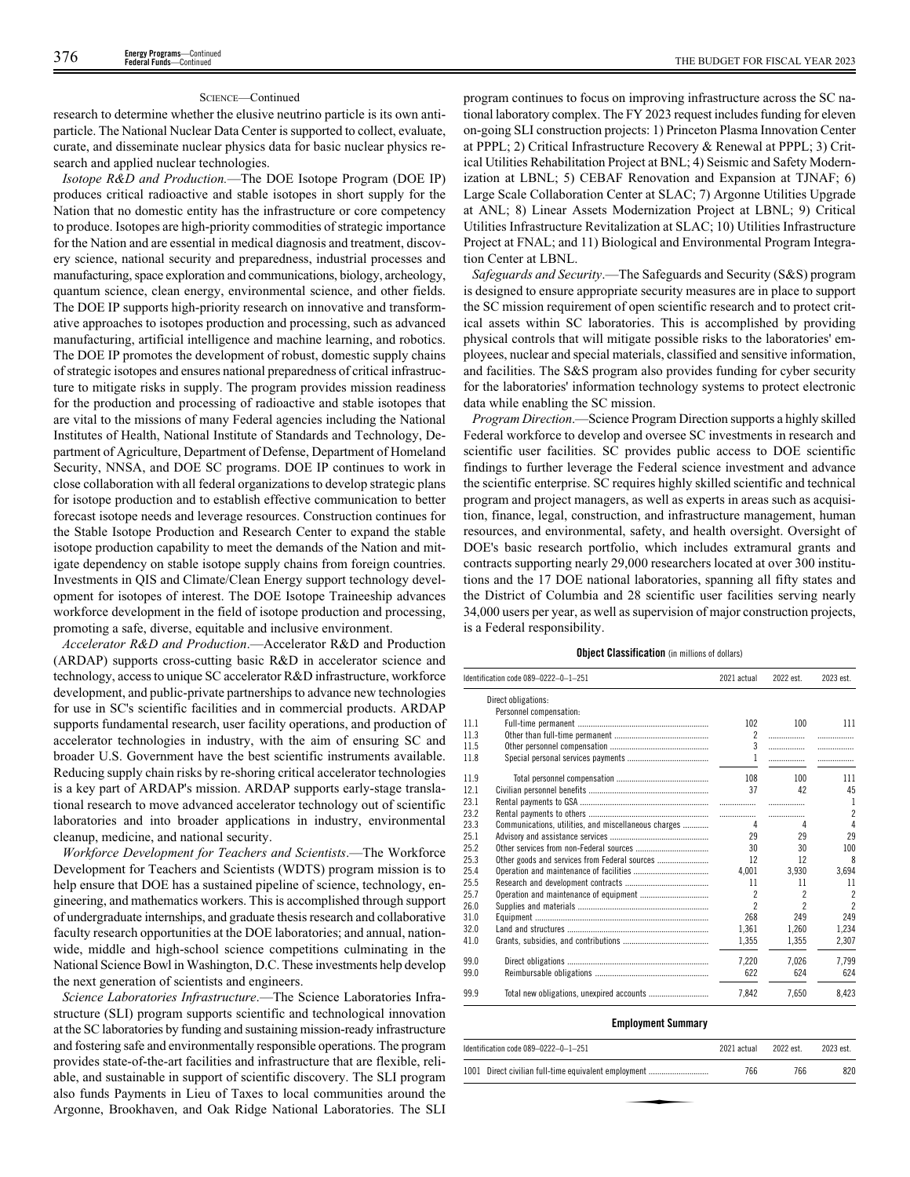### SCIENCE—Continued

research to determine whether the elusive neutrino particle is its own antiparticle. The National Nuclear Data Center is supported to collect, evaluate, curate, and disseminate nuclear physics data for basic nuclear physics research and applied nuclear technologies.

*Isotope R&D and Production.*—The DOE Isotope Program (DOE IP) produces critical radioactive and stable isotopes in short supply for the Nation that no domestic entity has the infrastructure or core competency to produce. Isotopes are high-priority commodities of strategic importance for the Nation and are essential in medical diagnosis and treatment, discovery science, national security and preparedness, industrial processes and manufacturing, space exploration and communications, biology, archeology, quantum science, clean energy, environmental science, and other fields. The DOE IP supports high-priority research on innovative and transformative approaches to isotopes production and processing, such as advanced manufacturing, artificial intelligence and machine learning, and robotics. The DOE IP promotes the development of robust, domestic supply chains of strategic isotopes and ensures national preparedness of critical infrastructure to mitigate risks in supply. The program provides mission readiness for the production and processing of radioactive and stable isotopes that are vital to the missions of many Federal agencies including the National Institutes of Health, National Institute of Standards and Technology, Department of Agriculture, Department of Defense, Department of Homeland Security, NNSA, and DOE SC programs. DOE IP continues to work in close collaboration with all federal organizations to develop strategic plans for isotope production and to establish effective communication to better forecast isotope needs and leverage resources. Construction continues for the Stable Isotope Production and Research Center to expand the stable isotope production capability to meet the demands of the Nation and mitigate dependency on stable isotope supply chains from foreign countries. Investments in QIS and Climate/Clean Energy support technology development for isotopes of interest. The DOE Isotope Traineeship advances workforce development in the field of isotope production and processing, promoting a safe, diverse, equitable and inclusive environment.

*Accelerator R&D and Production*.—Accelerator R&D and Production (ARDAP) supports cross-cutting basic R&D in accelerator science and technology, access to unique SC accelerator R&D infrastructure, workforce development, and public-private partnerships to advance new technologies for use in SC's scientific facilities and in commercial products. ARDAP supports fundamental research, user facility operations, and production of accelerator technologies in industry, with the aim of ensuring SC and broader U.S. Government have the best scientific instruments available. Reducing supply chain risks by re-shoring critical accelerator technologies is a key part of ARDAP's mission. ARDAP supports early-stage translational research to move advanced accelerator technology out of scientific laboratories and into broader applications in industry, environmental cleanup, medicine, and national security.

*Workforce Development for Teachers and Scientists*.—The Workforce Development for Teachers and Scientists (WDTS) program mission is to help ensure that DOE has a sustained pipeline of science, technology, engineering, and mathematics workers. This is accomplished through support of undergraduate internships, and graduate thesis research and collaborative faculty research opportunities at the DOE laboratories; and annual, nationwide, middle and high-school science competitions culminating in the National Science Bowl in Washington, D.C. These investments help develop the next generation of scientists and engineers.

*Science Laboratories Infrastructure*.—The Science Laboratories Infrastructure (SLI) program supports scientific and technological innovation at the SC laboratories by funding and sustaining mission-ready infrastructure and fostering safe and environmentally responsible operations. The program provides state-of-the-art facilities and infrastructure that are flexible, reliable, and sustainable in support of scientific discovery. The SLI program also funds Payments in Lieu of Taxes to local communities around the Argonne, Brookhaven, and Oak Ridge National Laboratories. The SLI

program continues to focus on improving infrastructure across the SC national laboratory complex. The FY 2023 request includes funding for eleven on-going SLI construction projects: 1) Princeton Plasma Innovation Center at PPPL; 2) Critical Infrastructure Recovery & Renewal at PPPL; 3) Critical Utilities Rehabilitation Project at BNL; 4) Seismic and Safety Modernization at LBNL; 5) CEBAF Renovation and Expansion at TJNAF; 6) Large Scale Collaboration Center at SLAC; 7) Argonne Utilities Upgrade at ANL; 8) Linear Assets Modernization Project at LBNL; 9) Critical Utilities Infrastructure Revitalization at SLAC; 10) Utilities Infrastructure Project at FNAL; and 11) Biological and Environmental Program Integration Center at LBNL.

*Safeguards and Security*.—The Safeguards and Security (S&S) program is designed to ensure appropriate security measures are in place to support the SC mission requirement of open scientific research and to protect critical assets within SC laboratories. This is accomplished by providing physical controls that will mitigate possible risks to the laboratories' employees, nuclear and special materials, classified and sensitive information, and facilities. The S&S program also provides funding for cyber security for the laboratories' information technology systems to protect electronic data while enabling the SC mission.

*Program Direction*.—Science Program Direction supports a highly skilled Federal workforce to develop and oversee SC investments in research and scientific user facilities. SC provides public access to DOE scientific findings to further leverage the Federal science investment and advance the scientific enterprise. SC requires highly skilled scientific and technical program and project managers, as well as experts in areas such as acquisition, finance, legal, construction, and infrastructure management, human resources, and environmental, safety, and health oversight. Oversight of DOE's basic research portfolio, which includes extramural grants and contracts supporting nearly 29,000 researchers located at over 300 institutions and the 17 DOE national laboratories, spanning all fifty states and the District of Columbia and 28 scientific user facilities serving nearly 34,000 users per year, as well as supervision of major construction projects, is a Federal responsibility.

### **Object Classification** (in millions of dollars)

|      | Identification code 089-0222-0-1-251                 | 2021 actual              | 2022 est. | 2023 est.      |
|------|------------------------------------------------------|--------------------------|-----------|----------------|
|      | Direct obligations:                                  |                          |           |                |
|      | Personnel compensation:                              |                          |           |                |
| 11.1 |                                                      | 102                      | 100       | 111            |
| 11.3 |                                                      | $\overline{2}$           | .         | .              |
| 11.5 |                                                      | 3                        | .         | .              |
| 11.8 |                                                      | 1                        |           | .              |
| 11.9 |                                                      | 108                      | 100       | 111            |
| 12.1 |                                                      | 37                       | 42        | 45             |
| 23.1 |                                                      |                          | .         | 1              |
| 23.2 |                                                      | $\overline{\phantom{a}}$ | .         | $\overline{2}$ |
| 23.3 | Communications, utilities, and miscellaneous charges | 4                        | 4         | $\overline{4}$ |
| 25.1 |                                                      | 29                       | 29        | 29             |
| 25.2 |                                                      | 30                       | 30        | 100            |
| 25.3 |                                                      | 12                       | 12        | 8              |
| 25.4 |                                                      | 4.001                    | 3.930     | 3.694          |
| 25.5 |                                                      | 11                       | 11        | 11             |
| 25.7 |                                                      | 2                        | 2         | $\overline{c}$ |
| 26.0 |                                                      | $\overline{\phantom{a}}$ | 2         | $\overline{2}$ |
| 31.0 |                                                      | 268                      | 249       | 249            |
| 32.0 |                                                      | 1.361                    | 1.260     | 1.234          |
| 41.0 |                                                      | 1,355                    | 1,355     | 2.307          |
| 99.0 |                                                      | 7,220                    | 7.026     | 7.799          |
| 99.0 |                                                      | 622                      | 624       | 624            |
| 99.9 |                                                      | 7,842                    | 7,650     | 8,423          |

### **Employment Summary**

| Identification code 089-0222-0-1-251                 | 2021 actual | 2022 est. | 2023 est. |
|------------------------------------------------------|-------------|-----------|-----------|
| 1001 Direct civilian full-time equivalent employment | 766         | 766       | 820       |
|                                                      |             |           |           |
|                                                      |             |           |           |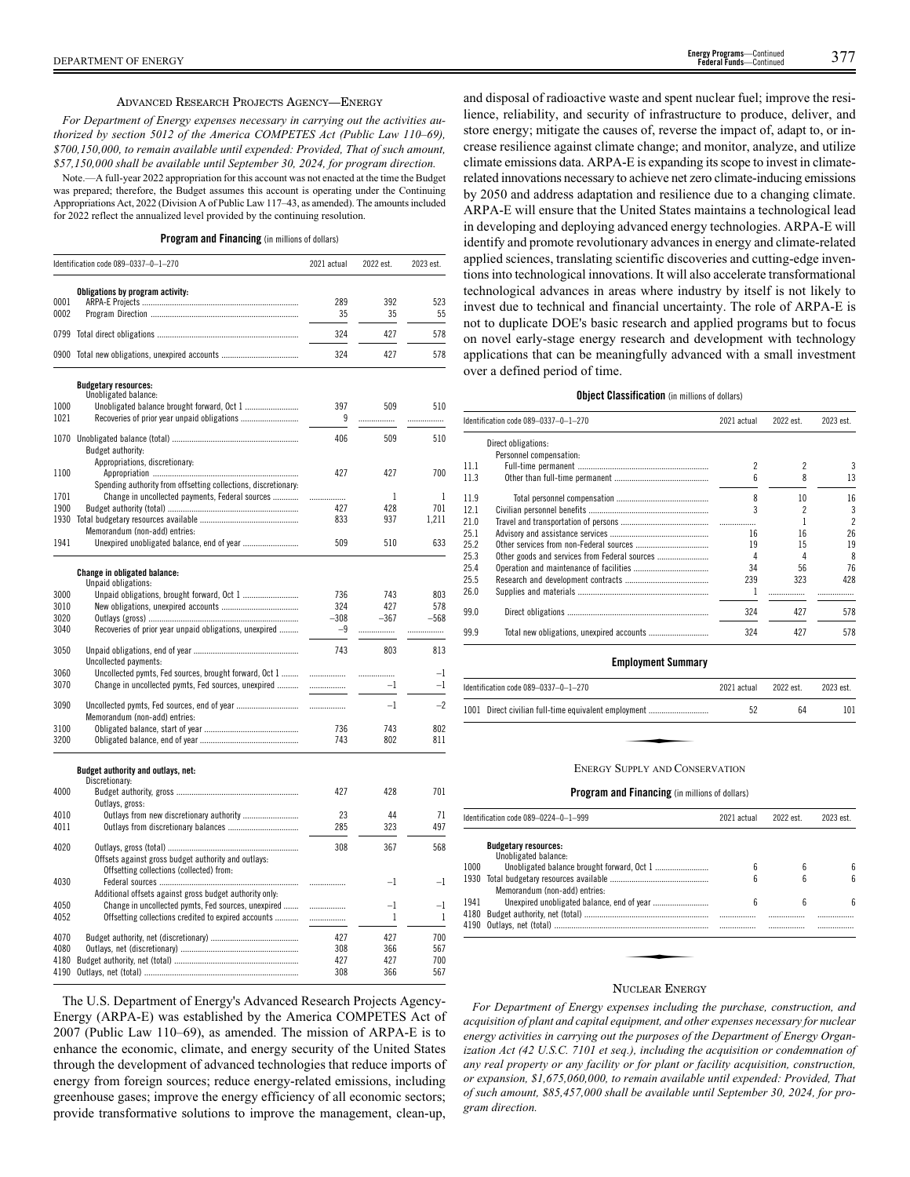### ADVANCED RESEARCH PROJECTS AGENCY—ENERGY

*For Department of Energy expenses necessary in carrying out the activities authorized by section 5012 of the America COMPETES Act (Public Law 110–69), \$700,150,000, to remain available until expended: Provided, That of such amount, \$57,150,000 shall be available until September 30, 2024, for program direction.*

Note.—A full-year 2022 appropriation for this account was not enacted at the time the Budget was prepared; therefore, the Budget assumes this account is operating under the Continuing Appropriations Act, 2022 (Division A of Public Law 117–43, as amended). The amounts included for 2022 reflect the annualized level provided by the continuing resolution.

### **Program and Financing** (in millions of dollars)

|      | Identification code 089-0337-0-1-270                           | 2021 actual | 2022 est.    | 2023 est.    |
|------|----------------------------------------------------------------|-------------|--------------|--------------|
|      | Obligations by program activity:                               |             |              |              |
| 0001 |                                                                | 289         | 392          | 523          |
| 0002 |                                                                | 35          | 35           | 55           |
|      |                                                                | 324         | 427          | 578          |
|      | 0900 Total new obligations, unexpired accounts                 | 324         | 427          | 578          |
|      |                                                                |             |              |              |
|      | <b>Budgetary resources:</b><br>Unobligated balance:            |             |              |              |
| 1000 |                                                                | 397         | 509          | 510          |
| 1021 |                                                                | 9           | .            | .            |
|      |                                                                |             |              |              |
| 1070 |                                                                | 406         | 509          | 510          |
|      | Budget authority:                                              |             |              |              |
|      | Appropriations, discretionary:                                 |             |              |              |
| 1100 |                                                                | 427         | 427          | 700          |
|      | Spending authority from offsetting collections, discretionary: |             |              |              |
| 1701 | Change in uncollected payments, Federal sources                | .           | 1            | 1            |
| 1900 |                                                                | 427         | 428          | 701          |
|      |                                                                | 833         | 937          | 1,211        |
|      | Memorandum (non-add) entries:                                  |             |              |              |
| 1941 |                                                                | 509         | 510          | 633          |
|      | <b>Change in obligated balance:</b>                            |             |              |              |
|      | Unpaid obligations:                                            |             |              |              |
| 3000 |                                                                | 736         | 743          | 803          |
| 3010 |                                                                | 324         | 427          | 578          |
| 3020 |                                                                | $-308$      | $-367$       | $-568$       |
| 3040 | Recoveries of prior year unpaid obligations, unexpired         | -9          | .            | .            |
| 3050 |                                                                | 743         | 803          | 813          |
|      | Uncollected payments:                                          |             |              |              |
| 3060 | Uncollected pymts, Fed sources, brought forward, Oct 1         |             | .            | $-1$         |
| 3070 | Change in uncollected pymts, Fed sources, unexpired            | .           | $-1$         | $-1$         |
| 3090 |                                                                | .           | $-1$         | $-2$         |
|      | Memorandum (non-add) entries:                                  |             |              |              |
| 3100 |                                                                | 736         | 743          | 802          |
| 3200 |                                                                | 743         | 802          | 811          |
|      | Budget authority and outlays, net:                             |             |              |              |
|      | Discretionary:                                                 |             |              |              |
| 4000 |                                                                | 427         | 428          | 701          |
|      | Outlays, gross:                                                |             |              |              |
| 4010 |                                                                | 23          | 44           | 71           |
| 4011 |                                                                | 285         | 323          | 497          |
| 4020 |                                                                | 308         | 367          | 568          |
|      |                                                                |             |              |              |
|      | Offsets against gross budget authority and outlays:            |             |              |              |
|      | Offsetting collections (collected) from:                       |             |              |              |
| 4030 |                                                                | .           | $-1$         | $-1$         |
|      | Additional offsets against gross budget authority only:        |             |              |              |
| 4050 | Change in uncollected pymts, Fed sources, unexpired            | .           | $^{-1}$      | $^{-1}$      |
| 4052 | Offsetting collections credited to expired accounts            | .           | $\mathbf{1}$ | $\mathbf{1}$ |
| 4070 |                                                                | 427         | 427          | 700          |
|      |                                                                |             | 366          |              |
| 4080 |                                                                | 308         |              | 567          |
| 4180 |                                                                | 427         | 427          | 700          |
| 4190 |                                                                | 308         | 366          | 567          |

The U.S. Department of Energy's Advanced Research Projects Agency-Energy (ARPA-E) was established by the America COMPETES Act of 2007 (Public Law 110–69), as amended. The mission of ARPA-E is to enhance the economic, climate, and energy security of the United States through the development of advanced technologies that reduce imports of energy from foreign sources; reduce energy-related emissions, including greenhouse gases; improve the energy efficiency of all economic sectors; provide transformative solutions to improve the management, clean-up,

and disposal of radioactive waste and spent nuclear fuel; improve the resilience, reliability, and security of infrastructure to produce, deliver, and store energy; mitigate the causes of, reverse the impact of, adapt to, or increase resilience against climate change; and monitor, analyze, and utilize climate emissions data. ARPA-E is expanding its scope to invest in climaterelated innovations necessary to achieve net zero climate-inducing emissions by 2050 and address adaptation and resilience due to a changing climate. ARPA-E will ensure that the United States maintains a technological lead in developing and deploying advanced energy technologies. ARPA-E will identify and promote revolutionary advances in energy and climate-related applied sciences, translating scientific discoveries and cutting-edge inventions into technological innovations. It will also accelerate transformational technological advances in areas where industry by itself is not likely to invest due to technical and financial uncertainty. The role of ARPA-E is not to duplicate DOE's basic research and applied programs but to focus on novel early-stage energy research and development with technology applications that can be meaningfully advanced with a small investment over a defined period of time.

### **Object Classification** (in millions of dollars)

|      | ldentification code 089–0337–0–1–270          | 2021 actual | 2022 est. | 2023 est.      |
|------|-----------------------------------------------|-------------|-----------|----------------|
|      | Direct obligations:                           |             |           |                |
|      | Personnel compensation:                       |             |           |                |
| 11.1 |                                               | 2           | 2         | 3              |
| 11.3 |                                               | 6           | 8         | 13             |
| 11.9 |                                               | 8           | 10        | 16             |
| 12.1 |                                               |             |           | 3              |
| 21.0 |                                               |             |           | $\mathfrak{p}$ |
| 25.1 |                                               | 16          | 16        | 26             |
| 25.2 |                                               | 19          | 15        | 19             |
| 25.3 | Other goods and services from Federal sources | 4           |           | 8              |
| 25.4 |                                               | 34          | 56        | 76             |
| 25.5 |                                               | 239         | 323       | 428            |
| 26.0 |                                               |             |           |                |
| 99.0 |                                               | 324         | 427       | 578            |
| 99.9 |                                               | 324         | 427       | 578            |
|      |                                               |             |           |                |

### **Employment Summary**

| Identification code 089-0337-0-1-270                 | 2021 actual | 2022 est. | 2023 est. |
|------------------------------------------------------|-------------|-----------|-----------|
| 1001 Direct civilian full-time equivalent employment | 52          | 64        | 101       |
|                                                      |             |           |           |
| <b>ENERGY SUPPLY AND CONSERVATION</b>                |             |           |           |

### **Program and Financing** (in millions of dollars)

|      | Identification code 089-0224-0-1-999                | 2021 actual                    | 2022 est. | 2023 est. |
|------|-----------------------------------------------------|--------------------------------|-----------|-----------|
|      | <b>Budgetary resources:</b>                         |                                |           |           |
| 1000 |                                                     |                                |           | 6         |
| 1930 | Memorandum (non-add) entries:                       | հ                              | ĥ         | հ         |
| 1941 |                                                     | 6                              | 6         | հ         |
|      |                                                     |                                |           |           |
|      | 4190   Outlays, net (total) …………………………………………………………… |                                |           |           |
|      |                                                     |                                |           |           |
|      |                                                     |                                |           |           |
|      |                                                     | Unobligated balance:<br>6<br>6 |           |           |
|      | $\mathbf{r}$ and $\mathbf{r}$                       |                                |           |           |

### NUCLEAR ENERGY

*For Department of Energy expenses including the purchase, construction, and acquisition of plant and capital equipment, and other expenses necessary for nuclear energy activities in carrying out the purposes of the Department of Energy Organization Act (42 U.S.C. 7101 et seq.), including the acquisition or condemnation of any real property or any facility or for plant or facility acquisition, construction, or expansion, \$1,675,060,000, to remain available until expended: Provided, That of such amount, \$85,457,000 shall be available until September 30, 2024, for program direction.*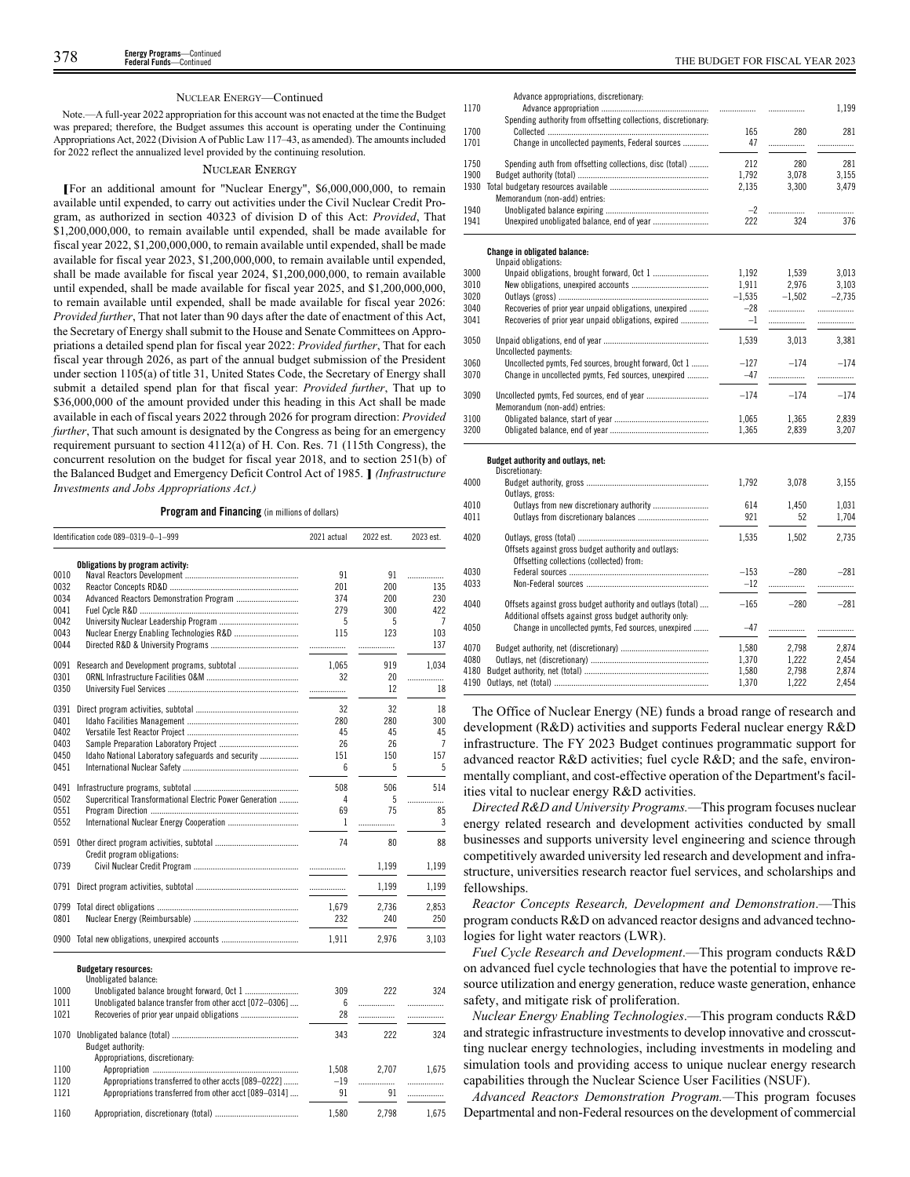### NUCLEAR ENERGY—Continued

Note.—A full-year 2022 appropriation for this account was not enacted at the time the Budget was prepared; therefore, the Budget assumes this account is operating under the Continuing Appropriations Act, 2022 (Division A of Public Law 117–43, as amended). The amounts included for 2022 reflect the annualized level provided by the continuing resolution.

### NUCLEAR ENERGY

**[**For an additional amount for "Nuclear Energy", \$6,000,000,000, to remain available until expended, to carry out activities under the Civil Nuclear Credit Program, as authorized in section 40323 of division D of this Act: *Provided*, That \$1,200,000,000, to remain available until expended, shall be made available for fiscal year 2022, \$1,200,000,000, to remain available until expended, shall be made available for fiscal year 2023, \$1,200,000,000, to remain available until expended, shall be made available for fiscal year 2024, \$1,200,000,000, to remain available until expended, shall be made available for fiscal year 2025, and \$1,200,000,000, to remain available until expended, shall be made available for fiscal year 2026: *Provided further*, That not later than 90 days after the date of enactment of this Act, the Secretary of Energy shall submit to the House and Senate Committees on Appropriations a detailed spend plan for fiscal year 2022: *Provided further*, That for each fiscal year through 2026, as part of the annual budget submission of the President under section 1105(a) of title 31, United States Code, the Secretary of Energy shall submit a detailed spend plan for that fiscal year: *Provided further*, That up to \$36,000,000 of the amount provided under this heading in this Act shall be made available in each of fiscal years 2022 through 2026 for program direction: *Provided further*, That such amount is designated by the Congress as being for an emergency requirement pursuant to section 4112(a) of H. Con. Res. 71 (115th Congress), the concurrent resolution on the budget for fiscal year 2018, and to section 251(b) of the Balanced Budget and Emergency Deficit Control Act of 1985. **]** *(Infrastructure Investments and Jobs Appropriations Act.)*

### **Program and Financing** (in millions of dollars)

|      | Identification code 089-0319-0-1-999                     | 2021 actual | 2022 est. | 2023 est. |
|------|----------------------------------------------------------|-------------|-----------|-----------|
|      | Obligations by program activity:                         |             |           |           |
| 0010 |                                                          | 91          | 91        | .         |
| 0032 |                                                          | 201         | 200       | 135       |
| 0034 |                                                          | 374         | 200       | 230       |
| 0041 |                                                          | 279         | 300       | 422       |
| 0042 |                                                          | 5           | 5         | 7         |
| 0043 |                                                          | 115         | 123       | 103       |
| 0044 |                                                          | .           |           | 137       |
| 0091 |                                                          | 1.065       | 919       | 1.034     |
| 0301 |                                                          | 32          | 20        | .         |
| 0350 |                                                          |             | 12        | 18        |
| 0391 |                                                          | 32          | 32        | 18        |
| 0401 |                                                          | 280         | 280       | 300       |
| 0402 |                                                          | 45          | 45        | 45        |
| 0403 |                                                          | 26          | 26        | 7         |
| 0450 | Idaho National Laboratory safeguards and security        | 151         | 150       | 157       |
| 0451 |                                                          | 6           | 5         | 5         |
| 0491 |                                                          | 508         | 506       | 514       |
| 0502 | Supercritical Transformational Electric Power Generation | 4           | 5         | .         |
| 0551 |                                                          | 69          | 75        | 85        |
| 0552 |                                                          | 1           | .         | 3         |
| 0591 | Credit program obligations:                              | 74          | 80        | 88        |
| 0739 |                                                          |             | 1,199     | 1,199     |
| 0791 |                                                          | .           | 1.199     | 1.199     |
| 0799 |                                                          | 1.679       | 2,736     | 2.853     |
| 0801 |                                                          | 232         | 240       | 250       |
| 0900 |                                                          | 1,911       | 2,976     | 3,103     |

|      | <b>Budgetary resources:</b><br>Unobligated balance:     |       |       |       |
|------|---------------------------------------------------------|-------|-------|-------|
| 1000 |                                                         | 309   | 222   | 324   |
| 1011 | Unobligated balance transfer from other acct [072-0306] | 6     |       |       |
| 1021 |                                                         | 28    |       |       |
| 1070 |                                                         | 343   | 222   | 324   |
|      | Budget authority:                                       |       |       |       |
|      | Appropriations, discretionary:                          |       |       |       |
| 1100 |                                                         | 1.508 | 2.707 | 1.675 |
| 1120 | Appropriations transferred to other accts [089-0222]    | $-19$ |       |       |
| 1121 | Appropriations transferred from other acct [089-0314]   | 91    | 91    |       |
| 1160 |                                                         | 1.580 | 2.798 | 1.675 |

| 1170 |                                                                                                                       | .        | .        | 1,199    |
|------|-----------------------------------------------------------------------------------------------------------------------|----------|----------|----------|
|      | Spending authority from offsetting collections, discretionary:                                                        |          |          |          |
| 1700 |                                                                                                                       | 165      | 280      | 281      |
| 1701 | Change in uncollected payments, Federal sources                                                                       | 47       |          | .        |
| 1750 | Spending auth from offsetting collections, disc (total)                                                               | 212      | 280      | 281      |
| 1900 |                                                                                                                       | 1,792    | 3,078    | 3,155    |
| 1930 | Memorandum (non-add) entries:                                                                                         | 2,135    | 3,300    | 3,479    |
| 1940 |                                                                                                                       | $-2$     |          | .        |
| 1941 |                                                                                                                       | 222      | 324      | 376      |
|      | <b>Change in obligated balance:</b><br>Unpaid obligations:                                                            |          |          |          |
| 3000 |                                                                                                                       | 1.192    | 1,539    | 3,013    |
| 3010 |                                                                                                                       | 1,911    | 2,976    | 3,103    |
| 3020 |                                                                                                                       | $-1,535$ | $-1,502$ | $-2,735$ |
| 3040 | Recoveries of prior year unpaid obligations, unexpired                                                                | $-28$    |          | .        |
| 3041 | Recoveries of prior year unpaid obligations, expired                                                                  | $-1$     | .        | .        |
|      |                                                                                                                       |          |          |          |
| 3050 | Uncollected payments:                                                                                                 | 1,539    | 3,013    | 3,381    |
| 3060 | Uncollected pymts, Fed sources, brought forward, Oct 1                                                                | $-127$   | $-174$   | $-174$   |
| 3070 | Change in uncollected pymts, Fed sources, unexpired                                                                   | $-47$    | .        | .        |
| 3090 |                                                                                                                       | $-174$   | $-174$   | $-174$   |
|      | Memorandum (non-add) entries:                                                                                         |          |          |          |
| 3100 |                                                                                                                       | 1,065    | 1,365    | 2,839    |
| 3200 |                                                                                                                       | 1,365    | 2,839    | 3,207    |
|      | Budget authority and outlays, net:                                                                                    |          |          |          |
|      | Discretionary:                                                                                                        |          |          |          |
| 4000 |                                                                                                                       | 1,792    | 3,078    | 3,155    |
|      | Outlays, gross:                                                                                                       |          |          |          |
| 4010 | Outlays from new discretionary authority                                                                              | 614      | 1.450    | 1,031    |
| 4011 |                                                                                                                       | 921      | 52       | 1,704    |
| 4020 |                                                                                                                       | 1,535    | 1,502    | 2,735    |
|      | Offsets against gross budget authority and outlays:                                                                   |          |          |          |
|      | Offsetting collections (collected) from:                                                                              |          |          |          |
| 4030 |                                                                                                                       | $-153$   | $-280$   | $-281$   |
| 4033 |                                                                                                                       | $-12$    |          | .        |
|      |                                                                                                                       |          |          |          |
| 4040 | Offsets against gross budget authority and outlays (total)<br>Additional offsets against gross budget authority only: | $-165$   | $-280$   | $-281$   |
| 4050 | Change in uncollected pymts, Fed sources, unexpired                                                                   | $-47$    | .        | .        |
| 4070 |                                                                                                                       | 1,580    | 2,798    | 2,874    |
| 4080 |                                                                                                                       | 1,370    | 1,222    | 2,454    |
| 4180 |                                                                                                                       | 1,580    | 2,798    | 2,874    |
| 4190 |                                                                                                                       | 1,370    | 1,222    | 2,454    |

Advance appropriations, discretionary:

The Office of Nuclear Energy (NE) funds a broad range of research and development (R&D) activities and supports Federal nuclear energy R&D infrastructure. The FY 2023 Budget continues programmatic support for advanced reactor R&D activities; fuel cycle R&D; and the safe, environmentally compliant, and cost-effective operation of the Department's facilities vital to nuclear energy R&D activities.

*Directed R&D and University Programs.*—This program focuses nuclear energy related research and development activities conducted by small businesses and supports university level engineering and science through competitively awarded university led research and development and infrastructure, universities research reactor fuel services, and scholarships and fellowships.

*Reactor Concepts Research, Development and Demonstration*.—This program conducts R&D on advanced reactor designs and advanced technologies for light water reactors (LWR).

*Fuel Cycle Research and Development*.—This program conducts R&D on advanced fuel cycle technologies that have the potential to improve resource utilization and energy generation, reduce waste generation, enhance safety, and mitigate risk of proliferation.

*Nuclear Energy Enabling Technologies*.—This program conducts R&D and strategic infrastructure investments to develop innovative and crosscutting nuclear energy technologies, including investments in modeling and simulation tools and providing access to unique nuclear energy research capabilities through the Nuclear Science User Facilities (NSUF).

*Advanced Reactors Demonstration Program.—*This program focuses Departmental and non-Federal resources on the development of commercial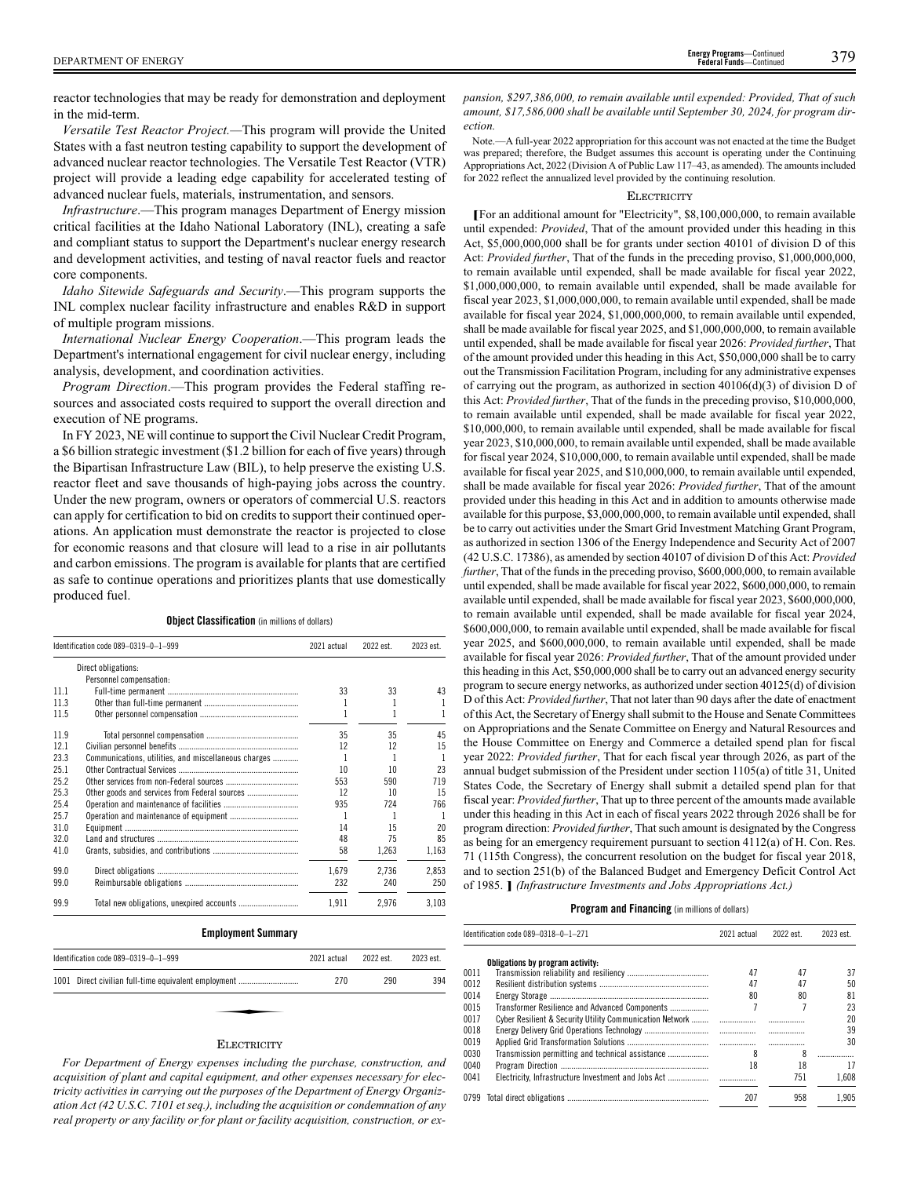reactor technologies that may be ready for demonstration and deployment in the mid-term.

*Versatile Test Reactor Project.—*This program will provide the United States with a fast neutron testing capability to support the development of advanced nuclear reactor technologies. The Versatile Test Reactor (VTR) project will provide a leading edge capability for accelerated testing of advanced nuclear fuels, materials, instrumentation, and sensors.

*Infrastructure*.—This program manages Department of Energy mission critical facilities at the Idaho National Laboratory (INL), creating a safe and compliant status to support the Department's nuclear energy research and development activities, and testing of naval reactor fuels and reactor core components.

*Idaho Sitewide Safeguards and Security*.—This program supports the INL complex nuclear facility infrastructure and enables R&D in support of multiple program missions.

*International Nuclear Energy Cooperation*.—This program leads the Department's international engagement for civil nuclear energy, including analysis, development, and coordination activities.

*Program Direction*.—This program provides the Federal staffing resources and associated costs required to support the overall direction and execution of NE programs.

In FY 2023, NE will continue to support the Civil Nuclear Credit Program, a \$6 billion strategic investment (\$1.2 billion for each of five years) through the Bipartisan Infrastructure Law (BIL), to help preserve the existing U.S. reactor fleet and save thousands of high-paying jobs across the country. Under the new program, owners or operators of commercial U.S. reactors can apply for certification to bid on credits to support their continued operations. An application must demonstrate the reactor is projected to close for economic reasons and that closure will lead to a rise in air pollutants and carbon emissions. The program is available for plants that are certified as safe to continue operations and prioritizes plants that use domestically produced fuel.

**Object Classification** (in millions of dollars)

|      | Identification code 089-0319-0-1-999                 | 2021 actual | 2022 est. | 2023 est. |
|------|------------------------------------------------------|-------------|-----------|-----------|
|      | Direct obligations:                                  |             |           |           |
|      | Personnel compensation:                              |             |           |           |
| 11.1 |                                                      | 33          | 33        | 43        |
| 11.3 |                                                      |             |           |           |
| 11.5 |                                                      |             | 1         |           |
| 11.9 |                                                      | 35          | 35        | 45        |
| 12.1 |                                                      | 12          | 12        | 15        |
| 23.3 | Communications, utilities, and miscellaneous charges |             | 1         |           |
| 25.1 |                                                      | 10          | 10        | 23        |
| 25.2 |                                                      | 553         | 590       | 719       |
| 25.3 | Other goods and services from Federal sources        | 12          | 10        | 15        |
| 25.4 |                                                      | 935         | 724       | 766       |
| 25.7 |                                                      |             |           |           |
| 31.0 |                                                      | 14          | 15        | 20        |
| 32.0 |                                                      | 48          | 75        | 85        |
| 41.0 |                                                      | 58          | 1,263     | 1,163     |
| 99.0 |                                                      | 1.679       | 2.736     | 2.853     |
| 99.0 |                                                      | 232         | 240       | 250       |
| 99.9 |                                                      | 1.911       | 2.976     | 3.103     |

### **Employment Summary**

| Identification code 089-0319-0-1-999                 | 2021 actual | 2022 est. | 2023 est. |
|------------------------------------------------------|-------------|-----------|-----------|
| 1001 Direct civilian full-time equivalent employment | 270         | 290       | 394       |
|                                                      |             |           |           |
| $\mathbf{D}$ - - ----------                          |             |           |           |

# **ELECTRICITY**

*For Department of Energy expenses including the purchase, construction, and acquisition of plant and capital equipment, and other expenses necessary for electricity activities in carrying out the purposes of the Department of Energy Organization Act (42 U.S.C. 7101 et seq.), including the acquisition or condemnation of any real property or any facility or for plant or facility acquisition, construction, or ex-* *pansion, \$297,386,000, to remain available until expended: Provided, That of such amount, \$17,586,000 shall be available until September 30, 2024, for program direction.*

Note.—A full-year 2022 appropriation for this account was not enacted at the time the Budget was prepared; therefore, the Budget assumes this account is operating under the Continuing Appropriations Act, 2022 (Division A of Public Law 117–43, as amended). The amounts included for 2022 reflect the annualized level provided by the continuing resolution.

### **ELECTRICITY**

**[**For an additional amount for "Electricity", \$8,100,000,000, to remain available until expended: *Provided*, That of the amount provided under this heading in this Act, \$5,000,000,000 shall be for grants under section 40101 of division D of this Act: *Provided further*, That of the funds in the preceding proviso, \$1,000,000,000, to remain available until expended, shall be made available for fiscal year 2022, \$1,000,000,000, to remain available until expended, shall be made available for fiscal year 2023, \$1,000,000,000, to remain available until expended, shall be made available for fiscal year 2024, \$1,000,000,000, to remain available until expended, shall be made available for fiscal year 2025, and \$1,000,000,000, to remain available until expended, shall be made available for fiscal year 2026: *Provided further*, That of the amount provided under this heading in this Act, \$50,000,000 shall be to carry out the Transmission Facilitation Program, including for any administrative expenses of carrying out the program, as authorized in section  $40106(d)(3)$  of division D of this Act: *Provided further*, That of the funds in the preceding proviso, \$10,000,000, to remain available until expended, shall be made available for fiscal year 2022, \$10,000,000, to remain available until expended, shall be made available for fiscal year 2023, \$10,000,000, to remain available until expended, shall be made available for fiscal year 2024, \$10,000,000, to remain available until expended, shall be made available for fiscal year 2025, and \$10,000,000, to remain available until expended, shall be made available for fiscal year 2026: *Provided further*, That of the amount provided under this heading in this Act and in addition to amounts otherwise made available for this purpose, \$3,000,000,000, to remain available until expended, shall be to carry out activities under the Smart Grid Investment Matching Grant Program, as authorized in section 1306 of the Energy Independence and Security Act of 2007 (42 U.S.C. 17386), as amended by section 40107 of division D of this Act: *Provided further*, That of the funds in the preceding proviso, \$600,000,000, to remain available until expended, shall be made available for fiscal year 2022, \$600,000,000, to remain available until expended, shall be made available for fiscal year 2023, \$600,000,000, to remain available until expended, shall be made available for fiscal year 2024, \$600,000,000, to remain available until expended, shall be made available for fiscal year 2025, and \$600,000,000, to remain available until expended, shall be made available for fiscal year 2026: *Provided further*, That of the amount provided under this heading in this Act, \$50,000,000 shall be to carry out an advanced energy security program to secure energy networks, as authorized under section 40125(d) of division D of this Act: *Provided further*, That not later than 90 days after the date of enactment of this Act, the Secretary of Energy shall submit to the House and Senate Committees on Appropriations and the Senate Committee on Energy and Natural Resources and the House Committee on Energy and Commerce a detailed spend plan for fiscal year 2022: *Provided further*, That for each fiscal year through 2026, as part of the annual budget submission of the President under section 1105(a) of title 31, United States Code, the Secretary of Energy shall submit a detailed spend plan for that fiscal year: *Provided further*, That up to three percent of the amounts made available under this heading in this Act in each of fiscal years 2022 through 2026 shall be for program direction: *Provided further*, That such amount is designated by the Congress as being for an emergency requirement pursuant to section 4112(a) of H. Con. Res. 71 (115th Congress), the concurrent resolution on the budget for fiscal year 2018, and to section 251(b) of the Balanced Budget and Emergency Deficit Control Act of 1985. **]** *(Infrastructure Investments and Jobs Appropriations Act.)*

| 2023 est. |
|-----------|
|           |
| 37        |
| 50        |
| 81        |
| 23        |
| 20        |
| 39        |
| 30        |
|           |
| 17        |
| 1.608     |
| 1.905     |
|           |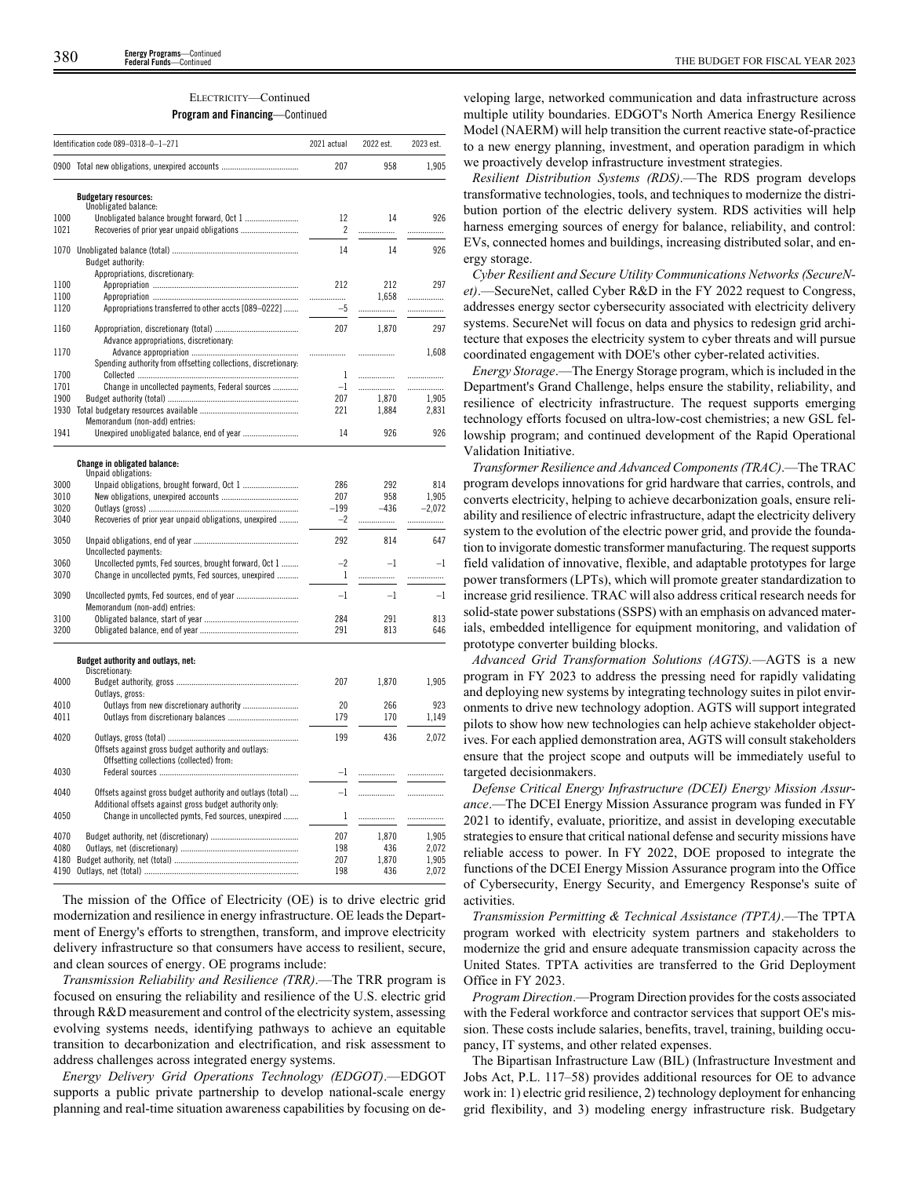### ELECTRICITY—Continued

### **Program and Financing**—Continued

|                                                                | 2021 actual                                                                                                                                                                                                                                                                                                                                       | 2022 est.                         | 2023 est.                                    |
|----------------------------------------------------------------|---------------------------------------------------------------------------------------------------------------------------------------------------------------------------------------------------------------------------------------------------------------------------------------------------------------------------------------------------|-----------------------------------|----------------------------------------------|
|                                                                | 207                                                                                                                                                                                                                                                                                                                                               | 958                               | 1,905                                        |
| <b>Budgetary resources:</b>                                    |                                                                                                                                                                                                                                                                                                                                                   |                                   |                                              |
|                                                                | 12<br>2                                                                                                                                                                                                                                                                                                                                           | 14<br>.                           | 926<br>.                                     |
|                                                                | 14                                                                                                                                                                                                                                                                                                                                                | 14                                | 926                                          |
| Appropriations, discretionary:                                 | 212                                                                                                                                                                                                                                                                                                                                               | 212                               | 297                                          |
| Appropriations transferred to other accts [089-0222]           | .<br>$-5$                                                                                                                                                                                                                                                                                                                                         | .                                 | .<br>.                                       |
| Advance appropriations, discretionary:                         | 207                                                                                                                                                                                                                                                                                                                                               | 1,870                             | 297                                          |
| Spending authority from offsetting collections, discretionary: | .                                                                                                                                                                                                                                                                                                                                                 | .                                 | 1,608                                        |
| Change in uncollected payments, Federal sources                | $-1$                                                                                                                                                                                                                                                                                                                                              | .                                 | .<br>.<br>1,905                              |
| Memorandum (non-add) entries:                                  | 221                                                                                                                                                                                                                                                                                                                                               | 1,884                             | 2,831                                        |
| Unexpired unobligated balance, end of year                     | 14                                                                                                                                                                                                                                                                                                                                                | 926                               | 926                                          |
| Change in obligated balance:<br>Unpaid obligations:            |                                                                                                                                                                                                                                                                                                                                                   |                                   |                                              |
|                                                                | 286<br>207                                                                                                                                                                                                                                                                                                                                        | 292<br>958                        | 814<br>1.905<br>$-2,072$                     |
| Recoveries of prior year unpaid obligations, unexpired         | $-2$                                                                                                                                                                                                                                                                                                                                              | .                                 | .                                            |
| Uncollected payments:                                          | 292                                                                                                                                                                                                                                                                                                                                               | 814                               | 647                                          |
| Change in uncollected pymts, Fed sources, unexpired            | 1                                                                                                                                                                                                                                                                                                                                                 | .                                 | -1<br>.                                      |
| Memorandum (non-add) entries:                                  | $-1$                                                                                                                                                                                                                                                                                                                                              | $-1$                              | $-1$                                         |
|                                                                | 284<br>291                                                                                                                                                                                                                                                                                                                                        | 291<br>813                        | 813<br>646                                   |
| Budget authority and outlays, net:                             |                                                                                                                                                                                                                                                                                                                                                   |                                   |                                              |
|                                                                | 207                                                                                                                                                                                                                                                                                                                                               | 1,870                             | 1,905                                        |
|                                                                | 20<br>179                                                                                                                                                                                                                                                                                                                                         | 266<br>170                        | 923<br>1,149                                 |
| Offsets against gross budget authority and outlays:            | 199                                                                                                                                                                                                                                                                                                                                               | 436                               | 2,072                                        |
|                                                                | $-1$                                                                                                                                                                                                                                                                                                                                              | .                                 | .                                            |
| Offsets against gross budget authority and outlays (total)     | $-1$                                                                                                                                                                                                                                                                                                                                              | .                                 |                                              |
| Change in uncollected pymts, Fed sources, unexpired            | 1                                                                                                                                                                                                                                                                                                                                                 | .                                 | .                                            |
|                                                                | 207<br>198<br>207                                                                                                                                                                                                                                                                                                                                 | 1,870<br>436<br>1,870             | 1,905<br>2,072<br>1,905<br>2,072             |
|                                                                | Identification code 089-0318-0-1-271<br>0900 Total new obligations, unexpired accounts<br>Unobligated balance:<br>1070<br>Budget authority:<br>Uncollected pymts, Fed sources, brought forward, Oct 1<br>Discretionary:<br>Outlays, gross:<br>Offsetting collections (collected) from:<br>Additional offsets against gross budget authority only: | 1<br>207<br>$-199$<br>$-2$<br>198 | 1,658<br>.<br>1,870<br>$-436$<br>$-1$<br>436 |

The mission of the Office of Electricity (OE) is to drive electric grid modernization and resilience in energy infrastructure. OE leads the Department of Energy's efforts to strengthen, transform, and improve electricity delivery infrastructure so that consumers have access to resilient, secure, and clean sources of energy. OE programs include:

*Transmission Reliability and Resilience (TRR)*.—The TRR program is focused on ensuring the reliability and resilience of the U.S. electric grid through R&D measurement and control of the electricity system, assessing evolving systems needs, identifying pathways to achieve an equitable transition to decarbonization and electrification, and risk assessment to address challenges across integrated energy systems.

*Energy Delivery Grid Operations Technology (EDGOT)*.—EDGOT supports a public private partnership to develop national-scale energy planning and real-time situation awareness capabilities by focusing on de-

veloping large, networked communication and data infrastructure across multiple utility boundaries. EDGOT's North America Energy Resilience Model (NAERM) will help transition the current reactive state-of-practice to a new energy planning, investment, and operation paradigm in which we proactively develop infrastructure investment strategies.

*Resilient Distribution Systems (RDS)*.—The RDS program develops transformative technologies, tools, and techniques to modernize the distribution portion of the electric delivery system. RDS activities will help harness emerging sources of energy for balance, reliability, and control: EVs, connected homes and buildings, increasing distributed solar, and energy storage.

*Cyber Resilient and Secure Utility Communications Networks (SecureNet)*.—SecureNet, called Cyber R&D in the FY 2022 request to Congress, addresses energy sector cybersecurity associated with electricity delivery systems. SecureNet will focus on data and physics to redesign grid architecture that exposes the electricity system to cyber threats and will pursue coordinated engagement with DOE's other cyber-related activities.

*Energy Storage*.—The Energy Storage program, which is included in the Department's Grand Challenge, helps ensure the stability, reliability, and resilience of electricity infrastructure. The request supports emerging technology efforts focused on ultra-low-cost chemistries; a new GSL fellowship program; and continued development of the Rapid Operational Validation Initiative.

*Transformer Resilience and Advanced Components (TRAC)*.—The TRAC program develops innovations for grid hardware that carries, controls, and converts electricity, helping to achieve decarbonization goals, ensure reliability and resilience of electric infrastructure, adapt the electricity delivery system to the evolution of the electric power grid, and provide the foundation to invigorate domestic transformer manufacturing. The request supports field validation of innovative, flexible, and adaptable prototypes for large power transformers (LPTs), which will promote greater standardization to increase grid resilience. TRAC will also address critical research needs for solid-state power substations (SSPS) with an emphasis on advanced materials, embedded intelligence for equipment monitoring, and validation of prototype converter building blocks.

*Advanced Grid Transformation Solutions (AGTS).*—AGTS is a new program in FY 2023 to address the pressing need for rapidly validating and deploying new systems by integrating technology suites in pilot environments to drive new technology adoption. AGTS will support integrated pilots to show how new technologies can help achieve stakeholder objectives. For each applied demonstration area, AGTS will consult stakeholders ensure that the project scope and outputs will be immediately useful to targeted decisionmakers.

*Defense Critical Energy Infrastructure (DCEI) Energy Mission Assurance*.—The DCEI Energy Mission Assurance program was funded in FY 2021 to identify, evaluate, prioritize, and assist in developing executable strategies to ensure that critical national defense and security missions have reliable access to power. In FY 2022, DOE proposed to integrate the functions of the DCEI Energy Mission Assurance program into the Office of Cybersecurity, Energy Security, and Emergency Response's suite of activities.

*Transmission Permitting & Technical Assistance (TPTA)*.—The TPTA program worked with electricity system partners and stakeholders to modernize the grid and ensure adequate transmission capacity across the United States. TPTA activities are transferred to the Grid Deployment Office in FY 2023.

*Program Direction*.—Program Direction provides for the costs associated with the Federal workforce and contractor services that support OE's mission. These costs include salaries, benefits, travel, training, building occupancy, IT systems, and other related expenses.

The Bipartisan Infrastructure Law (BIL) (Infrastructure Investment and Jobs Act, P.L. 117–58) provides additional resources for OE to advance work in: 1) electric grid resilience, 2) technology deployment for enhancing grid flexibility, and 3) modeling energy infrastructure risk. Budgetary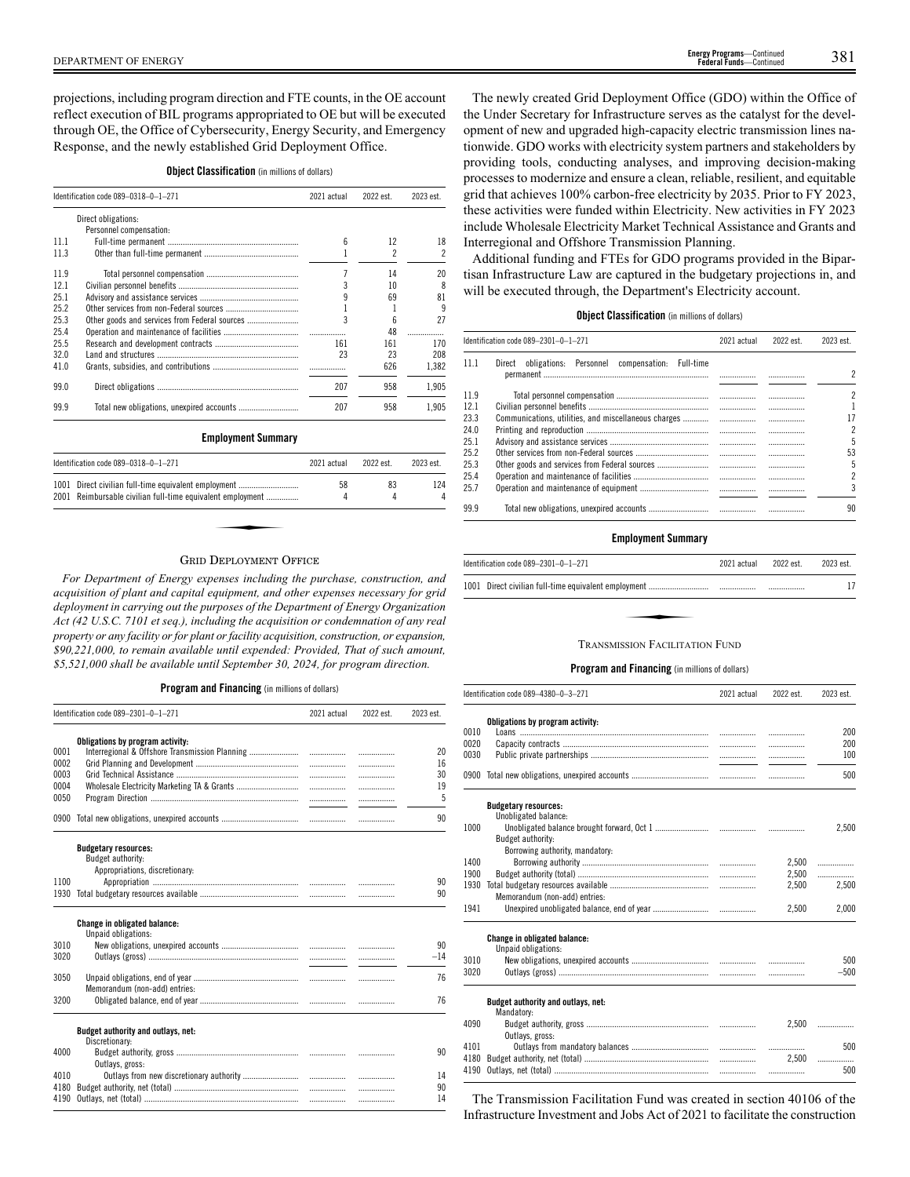projections, including program direction and FTE counts, in the OE account reflect execution of BIL programs appropriated to OE but will be executed through OE, the Office of Cybersecurity, Energy Security, and Emergency Response, and the newly established Grid Deployment Office.

### **Object Classification** (in millions of dollars)

|      | Identification code 089-0318-0-1-271                  | 2021 actual | 2022 est.                | 2023 est.                |
|------|-------------------------------------------------------|-------------|--------------------------|--------------------------|
|      | Direct obligations:                                   |             |                          |                          |
|      | Personnel compensation:                               |             |                          |                          |
| 11.1 |                                                       | 6           | 12                       | 18                       |
| 11.3 |                                                       | 1           | $\overline{\phantom{a}}$ | $\overline{\phantom{a}}$ |
| 11.9 |                                                       | 7           | 14                       | 20                       |
| 12.1 |                                                       | 3           | 10                       | 8                        |
| 25.1 |                                                       | q           | 69                       | 81                       |
| 25.2 |                                                       |             | 1                        | 9                        |
| 25.3 |                                                       | 3           | 6                        | 27                       |
| 25.4 |                                                       | .           | 48                       | .                        |
| 25.5 |                                                       | 161         | 161                      | 170                      |
| 32.0 |                                                       | 23          | 23                       | 208                      |
| 41.0 |                                                       |             | 626                      | 1,382                    |
| 99.0 |                                                       | 207         | 958                      | 1,905                    |
| 99.9 |                                                       | 207         | 958                      | 1.905                    |
|      | <b>Employment Summary</b>                             |             |                          |                          |
|      | Identification code 089-0318-0-1-271                  | 2021 actual | 2022 est.                | 2023 est.                |
| 1001 | Direct civilian full-time equivalent employment       | 58          | 83                       | 124                      |
| 2001 | Reimbursable civilian full-time equivalent employment | 4           | 4                        | 4                        |

### GRID DEPLOYMENT OFFICE

*For Department of Energy expenses including the purchase, construction, and acquisition of plant and capital equipment, and other expenses necessary for grid deployment in carrying out the purposes of the Department of Energy Organization Act (42 U.S.C. 7101 et seq.), including the acquisition or condemnation of any real property or any facility or for plant or facility acquisition, construction, or expansion, \$90,221,000, to remain available until expended: Provided, That of such amount, \$5,521,000 shall be available until September 30, 2024, for program direction.*

### **Program and Financing** (in millions of dollars)

|      | Identification code 089-2301-0-1-271 | 2021 actual                                                                                              | 2022 est. | 2023 est. |
|------|--------------------------------------|----------------------------------------------------------------------------------------------------------|-----------|-----------|
| 0001 | Obligations by program activity:     |                                                                                                          |           |           |
| 0002 |                                      |                                                                                                          |           | 20<br>16  |
| 0003 |                                      | $\ldots \ldots \ldots \ldots \ldots \ldots \ldots$<br>$\ldots \ldots \ldots \ldots \ldots \ldots \ldots$ |           | 30        |
| 0004 |                                      | $\ldots \ldots \ldots \ldots \ldots \ldots$                                                              |           | 19        |
| 0050 |                                      |                                                                                                          |           | 5         |
|      |                                      |                                                                                                          |           | 90        |
|      | <b>Budgetary resources:</b>          |                                                                                                          |           |           |
|      | Budget authority:                    |                                                                                                          |           |           |
| 1100 | Appropriations, discretionary:       |                                                                                                          |           | 90        |
| 1930 |                                      |                                                                                                          | .         | 90        |
|      |                                      |                                                                                                          |           |           |
|      | <b>Change in obligated balance:</b>  |                                                                                                          |           |           |
|      | Unpaid obligations:                  |                                                                                                          |           |           |
| 3010 |                                      |                                                                                                          |           | 90        |
| 3020 |                                      |                                                                                                          | .         | $-14$     |
| 3050 |                                      |                                                                                                          | .         | 76        |
|      | Memorandum (non-add) entries:        |                                                                                                          |           |           |
| 3200 |                                      |                                                                                                          |           | 76        |
|      | Budget authority and outlays, net:   |                                                                                                          |           |           |
|      | Discretionary:                       |                                                                                                          |           |           |
| 4000 |                                      |                                                                                                          |           | 90        |
|      | Outlays, gross:                      |                                                                                                          |           |           |
| 4010 |                                      | $\ldots \ldots \ldots \ldots \ldots \ldots \ldots$                                                       |           | 14        |
| 4180 |                                      | $\ldots \ldots \ldots \ldots \ldots \ldots \ldots$                                                       |           | 90        |
| 4190 |                                      |                                                                                                          | .         | 14        |

The newly created Grid Deployment Office (GDO) within the Office of the Under Secretary for Infrastructure serves as the catalyst for the development of new and upgraded high-capacity electric transmission lines nationwide. GDO works with electricity system partners and stakeholders by providing tools, conducting analyses, and improving decision-making processes to modernize and ensure a clean, reliable, resilient, and equitable grid that achieves 100% carbon-free electricity by 2035. Prior to FY 2023, these activities were funded within Electricity. New activities in FY 2023 include Wholesale Electricity Market Technical Assistance and Grants and Interregional and Offshore Transmission Planning.

Additional funding and FTEs for GDO programs provided in the Bipartisan Infrastructure Law are captured in the budgetary projections in, and will be executed through, the Department's Electricity account.

### **Object Classification** (in millions of dollars)

|      | Identification code 089-2301-0-1-271                                  | 2021 actual | 2022 est. | 2023 est. |
|------|-----------------------------------------------------------------------|-------------|-----------|-----------|
| 11.1 | obligations: Personnel<br>compensation:<br><b>Full-time</b><br>Direct |             | .         | 2         |
| 119  |                                                                       |             |           | 2         |
| 121  |                                                                       |             |           |           |
| 23.3 | Communications, utilities, and miscellaneous charges                  |             |           | 17        |
| 24.0 |                                                                       |             |           | 2         |
| 251  |                                                                       |             |           | 5         |
| 252  |                                                                       |             |           | 53        |
| 25.3 |                                                                       |             |           | 5         |
| 25.4 |                                                                       |             |           | 2         |
| 25.7 |                                                                       |             |           | 3         |
| 99.9 |                                                                       |             |           | 90        |

### **Employment Summary**

| <b>TRANSMISSION FACILITATION FUND</b> |  |
|---------------------------------------|--|

### **Program and Financing** (in millions of dollars)

|              | Identification code 089-4380-0-3-271                       | 2021 actual | 2022 est. | 2023 est.  |
|--------------|------------------------------------------------------------|-------------|-----------|------------|
|              | Obligations by program activity:                           |             |           |            |
| 0010<br>0020 |                                                            |             | .         | 200<br>200 |
| 0030         |                                                            |             | .         | 100        |
|              |                                                            |             | .         |            |
|              |                                                            |             | .         | 500        |
|              | <b>Budgetary resources:</b><br>Unobligated balance:        |             |           |            |
| 1000         |                                                            |             |           | 2,500      |
|              | Budget authority:                                          |             |           |            |
|              | Borrowing authority, mandatory:                            |             |           |            |
| 1400         |                                                            |             | 2,500     | .          |
| 1900         |                                                            |             | 2,500     | .          |
| 1930         |                                                            |             | 2.500     | 2.500      |
|              | Memorandum (non-add) entries:                              |             |           |            |
| 1941         |                                                            |             | 2.500     | 2.000      |
|              | <b>Change in obligated balance:</b><br>Unpaid obligations: |             |           |            |
| 3010         |                                                            |             |           | 500        |
| 3020         |                                                            |             |           | $-500$     |
|              | Budget authority and outlays, net:<br>Mandatory:           |             |           |            |
| 4090         | Outlays, gross:                                            |             |           | 2.500      |
| 4101         |                                                            |             | .         | 500        |
| 4180         |                                                            |             | 2.500     | .          |
| 4190         |                                                            |             | .         | 500        |
|              |                                                            |             |           |            |

The Transmission Facilitation Fund was created in section 40106 of the Infrastructure Investment and Jobs Act of 2021 to facilitate the construction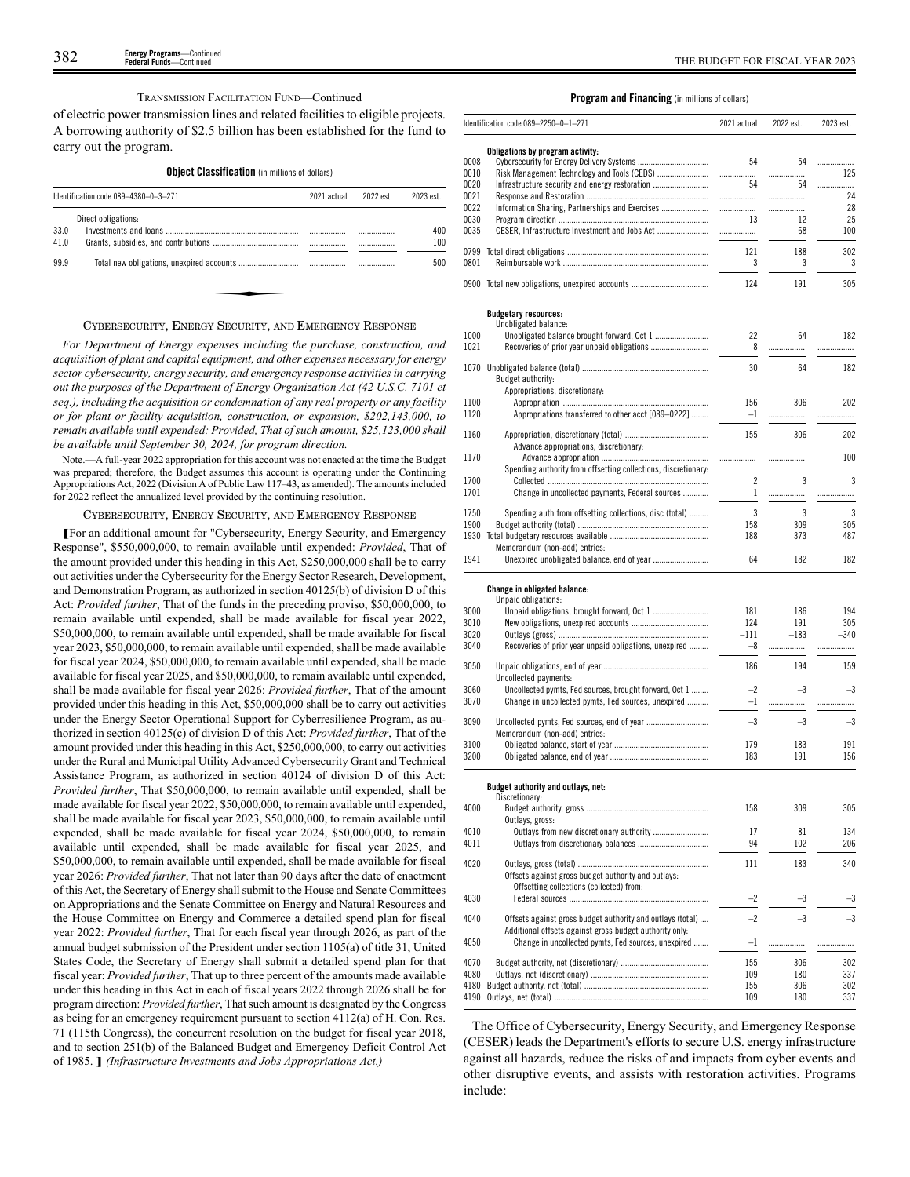### TRANSMISSION FACILITATION FUND—Continued

of electric power transmission lines and related facilities to eligible projects. A borrowing authority of \$2.5 billion has been established for the fund to carry out the program.

### **Object Classification** (in millions of dollars)

|      | Identification code 089-4380-0-3-271 |  | 2022 est. | 2023 est. |
|------|--------------------------------------|--|-----------|-----------|
|      | Direct obligations:                  |  |           |           |
| 33.0 |                                      |  | .         | 400       |
| 41.0 |                                      |  |           | 100       |
| 99.9 |                                      |  |           | 500       |
|      |                                      |  |           |           |
|      |                                      |  |           |           |
|      |                                      |  |           |           |

### CYBERSECURITY, ENERGY SECURITY, AND EMERGENCY RESPONSE

*For Department of Energy expenses including the purchase, construction, and acquisition of plant and capital equipment, and other expenses necessary for energy sector cybersecurity, energy security, and emergency response activities in carrying out the purposes of the Department of Energy Organization Act (42 U.S.C. 7101 et seq.), including the acquisition or condemnation of any real property or any facility or for plant or facility acquisition, construction, or expansion, \$202,143,000, to remain available until expended: Provided, That of such amount, \$25,123,000 shall be available until September 30, 2024, for program direction.*

Note.—A full-year 2022 appropriation for this account was not enacted at the time the Budget was prepared; therefore, the Budget assumes this account is operating under the Continuing Appropriations Act, 2022 (Division A of Public Law 117–43, as amended). The amounts included for 2022 reflect the annualized level provided by the continuing resolution.

### CYBERSECURITY, ENERGY SECURITY, AND EMERGENCY RESPONSE

**[**For an additional amount for "Cybersecurity, Energy Security, and Emergency Response", \$550,000,000, to remain available until expended: *Provided*, That of the amount provided under this heading in this Act, \$250,000,000 shall be to carry out activities under the Cybersecurity for the Energy Sector Research, Development, and Demonstration Program, as authorized in section 40125(b) of division D of this Act: *Provided further*, That of the funds in the preceding proviso, \$50,000,000, to remain available until expended, shall be made available for fiscal year 2022, \$50,000,000, to remain available until expended, shall be made available for fiscal year 2023, \$50,000,000, to remain available until expended, shall be made available for fiscal year 2024, \$50,000,000, to remain available until expended, shall be made available for fiscal year 2025, and \$50,000,000, to remain available until expended, shall be made available for fiscal year 2026: *Provided further*, That of the amount provided under this heading in this Act, \$50,000,000 shall be to carry out activities under the Energy Sector Operational Support for Cyberresilience Program, as authorized in section 40125(c) of division D of this Act: *Provided further*, That of the amount provided under this heading in this Act, \$250,000,000, to carry out activities under the Rural and Municipal Utility Advanced Cybersecurity Grant and Technical Assistance Program, as authorized in section 40124 of division D of this Act: *Provided further*, That \$50,000,000, to remain available until expended, shall be made available for fiscal year 2022, \$50,000,000, to remain available until expended, shall be made available for fiscal year 2023, \$50,000,000, to remain available until expended, shall be made available for fiscal year 2024, \$50,000,000, to remain available until expended, shall be made available for fiscal year 2025, and \$50,000,000, to remain available until expended, shall be made available for fiscal year 2026: *Provided further*, That not later than 90 days after the date of enactment of this Act, the Secretary of Energy shall submit to the House and Senate Committees on Appropriations and the Senate Committee on Energy and Natural Resources and the House Committee on Energy and Commerce a detailed spend plan for fiscal year 2022: *Provided further*, That for each fiscal year through 2026, as part of the annual budget submission of the President under section 1105(a) of title 31, United States Code, the Secretary of Energy shall submit a detailed spend plan for that fiscal year: *Provided further*, That up to three percent of the amounts made available under this heading in this Act in each of fiscal years 2022 through 2026 shall be for program direction: *Provided further*, That such amount is designated by the Congress as being for an emergency requirement pursuant to section 4112(a) of H. Con. Res. 71 (115th Congress), the concurrent resolution on the budget for fiscal year 2018, and to section 251(b) of the Balanced Budget and Emergency Deficit Control Act of 1985. **]** *(Infrastructure Investments and Jobs Appropriations Act.)*

### **Program and Financing** (in millions of dollars)

|              | Identification code 089-2250-0-1-271                                                            | 2021 actual | 2022 est.  | 2023 est.  |
|--------------|-------------------------------------------------------------------------------------------------|-------------|------------|------------|
|              |                                                                                                 |             |            |            |
| 0008         | Obligations by program activity:                                                                | 54          | 54         |            |
| 0010         | Risk Management Technology and Tools (CEDS)                                                     | .           | .          | .<br>125   |
| 0020         | Infrastructure security and energy restoration                                                  | 54          | 54         | .          |
| 0021         |                                                                                                 | .           |            | 24         |
| 0022         | Information Sharing, Partnerships and Exercises                                                 |             | .          | 28         |
| 0030         |                                                                                                 | 13          | 12         | 25         |
| 0035         |                                                                                                 | .           | 68         | 100        |
| 0799         |                                                                                                 | 121         | 188        | 302        |
| 0801         |                                                                                                 | 3           | 3          | 3          |
|              |                                                                                                 |             |            |            |
|              | 0900 Total new obligations, unexpired accounts                                                  | 124         | 191        | 305        |
|              | <b>Budgetary resources:</b><br>Unobligated balance:                                             |             |            |            |
| 1000         |                                                                                                 | 22          | 64         | 182        |
| 1021         |                                                                                                 | 8           | .          | .          |
|              |                                                                                                 |             |            |            |
| 1070         | Budget authority:                                                                               | 30          | 64         | 182        |
|              | Appropriations, discretionary:                                                                  |             |            |            |
| 1100         |                                                                                                 | 156         | 306        | 202        |
| 1120         | Appropriations transferred to other acct [089-0222]                                             | $-1$        | .          | .          |
|              |                                                                                                 |             |            |            |
| 1160         | Advance appropriations, discretionary:                                                          | 155         | 306        | 202        |
| 1170         |                                                                                                 |             | .          | 100        |
|              | Spending authority from offsetting collections, discretionary:                                  |             |            |            |
| 1700         |                                                                                                 | 2           | 3          | 3          |
| 1701         | Change in uncollected payments, Federal sources                                                 | 1           | .          | .          |
| 1750         | Spending auth from offsetting collections, disc (total)                                         | 3           | 3          | 3          |
| 1900         |                                                                                                 | 158         | 309        | 305        |
| 1930         |                                                                                                 | 188         | 373        | 487        |
|              | Memorandum (non-add) entries:                                                                   |             |            |            |
| 1941         |                                                                                                 | 64          | 182        | 182        |
|              |                                                                                                 |             |            |            |
|              | Change in obligated balance:                                                                    |             |            |            |
| 3000         | Unpaid obligations:                                                                             | 181         | 186        | 194        |
| 3010         |                                                                                                 | 124         | 191        | 305        |
| 3020         |                                                                                                 | –111        | $-183$     | $-340$     |
| 3040         | Recoveries of prior year unpaid obligations, unexpired                                          | $-8$        | .          | .          |
|              |                                                                                                 |             |            |            |
| 3050         |                                                                                                 | 186         | 194        | 159        |
| 3060         | Uncollected payments:<br>Uncollected pymts, Fed sources, brought forward, Oct 1                 | $-2$        | -3         | -3         |
| 3070         | Change in uncollected pymts, Fed sources, unexpired                                             | $-1$        | .          | .          |
|              |                                                                                                 |             |            |            |
| 3090         |                                                                                                 | $-3$        | $-3$       | -3         |
|              | Memorandum (non-add) entries:                                                                   |             |            |            |
| 3100<br>3200 |                                                                                                 | 179<br>183  | 183<br>191 | 191<br>156 |
|              |                                                                                                 |             |            |            |
|              | Budget authority and outlays, net:                                                              |             |            |            |
|              | Discretionary:                                                                                  |             |            |            |
| 4000         | Outlavs, gross:                                                                                 | 158         | 309        | 305        |
| 4010         |                                                                                                 | 17          | 81         | 134        |
| 4011         |                                                                                                 | 94          | 102        | 206        |
|              |                                                                                                 |             |            |            |
| 4020         |                                                                                                 | 111         | 183        | 340        |
|              | Offsets against gross budget authority and outlays:<br>Offsetting collections (collected) from: |             |            |            |
| 4030         |                                                                                                 | $-2$        | -3         | -3         |
|              |                                                                                                 |             |            |            |
| 4040         | Offsets against gross budget authority and outlays (total)                                      | $-2$        | $-3$       | $^{-3}$    |
|              | Additional offsets against gross budget authority only:                                         |             |            |            |
| 4050         | Change in uncollected pymts, Fed sources, unexpired                                             | $-1$        |            | .          |
| 4070         |                                                                                                 | 155         | 306        | 302        |
| 4080         |                                                                                                 | 109         | 180        | 337        |
| 4180         |                                                                                                 | 155         | 306        | 302        |
| 4190         |                                                                                                 | 109         | 180        | 337        |

The Office of Cybersecurity, Energy Security, and Emergency Response (CESER) leads the Department's efforts to secure U.S. energy infrastructure against all hazards, reduce the risks of and impacts from cyber events and other disruptive events, and assists with restoration activities. Programs include: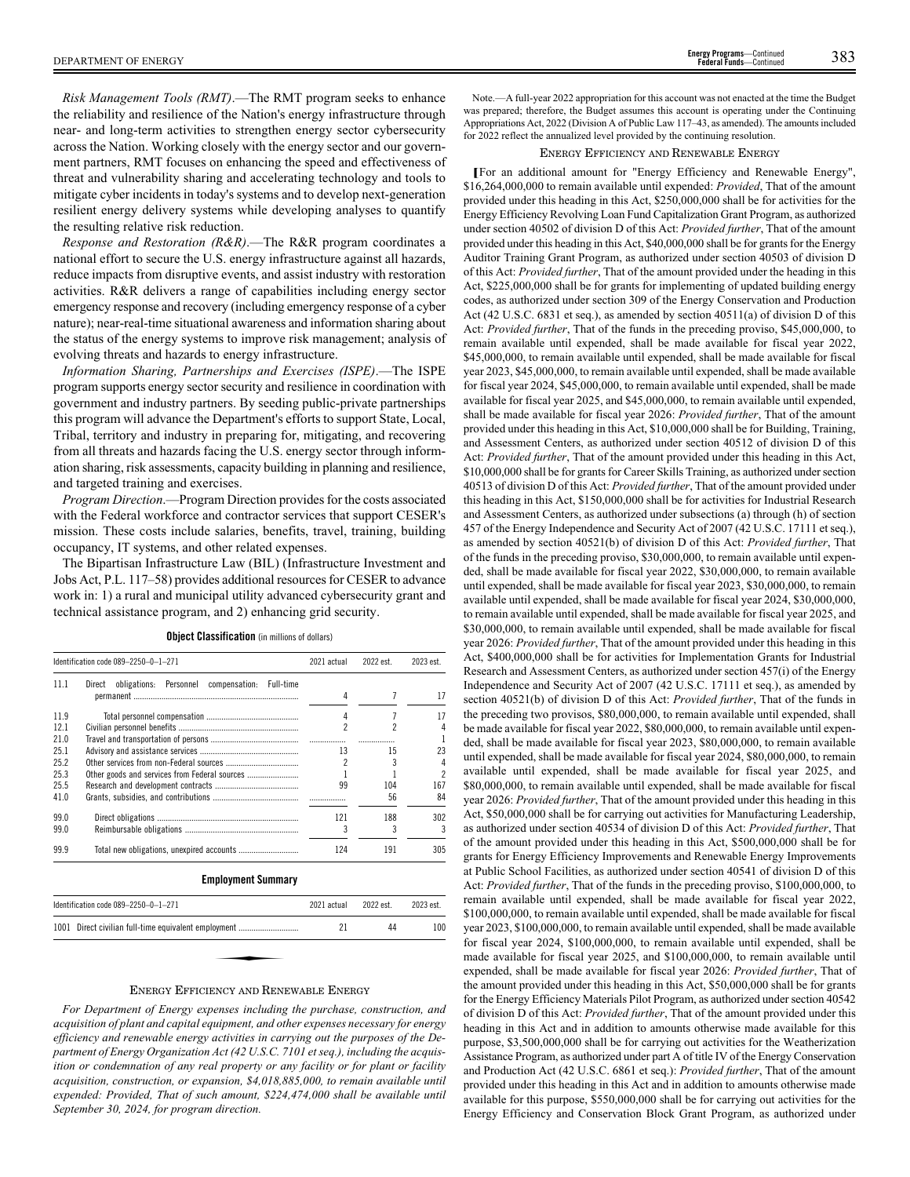*Risk Management Tools (RMT)*.—The RMT program seeks to enhance the reliability and resilience of the Nation's energy infrastructure through near- and long-term activities to strengthen energy sector cybersecurity across the Nation. Working closely with the energy sector and our government partners, RMT focuses on enhancing the speed and effectiveness of threat and vulnerability sharing and accelerating technology and tools to mitigate cyber incidents in today's systems and to develop next-generation resilient energy delivery systems while developing analyses to quantify the resulting relative risk reduction.

*Response and Restoration (R&R)*.—The R&R program coordinates a national effort to secure the U.S. energy infrastructure against all hazards, reduce impacts from disruptive events, and assist industry with restoration activities. R&R delivers a range of capabilities including energy sector emergency response and recovery (including emergency response of a cyber nature); near-real-time situational awareness and information sharing about the status of the energy systems to improve risk management; analysis of evolving threats and hazards to energy infrastructure.

*Information Sharing, Partnerships and Exercises (ISPE)*.—The ISPE program supports energy sector security and resilience in coordination with government and industry partners. By seeding public-private partnerships this program will advance the Department's efforts to support State, Local, Tribal, territory and industry in preparing for, mitigating, and recovering from all threats and hazards facing the U.S. energy sector through information sharing, risk assessments, capacity building in planning and resilience, and targeted training and exercises.

*Program Direction*.—Program Direction provides for the costs associated with the Federal workforce and contractor services that support CESER's mission. These costs include salaries, benefits, travel, training, building occupancy, IT systems, and other related expenses.

The Bipartisan Infrastructure Law (BIL) (Infrastructure Investment and Jobs Act, P.L. 117–58) provides additional resources for CESER to advance work in: 1) a rural and municipal utility advanced cybersecurity grant and technical assistance program, and 2) enhancing grid security.

**Object Classification** (in millions of dollars)

|      | Identification code 089-2250-0-1-271                              | 2021 actual | 2022 est. | 2023 est. |
|------|-------------------------------------------------------------------|-------------|-----------|-----------|
| 11.1 | obligations:<br>Personnel<br>compensation:<br>Direct<br>Full-time |             |           |           |
|      |                                                                   | 4           |           | 17        |
| 11.9 |                                                                   | 4           |           | 17        |
| 121  |                                                                   |             | 2         |           |
| 21.0 |                                                                   |             |           |           |
| 25.1 |                                                                   | 13          | 15        | 23        |
| 25.2 |                                                                   |             |           |           |
| 25.3 | Other goods and services from Federal sources                     |             |           | 2         |
| 25.5 |                                                                   | 99          | 104       | 167       |
| 41.0 |                                                                   |             | 56        | 84        |
| 99.0 |                                                                   | 121         | 188       | 302       |
| 99.0 |                                                                   | 3           | 3         | 3         |
| 99.9 |                                                                   | 124         | 191       | 305       |

**Employment Summary**

| ldentification code 089–2250–0–1–271                 | 2021 actual | 2022 est. | 2023 est. |
|------------------------------------------------------|-------------|-----------|-----------|
| 1001 Direct civilian full-time equivalent employment | 21          | 44        | 100       |
|                                                      |             |           |           |
| $1$ , , , $1$ , , , , , $1$ , , , , ,                |             |           |           |

### ENERGY EFFICIENCY AND RENEWABLE ENERGY

*For Department of Energy expenses including the purchase, construction, and acquisition of plant and capital equipment, and other expenses necessary for energy efficiency and renewable energy activities in carrying out the purposes of the Department of Energy Organization Act (42 U.S.C. 7101 et seq.), including the acquisition or condemnation of any real property or any facility or for plant or facility acquisition, construction, or expansion, \$4,018,885,000, to remain available until expended: Provided, That of such amount, \$224,474,000 shall be available until September 30, 2024, for program direction.*

Note.—A full-year 2022 appropriation for this account was not enacted at the time the Budget was prepared; therefore, the Budget assumes this account is operating under the Continuing Appropriations Act, 2022 (Division A of Public Law 117–43, as amended). The amounts included for 2022 reflect the annualized level provided by the continuing resolution.

# ENERGY EFFICIENCY AND RENEWABLE ENERGY

**[**For an additional amount for "Energy Efficiency and Renewable Energy", \$16,264,000,000 to remain available until expended: *Provided*, That of the amount provided under this heading in this Act, \$250,000,000 shall be for activities for the Energy Efficiency Revolving Loan Fund Capitalization Grant Program, as authorized under section 40502 of division D of this Act: *Provided further*, That of the amount provided under this heading in this Act, \$40,000,000 shall be for grants for the Energy Auditor Training Grant Program, as authorized under section 40503 of division D of this Act: *Provided further*, That of the amount provided under the heading in this Act, \$225,000,000 shall be for grants for implementing of updated building energy codes, as authorized under section 309 of the Energy Conservation and Production Act (42 U.S.C. 6831 et seq.), as amended by section 40511(a) of division D of this Act: *Provided further*, That of the funds in the preceding proviso, \$45,000,000, to remain available until expended, shall be made available for fiscal year 2022, \$45,000,000, to remain available until expended, shall be made available for fiscal year 2023, \$45,000,000, to remain available until expended, shall be made available for fiscal year 2024, \$45,000,000, to remain available until expended, shall be made available for fiscal year 2025, and \$45,000,000, to remain available until expended, shall be made available for fiscal year 2026: *Provided further*, That of the amount provided under this heading in this Act, \$10,000,000 shall be for Building, Training, and Assessment Centers, as authorized under section 40512 of division D of this Act: *Provided further*, That of the amount provided under this heading in this Act, \$10,000,000 shall be for grants for Career Skills Training, as authorized under section 40513 of division D of this Act: *Provided further*, That of the amount provided under this heading in this Act, \$150,000,000 shall be for activities for Industrial Research and Assessment Centers, as authorized under subsections (a) through (h) of section 457 of the Energy Independence and Security Act of 2007 (42 U.S.C. 17111 et seq.), as amended by section 40521(b) of division D of this Act: *Provided further*, That of the funds in the preceding proviso, \$30,000,000, to remain available until expended, shall be made available for fiscal year 2022, \$30,000,000, to remain available until expended, shall be made available for fiscal year 2023, \$30,000,000, to remain available until expended, shall be made available for fiscal year 2024, \$30,000,000, to remain available until expended, shall be made available for fiscal year 2025, and \$30,000,000, to remain available until expended, shall be made available for fiscal year 2026: *Provided further*, That of the amount provided under this heading in this Act, \$400,000,000 shall be for activities for Implementation Grants for Industrial Research and Assessment Centers, as authorized under section 457(i) of the Energy Independence and Security Act of 2007 (42 U.S.C. 17111 et seq.), as amended by section 40521(b) of division D of this Act: *Provided further*, That of the funds in the preceding two provisos, \$80,000,000, to remain available until expended, shall be made available for fiscal year 2022, \$80,000,000, to remain available until expended, shall be made available for fiscal year 2023, \$80,000,000, to remain available until expended, shall be made available for fiscal year 2024, \$80,000,000, to remain available until expended, shall be made available for fiscal year 2025, and \$80,000,000, to remain available until expended, shall be made available for fiscal year 2026: *Provided further*, That of the amount provided under this heading in this Act, \$50,000,000 shall be for carrying out activities for Manufacturing Leadership, as authorized under section 40534 of division D of this Act: *Provided further*, That of the amount provided under this heading in this Act, \$500,000,000 shall be for grants for Energy Efficiency Improvements and Renewable Energy Improvements at Public School Facilities, as authorized under section 40541 of division D of this Act: *Provided further*, That of the funds in the preceding proviso, \$100,000,000, to remain available until expended, shall be made available for fiscal year 2022, \$100,000,000, to remain available until expended, shall be made available for fiscal year 2023, \$100,000,000, to remain available until expended, shall be made available for fiscal year 2024, \$100,000,000, to remain available until expended, shall be made available for fiscal year 2025, and \$100,000,000, to remain available until expended, shall be made available for fiscal year 2026: *Provided further*, That of the amount provided under this heading in this Act, \$50,000,000 shall be for grants for the Energy Efficiency Materials Pilot Program, as authorized under section 40542 of division D of this Act: *Provided further*, That of the amount provided under this heading in this Act and in addition to amounts otherwise made available for this purpose, \$3,500,000,000 shall be for carrying out activities for the Weatherization Assistance Program, as authorized under part A of title IV of the Energy Conservation and Production Act (42 U.S.C. 6861 et seq.): *Provided further*, That of the amount provided under this heading in this Act and in addition to amounts otherwise made available for this purpose, \$550,000,000 shall be for carrying out activities for the Energy Efficiency and Conservation Block Grant Program, as authorized under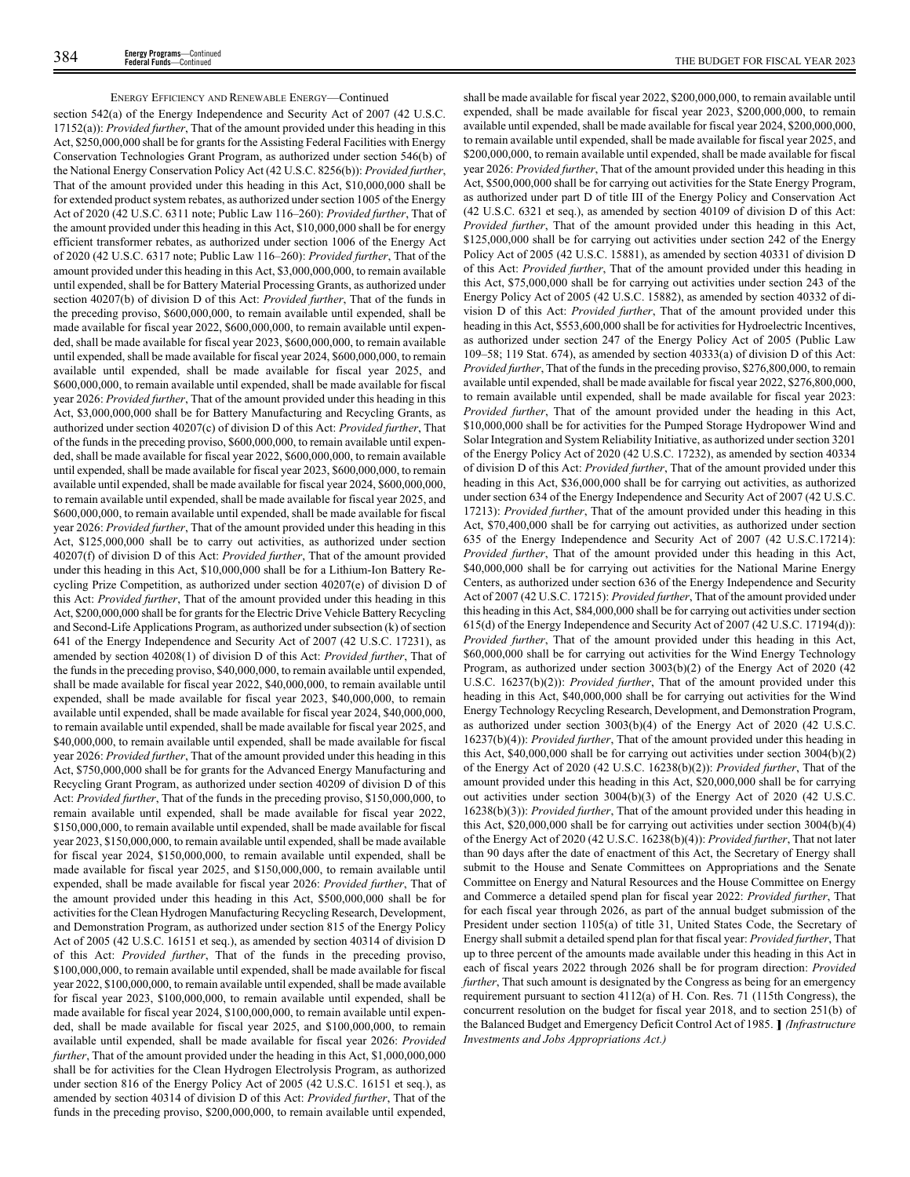section 542(a) of the Energy Independence and Security Act of 2007 (42 U.S.C. 17152(a)): *Provided further*, That of the amount provided under this heading in this Act, \$250,000,000 shall be for grants for the Assisting Federal Facilities with Energy Conservation Technologies Grant Program, as authorized under section 546(b) of the National Energy Conservation Policy Act (42 U.S.C. 8256(b)): *Provided further*, That of the amount provided under this heading in this Act, \$10,000,000 shall be for extended product system rebates, as authorized under section 1005 of the Energy Act of 2020 (42 U.S.C. 6311 note; Public Law 116–260): *Provided further*, That of the amount provided under this heading in this Act, \$10,000,000 shall be for energy efficient transformer rebates, as authorized under section 1006 of the Energy Act of 2020 (42 U.S.C. 6317 note; Public Law 116–260): *Provided further*, That of the amount provided under this heading in this Act, \$3,000,000,000, to remain available until expended, shall be for Battery Material Processing Grants, as authorized under section 40207(b) of division D of this Act: *Provided further*, That of the funds in the preceding proviso, \$600,000,000, to remain available until expended, shall be made available for fiscal year 2022, \$600,000,000, to remain available until expended, shall be made available for fiscal year 2023, \$600,000,000, to remain available until expended, shall be made available for fiscal year 2024, \$600,000,000, to remain available until expended, shall be made available for fiscal year 2025, and \$600,000,000, to remain available until expended, shall be made available for fiscal year 2026: *Provided further*, That of the amount provided under this heading in this Act, \$3,000,000,000 shall be for Battery Manufacturing and Recycling Grants, as authorized under section 40207(c) of division D of this Act: *Provided further*, That of the funds in the preceding proviso, \$600,000,000, to remain available until expended, shall be made available for fiscal year 2022, \$600,000,000, to remain available until expended, shall be made available for fiscal year 2023, \$600,000,000, to remain available until expended, shall be made available for fiscal year 2024, \$600,000,000, to remain available until expended, shall be made available for fiscal year 2025, and \$600,000,000, to remain available until expended, shall be made available for fiscal year 2026: *Provided further*, That of the amount provided under this heading in this Act, \$125,000,000 shall be to carry out activities, as authorized under section 40207(f) of division D of this Act: *Provided further*, That of the amount provided under this heading in this Act, \$10,000,000 shall be for a Lithium-Ion Battery Recycling Prize Competition, as authorized under section 40207(e) of division D of this Act: *Provided further*, That of the amount provided under this heading in this Act, \$200,000,000 shall be for grants for the Electric Drive Vehicle Battery Recycling and Second-Life Applications Program, as authorized under subsection (k) of section 641 of the Energy Independence and Security Act of 2007 (42 U.S.C. 17231), as amended by section 40208(1) of division D of this Act: *Provided further*, That of the funds in the preceding proviso, \$40,000,000, to remain available until expended, shall be made available for fiscal year 2022, \$40,000,000, to remain available until expended, shall be made available for fiscal year 2023, \$40,000,000, to remain available until expended, shall be made available for fiscal year 2024, \$40,000,000, to remain available until expended, shall be made available for fiscal year 2025, and \$40,000,000, to remain available until expended, shall be made available for fiscal year 2026: *Provided further*, That of the amount provided under this heading in this Act, \$750,000,000 shall be for grants for the Advanced Energy Manufacturing and Recycling Grant Program, as authorized under section 40209 of division D of this Act: *Provided further*, That of the funds in the preceding proviso, \$150,000,000, to remain available until expended, shall be made available for fiscal year 2022, \$150,000,000, to remain available until expended, shall be made available for fiscal year 2023, \$150,000,000, to remain available until expended, shall be made available for fiscal year 2024, \$150,000,000, to remain available until expended, shall be made available for fiscal year 2025, and \$150,000,000, to remain available until expended, shall be made available for fiscal year 2026: *Provided further*, That of the amount provided under this heading in this Act, \$500,000,000 shall be for activities for the Clean Hydrogen Manufacturing Recycling Research, Development, and Demonstration Program, as authorized under section 815 of the Energy Policy Act of 2005 (42 U.S.C. 16151 et seq.), as amended by section 40314 of division D of this Act: *Provided further*, That of the funds in the preceding proviso, \$100,000,000, to remain available until expended, shall be made available for fiscal year 2022, \$100,000,000, to remain available until expended, shall be made available for fiscal year 2023, \$100,000,000, to remain available until expended, shall be made available for fiscal year 2024, \$100,000,000, to remain available until expended, shall be made available for fiscal year 2025, and \$100,000,000, to remain available until expended, shall be made available for fiscal year 2026: *Provided further*, That of the amount provided under the heading in this Act, \$1,000,000,000 shall be for activities for the Clean Hydrogen Electrolysis Program, as authorized under section 816 of the Energy Policy Act of 2005 (42 U.S.C. 16151 et seq.), as amended by section 40314 of division D of this Act: *Provided further*, That of the funds in the preceding proviso, \$200,000,000, to remain available until expended,

shall be made available for fiscal year 2022, \$200,000,000, to remain available until expended, shall be made available for fiscal year 2023, \$200,000,000, to remain available until expended, shall be made available for fiscal year 2024, \$200,000,000, to remain available until expended, shall be made available for fiscal year 2025, and \$200,000,000, to remain available until expended, shall be made available for fiscal year 2026: *Provided further*, That of the amount provided under this heading in this Act, \$500,000,000 shall be for carrying out activities for the State Energy Program, as authorized under part D of title III of the Energy Policy and Conservation Act (42 U.S.C. 6321 et seq.), as amended by section 40109 of division D of this Act: *Provided further*, That of the amount provided under this heading in this Act, \$125,000,000 shall be for carrying out activities under section 242 of the Energy Policy Act of 2005 (42 U.S.C. 15881), as amended by section 40331 of division D of this Act: *Provided further*, That of the amount provided under this heading in this Act, \$75,000,000 shall be for carrying out activities under section 243 of the Energy Policy Act of 2005 (42 U.S.C. 15882), as amended by section 40332 of division D of this Act: *Provided further*, That of the amount provided under this heading in this Act, \$553,600,000 shall be for activities for Hydroelectric Incentives, as authorized under section 247 of the Energy Policy Act of 2005 (Public Law 109–58; 119 Stat. 674), as amended by section 40333(a) of division D of this Act: *Provided further*, That of the funds in the preceding proviso, \$276,800,000, to remain available until expended, shall be made available for fiscal year 2022, \$276,800,000, to remain available until expended, shall be made available for fiscal year 2023: *Provided further*, That of the amount provided under the heading in this Act, \$10,000,000 shall be for activities for the Pumped Storage Hydropower Wind and Solar Integration and System Reliability Initiative, as authorized under section 3201 of the Energy Policy Act of 2020 (42 U.S.C. 17232), as amended by section 40334 of division D of this Act: *Provided further*, That of the amount provided under this heading in this Act, \$36,000,000 shall be for carrying out activities, as authorized under section 634 of the Energy Independence and Security Act of 2007 (42 U.S.C. 17213): *Provided further*, That of the amount provided under this heading in this Act, \$70,400,000 shall be for carrying out activities, as authorized under section 635 of the Energy Independence and Security Act of 2007 (42 U.S.C.17214): *Provided further*, That of the amount provided under this heading in this Act, \$40,000,000 shall be for carrying out activities for the National Marine Energy Centers, as authorized under section 636 of the Energy Independence and Security Act of 2007 (42 U.S.C. 17215): *Provided further*, That of the amount provided under this heading in this Act, \$84,000,000 shall be for carrying out activities under section 615(d) of the Energy Independence and Security Act of 2007 (42 U.S.C. 17194(d)): *Provided further*, That of the amount provided under this heading in this Act, \$60,000,000 shall be for carrying out activities for the Wind Energy Technology Program, as authorized under section 3003(b)(2) of the Energy Act of 2020 (42 U.S.C. 16237(b)(2)): *Provided further*, That of the amount provided under this heading in this Act, \$40,000,000 shall be for carrying out activities for the Wind Energy Technology Recycling Research, Development, and Demonstration Program, as authorized under section 3003(b)(4) of the Energy Act of 2020 (42 U.S.C. 16237(b)(4)): *Provided further*, That of the amount provided under this heading in this Act, \$40,000,000 shall be for carrying out activities under section 3004(b)(2) of the Energy Act of 2020 (42 U.S.C. 16238(b)(2)): *Provided further*, That of the amount provided under this heading in this Act, \$20,000,000 shall be for carrying out activities under section 3004(b)(3) of the Energy Act of 2020 (42 U.S.C. 16238(b)(3)): *Provided further*, That of the amount provided under this heading in this Act, \$20,000,000 shall be for carrying out activities under section 3004(b)(4) of the Energy Act of 2020 (42 U.S.C. 16238(b)(4)): *Provided further*, That not later than 90 days after the date of enactment of this Act, the Secretary of Energy shall submit to the House and Senate Committees on Appropriations and the Senate Committee on Energy and Natural Resources and the House Committee on Energy and Commerce a detailed spend plan for fiscal year 2022: *Provided further*, That for each fiscal year through 2026, as part of the annual budget submission of the President under section 1105(a) of title 31, United States Code, the Secretary of Energy shall submit a detailed spend plan for that fiscal year: *Provided further*, That up to three percent of the amounts made available under this heading in this Act in each of fiscal years 2022 through 2026 shall be for program direction: *Provided further*, That such amount is designated by the Congress as being for an emergency requirement pursuant to section 4112(a) of H. Con. Res. 71 (115th Congress), the concurrent resolution on the budget for fiscal year 2018, and to section 251(b) of the Balanced Budget and Emergency Deficit Control Act of 1985. **]** *(Infrastructure Investments and Jobs Appropriations Act.)*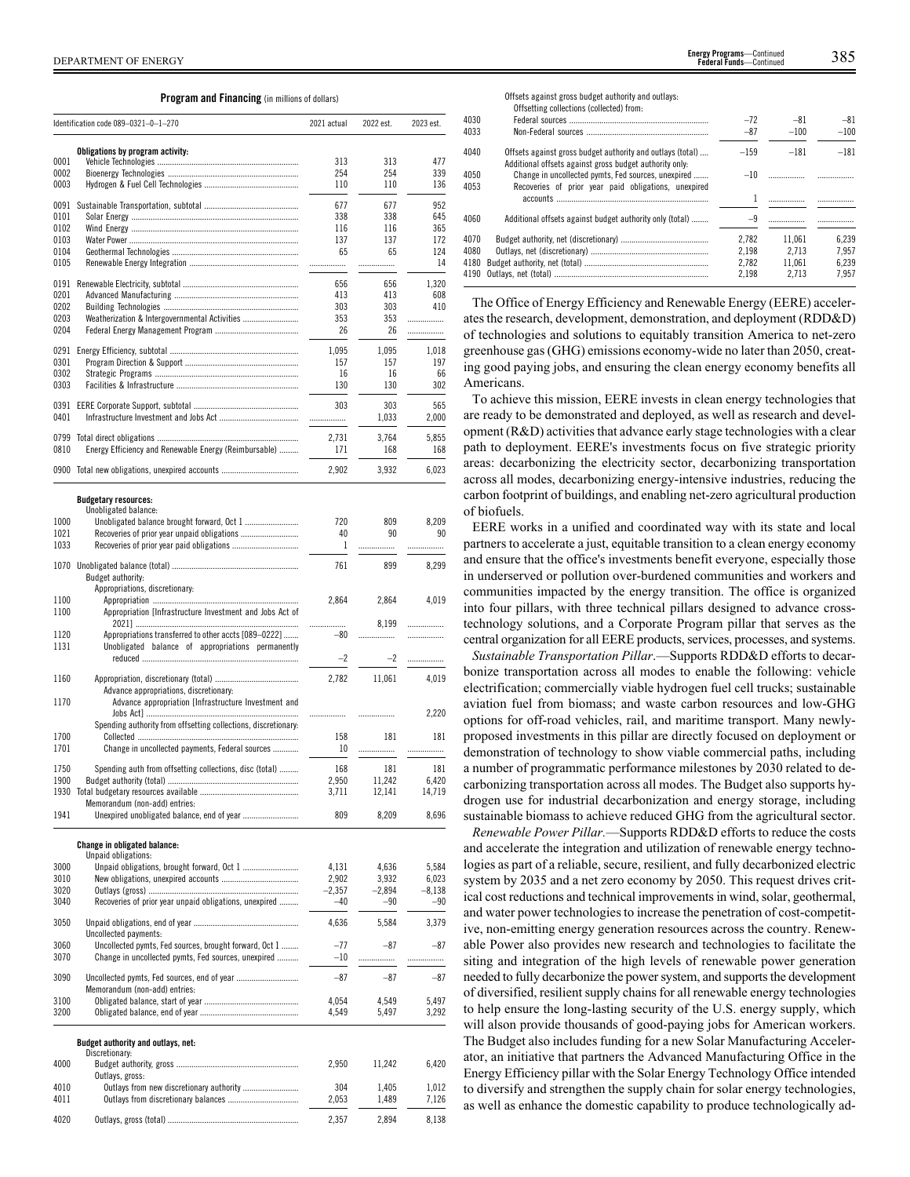### **Program and Financing** (in millions of dollars)

|              | Identification code 089-0321-0-1-270                                                                      | 2021 actual       | 2022 est.         | 2023 est.         |
|--------------|-----------------------------------------------------------------------------------------------------------|-------------------|-------------------|-------------------|
|              | Obligations by program activity:                                                                          |                   |                   |                   |
| 0001         |                                                                                                           | 313               | 313               | 477               |
| 0002         |                                                                                                           | 254               | 254               | 339               |
| 0003         |                                                                                                           | 110               | 110               | 136               |
| 0091         |                                                                                                           | 677               | 677               | 952               |
| 0101<br>0102 |                                                                                                           | 338<br>116        | 338<br>116        | 645<br>365        |
| 0103         |                                                                                                           | 137               | 137               | 172               |
| 0104         |                                                                                                           | 65                | 65                | 124               |
| 0105         |                                                                                                           |                   | .                 | 14                |
| 0191         |                                                                                                           | 656               | 656               | 1,320             |
| 0201<br>0202 |                                                                                                           | 413<br>303        | 413<br>303        | 608<br>410        |
| 0203         | Weatherization & Intergovernmental Activities                                                             | 353               | 353               | .                 |
| 0204         |                                                                                                           | 26                | 26                | .                 |
| 0291         |                                                                                                           | 1,095             | 1,095             | 1,018             |
| 0301         |                                                                                                           | 157               | 157               | 197               |
| 0302<br>0303 |                                                                                                           | 16<br>130         | 16<br>130         | 66<br>302         |
|              |                                                                                                           |                   |                   |                   |
| 0391<br>0401 |                                                                                                           | 303<br>.          | 303<br>1,033      | 565<br>2,000      |
| 0799         |                                                                                                           | 2,731             | 3,764             | 5,855             |
| 0810         | Energy Efficiency and Renewable Energy (Reimbursable)                                                     | 171               | 168               | 168               |
|              | 0900 Total new obligations, unexpired accounts                                                            | 2,902             | 3,932             | 6,023             |
|              |                                                                                                           |                   |                   |                   |
|              | <b>Budgetary resources:</b>                                                                               |                   |                   |                   |
| 1000         | Unobligated balance:                                                                                      | 720               | 809               | 8,209             |
| 1021         |                                                                                                           | 40                | 90                | 90                |
| 1033         |                                                                                                           | 1                 | .                 | .                 |
| 1070         |                                                                                                           | 761               | 899               | 8,299             |
|              | Budget authority:                                                                                         |                   |                   |                   |
| 1100         | Appropriations, discretionary:                                                                            | 2,864             | 2,864             | 4,019             |
| 1100         | Appropriation [Infrastructure Investment and Jobs Act of                                                  |                   |                   |                   |
|              |                                                                                                           | .                 | 8,199             | .                 |
| 1120<br>1131 | Appropriations transferred to other accts [089-0222]<br>Unobligated balance of appropriations permanently | $-80$             |                   | .                 |
|              |                                                                                                           | $-2$              | $-2$              | .                 |
| 1160         |                                                                                                           | 2,782             | 11,061            | 4,019             |
|              | Advance appropriations, discretionary:                                                                    |                   |                   |                   |
| 1170         | Advance appropriation [Infrastructure Investment and                                                      |                   |                   |                   |
|              | Spending authority from offsetting collections, discretionary:                                            | .                 | .                 | 2,220             |
| 1700         |                                                                                                           | 158               | 181               | 181               |
| 1701         | Change in uncollected payments, Federal sources                                                           | 10                | .                 | .                 |
| 1750         | Spending auth from offsetting collections, disc (total)                                                   | 168               | 181               | 181               |
| 1900         | Budget authority (total)                                                                                  | 2,950             | 11,242            | 6,420             |
|              | Memorandum (non-add) entries:                                                                             | 3,711             | 12,141            | 14,719            |
| 1941         |                                                                                                           | 809               | 8,209             | 8,696             |
|              |                                                                                                           |                   |                   |                   |
|              | Change in obligated balance:<br>Unpaid obligations:                                                       |                   |                   |                   |
| 3000         |                                                                                                           | 4,131             | 4,636             | 5,584             |
| 3010         |                                                                                                           | 2,902             | 3,932             | 6,023             |
| 3020<br>3040 | Recoveries of prior year unpaid obligations, unexpired                                                    | $-2,357$<br>$-40$ | $-2,894$<br>$-90$ | $-8,138$<br>$-90$ |
|              |                                                                                                           |                   |                   |                   |
| 3050         | Uncollected payments:                                                                                     | 4,636             | 5,584             | 3,379             |
| 3060         | Uncollected pymts, Fed sources, brought forward, Oct 1                                                    | $-77$             | -87               | $-87$             |
| 3070         | Change in uncollected pymts, Fed sources, unexpired                                                       | $-10$             |                   | .                 |
| 3090         |                                                                                                           | $-87$             | $-87$             | $-87$             |
| 3100         | Memorandum (non-add) entries:                                                                             | 4,054             | 4,549             | 5,497             |
| 3200         |                                                                                                           | 4,549             | 5,497             | 3,292             |
|              |                                                                                                           |                   |                   |                   |
|              | Budget authority and outlays, net:                                                                        |                   |                   |                   |
| 4000         | Discretionary:                                                                                            | 2,950             | 11,242            | 6,420             |
|              | Outlays, gross:                                                                                           |                   |                   |                   |
| 4010<br>4011 |                                                                                                           | 304<br>2,053      | 1,405<br>1,489    | 1,012             |
|              |                                                                                                           |                   |                   | 7,126             |
| 4020         |                                                                                                           | 2,357             | 2,894             | 8,138             |

Offsets against gross budget authority and outlays: Offsetting collections (collected) from: 4030 Federal sources ................................................................. –72 –81 –81 4033 Non-Federal sources ......................................................... –87 –100 –100 4040 Offsets against gross budget authority and outlays (total) .... –159 –181 –181 Additional offsets against gross budget authority only: 4050 Change in uncollected pymts, Fed sources, unexpired ....... - -10 1 ................. ................. Recoveries of prior year paid obligations, unexpired accounts 4053 4060 Additional offsets against budget authority only (total) ........ –9 ................. ................. 4070 Budget authority, net (discretionary) ......................................... 2,782 11,061 6,239 4080 Outlays, net (discretionary) ....................................................... 2,198 2,713 7,957 4180 Budget authority, net (total) 4190 Outlays, net (total) ........................................................................ 2,198 2,713 7,957

The Office of Energy Efficiency and Renewable Energy (EERE) accelerates the research, development, demonstration, and deployment (RDD&D) of technologies and solutions to equitably transition America to net-zero greenhouse gas (GHG) emissions economy-wide no later than 2050, creating good paying jobs, and ensuring the clean energy economy benefits all Americans.

To achieve this mission, EERE invests in clean energy technologies that are ready to be demonstrated and deployed, as well as research and development (R&D) activities that advance early stage technologies with a clear path to deployment. EERE's investments focus on five strategic priority areas: decarbonizing the electricity sector, decarbonizing transportation across all modes, decarbonizing energy-intensive industries, reducing the carbon footprint of buildings, and enabling net-zero agricultural production of biofuels.

EERE works in a unified and coordinated way with its state and local partners to accelerate a just, equitable transition to a clean energy economy and ensure that the office's investments benefit everyone, especially those in underserved or pollution over-burdened communities and workers and communities impacted by the energy transition. The office is organized into four pillars, with three technical pillars designed to advance crosstechnology solutions, and a Corporate Program pillar that serves as the central organization for all EERE products, services, processes, and systems.

*Sustainable Transportation Pillar*.—Supports RDD&D efforts to decarbonize transportation across all modes to enable the following: vehicle electrification; commercially viable hydrogen fuel cell trucks; sustainable aviation fuel from biomass; and waste carbon resources and low-GHG options for off-road vehicles, rail, and maritime transport. Many newlyproposed investments in this pillar are directly focused on deployment or demonstration of technology to show viable commercial paths, including a number of programmatic performance milestones by 2030 related to decarbonizing transportation across all modes. The Budget also supports hydrogen use for industrial decarbonization and energy storage, including sustainable biomass to achieve reduced GHG from the agricultural sector.

*Renewable Power Pillar.*—Supports RDD&D efforts to reduce the costs and accelerate the integration and utilization of renewable energy technologies as part of a reliable, secure, resilient, and fully decarbonized electric system by 2035 and a net zero economy by 2050. This request drives critical cost reductions and technical improvements in wind, solar, geothermal, and water power technologies to increase the penetration of cost-competitive, non-emitting energy generation resources across the country. Renewable Power also provides new research and technologies to facilitate the siting and integration of the high levels of renewable power generation needed to fully decarbonize the power system, and supports the development of diversified, resilient supply chains for all renewable energy technologies to help ensure the long-lasting security of the U.S. energy supply, which will alson provide thousands of good-paying jobs for American workers. The Budget also includes funding for a new Solar Manufacturing Accelerator, an initiative that partners the Advanced Manufacturing Office in the Energy Efficiency pillar with the Solar Energy Technology Office intended to diversify and strengthen the supply chain for solar energy technologies, as well as enhance the domestic capability to produce technologically ad-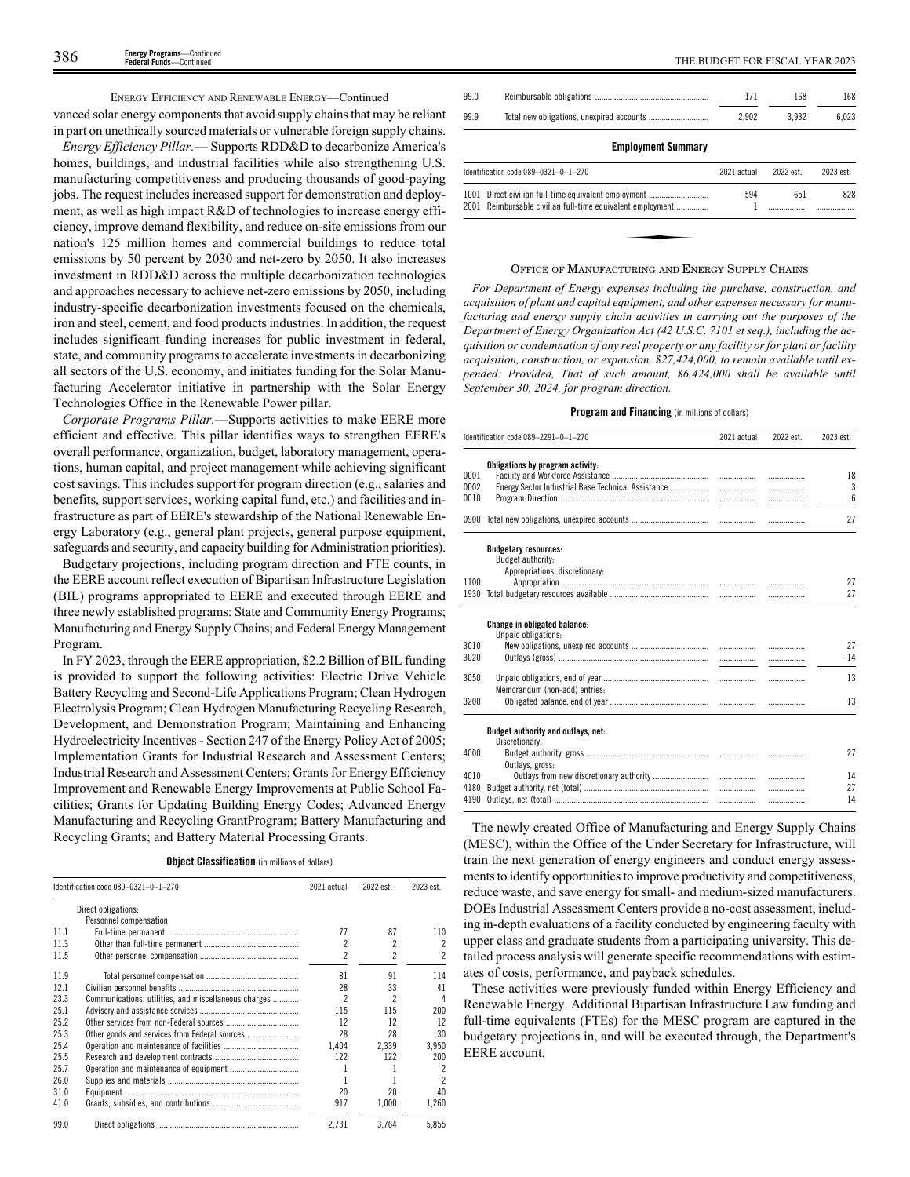### ENERGY EFFICIENCY AND RENEWABLE ENERGY—Continued

vanced solar energy components that avoid supply chains that may be reliant in part on unethically sourced materials or vulnerable foreign supply chains.

*Energy Efficiency Pillar.*— Supports RDD&D to decarbonize America's homes, buildings, and industrial facilities while also strengthening U.S. manufacturing competitiveness and producing thousands of good-paying jobs. The request includes increased support for demonstration and deployment, as well as high impact R&D of technologies to increase energy efficiency, improve demand flexibility, and reduce on-site emissions from our nation's 125 million homes and commercial buildings to reduce total emissions by 50 percent by 2030 and net-zero by 2050. It also increases investment in RDD&D across the multiple decarbonization technologies and approaches necessary to achieve net-zero emissions by 2050, including industry-specific decarbonization investments focused on the chemicals, iron and steel, cement, and food products industries. In addition, the request includes significant funding increases for public investment in federal, state, and community programs to accelerate investments in decarbonizing all sectors of the U.S. economy, and initiates funding for the Solar Manufacturing Accelerator initiative in partnership with the Solar Energy Technologies Office in the Renewable Power pillar.

*Corporate Programs Pillar.*—Supports activities to make EERE more efficient and effective. This pillar identifies ways to strengthen EERE's overall performance, organization, budget, laboratory management, operations, human capital, and project management while achieving significant cost savings. This includes support for program direction (e.g., salaries and benefits, support services, working capital fund, etc.) and facilities and infrastructure as part of EERE's stewardship of the National Renewable Energy Laboratory (e.g., general plant projects, general purpose equipment, safeguards and security, and capacity building for Administration priorities).

Budgetary projections, including program direction and FTE counts, in the EERE account reflect execution of Bipartisan Infrastructure Legislation (BIL) programs appropriated to EERE and executed through EERE and three newly established programs: State and Community Energy Programs; Manufacturing and Energy Supply Chains; and Federal Energy Management Program.

In FY 2023, through the EERE appropriation, \$2.2 Billion of BIL funding is provided to support the following activities: Electric Drive Vehicle Battery Recycling and Second-Life Applications Program; Clean Hydrogen Electrolysis Program; Clean Hydrogen Manufacturing Recycling Research, Development, and Demonstration Program; Maintaining and Enhancing Hydroelectricity Incentives - Section 247 of the Energy Policy Act of 2005; Implementation Grants for Industrial Research and Assessment Centers; Industrial Research and Assessment Centers; Grants for Energy Efficiency Improvement and Renewable Energy Improvements at Public School Facilities; Grants for Updating Building Energy Codes; Advanced Energy Manufacturing and Recycling GrantProgram; Battery Manufacturing and Recycling Grants; and Battery Material Processing Grants.

| <b>Object Classification</b> (in millions of dollars) |  |  |  |  |
|-------------------------------------------------------|--|--|--|--|
|-------------------------------------------------------|--|--|--|--|

|      | Identification code 089-0321-0-1-270                 | 2021 actual              | 2022 est.                | 2023 est. |
|------|------------------------------------------------------|--------------------------|--------------------------|-----------|
|      | Direct obligations:                                  |                          |                          |           |
|      | Personnel compensation:                              |                          |                          |           |
| 11.1 |                                                      | 77                       | 87                       | 110       |
| 11.3 |                                                      | 2                        | 2                        | 2         |
| 11.5 |                                                      | $\overline{\phantom{a}}$ | $\overline{\phantom{a}}$ |           |
| 11.9 |                                                      | 81                       | 91                       | 114       |
| 12.1 |                                                      | 28                       | 33                       | 41        |
| 23.3 | Communications, utilities, and miscellaneous charges | $\overline{\phantom{a}}$ | $\overline{\phantom{a}}$ | 4         |
| 25.1 |                                                      | 115                      | 115                      | 200       |
| 25.2 |                                                      | 12                       | 12                       | 12        |
| 25.3 | Other goods and services from Federal sources        | 28                       | 28                       | 30        |
| 25.4 |                                                      | 1.404                    | 2.339                    | 3,950     |
| 25.5 |                                                      | 122                      | 122                      | 200       |
| 25.7 |                                                      |                          |                          | 2         |
| 26.0 |                                                      |                          |                          | 2         |
| 31.0 |                                                      | 20                       | 20                       | 40        |
| 41.0 |                                                      | 917                      | 1.000                    | 1,260     |
| 99.0 |                                                      | 2.731                    | 3.764                    | 5.855     |

| THE BUDGET FOR FISCAL YEAR 2023 |  |  |
|---------------------------------|--|--|
|---------------------------------|--|--|

| 99.0         |                                                                                                          | 171         | 168       | 168       |
|--------------|----------------------------------------------------------------------------------------------------------|-------------|-----------|-----------|
| 99.9         |                                                                                                          | 2.902       | 3.932     | 6.023     |
|              | <b>Employment Summary</b>                                                                                |             |           |           |
|              | Identification code 089-0321-0-1-270                                                                     | 2021 actual | 2022 est. | 2023 est. |
| 1001<br>2001 | Direct civilian full-time equivalent employment<br>Reimbursable civilian full-time equivalent employment | 594         | 651       | 828       |

### OFFICE OF MANUFACTURING AND ENERGY SUPPLY CHAINS

*For Department of Energy expenses including the purchase, construction, and acquisition of plant and capital equipment, and other expenses necessary for manufacturing and energy supply chain activities in carrying out the purposes of the Department of Energy Organization Act (42 U.S.C. 7101 et seq.), including the acquisition or condemnation of any real property or any facility or for plant or facility acquisition, construction, or expansion, \$27,424,000, to remain available until expended: Provided, That of such amount, \$6,424,000 shall be available until September 30, 2024, for program direction.*

### **Program and Financing** (in millions of dollars)

|                      | Identification code 089-2291-0-1-270                                               | 2021 actual | 2022 est.   | 2023 est.      |
|----------------------|------------------------------------------------------------------------------------|-------------|-------------|----------------|
| 0001<br>0002<br>0010 | Obligations by program activity:                                                   |             | .<br>.<br>. | 18<br>3<br>6   |
|                      |                                                                                    |             |             | 27             |
| 1100<br>1930         | <b>Budgetary resources:</b><br>Budget authority:<br>Appropriations, discretionary: |             | .           | 27<br>27       |
|                      |                                                                                    |             |             |                |
|                      | Change in obligated balance:<br>Unpaid obligations:                                |             |             |                |
| 3010<br>3020         |                                                                                    |             | .           | 27<br>$-14$    |
| 3050                 | Memorandum (non-add) entries:                                                      |             | .           | 13             |
| 3200                 |                                                                                    |             | .           | 13             |
|                      | Budget authority and outlays, net:<br>Discretionary:                               |             |             |                |
| 4000                 | Outlavs, gross:                                                                    |             |             | 27             |
| 4010<br>4180<br>4190 |                                                                                    |             | .<br>.<br>. | 14<br>27<br>14 |

The newly created Office of Manufacturing and Energy Supply Chains (MESC), within the Office of the Under Secretary for Infrastructure, will train the next generation of energy engineers and conduct energy assessments to identify opportunities to improve productivity and competitiveness, reduce waste, and save energy for small- and medium-sized manufacturers. DOEs Industrial Assessment Centers provide a no-cost assessment, including in-depth evaluations of a facility conducted by engineering faculty with upper class and graduate students from a participating university. This detailed process analysis will generate specific recommendations with estimates of costs, performance, and payback schedules.

These activities were previously funded within Energy Efficiency and Renewable Energy. Additional Bipartisan Infrastructure Law funding and full-time equivalents (FTEs) for the MESC program are captured in the budgetary projections in, and will be executed through, the Department's EERE account.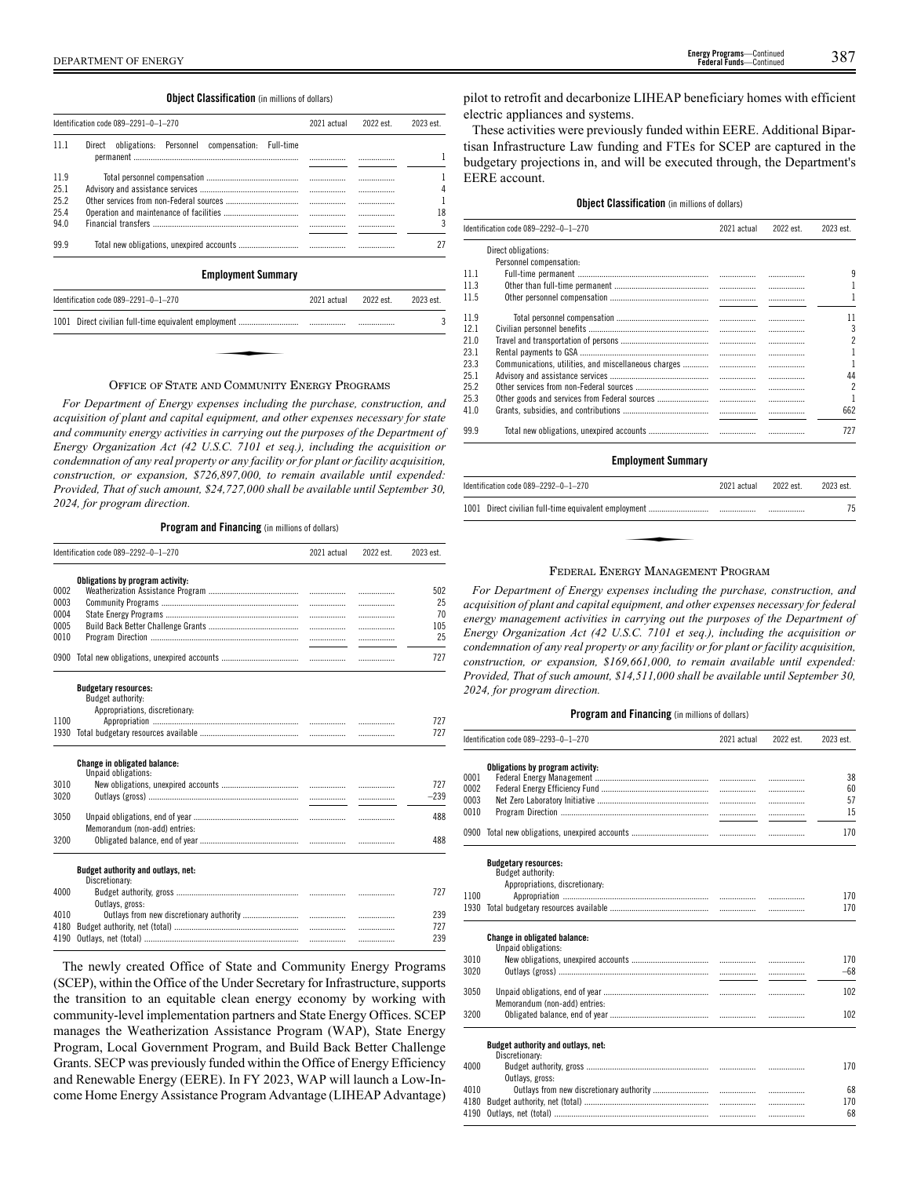### **Object Classification** (in millions of dollars)

|      | Identification code 089-2291-0-1-270                     | 2021 actual | 2022 est. | 2023 est. |
|------|----------------------------------------------------------|-------------|-----------|-----------|
| 111  | Direct obligations: Personnel compensation:<br>Full-time |             |           |           |
|      |                                                          |             |           |           |
| 11.9 |                                                          |             |           |           |
| 25.1 |                                                          |             |           |           |
| 25.2 |                                                          |             |           |           |
| 25.4 |                                                          |             |           | 18        |
| 94.0 |                                                          |             |           |           |
| 99.9 |                                                          |             |           |           |

### **Employment Summary**

| 2022 est. | 2023 est.   |
|-----------|-------------|
|           |             |
|           |             |
|           |             |
|           | 2021 actual |

### OFFICE OF STATE AND COMMUNITY ENERGY PROGRAMS

*For Department of Energy expenses including the purchase, construction, and acquisition of plant and capital equipment, and other expenses necessary for state and community energy activities in carrying out the purposes of the Department of Energy Organization Act (42 U.S.C. 7101 et seq.), including the acquisition or condemnation of any real property or any facility or for plant or facility acquisition, construction, or expansion, \$726,897,000, to remain available until expended: Provided, That of such amount, \$24,727,000 shall be available until September 30, 2024, for program direction.*

**Program and Financing** (in millions of dollars)

|      | Identification code 089-2292-0-1-270                | 2021 actual | 2022 est. | 2023 est. |
|------|-----------------------------------------------------|-------------|-----------|-----------|
|      | Obligations by program activity:                    |             |           |           |
| 0002 |                                                     |             | .         | 502       |
| 0003 |                                                     |             | .         | 25        |
| 0004 |                                                     |             | .         | 70        |
| 0005 |                                                     |             | .         | 105       |
| 0010 |                                                     |             | .         | 25        |
|      |                                                     |             | .         | 727       |
|      | <b>Budgetary resources:</b>                         |             |           |           |
|      | Budget authority:                                   |             |           |           |
|      | Appropriations, discretionary:                      |             |           |           |
| 1100 |                                                     |             |           | 727       |
| 1930 |                                                     |             | .         | 727       |
|      | Change in obligated balance:<br>Unpaid obligations: |             |           |           |
| 3010 |                                                     |             | .         | 727       |
| 3020 |                                                     |             | .         | $-239$    |
| 3050 | Memorandum (non-add) entries:                       |             | .         | 488       |
| 3200 |                                                     |             |           | 488       |
|      | Budget authority and outlays, net:                  |             |           |           |
|      | Discretionary:                                      |             |           |           |
| 4000 | Outlays, gross:                                     |             |           | 727       |
|      |                                                     |             | .         | 239       |
| 4010 |                                                     |             |           |           |
| 4180 |                                                     |             | .         | 727       |

The newly created Office of State and Community Energy Programs (SCEP), within the Office of the Under Secretary for Infrastructure, supports the transition to an equitable clean energy economy by working with community-level implementation partners and State Energy Offices. SCEP manages the Weatherization Assistance Program (WAP), State Energy Program, Local Government Program, and Build Back Better Challenge Grants. SECP was previously funded within the Office of Energy Efficiency and Renewable Energy (EERE). In FY 2023, WAP will launch a Low-Income Home Energy Assistance Program Advantage (LIHEAP Advantage) pilot to retrofit and decarbonize LIHEAP beneficiary homes with efficient electric appliances and systems.

These activities were previously funded within EERE. Additional Bipartisan Infrastructure Law funding and FTEs for SCEP are captured in the budgetary projections in, and will be executed through, the Department's EERE account.

### **Object Classification** (in millions of dollars)

|      | Identification code 089-2292-0-1-270                 | 2021 actual | 2022 est. | 2023 est.                |
|------|------------------------------------------------------|-------------|-----------|--------------------------|
|      | Direct obligations:                                  |             |           |                          |
|      | Personnel compensation:                              |             |           |                          |
| 111  |                                                      |             |           | 9                        |
| 11.3 |                                                      |             |           |                          |
| 11.5 |                                                      |             |           |                          |
| 11.9 |                                                      |             |           | 11                       |
| 12.1 |                                                      | .           |           | 3                        |
| 21.0 |                                                      |             | .         | 2                        |
| 23.1 |                                                      | .           | .         |                          |
| 23.3 | Communications, utilities, and miscellaneous charges | .           |           | 1                        |
| 25.1 |                                                      | .           | .         | 44                       |
| 25.2 |                                                      | .           | .         | $\overline{\phantom{a}}$ |
| 25.3 |                                                      | .           |           | 1                        |
| 41.0 |                                                      |             |           | 662                      |
| 99.9 |                                                      |             |           | 727                      |

### **Employment Summary**

| Identification code 089-2292-0-1-270                               | 2021 actual | 2022 est. | 2023 est. |
|--------------------------------------------------------------------|-------------|-----------|-----------|
|                                                                    |             |           | 75        |
|                                                                    |             |           |           |
| $\mathbf{D} =  \mathbf{D}$ , , $\mathbf{M}$ , , , , $\mathbf{D}$ , |             |           |           |

### FEDERAL ENERGY MANAGEMENT PROGRAM

*For Department of Energy expenses including the purchase, construction, and acquisition of plant and capital equipment, and other expenses necessary for federal energy management activities in carrying out the purposes of the Department of Energy Organization Act (42 U.S.C. 7101 et seq.), including the acquisition or condemnation of any real property or any facility or for plant or facility acquisition, construction, or expansion, \$169,661,000, to remain available until expended: Provided, That of such amount, \$14,511,000 shall be available until September 30, 2024, for program direction.*

|      | Identification code 089-2293-0-1-270                       | 2021 actual | 2022 est. | 2023 est. |
|------|------------------------------------------------------------|-------------|-----------|-----------|
|      | Obligations by program activity:                           |             |           |           |
| 0001 |                                                            |             | .         | 38        |
| 0002 |                                                            |             | .         | 60        |
| 0003 |                                                            |             | .         | 57        |
| 0010 |                                                            |             |           | 15        |
|      |                                                            |             | .         | 170       |
|      | <b>Budgetary resources:</b><br>Budget authority:           |             |           |           |
|      | Appropriations, discretionary:                             |             |           |           |
| 1100 |                                                            |             |           | 170       |
| 1930 |                                                            |             | .         | 170       |
|      | <b>Change in obligated balance:</b><br>Unpaid obligations: |             |           |           |
| 3010 |                                                            |             |           | 170       |
| 3020 |                                                            |             | .         | $-68$     |
|      |                                                            |             |           |           |
| 3050 |                                                            |             | .         | 102       |
|      | Memorandum (non-add) entries:                              |             |           |           |
| 3200 |                                                            |             | .         | 102       |
|      | Budget authority and outlays, net:                         |             |           |           |
| 4000 | Discretionary:                                             |             |           | 170       |
|      | Outlays, gross:                                            |             |           |           |
| 4010 |                                                            |             |           | 68        |
| 4180 |                                                            |             |           | 170       |
| 4190 |                                                            |             |           | 68        |
|      |                                                            |             |           |           |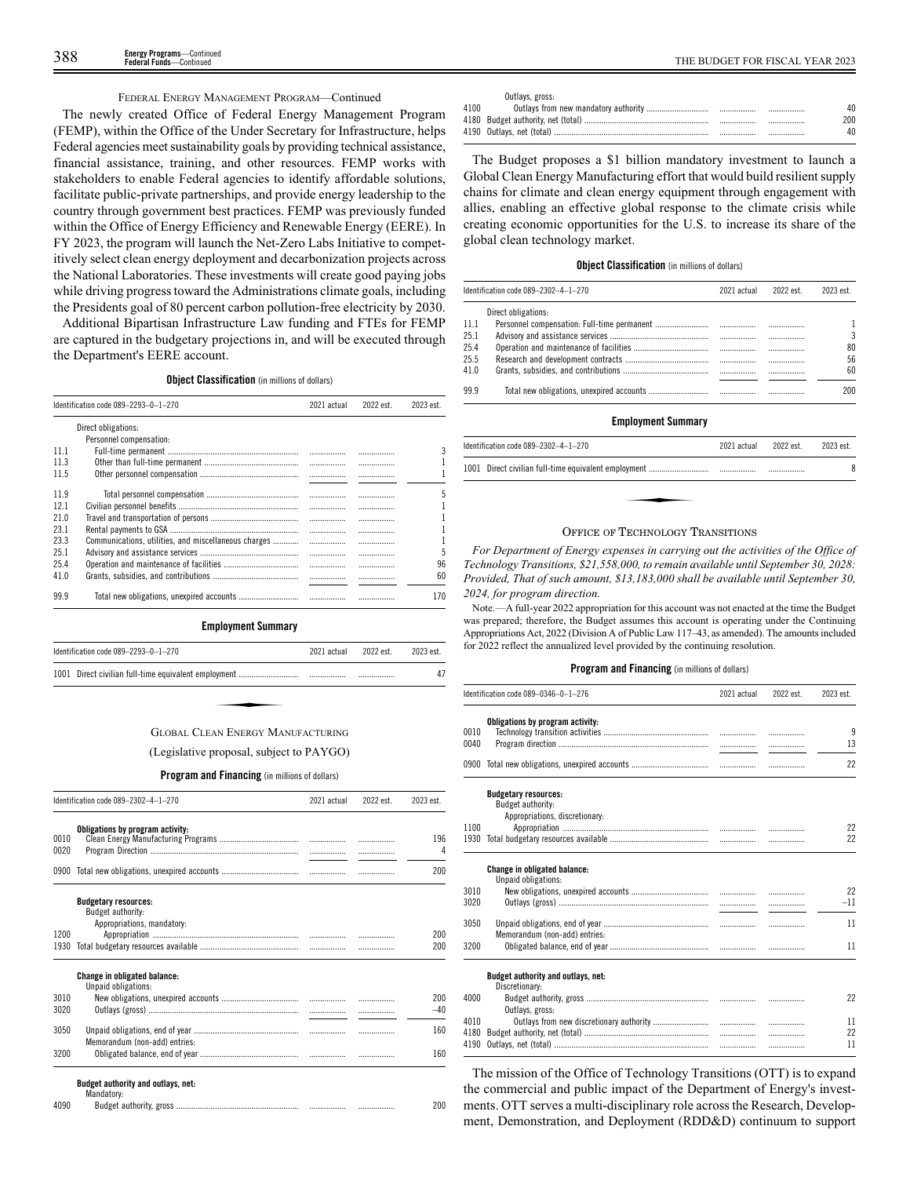### FEDERAL ENERGY MANAGEMENT PROGRAM—Continued

The newly created Office of Federal Energy Management Program (FEMP), within the Office of the Under Secretary for Infrastructure, helps Federal agencies meet sustainability goals by providing technical assistance, financial assistance, training, and other resources. FEMP works with stakeholders to enable Federal agencies to identify affordable solutions, facilitate public-private partnerships, and provide energy leadership to the country through government best practices. FEMP was previously funded within the Office of Energy Efficiency and Renewable Energy (EERE). In FY 2023, the program will launch the Net-Zero Labs Initiative to competitively select clean energy deployment and decarbonization projects across the National Laboratories. These investments will create good paying jobs while driving progress toward the Administrations climate goals, including the Presidents goal of 80 percent carbon pollution-free electricity by 2030.

Additional Bipartisan Infrastructure Law funding and FTEs for FEMP are captured in the budgetary projections in, and will be executed through the Department's EERE account.

**Object Classification** (in millions of dollars)

| Identification code 089-2293-0-1-270<br>2022 est.<br>2021 actual |                                                      |   |  | 2023 est. |
|------------------------------------------------------------------|------------------------------------------------------|---|--|-----------|
|                                                                  | Direct obligations:                                  |   |  |           |
|                                                                  | Personnel compensation:                              |   |  |           |
| 11 1                                                             |                                                      |   |  |           |
| 11.3                                                             |                                                      | . |  |           |
| 11.5                                                             |                                                      |   |  |           |
| 119                                                              |                                                      |   |  | 5         |
| 121                                                              |                                                      |   |  |           |
| 21.0                                                             |                                                      |   |  |           |
| 23.1                                                             |                                                      |   |  |           |
| 23.3                                                             | Communications, utilities, and miscellaneous charges |   |  |           |
| 25.1                                                             |                                                      |   |  | 5         |
| 25.4                                                             |                                                      |   |  | 96        |
| 41.0                                                             |                                                      |   |  | 60        |
| 99.9                                                             |                                                      |   |  | 170       |

**Employment Summary**

| Identification code 089-2293-0-1-270     | 2021 actual | 2022 est. | 2023 est. |
|------------------------------------------|-------------|-----------|-----------|
|                                          |             |           | 47        |
|                                          |             |           |           |
| <b>GLOBAL CLEAN ENERGY MANUFACTURING</b> |             |           |           |

# (Legislative proposal, subject to PAYGO)

**Program and Financing** (in millions of dollars)

|              | Identification code 089-2302-4-1-270                                           | 2021 actual | 2022 est. | 2023 est. |
|--------------|--------------------------------------------------------------------------------|-------------|-----------|-----------|
| 0010<br>0020 | Obligations by program activity:                                               |             |           | 196<br>4  |
|              |                                                                                |             |           | 200       |
|              | <b>Budgetary resources:</b><br>Budget authority:<br>Appropriations, mandatory: |             |           |           |
| 1200         |                                                                                |             |           | 200       |
| 1930         |                                                                                |             |           | 200       |
|              | <b>Change in obligated balance:</b><br>Unpaid obligations:                     |             |           |           |
| 3010         |                                                                                |             |           | 200       |
| 3020         |                                                                                |             |           | $-40$     |
| 3050         | Memorandum (non-add) entries:                                                  |             |           | 160       |
| 3200         |                                                                                |             |           | 160       |

| 4090 | Budget authority, |  | . | 00 |
|------|-------------------|--|---|----|
|------|-------------------|--|---|----|

|      | Outlays, gross: |       |     |
|------|-----------------|-------|-----|
| 4100 |                 | <br>. |     |
|      |                 | <br>  | 200 |
|      |                 | <br>. |     |

The Budget proposes a \$1 billion mandatory investment to launch a Global Clean Energy Manufacturing effort that would build resilient supply chains for climate and clean energy equipment through engagement with allies, enabling an effective global response to the climate crisis while creating economic opportunities for the U.S. to increase its share of the global clean technology market.

### **Object Classification** (in millions of dollars)

|      | Identification code 089-2302-4-1-270 | 2021 actual | 2022 est. | 2023 est. |
|------|--------------------------------------|-------------|-----------|-----------|
|      | Direct obligations:                  |             |           |           |
| 11.1 |                                      |             |           |           |
| 25.1 |                                      |             |           | 3         |
| 25.4 |                                      |             |           | 80        |
| 25.5 |                                      |             |           | 56        |
| 41.0 |                                      |             |           | 60        |
| 999  |                                      |             |           | 200       |

### **Employment Summary**

| Identification code 089-2302-4-1-270 | 2021 actual 2022 est. | 2023 est. |
|--------------------------------------|-----------------------|-----------|
|                                      |                       | 8         |
|                                      |                       |           |
|                                      |                       |           |

### OFFICE OF TECHNOLOGY TRANSITIONS

*For Department of Energy expenses in carrying out the activities of the Office of Technology Transitions, \$21,558,000, to remain available until September 30, 2028: Provided, That of such amount, \$13,183,000 shall be available until September 30, 2024, for program direction.*

Note.—A full-year 2022 appropriation for this account was not enacted at the time the Budget was prepared; therefore, the Budget assumes this account is operating under the Continuing Appropriations Act, 2022 (Division A of Public Law 117–43, as amended). The amounts included for 2022 reflect the annualized level provided by the continuing resolution.

### **Program and Financing** (in millions of dollars)

|              | Identification code 089-0346-0-1-276                                               | 2021 actual | 2022 est. | 2023 est. |
|--------------|------------------------------------------------------------------------------------|-------------|-----------|-----------|
| 0010<br>0040 | Obligations by program activity:                                                   |             | .         | 9<br>13   |
|              |                                                                                    |             | .         | 22        |
|              | <b>Budgetary resources:</b><br>Budget authority:<br>Appropriations, discretionary: |             |           |           |
| 1100         |                                                                                    |             | .         | 22        |
| 1930         |                                                                                    |             |           | 22        |
|              | <b>Change in obligated balance:</b><br>Unpaid obligations:                         |             |           |           |
| 3010         |                                                                                    |             |           | 22        |
| 3020         |                                                                                    |             | .         | $-11$     |
| 3050         | Memorandum (non-add) entries:                                                      |             | .         | 11        |
| 3200         |                                                                                    |             |           | 11        |
|              | Budget authority and outlays, net:<br>Discretionary:                               |             |           |           |
| 4000         | Outlays, gross:                                                                    |             |           | 22        |
| 4010         |                                                                                    |             | .         | 11        |
| 4180         |                                                                                    |             | .         | 22        |
| 4190         |                                                                                    |             | .         | 11        |

The mission of the Office of Technology Transitions (OTT) is to expand the commercial and public impact of the Department of Energy's investments. OTT serves a multi-disciplinary role across the Research, Development, Demonstration, and Deployment (RDD&D) continuum to support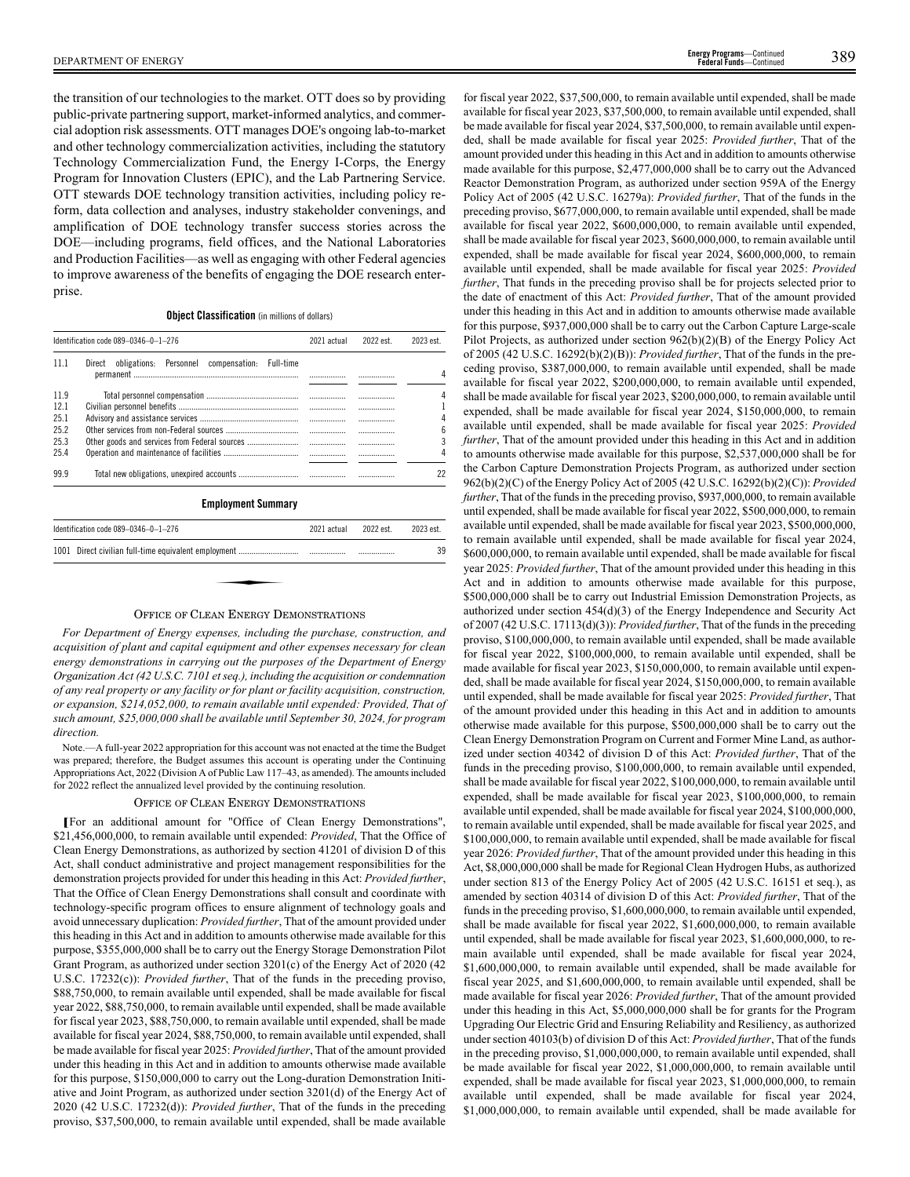DEPARTMENT OF ENERGY 389 **Energy Programs**—Continued **Finergy Programs**—Continued<br>**Federal Funds**—Continued

the transition of our technologies to the market. OTT does so by providing public-private partnering support, market-informed analytics, and commercial adoption risk assessments. OTT manages DOE's ongoing lab-to-market and other technology commercialization activities, including the statutory Technology Commercialization Fund, the Energy I-Corps, the Energy Program for Innovation Clusters (EPIC), and the Lab Partnering Service. OTT stewards DOE technology transition activities, including policy reform, data collection and analyses, industry stakeholder convenings, and amplification of DOE technology transfer success stories across the DOE—including programs, field offices, and the National Laboratories and Production Facilities—as well as engaging with other Federal agencies to improve awareness of the benefits of engaging the DOE research enterprise.

### **Object Classification** (in millions of dollars)

|      | Identification code 089-0346-0-1-276                        | 2021 actual | 2022 est. | 2023 est. |
|------|-------------------------------------------------------------|-------------|-----------|-----------|
| 11 1 | obligations: Personnel compensation:<br>Full-time<br>Direct |             |           |           |
|      |                                                             |             |           | 4         |
| 11.9 |                                                             |             |           |           |
| 12.1 |                                                             |             |           |           |
| 25.1 |                                                             |             |           | 4         |
| 25.2 |                                                             |             |           | 6         |
| 25.3 |                                                             |             |           |           |
| 25.4 |                                                             |             |           |           |
| 99.9 |                                                             |             |           | 22        |

### **Employment Summary**

| Identification code $089-0346-0-1-276$ | 2021 actual | 2022 est. | 2023 est. |
|----------------------------------------|-------------|-----------|-----------|
|                                        |             |           | 39        |
|                                        |             |           |           |
|                                        |             |           |           |

### OFFICE OF CLEAN ENERGY DEMONSTRATIONS

*For Department of Energy expenses, including the purchase, construction, and acquisition of plant and capital equipment and other expenses necessary for clean energy demonstrations in carrying out the purposes of the Department of Energy Organization Act (42 U.S.C. 7101 et seq.), including the acquisition or condemnation of any real property or any facility or for plant or facility acquisition, construction, or expansion, \$214,052,000, to remain available until expended: Provided, That of such amount, \$25,000,000 shall be available until September 30, 2024, for program direction.*

Note.—A full-year 2022 appropriation for this account was not enacted at the time the Budget was prepared; therefore, the Budget assumes this account is operating under the Continuing Appropriations Act, 2022 (Division A of Public Law 117–43, as amended). The amounts included for 2022 reflect the annualized level provided by the continuing resolution.

### OFFICE OF CLEAN ENERGY DEMONSTRATIONS

**[**For an additional amount for "Office of Clean Energy Demonstrations", \$21,456,000,000, to remain available until expended: *Provided*, That the Office of Clean Energy Demonstrations, as authorized by section 41201 of division D of this Act, shall conduct administrative and project management responsibilities for the demonstration projects provided for under this heading in this Act: *Provided further*, That the Office of Clean Energy Demonstrations shall consult and coordinate with technology-specific program offices to ensure alignment of technology goals and avoid unnecessary duplication: *Provided further*, That of the amount provided under this heading in this Act and in addition to amounts otherwise made available for this purpose, \$355,000,000 shall be to carry out the Energy Storage Demonstration Pilot Grant Program, as authorized under section 3201(c) of the Energy Act of 2020 (42 U.S.C. 17232(c)): *Provided further*, That of the funds in the preceding proviso, \$88,750,000, to remain available until expended, shall be made available for fiscal year 2022, \$88,750,000, to remain available until expended, shall be made available for fiscal year 2023, \$88,750,000, to remain available until expended, shall be made available for fiscal year 2024, \$88,750,000, to remain available until expended, shall be made available for fiscal year 2025: *Provided further*, That of the amount provided under this heading in this Act and in addition to amounts otherwise made available for this purpose, \$150,000,000 to carry out the Long-duration Demonstration Initiative and Joint Program, as authorized under section 3201(d) of the Energy Act of 2020 (42 U.S.C. 17232(d)): *Provided further*, That of the funds in the preceding proviso, \$37,500,000, to remain available until expended, shall be made available

for fiscal year 2022, \$37,500,000, to remain available until expended, shall be made available for fiscal year 2023, \$37,500,000, to remain available until expended, shall be made available for fiscal year 2024, \$37,500,000, to remain available until expended, shall be made available for fiscal year 2025: *Provided further*, That of the amount provided under this heading in this Act and in addition to amounts otherwise made available for this purpose, \$2,477,000,000 shall be to carry out the Advanced Reactor Demonstration Program, as authorized under section 959A of the Energy Policy Act of 2005 (42 U.S.C. 16279a): *Provided further*, That of the funds in the preceding proviso, \$677,000,000, to remain available until expended, shall be made available for fiscal year 2022, \$600,000,000, to remain available until expended, shall be made available for fiscal year 2023, \$600,000,000, to remain available until expended, shall be made available for fiscal year 2024, \$600,000,000, to remain available until expended, shall be made available for fiscal year 2025: *Provided further*, That funds in the preceding proviso shall be for projects selected prior to the date of enactment of this Act: *Provided further*, That of the amount provided under this heading in this Act and in addition to amounts otherwise made available for this purpose, \$937,000,000 shall be to carry out the Carbon Capture Large-scale Pilot Projects, as authorized under section 962(b)(2)(B) of the Energy Policy Act of 2005 (42 U.S.C. 16292(b)(2)(B)): *Provided further*, That of the funds in the preceding proviso, \$387,000,000, to remain available until expended, shall be made available for fiscal year 2022, \$200,000,000, to remain available until expended, shall be made available for fiscal year 2023, \$200,000,000, to remain available until expended, shall be made available for fiscal year 2024, \$150,000,000, to remain available until expended, shall be made available for fiscal year 2025: *Provided further*, That of the amount provided under this heading in this Act and in addition to amounts otherwise made available for this purpose, \$2,537,000,000 shall be for the Carbon Capture Demonstration Projects Program, as authorized under section 962(b)(2)(C) of the Energy Policy Act of 2005 (42 U.S.C. 16292(b)(2)(C)): *Provided further*, That of the funds in the preceding proviso, \$937,000,000, to remain available until expended, shall be made available for fiscal year 2022, \$500,000,000, to remain available until expended, shall be made available for fiscal year 2023, \$500,000,000, to remain available until expended, shall be made available for fiscal year 2024, \$600,000,000, to remain available until expended, shall be made available for fiscal year 2025: *Provided further*, That of the amount provided under this heading in this Act and in addition to amounts otherwise made available for this purpose, \$500,000,000 shall be to carry out Industrial Emission Demonstration Projects, as authorized under section 454(d)(3) of the Energy Independence and Security Act of 2007 (42 U.S.C. 17113(d)(3)): *Provided further*, That of the funds in the preceding proviso, \$100,000,000, to remain available until expended, shall be made available for fiscal year 2022, \$100,000,000, to remain available until expended, shall be made available for fiscal year 2023, \$150,000,000, to remain available until expended, shall be made available for fiscal year 2024, \$150,000,000, to remain available until expended, shall be made available for fiscal year 2025: *Provided further*, That of the amount provided under this heading in this Act and in addition to amounts otherwise made available for this purpose, \$500,000,000 shall be to carry out the Clean Energy Demonstration Program on Current and Former Mine Land, as authorized under section 40342 of division D of this Act: *Provided further*, That of the funds in the preceding proviso, \$100,000,000, to remain available until expended, shall be made available for fiscal year 2022, \$100,000,000, to remain available until expended, shall be made available for fiscal year 2023, \$100,000,000, to remain available until expended, shall be made available for fiscal year 2024, \$100,000,000, to remain available until expended, shall be made available for fiscal year 2025, and \$100,000,000, to remain available until expended, shall be made available for fiscal year 2026: *Provided further*, That of the amount provided under this heading in this Act, \$8,000,000,000 shall be made for Regional Clean Hydrogen Hubs, as authorized under section 813 of the Energy Policy Act of 2005 (42 U.S.C. 16151 et seq.), as amended by section 40314 of division D of this Act: *Provided further*, That of the funds in the preceding proviso, \$1,600,000,000, to remain available until expended, shall be made available for fiscal year 2022, \$1,600,000,000, to remain available until expended, shall be made available for fiscal year 2023, \$1,600,000,000, to remain available until expended, shall be made available for fiscal year 2024, \$1,600,000,000, to remain available until expended, shall be made available for fiscal year 2025, and \$1,600,000,000, to remain available until expended, shall be made available for fiscal year 2026: *Provided further*, That of the amount provided under this heading in this Act, \$5,000,000,000 shall be for grants for the Program Upgrading Our Electric Grid and Ensuring Reliability and Resiliency, as authorized under section 40103(b) of division D of this Act: *Provided further*, That of the funds in the preceding proviso, \$1,000,000,000, to remain available until expended, shall be made available for fiscal year 2022, \$1,000,000,000, to remain available until expended, shall be made available for fiscal year 2023, \$1,000,000,000, to remain available until expended, shall be made available for fiscal year 2024, \$1,000,000,000, to remain available until expended, shall be made available for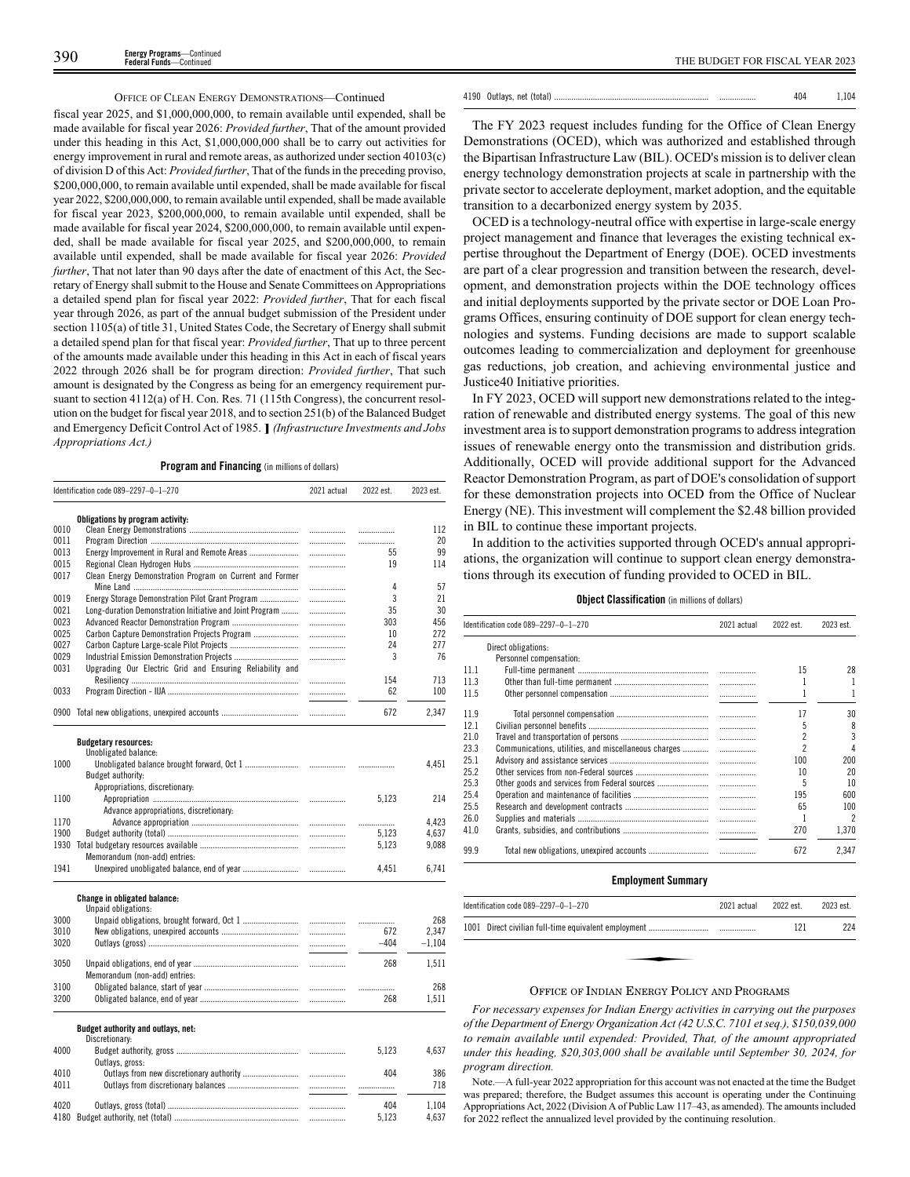### OFFICE OF CLEAN ENERGY DEMONSTRATIONS—Continued

fiscal year 2025, and \$1,000,000,000, to remain available until expended, shall be made available for fiscal year 2026: *Provided further*, That of the amount provided under this heading in this Act, \$1,000,000,000 shall be to carry out activities for energy improvement in rural and remote areas, as authorized under section 40103(c) of division D of this Act: *Provided further*, That of the funds in the preceding proviso, \$200,000,000, to remain available until expended, shall be made available for fiscal year 2022, \$200,000,000, to remain available until expended, shall be made available for fiscal year 2023, \$200,000,000, to remain available until expended, shall be made available for fiscal year 2024, \$200,000,000, to remain available until expended, shall be made available for fiscal year 2025, and \$200,000,000, to remain available until expended, shall be made available for fiscal year 2026: *Provided further*, That not later than 90 days after the date of enactment of this Act, the Secretary of Energy shall submit to the House and Senate Committees on Appropriations a detailed spend plan for fiscal year 2022: *Provided further*, That for each fiscal year through 2026, as part of the annual budget submission of the President under section 1105(a) of title 31, United States Code, the Secretary of Energy shall submit a detailed spend plan for that fiscal year: *Provided further*, That up to three percent of the amounts made available under this heading in this Act in each of fiscal years 2022 through 2026 shall be for program direction: *Provided further*, That such amount is designated by the Congress as being for an emergency requirement pursuant to section 4112(a) of H. Con. Res. 71 (115th Congress), the concurrent resolution on the budget for fiscal year 2018, and to section 251(b) of the Balanced Budget and Emergency Deficit Control Act of 1985. **]** *(Infrastructure Investments and Jobs Appropriations Act.)*

**Program and Financing** (in millions of dollars)

|      | Identification code 089-2297-0-1-270                     | 2021 actual | 2022 est. | 2023 est. |
|------|----------------------------------------------------------|-------------|-----------|-----------|
|      | Obligations by program activity:                         |             |           |           |
| 0010 |                                                          | .           | .         | 112       |
| 0011 |                                                          | .           |           | 20        |
| 0013 | Energy Improvement in Rural and Remote Areas             |             | 55        | 99        |
| 0015 |                                                          | .           | 19        | 114       |
| 0017 | Clean Energy Demonstration Program on Current and Former | .           | 4         | 57        |
| 0019 | Energy Storage Demonstration Pilot Grant Program         | .           | 3         | 21        |
| 0021 | Long-duration Demonstration Initiative and Joint Program | .           | 35        | 30        |
| 0023 |                                                          | .           | 303       | 456       |
| 0025 | Carbon Capture Demonstration Projects Program            | .           | 10        | 272       |
| 0027 |                                                          | .           | 24        | 277       |
| 0029 | Industrial Emission Demonstration Projects               | .           | 3         | 76        |
| 0031 | Upgrading Our Electric Grid and Ensuring Reliability and |             |           |           |
|      |                                                          |             | 154       | 713       |
| 0033 |                                                          | .           | 62        | 100       |
|      |                                                          | .           |           |           |
|      | 0900 Total new obligations, unexpired accounts           | .           | 672       | 2,347     |
|      | <b>Budgetary resources:</b>                              |             |           |           |
|      | Unobligated balance:                                     |             |           |           |
| 1000 |                                                          |             |           | 4,451     |
|      | Budget authority:                                        |             |           |           |
|      | Appropriations, discretionary:                           |             |           |           |
| 1100 |                                                          | .           | 5,123     | 214       |
|      | Advance appropriations, discretionary:                   |             |           |           |
| 1170 |                                                          | .           | .         | 4,423     |
| 1900 |                                                          |             | 5.123     | 4,637     |
|      |                                                          |             | 5,123     | 9,088     |
|      | Memorandum (non-add) entries:                            |             |           |           |
| 1941 |                                                          | .           | 4,451     | 6,741     |
|      |                                                          |             |           |           |
|      | Change in obligated balance:<br>Unpaid obligations:      |             |           |           |
| 3000 |                                                          | .           | .         | 268       |
| 3010 |                                                          | .           | 672       | 2,347     |
| 3020 |                                                          |             | $-404$    | $-1,104$  |
|      |                                                          |             |           |           |
| 3050 |                                                          |             | 268       | 1,511     |
|      | Memorandum (non-add) entries:                            |             |           |           |
| 3100 |                                                          |             | .         | 268       |
| 3200 |                                                          |             | 268       | 1,511     |
|      | Budget authority and outlays, net:                       |             |           |           |
|      | Discretionary:                                           |             |           |           |
| 4000 |                                                          |             | 5,123     | 4,637     |
|      | Outlays, gross:                                          |             |           |           |
| 4010 |                                                          | .           | 404       | 386       |
| 4011 |                                                          | .           |           | 718       |
|      |                                                          |             |           |           |
| 4020 |                                                          |             | 404       | 1,104     |

4180 Budget authority, net (total) .......................................................... ................. 5,123 4,637

|--|--|--|

The FY 2023 request includes funding for the Office of Clean Energy Demonstrations (OCED), which was authorized and established through the Bipartisan Infrastructure Law (BIL). OCED's mission is to deliver clean energy technology demonstration projects at scale in partnership with the private sector to accelerate deployment, market adoption, and the equitable transition to a decarbonized energy system by 2035.

OCED is a technology-neutral office with expertise in large-scale energy project management and finance that leverages the existing technical expertise throughout the Department of Energy (DOE). OCED investments are part of a clear progression and transition between the research, development, and demonstration projects within the DOE technology offices and initial deployments supported by the private sector or DOE Loan Programs Offices, ensuring continuity of DOE support for clean energy technologies and systems. Funding decisions are made to support scalable outcomes leading to commercialization and deployment for greenhouse gas reductions, job creation, and achieving environmental justice and Justice40 Initiative priorities.

In FY 2023, OCED will support new demonstrations related to the integration of renewable and distributed energy systems. The goal of this new investment area is to support demonstration programs to address integration issues of renewable energy onto the transmission and distribution grids. Additionally, OCED will provide additional support for the Advanced Reactor Demonstration Program, as part of DOE's consolidation of support for these demonstration projects into OCED from the Office of Nuclear Energy (NE). This investment will complement the \$2.48 billion provided in BIL to continue these important projects.

In addition to the activities supported through OCED's annual appropriations, the organization will continue to support clean energy demonstrations through its execution of funding provided to OCED in BIL.

### **Object Classification** (in millions of dollars)

| Direct obligations:<br>Personnel compensation:<br>11.1<br>15<br>11.3<br>11.5 | 2023 est.                |
|------------------------------------------------------------------------------|--------------------------|
|                                                                              |                          |
|                                                                              |                          |
|                                                                              | 28                       |
|                                                                              | 1                        |
|                                                                              | 1                        |
| 11.9<br>17                                                                   | 30                       |
| 12.1<br>5                                                                    | 8                        |
| $\overline{c}$<br>21.0                                                       | $\overline{3}$           |
| 2<br>23.3                                                                    | 4                        |
| 25.1<br>100                                                                  | 200                      |
| 25.2<br>10                                                                   | 20                       |
| 25.3<br>5                                                                    | 10                       |
| 25.4<br>195                                                                  | 600                      |
| 25.5<br>65                                                                   | 100                      |
| 26.0                                                                         | $\overline{\phantom{a}}$ |
| 41.0<br>270                                                                  | 1.370                    |
| 99.9<br>672                                                                  | 2.347                    |

### **Employment Summary**

| Identification code 089-2297-0-1-270 |  | 2021 actual | 2022 est. | 2023 est. |
|--------------------------------------|--|-------------|-----------|-----------|
|                                      |  |             | 121       | 224       |
|                                      |  |             |           |           |
|                                      |  |             |           |           |

### OFFICE OF INDIAN ENERGY POLICY AND PROGRAMS

*For necessary expenses for Indian Energy activities in carrying out the purposes of the Department of Energy Organization Act (42 U.S.C. 7101 et seq.), \$150,039,000 to remain available until expended: Provided, That, of the amount appropriated under this heading, \$20,303,000 shall be available until September 30, 2024, for program direction.*

Note.—A full-year 2022 appropriation for this account was not enacted at the time the Budget was prepared; therefore, the Budget assumes this account is operating under the Continuing Appropriations Act, 2022 (Division A of Public Law 117–43, as amended). The amounts included for 2022 reflect the annualized level provided by the continuing resolution.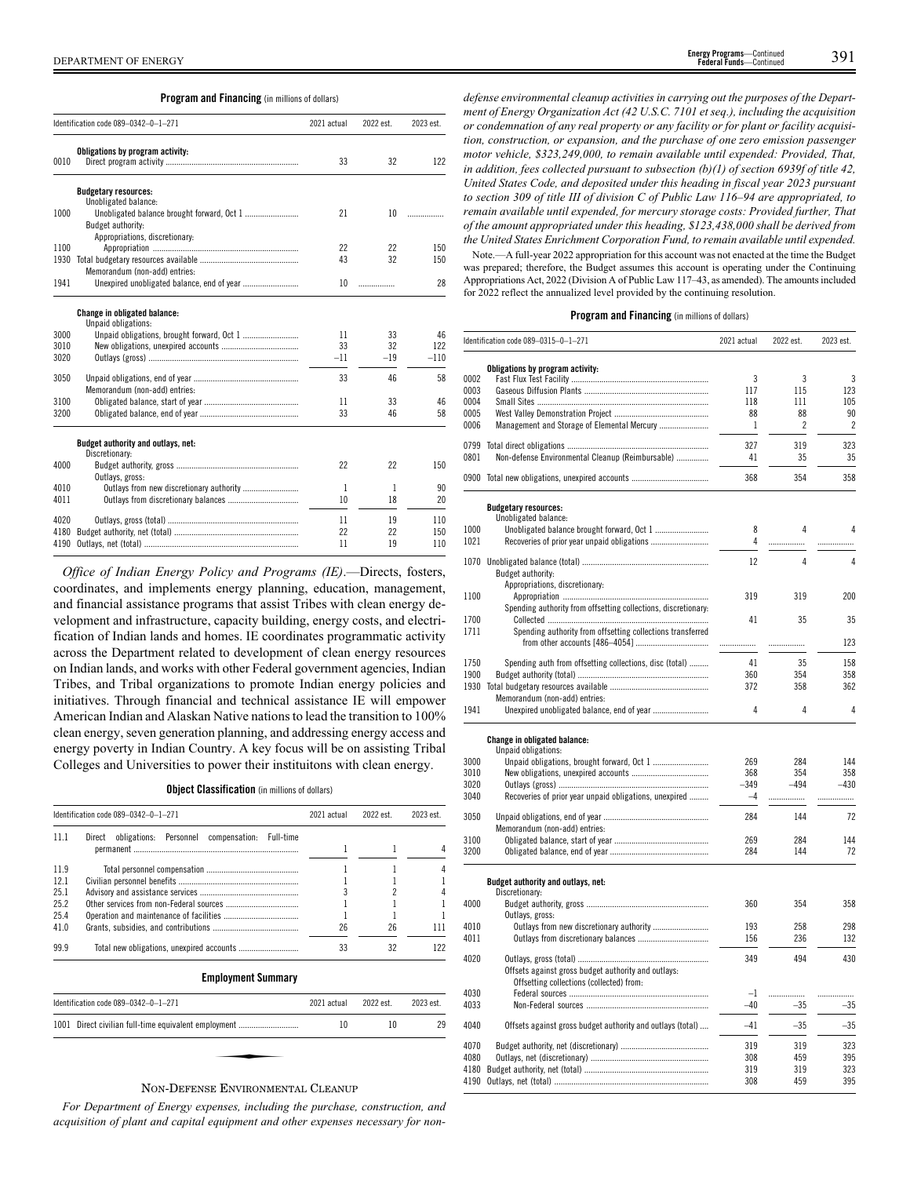**Program and Financing** (in millions of dollars)

|      | Identification code 089-0342-0-1-271                 | 2021 actual | 2022 est. | 2023 est. |
|------|------------------------------------------------------|-------------|-----------|-----------|
| 0010 | Obligations by program activity:                     | 33          | 32        | 122       |
|      | <b>Budgetary resources:</b>                          |             |           |           |
|      | Unobligated balance:                                 |             |           |           |
| 1000 |                                                      | 21          | 10        | .         |
|      | Budget authority:                                    |             |           |           |
|      | Appropriations, discretionary:                       |             |           |           |
| 1100 |                                                      | 22          | 22        | 150       |
| 1930 |                                                      | 43          | 32        | 150       |
|      | Memorandum (non-add) entries:                        |             |           |           |
| 1941 | Unexpired unobligated balance, end of year           | 10          | .         | 28        |
|      | <b>Change in obligated balance:</b>                  |             |           |           |
|      | Unpaid obligations:                                  |             |           |           |
| 3000 |                                                      | 11          | 33        | 46        |
| 3010 |                                                      | 33          | 32        | 122       |
| 3020 |                                                      | $-11$       | $-19$     | $-110$    |
| 3050 |                                                      | 33          | 46        | 58        |
|      | Memorandum (non-add) entries:                        |             |           |           |
| 3100 |                                                      | 11          | 33        | 46        |
| 3200 |                                                      | 33          | 46        | 58        |
|      | Budget authority and outlays, net:<br>Discretionary: |             |           |           |
| 4000 | Outlays, gross:                                      | 22          | 22        | 150       |
| 4010 |                                                      | 1           | 1         | 90        |
| 4011 |                                                      | 10          | 18        | 20        |
|      |                                                      |             |           |           |
| 4020 |                                                      | 11          | 19        | 110       |
| 4180 |                                                      | 22          | 22        | 150       |
| 4190 |                                                      | 11          | 19        | 110       |

*Office of Indian Energy Policy and Programs (IE)*.—Directs, fosters, coordinates, and implements energy planning, education, management, and financial assistance programs that assist Tribes with clean energy development and infrastructure, capacity building, energy costs, and electrification of Indian lands and homes. IE coordinates programmatic activity across the Department related to development of clean energy resources on Indian lands, and works with other Federal government agencies, Indian Tribes, and Tribal organizations to promote Indian energy policies and initiatives. Through financial and technical assistance IE will empower American Indian and Alaskan Native nations to lead the transition to 100% clean energy, seven generation planning, and addressing energy access and energy poverty in Indian Country. A key focus will be on assisting Tribal Colleges and Universities to power their instituitons with clean energy.

**Object Classification** (in millions of dollars)

|      | Identification code 089-0342-0-1-271                     | 2021 actual | 2022 est. | 2023 est. |
|------|----------------------------------------------------------|-------------|-----------|-----------|
| 11 1 | obligations: Personnel compensation: Full-time<br>Direct |             |           |           |
|      |                                                          |             |           |           |
| 11.9 |                                                          |             |           |           |
| 12.1 |                                                          |             |           |           |
| 25.1 |                                                          |             |           |           |
| 25.2 |                                                          |             |           |           |
| 25.4 |                                                          |             |           |           |
| 41.0 |                                                          | 26          | 26        |           |
| 99.9 |                                                          | 33          | 32        | 122       |
|      | <b>Employment Summary</b>                                |             |           |           |

| Identification code 089-0342-0-1-271                  | 2021 actual | 2022 est. | 2023 est. |
|-------------------------------------------------------|-------------|-----------|-----------|
| 1001 Direct civilian full-time equivalent employment  | 10          | 10        | 29        |
|                                                       |             |           |           |
| $\mathbf{r}$ , $\mathbf{r}$ , $\alpha$ , and $\alpha$ |             |           |           |

### NON-DEFENSE ENVIRONMENTAL CLEANUP

*For Department of Energy expenses, including the purchase, construction, and acquisition of plant and capital equipment and other expenses necessary for non-*

*defense environmental cleanup activities in carrying out the purposes of the Department of Energy Organization Act (42 U.S.C. 7101 et seq.), including the acquisition or condemnation of any real property or any facility or for plant or facility acquisition, construction, or expansion, and the purchase of one zero emission passenger motor vehicle, \$323,249,000, to remain available until expended: Provided, That, in addition, fees collected pursuant to subsection (b)(1) of section 6939f of title 42, United States Code, and deposited under this heading in fiscal year 2023 pursuant to section 309 of title III of division C of Public Law 116–94 are appropriated, to remain available until expended, for mercury storage costs: Provided further, That of the amount appropriated under this heading, \$123,438,000 shall be derived from the United States Enrichment Corporation Fund, to remain available until expended.*

Note.—A full-year 2022 appropriation for this account was not enacted at the time the Budget was prepared; therefore, the Budget assumes this account is operating under the Continuing Appropriations Act, 2022 (Division A of Public Law 117–43, as amended). The amounts included for 2022 reflect the annualized level provided by the continuing resolution.

|              | Identification code 089-0315-0-1-271                           | 2021 actual   | 2022 est.      | 2023 est.      |
|--------------|----------------------------------------------------------------|---------------|----------------|----------------|
|              | Obligations by program activity:                               |               |                |                |
| 0002         |                                                                | 3             | 3              | 3              |
| 0003         |                                                                | 117           | 115            | 123            |
| 0004         |                                                                | 118           | 111            | 105            |
| 0005         |                                                                | 88            | 88             | 90             |
| 0006         | Management and Storage of Elemental Mercury                    | 1             | $\overline{c}$ | $\overline{c}$ |
| 0799         |                                                                | 327           | 319            | 323            |
| 0801         | Non-defense Environmental Cleanup (Reimbursable)               | 41            | 35             | 35             |
|              |                                                                |               |                |                |
| 0900         |                                                                | 368           | 354            | 358            |
|              | <b>Budgetary resources:</b>                                    |               |                |                |
|              | Unobligated balance:                                           |               |                |                |
| 1000         | Unobligated balance brought forward, Oct 1                     | 8             | 4              | 4              |
| 1021         |                                                                | 4             | .              | .              |
| 1070         |                                                                | 12            | 4              | 4              |
|              | Budget authority:                                              |               |                |                |
|              | Appropriations, discretionary:                                 |               |                |                |
| 1100         |                                                                | 319           | 319            | 200            |
|              | Spending authority from offsetting collections, discretionary: |               |                |                |
| 1700         |                                                                | 41            | 35             | 35             |
| 1711         | Spending authority from offsetting collections transferred     |               |                |                |
|              |                                                                |               |                | 123            |
|              |                                                                |               |                |                |
| 1750         | Spending auth from offsetting collections, disc (total)        | 41            | 35             | 158            |
| 1900<br>1930 |                                                                | 360<br>372    | 354<br>358     | 358<br>362     |
|              | Memorandum (non-add) entries:                                  |               |                |                |
| 1941         |                                                                | 4             | 4              | 4              |
|              |                                                                |               |                |                |
|              | Change in obligated balance:                                   |               |                |                |
| 3000         | Unpaid obligations:                                            | 269           | 284            | 144            |
| 3010         |                                                                | 368           | 354            | 358            |
| 3020         |                                                                | 349           | $-494$         | $-430$         |
| 3040         | Recoveries of prior year unpaid obligations, unexpired         | $-4$          | .              |                |
|              |                                                                |               |                |                |
| 3050         |                                                                | 284           | 144            | 72             |
|              | Memorandum (non-add) entries:                                  |               |                |                |
| 3100         |                                                                | 269           | 284            | 144            |
| 3200         |                                                                | 284           | 144            | 72             |
|              |                                                                |               |                |                |
|              | Budget authority and outlays, net:<br>Discretionary:           |               |                |                |
| 4000         |                                                                | 360           | 354            | 358            |
|              | Outlays, gross:                                                |               |                |                |
| 4010         |                                                                | 193           | 258            | 298            |
| 4011         |                                                                | 156           | 236            | 132            |
|              |                                                                |               |                |                |
| 4020         |                                                                | 349           | 494            | 430            |
|              | Offsets against gross budget authority and outlays:            |               |                |                |
|              | Offsetting collections (collected) from:                       |               |                |                |
| 4030<br>4033 |                                                                | $-1$<br>$-40$ | .              | .              |
|              |                                                                |               | $-35$          | $-35$          |
| 4040         | Offsets against gross budget authority and outlays (total)     | $-41$         | $-35$          | $-35$          |
|              |                                                                |               |                |                |
| 4070         |                                                                | 319           | 319            | 323            |
| 4080         |                                                                | 308           | 459            | 395            |
| 4180         |                                                                | 319           | 319            | 323            |
| 4190         |                                                                | 308           | 459            | 395            |
|              |                                                                |               |                |                |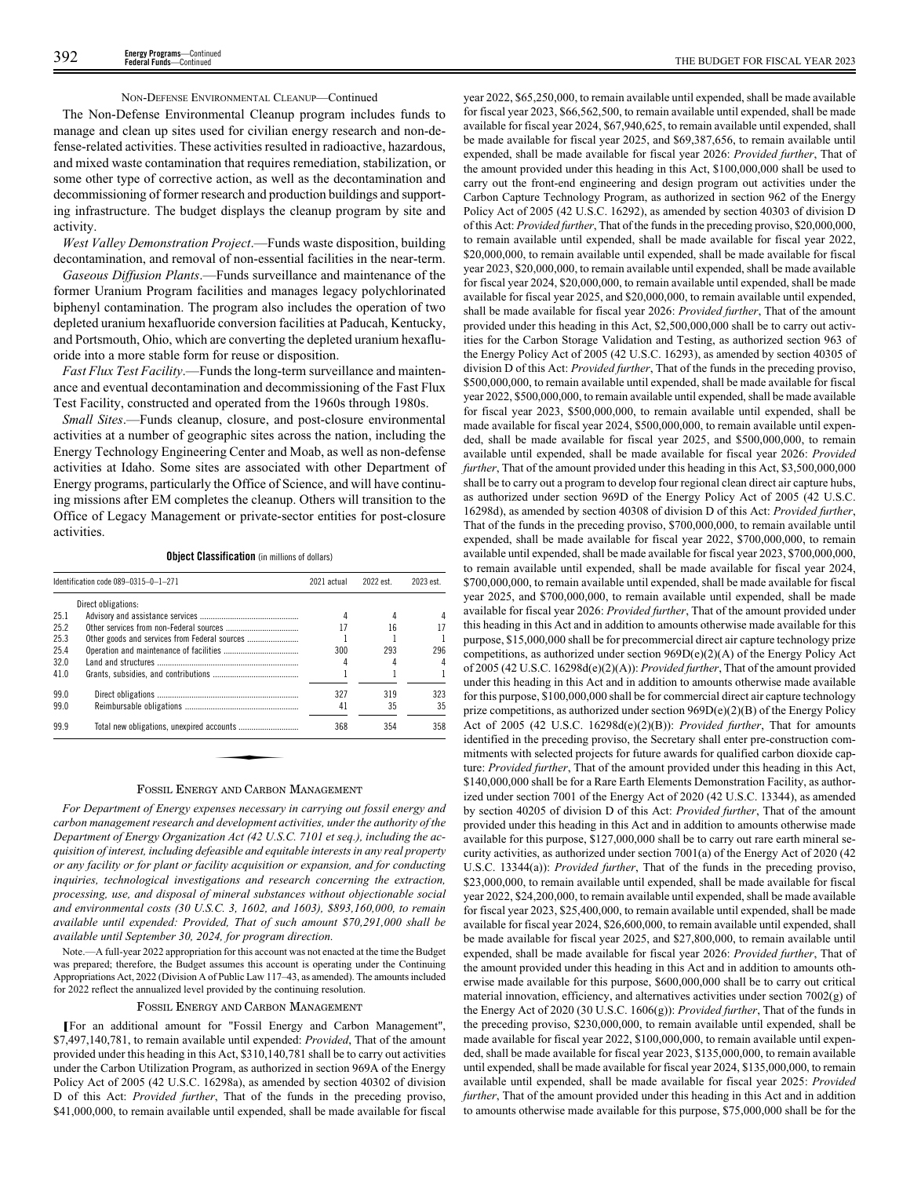### NON-DEFENSE ENVIRONMENTAL CLEANUP—Continued

The Non-Defense Environmental Cleanup program includes funds to manage and clean up sites used for civilian energy research and non-defense-related activities. These activities resulted in radioactive, hazardous, and mixed waste contamination that requires remediation, stabilization, or some other type of corrective action, as well as the decontamination and decommissioning of former research and production buildings and supporting infrastructure. The budget displays the cleanup program by site and activity.

*West Valley Demonstration Project*.—Funds waste disposition, building decontamination, and removal of non-essential facilities in the near-term.

*Gaseous Diffusion Plants*.—Funds surveillance and maintenance of the former Uranium Program facilities and manages legacy polychlorinated biphenyl contamination. The program also includes the operation of two depleted uranium hexafluoride conversion facilities at Paducah, Kentucky, and Portsmouth, Ohio, which are converting the depleted uranium hexafluoride into a more stable form for reuse or disposition.

*Fast Flux Test Facility*.—Funds the long-term surveillance and maintenance and eventual decontamination and decommissioning of the Fast Flux Test Facility, constructed and operated from the 1960s through 1980s.

*Small Sites*.—Funds cleanup, closure, and post-closure environmental activities at a number of geographic sites across the nation, including the Energy Technology Engineering Center and Moab, as well as non-defense activities at Idaho. Some sites are associated with other Department of Energy programs, particularly the Office of Science, and will have continuing missions after EM completes the cleanup. Others will transition to the Office of Legacy Management or private-sector entities for post-closure activities.

**Object Classification** (in millions of dollars)

|      | Identification code 089-0315-0-1-271                     | 2021 actual | 2022 est. | 2023 est. |
|------|----------------------------------------------------------|-------------|-----------|-----------|
|      | Direct obligations:                                      |             |           |           |
| 25.1 |                                                          | 4           | 4         |           |
| 25.2 |                                                          | 17          | 16        |           |
| 25.3 |                                                          |             |           |           |
| 25.4 |                                                          | 300         | 293       | 296       |
| 32.0 |                                                          | 4           | 4         |           |
| 41.0 |                                                          |             |           |           |
| 99.0 |                                                          | 327         | 319       | 323       |
| 99.0 |                                                          | 41          | 35        | 35        |
| 99.9 |                                                          | 368         | 354       | 358       |
|      |                                                          |             |           |           |
|      |                                                          |             |           |           |
|      |                                                          |             |           |           |
|      | $\mathbf{r}$ $\mathbf{r}$ $\alpha$ $\mathbf{r}$ $\alpha$ |             |           |           |

### FOSSIL ENERGY AND CARBON MANAGEMENT

*For Department of Energy expenses necessary in carrying out fossil energy and carbon management research and development activities, under the authority of the Department of Energy Organization Act (42 U.S.C. 7101 et seq.), including the acquisition of interest, including defeasible and equitable interests in any real property or any facility or for plant or facility acquisition or expansion, and for conducting inquiries, technological investigations and research concerning the extraction, processing, use, and disposal of mineral substances without objectionable social and environmental costs (30 U.S.C. 3, 1602, and 1603), \$893,160,000, to remain available until expended: Provided, That of such amount \$70,291,000 shall be available until September 30, 2024, for program direction.*

Note.—A full-year 2022 appropriation for this account was not enacted at the time the Budget was prepared; therefore, the Budget assumes this account is operating under the Continuing Appropriations Act, 2022 (Division A of Public Law 117–43, as amended). The amounts included for 2022 reflect the annualized level provided by the continuing resolution.

### FOSSIL ENERGY AND CARBON MANAGEMENT

**[**For an additional amount for "Fossil Energy and Carbon Management", \$7,497,140,781, to remain available until expended: *Provided*, That of the amount provided under this heading in this Act, \$310,140,781 shall be to carry out activities under the Carbon Utilization Program, as authorized in section 969A of the Energy Policy Act of 2005 (42 U.S.C. 16298a), as amended by section 40302 of division D of this Act: *Provided further*, That of the funds in the preceding proviso, \$41,000,000, to remain available until expended, shall be made available for fiscal

year 2022, \$65,250,000, to remain available until expended, shall be made available for fiscal year 2023, \$66,562,500, to remain available until expended, shall be made available for fiscal year 2024, \$67,940,625, to remain available until expended, shall be made available for fiscal year 2025, and \$69,387,656, to remain available until expended, shall be made available for fiscal year 2026: *Provided further*, That of the amount provided under this heading in this Act, \$100,000,000 shall be used to carry out the front-end engineering and design program out activities under the Carbon Capture Technology Program, as authorized in section 962 of the Energy Policy Act of 2005 (42 U.S.C. 16292), as amended by section 40303 of division D of this Act: *Provided further*, That of the funds in the preceding proviso, \$20,000,000, to remain available until expended, shall be made available for fiscal year 2022, \$20,000,000, to remain available until expended, shall be made available for fiscal year 2023, \$20,000,000, to remain available until expended, shall be made available for fiscal year 2024, \$20,000,000, to remain available until expended, shall be made available for fiscal year 2025, and \$20,000,000, to remain available until expended, shall be made available for fiscal year 2026: *Provided further*, That of the amount provided under this heading in this Act, \$2,500,000,000 shall be to carry out activities for the Carbon Storage Validation and Testing, as authorized section 963 of the Energy Policy Act of 2005 (42 U.S.C. 16293), as amended by section 40305 of division D of this Act: *Provided further*, That of the funds in the preceding proviso, \$500,000,000, to remain available until expended, shall be made available for fiscal year 2022, \$500,000,000, to remain available until expended, shall be made available for fiscal year 2023, \$500,000,000, to remain available until expended, shall be made available for fiscal year 2024, \$500,000,000, to remain available until expended, shall be made available for fiscal year 2025, and \$500,000,000, to remain available until expended, shall be made available for fiscal year 2026: *Provided further*, That of the amount provided under this heading in this Act, \$3,500,000,000 shall be to carry out a program to develop four regional clean direct air capture hubs, as authorized under section 969D of the Energy Policy Act of 2005 (42 U.S.C. 16298d), as amended by section 40308 of division D of this Act: *Provided further*, That of the funds in the preceding proviso, \$700,000,000, to remain available until expended, shall be made available for fiscal year 2022, \$700,000,000, to remain available until expended, shall be made available for fiscal year 2023, \$700,000,000, to remain available until expended, shall be made available for fiscal year 2024, \$700,000,000, to remain available until expended, shall be made available for fiscal year 2025, and \$700,000,000, to remain available until expended, shall be made available for fiscal year 2026: *Provided further*, That of the amount provided under this heading in this Act and in addition to amounts otherwise made available for this purpose, \$15,000,000 shall be for precommercial direct air capture technology prize competitions, as authorized under section 969D(e)(2)(A) of the Energy Policy Act of 2005 (42 U.S.C. 16298d(e)(2)(A)): *Provided further*, That of the amount provided under this heading in this Act and in addition to amounts otherwise made available for this purpose, \$100,000,000 shall be for commercial direct air capture technology prize competitions, as authorized under section 969D(e)(2)(B) of the Energy Policy Act of 2005 (42 U.S.C. 16298d(e)(2)(B)): *Provided further*, That for amounts identified in the preceding proviso, the Secretary shall enter pre-construction commitments with selected projects for future awards for qualified carbon dioxide capture: *Provided further*, That of the amount provided under this heading in this Act, \$140,000,000 shall be for a Rare Earth Elements Demonstration Facility, as authorized under section 7001 of the Energy Act of 2020 (42 U.S.C. 13344), as amended by section 40205 of division D of this Act: *Provided further*, That of the amount provided under this heading in this Act and in addition to amounts otherwise made available for this purpose, \$127,000,000 shall be to carry out rare earth mineral security activities, as authorized under section 7001(a) of the Energy Act of 2020 (42 U.S.C. 13344(a)): *Provided further*, That of the funds in the preceding proviso, \$23,000,000, to remain available until expended, shall be made available for fiscal year 2022, \$24,200,000, to remain available until expended, shall be made available for fiscal year 2023, \$25,400,000, to remain available until expended, shall be made available for fiscal year 2024, \$26,600,000, to remain available until expended, shall be made available for fiscal year 2025, and \$27,800,000, to remain available until expended, shall be made available for fiscal year 2026: *Provided further*, That of the amount provided under this heading in this Act and in addition to amounts otherwise made available for this purpose, \$600,000,000 shall be to carry out critical material innovation, efficiency, and alternatives activities under section 7002(g) of the Energy Act of 2020 (30 U.S.C. 1606(g)): *Provided further*, That of the funds in the preceding proviso, \$230,000,000, to remain available until expended, shall be made available for fiscal year 2022, \$100,000,000, to remain available until expended, shall be made available for fiscal year 2023, \$135,000,000, to remain available until expended, shall be made available for fiscal year 2024, \$135,000,000, to remain available until expended, shall be made available for fiscal year 2025: *Provided further*, That of the amount provided under this heading in this Act and in addition to amounts otherwise made available for this purpose, \$75,000,000 shall be for the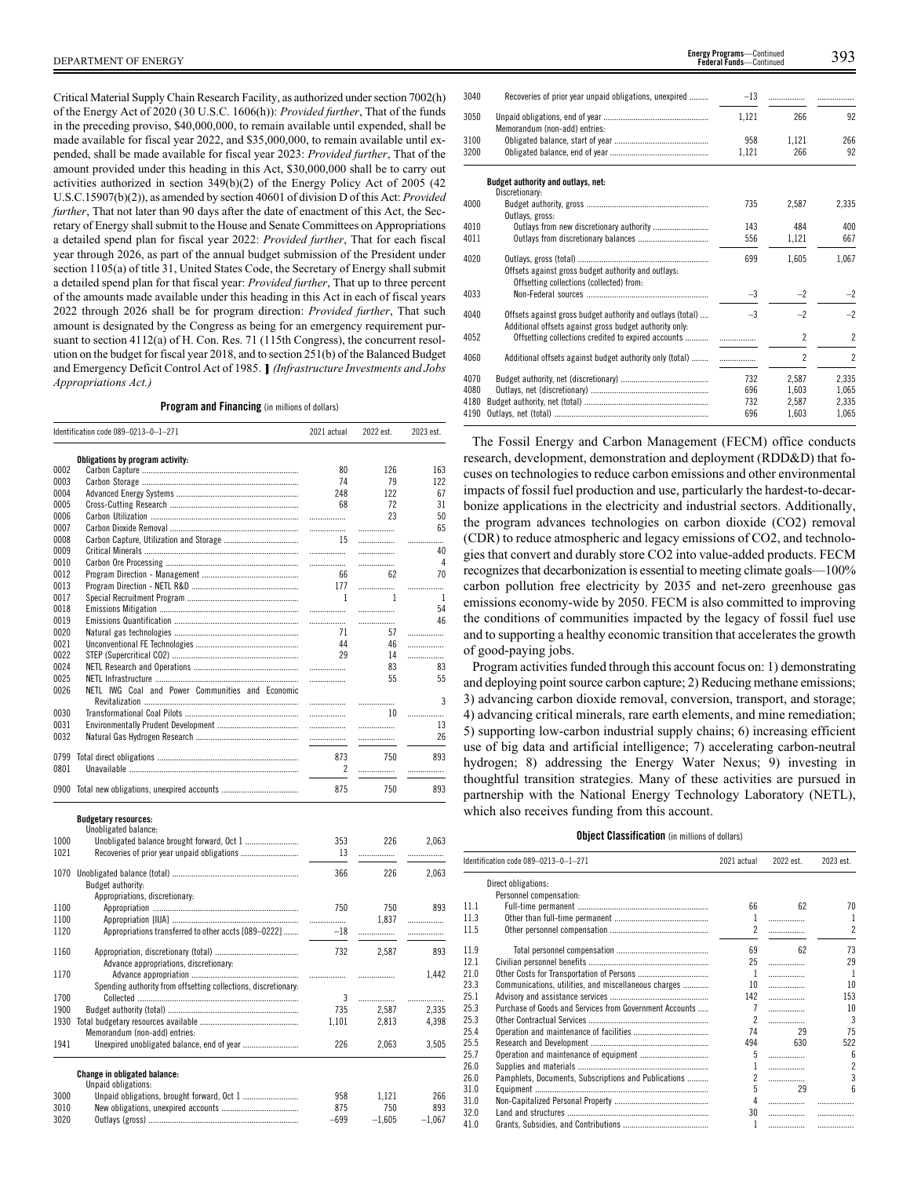Critical Material Supply Chain Research Facility, as authorized under section 7002(h) of the Energy Act of 2020 (30 U.S.C. 1606(h)): *Provided further*, That of the funds in the preceding proviso, \$40,000,000, to remain available until expended, shall be made available for fiscal year 2022, and \$35,000,000, to remain available until expended, shall be made available for fiscal year 2023: *Provided further*, That of the amount provided under this heading in this Act, \$30,000,000 shall be to carry out activities authorized in section 349(b)(2) of the Energy Policy Act of 2005 (42 U.S.C.15907(b)(2)), as amended by section 40601 of division D of this Act: *Provided further*, That not later than 90 days after the date of enactment of this Act, the Secretary of Energy shall submit to the House and Senate Committees on Appropriations a detailed spend plan for fiscal year 2022: *Provided further*, That for each fiscal year through 2026, as part of the annual budget submission of the President under section 1105(a) of title 31, United States Code, the Secretary of Energy shall submit a detailed spend plan for that fiscal year: *Provided further*, That up to three percent of the amounts made available under this heading in this Act in each of fiscal years 2022 through 2026 shall be for program direction: *Provided further*, That such amount is designated by the Congress as being for an emergency requirement pursuant to section 4112(a) of H. Con. Res. 71 (115th Congress), the concurrent resolution on the budget for fiscal year 2018, and to section 251(b) of the Balanced Budget and Emergency Deficit Control Act of 1985. **]** *(Infrastructure Investments and Jobs Appropriations Act.)*

### **Program and Financing** (in millions of dollars)

|      | Identification code 089-0213-0-1-271             | 2021 actual                                        | 2022 est.      | 2023 est. |
|------|--------------------------------------------------|----------------------------------------------------|----------------|-----------|
|      | Obligations by program activity:                 |                                                    |                |           |
| 0002 |                                                  | 80                                                 | 126            | 163       |
| 0003 |                                                  | 74                                                 | 79             | 122       |
| 0004 |                                                  | 248                                                | 122            | 67        |
| 0005 |                                                  | 68                                                 | 72             | 31        |
| 0006 |                                                  |                                                    | 23             | 50        |
| 0007 |                                                  |                                                    | .              | 65        |
| 0008 |                                                  | 15                                                 | .              |           |
| 0009 |                                                  |                                                    | .              | 40        |
| 0010 |                                                  |                                                    | .              | 4         |
| 0012 |                                                  | 66                                                 | 62             | 70        |
| 0013 |                                                  | 177                                                |                | .         |
| 0017 |                                                  | $\mathbf{1}$                                       | $\overline{1}$ | 1         |
| 0018 |                                                  |                                                    | .              | 54        |
| 0019 |                                                  |                                                    |                | 46        |
| 0020 |                                                  | 71                                                 | 57             | .         |
| 0021 |                                                  | 44                                                 | 46             | .         |
| 0022 |                                                  | 29                                                 | 14             | .         |
| 0024 |                                                  |                                                    | 83             | 83        |
| 0025 |                                                  | .                                                  | 55             | 55        |
| 0026 | NETL IWG Coal and Power Communities and Economic |                                                    |                |           |
|      |                                                  |                                                    | .              | 3         |
| 0030 |                                                  |                                                    | 10             | .         |
| 0031 |                                                  |                                                    | .              | 13        |
| 0032 |                                                  | $\ldots \ldots \ldots \ldots \ldots \ldots \ldots$ |                | 26        |
| 0799 |                                                  | 873                                                | 750            | 893       |
| 0801 |                                                  | $\overline{2}$                                     | .              |           |
|      | 0900 Total new obligations, unexpired accounts   | 875                                                | 750            | 893       |

| Budgetary resources: |                      |
|----------------------|----------------------|
|                      | Unobligated balance: |

|      | unopligated palance:                                           |        |          |          |
|------|----------------------------------------------------------------|--------|----------|----------|
| 1000 |                                                                | 353    | 226      | 2,063    |
| 1021 |                                                                | 13     |          |          |
|      |                                                                |        |          |          |
| 1070 |                                                                | 366    | 226      | 2,063    |
|      | Budget authority:                                              |        |          |          |
|      | Appropriations, discretionary:                                 |        |          |          |
| 1100 |                                                                | 750    | 750      | 893      |
| 1100 |                                                                |        | 1,837    | .        |
| 1120 | Appropriations transferred to other accts [089-0222]           |        | $-18$    |          |
|      |                                                                |        |          |          |
| 1160 |                                                                | 732    | 2.587    | 893      |
|      | Advance appropriations, discretionary:                         |        |          |          |
| 1170 |                                                                |        |          | 1,442    |
|      | Spending authority from offsetting collections, discretionary: |        |          |          |
| 1700 |                                                                | 3      |          | .        |
| 1900 |                                                                | 735    | 2.587    | 2.335    |
| 1930 |                                                                | 1,101  | 2,813    | 4,398    |
|      | Memorandum (non-add) entries:                                  |        |          |          |
| 1941 |                                                                | 226    | 2,063    | 3,505    |
|      | <b>Change in obligated balance:</b>                            |        |          |          |
|      | Unpaid obligations:                                            |        |          |          |
| 3000 |                                                                | 958    | 1.121    | 266      |
| 3010 |                                                                | 875    | 750      | 893      |
| 3020 |                                                                | $-699$ | $-1.605$ | $-1.067$ |

| 3040 | Recoveries of prior year unpaid obligations, unexpired                                                                | $-13$ | .                        |                |
|------|-----------------------------------------------------------------------------------------------------------------------|-------|--------------------------|----------------|
| 3050 | Memorandum (non-add) entries:                                                                                         | 1,121 | 266                      | 92             |
| 3100 |                                                                                                                       | 958   | 1,121                    | 266            |
| 3200 |                                                                                                                       | 1,121 | 266                      | 92             |
|      | Budget authority and outlays, net:<br>Discretionary:                                                                  |       |                          |                |
| 4000 | Outlavs, gross:                                                                                                       | 735   | 2.587                    | 2,335          |
| 4010 |                                                                                                                       | 143   | 484                      | 400            |
| 4011 |                                                                                                                       | 556   | 1,121                    | 667            |
| 4020 | Offsets against gross budget authority and outlays:<br>Offsetting collections (collected) from:                       | 699   | 1.605                    | 1.067          |
| 4033 |                                                                                                                       | $-3$  | $-2$                     | $-2$           |
| 4040 | Offsets against gross budget authority and outlays (total)<br>Additional offsets against gross budget authority only. | $-3$  | $-2$                     | $-2$           |
| 4052 | Offsetting collections credited to expired accounts                                                                   |       | $\overline{c}$           | $\overline{2}$ |
| 4060 | Additional offsets against budget authority only (total)                                                              |       | $\overline{\phantom{a}}$ | $\overline{2}$ |
| 4070 |                                                                                                                       | 732   | 2.587                    | 2,335          |
| 4080 |                                                                                                                       | 696   | 1,603                    | 1,065          |
| 4180 |                                                                                                                       | 732   | 2,587                    | 2,335          |
| 4190 |                                                                                                                       | 696   | 1.603                    | 1.065          |

The Fossil Energy and Carbon Management (FECM) office conducts research, development, demonstration and deployment (RDD&D) that focuses on technologies to reduce carbon emissions and other environmental impacts of fossil fuel production and use, particularly the hardest-to-decarbonize applications in the electricity and industrial sectors. Additionally, the program advances technologies on carbon dioxide (CO2) removal (CDR) to reduce atmospheric and legacy emissions of CO2, and technologies that convert and durably store CO2 into value-added products. FECM recognizes that decarbonization is essential to meeting climate goals—100% carbon pollution free electricity by 2035 and net-zero greenhouse gas emissions economy-wide by 2050. FECM is also committed to improving the conditions of communities impacted by the legacy of fossil fuel use and to supporting a healthy economic transition that accelerates the growth of good-paying jobs.

Program activities funded through this account focus on: 1) demonstrating and deploying point source carbon capture; 2) Reducing methane emissions; 3) advancing carbon dioxide removal, conversion, transport, and storage; 4) advancing critical minerals, rare earth elements, and mine remediation; 5) supporting low-carbon industrial supply chains; 6) increasing efficient use of big data and artificial intelligence; 7) accelerating carbon-neutral hydrogen; 8) addressing the Energy Water Nexus; 9) investing in thoughtful transition strategies. Many of these activities are pursued in partnership with the National Energy Technology Laboratory (NETL), which also receives funding from this account.

### **Object Classification** (in millions of dollars)

|      | Identification code 089-0213-0-1-271                    | 2021 actual      | 2022 est. | 2023 est.       |
|------|---------------------------------------------------------|------------------|-----------|-----------------|
|      | Direct obligations:                                     |                  |           |                 |
|      | Personnel compensation:                                 |                  |           |                 |
| 11.1 |                                                         | 66               | 62        | 70              |
| 11.3 |                                                         | 1                | .         | 1               |
| 11.5 |                                                         | 2                | .         | $\overline{2}$  |
| 11.9 |                                                         | 69               | 62        | 73              |
| 12.1 |                                                         | 25               | .         | 29              |
| 21.0 |                                                         | -1               | .         | -1              |
| 23.3 | Communications, utilities, and miscellaneous charges    | 10 <sup>10</sup> | .         | 10              |
| 25.1 |                                                         | 142              | .         | 153             |
| 25.3 | Purchase of Goods and Services from Government Accounts |                  | .         | 10              |
| 25.3 |                                                         |                  | .         | 3               |
| 25.4 |                                                         | 74               | 29        | 75              |
| 25.5 |                                                         | 494              | 630       | 522             |
| 25.7 |                                                         | 5                | .         | $6\overline{6}$ |
| 26.0 |                                                         |                  | .         | $\overline{c}$  |
| 26.0 | Pamphlets, Documents, Subscriptions and Publications    | $\mathfrak{p}$   | .         | 3               |
| 31.0 |                                                         | 5                | 29        | ĥ               |
| 31.0 |                                                         | 4                | .         |                 |
| 32.0 |                                                         | 30               | .         | .               |
| 41.0 |                                                         | 1                | .         | .               |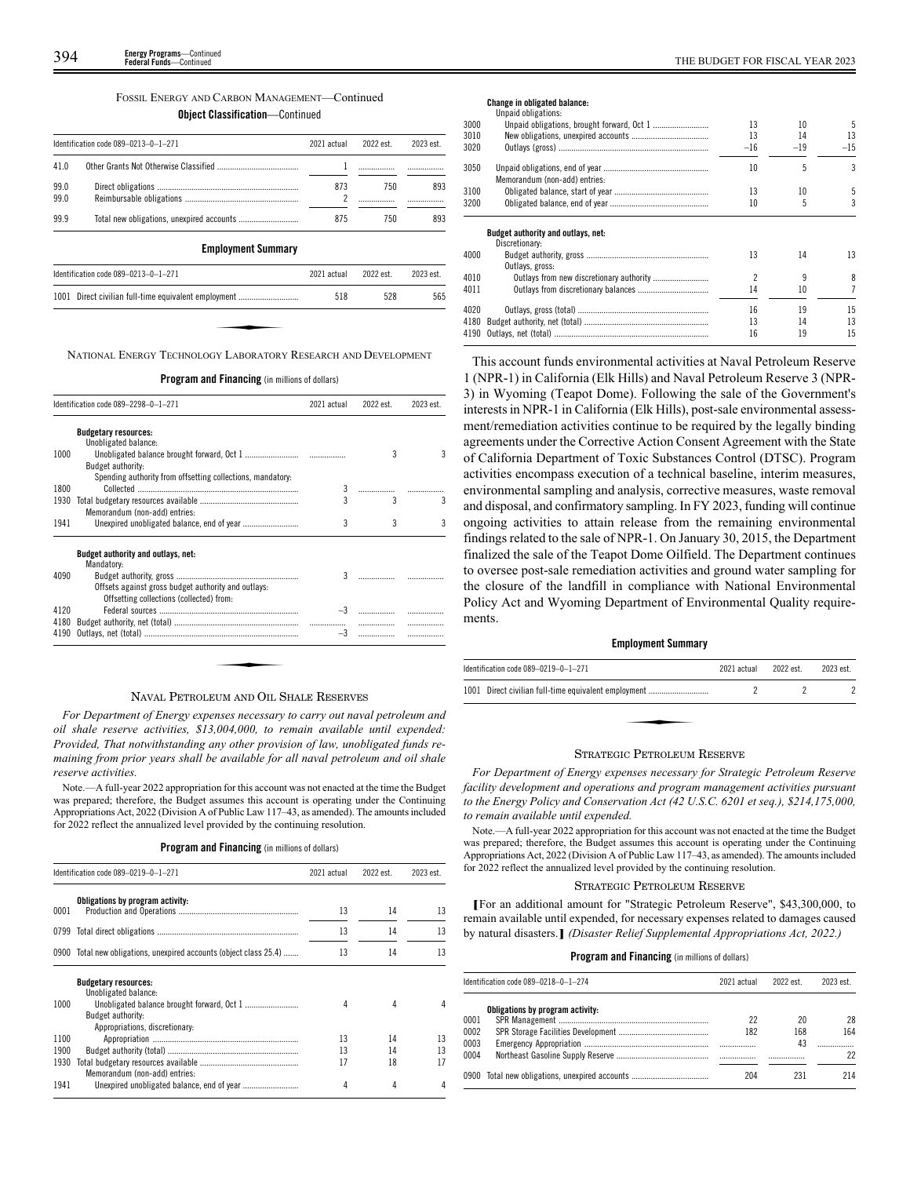|  | FOSSIL ENERGY AND CARBON MANAGEMENT—Continued |  |
|--|-----------------------------------------------|--|
|  |                                               |  |

**Object Classification**—Continued

|              | Identification code 089-0213-0-1-271 | 2021 actual | 2022 est. | 2023 est. |
|--------------|--------------------------------------|-------------|-----------|-----------|
| 41.0         |                                      |             |           |           |
| 99.0<br>99.0 |                                      | 873         | 750       | 893       |
| 99.9         |                                      | 875         | 750       | 893       |
|              | <b>Employment Summary</b>            |             |           |           |
|              | Identification code 089-0213-0-1-271 | 2021 actual | 2022 est. | 2023 est. |
|              |                                      |             |           |           |

NATIONAL ENERGY TECHNOLOGY LABORATORY RESEARCH AND DEVELOPMENT

**Program and Financing** (in millions of dollars)

|      | Identification code 089-2298-0-1-271                                                            | 2021 actual  | 2022 est. | 2023 est. |
|------|-------------------------------------------------------------------------------------------------|--------------|-----------|-----------|
|      | <b>Budgetary resources:</b><br>Unobligated balance:                                             |              |           |           |
| 1000 | Budget authority:<br>Spending authority from offsetting collections, mandatory.                 |              | 3         | 3         |
| 1800 |                                                                                                 | 3            |           |           |
| 1930 | Memorandum (non-add) entries:                                                                   |              | 3         | 3         |
| 1941 |                                                                                                 | 3            | 3         | 3         |
|      | Budget authority and outlays, net:<br>Mandatory:                                                |              |           |           |
| 4090 | Offsets against gross budget authority and outlays:<br>Offsetting collections (collected) from: | $\mathbf{3}$ |           |           |
| 4120 |                                                                                                 |              |           |           |
| 4180 |                                                                                                 |              | .         |           |
| 4190 |                                                                                                 | $-3$         | .         | .         |

### NAVAL PETROLEUM AND OIL SHALE RESERVES

*For Department of Energy expenses necessary to carry out naval petroleum and oil shale reserve activities, \$13,004,000, to remain available until expended: Provided, That notwithstanding any other provision of law, unobligated funds remaining from prior years shall be available for all naval petroleum and oil shale reserve activities.*

Note.—A full-year 2022 appropriation for this account was not enacted at the time the Budget was prepared; therefore, the Budget assumes this account is operating under the Continuing Appropriations Act, 2022 (Division A of Public Law 117–43, as amended). The amounts included for 2022 reflect the annualized level provided by the continuing resolution.

### **Program and Financing** (in millions of dollars)

|      | Identification code 089-0219-0-1-271                               | 2021 actual | 2022 est. | 2023 est. |
|------|--------------------------------------------------------------------|-------------|-----------|-----------|
| 0001 | Obligations by program activity:                                   | 13          | 14        | 13        |
|      |                                                                    | 13          | 14        | 13        |
|      | 0900 Total new obligations, unexpired accounts (object class 25.4) | 13          | 14        | 13        |
|      | <b>Budgetary resources:</b><br>Unobligated balance:                |             |           |           |
| 1000 |                                                                    | 4           | 4         | 4         |
|      | Budget authority:<br>Appropriations, discretionary:                |             |           |           |
| 1100 |                                                                    | 13          | 14        | 13        |
| 1900 |                                                                    | 13          | 14        | 13        |
| 1930 | Memorandum (non-add) entries:                                      | 17          | 18        | 17        |
| 1941 |                                                                    | 4           | 4         | 4         |

**Change in obligated balance:**

|      | Unpaid obligations:                |       |       |       |
|------|------------------------------------|-------|-------|-------|
| 3000 |                                    | 13    | 10    | 5     |
| 3010 |                                    | 13    | 14    | 13    |
| 3020 |                                    | $-16$ | $-19$ | $-15$ |
| 3050 |                                    | 10    | 5     | 3     |
|      | Memorandum (non-add) entries:      |       |       |       |
| 3100 |                                    | 13    | 10    | 5     |
| 3200 |                                    | 10    | 5     | 3     |
|      | Budget authority and outlays, net: |       |       |       |
|      | Discretionary:                     |       |       |       |
| 4000 |                                    | 13    | 14    | 13    |
|      | Outlays, gross:                    |       |       |       |
| 4010 |                                    | 2     | 9     | 8     |
| 4011 |                                    | 14    | 10    | 7     |
|      |                                    |       |       |       |
| 4020 |                                    | 16    | 19    | 15    |
| 4180 |                                    | 13    | 14    | 13    |
| 4190 |                                    | 16    | 19    | 15    |

This account funds environmental activities at Naval Petroleum Reserve 1 (NPR-1) in California (Elk Hills) and Naval Petroleum Reserve 3 (NPR-3) in Wyoming (Teapot Dome). Following the sale of the Government's interests in NPR-1 in California (Elk Hills), post-sale environmental assessment/remediation activities continue to be required by the legally binding agreements under the Corrective Action Consent Agreement with the State of California Department of Toxic Substances Control (DTSC). Program activities encompass execution of a technical baseline, interim measures, environmental sampling and analysis, corrective measures, waste removal and disposal, and confirmatory sampling. In FY 2023, funding will continue ongoing activities to attain release from the remaining environmental findings related to the sale of NPR-1. On January 30, 2015, the Department finalized the sale of the Teapot Dome Oilfield. The Department continues to oversee post-sale remediation activities and ground water sampling for the closure of the landfill in compliance with National Environmental Policy Act and Wyoming Department of Environmental Quality requirements.

### **Employment Summary**

| Identification code 089-0219-0-1-271                 | 2021 actual | 2022 est. | 2023 est. |
|------------------------------------------------------|-------------|-----------|-----------|
| 1001 Direct civilian full-time equivalent employment |             |           |           |
|                                                      |             |           |           |
|                                                      |             |           |           |

### STRATEGIC PETROLEUM RESERVE

*For Department of Energy expenses necessary for Strategic Petroleum Reserve facility development and operations and program management activities pursuant to the Energy Policy and Conservation Act (42 U.S.C. 6201 et seq.), \$214,175,000, to remain available until expended.*

Note.—A full-year 2022 appropriation for this account was not enacted at the time the Budget was prepared; therefore, the Budget assumes this account is operating under the Continuing Appropriations Act, 2022 (Division A of Public Law 117–43, as amended). The amounts included for 2022 reflect the annualized level provided by the continuing resolution.

### STRATEGIC PETROLEUM RESERVE

**[**For an additional amount for "Strategic Petroleum Reserve", \$43,300,000, to remain available until expended, for necessary expenses related to damages caused by natural disasters.**]** *(Disaster Relief Supplemental Appropriations Act, 2022.)*

|      | Identification code 089-0218-0-1-274           | 2021 actual | 2022 est. | 2023 est. |
|------|------------------------------------------------|-------------|-----------|-----------|
|      | Obligations by program activity:               |             |           |           |
| 0001 |                                                | 22          | 20        | 28        |
| 0002 |                                                | 182         | 168       | 164       |
| 0003 |                                                |             | 43        |           |
| 0004 |                                                |             |           | 22        |
|      | 0900 Total new obligations, unexpired accounts | 204         | 231       | 214       |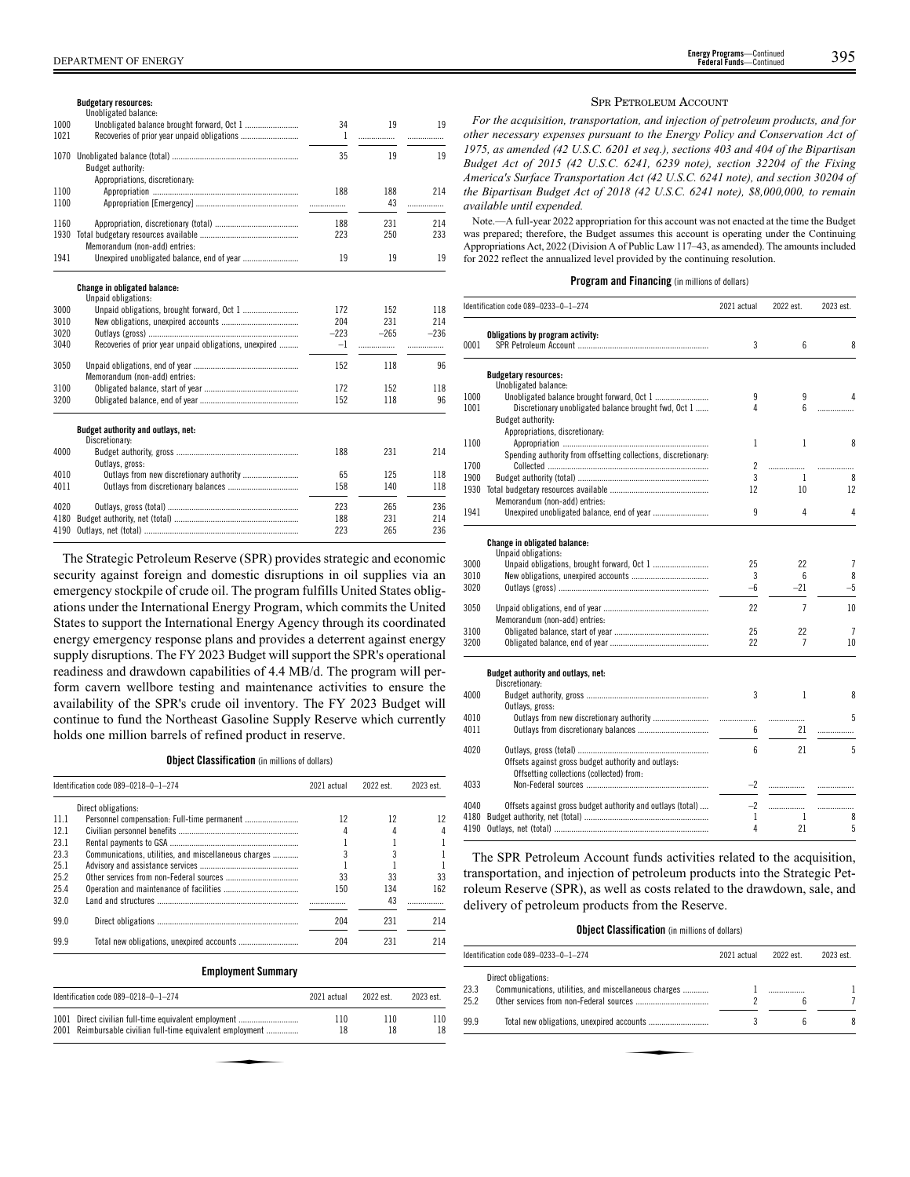| DEPARTMENT<br><b>OF ENERGY</b> | <b>Energy Programs-</b><br>Continued<br><b>Federal Funds-</b><br>Continuer | 395 |
|--------------------------------|----------------------------------------------------------------------------|-----|
|--------------------------------|----------------------------------------------------------------------------|-----|

|              | <b>Budgetary resources:</b><br>Unobligated balance:        |        |           |          |
|--------------|------------------------------------------------------------|--------|-----------|----------|
| 1000         |                                                            | 34     | 19        | 19       |
| 1021         |                                                            | 1      | .         |          |
| 1070         | Budget authority:                                          | 35     | 19        | 19       |
| 1100<br>1100 | Appropriations, discretionary:                             | 188    | 188<br>43 | 214<br>. |
| 1160         |                                                            | 188    | 231       | 214      |
| 1930         | Memorandum (non-add) entries:                              | 223    | 250       | 233      |
| 1941         |                                                            | 19     | 19        | 19       |
|              | <b>Change in obligated balance:</b><br>Unpaid obligations: |        |           |          |
| 3000         |                                                            | 172    | 152       | 118      |
| 3010         |                                                            | 204    | 231       | 214      |
| 3020         |                                                            | $-223$ | $-265$    | $-236$   |
| 3040         | Recoveries of prior year unpaid obligations, unexpired     | $-1$   |           | .        |
| 3050         | Memorandum (non-add) entries:                              | 152    | 118       | 96       |
| 3100         |                                                            | 172    | 152       | 118      |
| 3200         |                                                            | 152    | 118       | 96       |
|              | Budget authority and outlays, net:<br>Discretionary:       |        |           |          |
| 4000         |                                                            | 188    | 231       | 214      |
|              | Outlays, gross:                                            |        |           |          |
| 4010         |                                                            | 65     | 125       | 118      |
| 4011         |                                                            | 158    | 140       | 118      |
| 4020         |                                                            | 223    | 265       | 236      |
| 4180         |                                                            | 188    | 231       | 214      |
| 4190         |                                                            | 223    | 265       | 236      |

The Strategic Petroleum Reserve (SPR) provides strategic and economic security against foreign and domestic disruptions in oil supplies via an emergency stockpile of crude oil. The program fulfills United States obligations under the International Energy Program, which commits the United States to support the International Energy Agency through its coordinated energy emergency response plans and provides a deterrent against energy supply disruptions. The FY 2023 Budget will support the SPR's operational readiness and drawdown capabilities of 4.4 MB/d. The program will perform cavern wellbore testing and maintenance activities to ensure the availability of the SPR's crude oil inventory. The FY 2023 Budget will continue to fund the Northeast Gasoline Supply Reserve which currently holds one million barrels of refined product in reserve.

**Object Classification** (in millions of dollars)

|      | Identification code 089-0218-0-1-274                 |     | 2022 est. | 2023 est. |
|------|------------------------------------------------------|-----|-----------|-----------|
|      | Direct obligations:                                  |     |           |           |
| 11.1 |                                                      | 12  | 12        |           |
| 12.1 |                                                      | 4   |           |           |
| 23.1 |                                                      |     |           |           |
| 23.3 | Communications, utilities, and miscellaneous charges |     |           |           |
| 25.1 |                                                      |     |           |           |
| 25.2 |                                                      | 33  | 33        | 33        |
| 25.4 |                                                      | 150 | 134       | 162       |
| 32.0 |                                                      |     | 43        |           |
| 99.0 |                                                      | 204 | 231       | 214       |
| 99.9 |                                                      | 204 | 231       | 214       |

### **Employment Summary**

| Identification code 089-0218-0-1-274                       | 2021 actual | 2022 est. | 2023 est. |
|------------------------------------------------------------|-------------|-----------|-----------|
| 1001 Direct civilian full-time equivalent employment       | 110         | 110       | 110       |
| 2001 Reimbursable civilian full-time equivalent employment | 18          | 18        | 18        |
|                                                            |             |           |           |

### SPR PETROLEUM ACCOUNT

*For the acquisition, transportation, and injection of petroleum products, and for other necessary expenses pursuant to the Energy Policy and Conservation Act of 1975, as amended (42 U.S.C. 6201 et seq.), sections 403 and 404 of the Bipartisan Budget Act of 2015 (42 U.S.C. 6241, 6239 note), section 32204 of the Fixing America's Surface Transportation Act (42 U.S.C. 6241 note), and section 30204 of the Bipartisan Budget Act of 2018 (42 U.S.C. 6241 note), \$8,000,000, to remain available until expended.*

Note.—A full-year 2022 appropriation for this account was not enacted at the time the Budget was prepared; therefore, the Budget assumes this account is operating under the Continuing Appropriations Act, 2022 (Division A of Public Law 117–43, as amended). The amounts included for 2022 reflect the annualized level provided by the continuing resolution.

### **Program and Financing** (in millions of dollars)

|      | Identification code 089-0233-0-1-274                           | 2021 actual | 2022 est.      | 2023 est.      |
|------|----------------------------------------------------------------|-------------|----------------|----------------|
| 0001 | Obligations by program activity:                               | 3           | 6              | 8              |
|      | <b>Budgetary resources:</b>                                    |             |                |                |
|      | Unobligated balance:                                           |             |                |                |
| 1000 | Unobligated balance brought forward, Oct 1                     | 9           | 9              |                |
| 1001 | Discretionary unobligated balance brought fwd, Oct 1           | 4           | 6              | .              |
|      | <b>Budget authority:</b>                                       |             |                |                |
|      | Appropriations, discretionary:                                 |             |                |                |
| 1100 |                                                                | 1           | 1              | 8              |
|      | Spending authority from offsetting collections, discretionary: |             |                |                |
| 1700 |                                                                | 2           | .              |                |
| 1900 |                                                                | 3           | 1              | 8              |
| 1930 |                                                                | 12          | 10             | 12             |
|      | Memorandum (non-add) entries:                                  |             |                |                |
| 1941 |                                                                | 9           | 4              | 4              |
|      | Change in obligated balance:                                   |             |                |                |
|      | Unpaid obligations:                                            |             |                |                |
| 3000 |                                                                | 25          | 22             | $\overline{1}$ |
| 3010 |                                                                | 3           | 6              | 8              |
| 3020 |                                                                | $-6$        | $-21$          | $-5$           |
| 3050 |                                                                | 22          | $\overline{7}$ | 10             |
|      | Memorandum (non-add) entries:                                  |             |                |                |
| 3100 |                                                                | 25          | 22             | 7              |
| 3200 |                                                                | 22          | 7              | 10             |
|      | Budget authority and outlays, net:                             |             |                |                |
|      | Discretionary:                                                 |             |                |                |
| 4000 |                                                                | 3           | 1              | 8              |
|      | Outlays, gross:                                                |             |                |                |
| 4010 | Outlays from new discretionary authority                       | .           | .              | 5              |
| 4011 |                                                                | 6           | 21             | .              |
| 4020 |                                                                | 6           | 21             | 5              |
|      | Offsets against gross budget authority and outlays:            |             |                |                |
|      | Offsetting collections (collected) from:                       |             |                |                |
| 4033 |                                                                | $-2$        |                |                |
| 4040 | Offsets against gross budget authority and outlays (total)     | $-2$        |                | .              |
| 4180 |                                                                | 1           | $\mathbf{1}$   | 8              |
| 4190 |                                                                | 4           | 21             | 5              |
|      |                                                                |             |                |                |

The SPR Petroleum Account funds activities related to the acquisition, transportation, and injection of petroleum products into the Strategic Petroleum Reserve (SPR), as well as costs related to the drawdown, sale, and delivery of petroleum products from the Reserve.

### **Object Classification** (in millions of dollars)

|      | Identification code 089-0233-0-1-274                 | 2021 actual | 2022 est. | 2023 est. |
|------|------------------------------------------------------|-------------|-----------|-----------|
|      | Direct obligations:                                  |             |           |           |
| 23.3 | Communications, utilities, and miscellaneous charges |             |           |           |
| 25.2 |                                                      |             | 6         |           |
| 99.9 |                                                      |             | 6         | 8         |
|      |                                                      |             |           |           |
|      |                                                      |             |           |           |
|      |                                                      |             |           |           |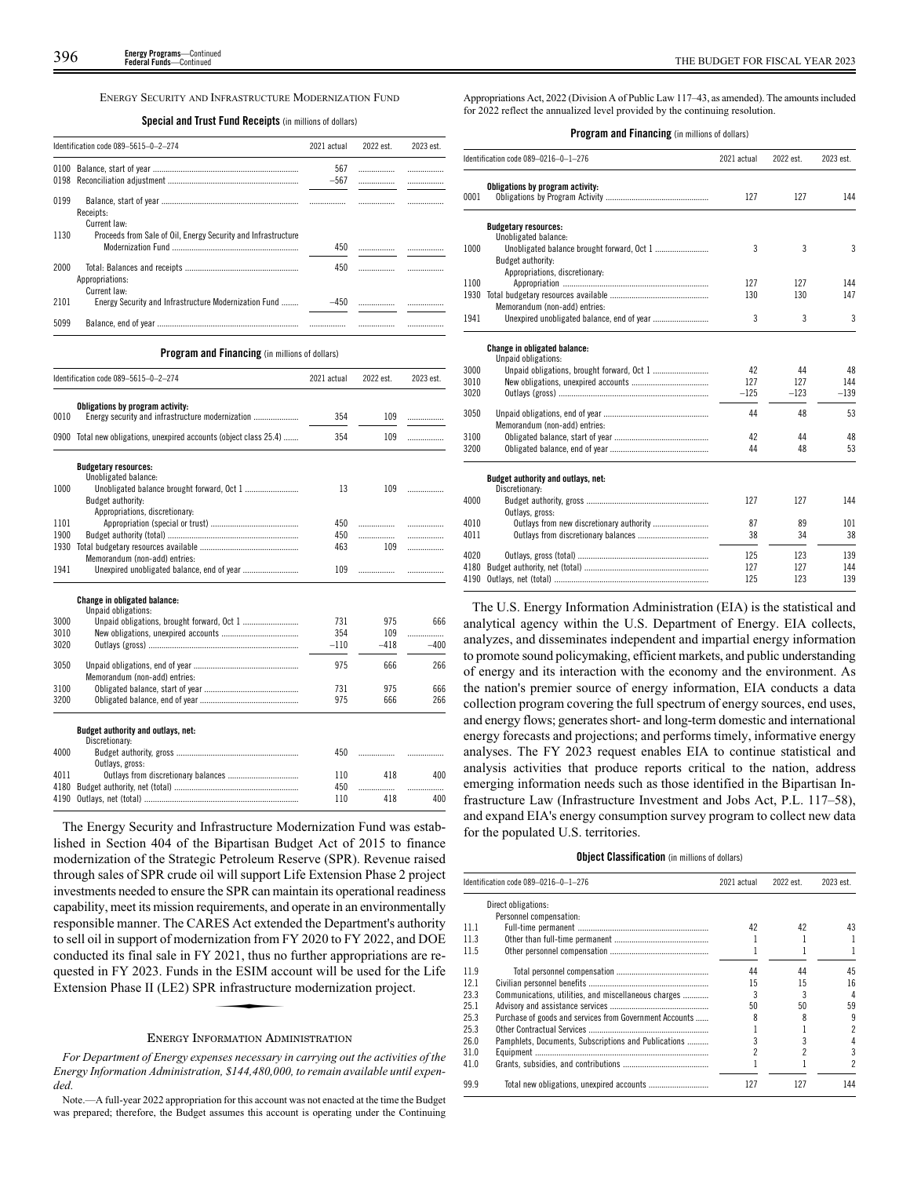ENERGY SECURITY AND INFRASTRUCTURE MODERNIZATION FUND

| <b>Special and Trust Fund Receipts</b> (in millions of dollars) |  |
|-----------------------------------------------------------------|--|
|-----------------------------------------------------------------|--|

|      | Identification code 089-5615-0-2-274                                  |        | 2022 est. | 2023 est. |
|------|-----------------------------------------------------------------------|--------|-----------|-----------|
| 0100 |                                                                       | 567    |           | .         |
| 0198 |                                                                       | $-567$ |           |           |
| 0199 | Receipts:                                                             |        |           | .         |
|      | Current law:                                                          |        |           |           |
| 1130 | Proceeds from Sale of Oil, Energy Security and Infrastructure         | 450    |           |           |
| 2000 | Appropriations:                                                       | 450    |           |           |
| 2101 | Current law:<br>Energy Security and Infrastructure Modernization Fund | $-450$ |           |           |
| 5099 |                                                                       |        |           |           |

**Program and Financing** (in millions of dollars)

|      | Identification code 089-5615-0-2-274                          | 2021 actual | 2022 est. | 2023 est. |
|------|---------------------------------------------------------------|-------------|-----------|-----------|
|      | Obligations by program activity:                              |             |           |           |
| 0010 |                                                               | 354         | 109       | .         |
| 0900 | Total new obligations, unexpired accounts (object class 25.4) | 354         | 109       | .         |
|      | <b>Budgetary resources:</b>                                   |             |           |           |
|      | Unobligated balance:                                          |             |           |           |
| 1000 | Budget authority:                                             | 13          | 109       | .         |
|      | Appropriations, discretionary:                                |             |           |           |
| 1101 |                                                               | 450         | .         | .         |
| 1900 |                                                               | 450         | .         | .         |
| 1930 |                                                               | 463         | 109       | .         |
|      | Memorandum (non-add) entries:                                 |             |           |           |
| 1941 | Unexpired unobligated balance, end of year                    | 109         | .         |           |
|      | <b>Change in obligated balance:</b><br>Unpaid obligations:    |             |           |           |
| 3000 |                                                               | 731         | 975       | 666       |
| 3010 |                                                               | 354         | 109       | .         |
| 3020 |                                                               | $-110$      | -418      | $-400$    |
| 3050 | Memorandum (non-add) entries:                                 | 975         | 666       | 266       |
| 3100 |                                                               | 731         | 975       | 666       |
| 3200 |                                                               | 975         | 666       | 266       |
|      | Budget authority and outlays, net:<br>Discretionary:          |             |           |           |
| 4000 | Outlays, gross:                                               | 450         | .         | .         |
| 4011 |                                                               | 110         | 418       | 400       |
| 4180 |                                                               | 450         | .         | .         |
| 4190 |                                                               | 110         | 418       | 400       |

The Energy Security and Infrastructure Modernization Fund was established in Section 404 of the Bipartisan Budget Act of 2015 to finance modernization of the Strategic Petroleum Reserve (SPR). Revenue raised through sales of SPR crude oil will support Life Extension Phase 2 project investments needed to ensure the SPR can maintain its operational readiness capability, meet its mission requirements, and operate in an environmentally responsible manner. The CARES Act extended the Department's authority to sell oil in support of modernization from FY 2020 to FY 2022, and DOE conducted its final sale in FY 2021, thus no further appropriations are re-<br>quested in FY 2023. Funds in the ESIM account will be used for the Life<br>Extension Phase II (LE2) SPR infrastructure modernization project. quested in FY 2023. Funds in the ESIM account will be used for the Life Extension Phase II (LE2) SPR infrastructure modernization project.

### ENERGY INFORMATION ADMINISTRATION

*For Department of Energy expenses necessary in carrying out the activities of the Energy Information Administration, \$144,480,000, to remain available until expended.*

Appropriations Act, 2022 (Division A of Public Law 117–43, as amended). The amounts included for 2022 reflect the annualized level provided by the continuing resolution.

### **Program and Financing** (in millions of dollars)

|      | Identification code 089-0216-0-1-276     | 2021 actual | 2022 est. | 2023 est. |
|------|------------------------------------------|-------------|-----------|-----------|
| 0001 | Obligations by program activity:         | 127         | 127       | 144       |
|      | <b>Budgetary resources:</b>              |             |           |           |
|      | Unobligated balance:                     |             |           |           |
| 1000 |                                          | 3           | 3         | 3         |
|      | Budget authority:                        |             |           |           |
|      | Appropriations, discretionary:           |             |           |           |
| 1100 |                                          | 127         | 127       | 144       |
| 1930 |                                          | 130         | 130       | 147       |
|      | Memorandum (non-add) entries:            |             |           |           |
| 1941 |                                          | 3           | 3         | 3         |
|      | <b>Change in obligated balance:</b>      |             |           |           |
|      | Unpaid obligations:                      |             |           |           |
| 3000 |                                          | 42          | 44        | 48        |
| 3010 |                                          | 127         | 127       | 144       |
| 3020 |                                          | $-125$      | $-123$    | $-139$    |
| 3050 |                                          | 44          | 48        | 53        |
|      | Memorandum (non-add) entries:            |             |           |           |
| 3100 |                                          | 42          | 44        | 48        |
| 3200 |                                          | 44          | 48        | 53        |
|      | Budget authority and outlays, net:       |             |           |           |
|      | Discretionary:                           |             |           |           |
| 4000 |                                          | 127         | 127       | 144       |
|      | Outlays, gross:                          |             |           |           |
| 4010 | Outlays from new discretionary authority | 87          | 89        | 101       |
| 4011 |                                          | 38          | 34        | 38        |
| 4020 |                                          | 125         | 123       | 139       |
| 4180 |                                          | 127         | 127       | 144       |
| 4190 |                                          | 125         | 123       | 139       |

The U.S. Energy Information Administration (EIA) is the statistical and analytical agency within the U.S. Department of Energy. EIA collects, analyzes, and disseminates independent and impartial energy information to promote sound policymaking, efficient markets, and public understanding of energy and its interaction with the economy and the environment. As the nation's premier source of energy information, EIA conducts a data collection program covering the full spectrum of energy sources, end uses, and energy flows; generates short- and long-term domestic and international energy forecasts and projections; and performs timely, informative energy analyses. The FY 2023 request enables EIA to continue statistical and analysis activities that produce reports critical to the nation, address emerging information needs such as those identified in the Bipartisan Infrastructure Law (Infrastructure Investment and Jobs Act, P.L. 117–58), and expand EIA's energy consumption survey program to collect new data for the populated U.S. territories.

### **Object Classification** (in millions of dollars)

|      | Identification code 089-0216-0-1-276                    |     | 2022 est. | 2023 est. |
|------|---------------------------------------------------------|-----|-----------|-----------|
|      | Direct obligations:                                     |     |           |           |
|      | Personnel compensation:                                 |     |           |           |
| 11.1 |                                                         | 42  | 42        | 43        |
| 11.3 |                                                         |     |           |           |
| 11.5 |                                                         |     |           |           |
| 11.9 |                                                         | 44  | 44        | 45        |
| 12.1 |                                                         | 15  | 15        | 16        |
| 23.3 | Communications, utilities, and miscellaneous charges    |     |           | 4         |
| 25.1 |                                                         | 50  | 50        | 59        |
| 25.3 | Purchase of goods and services from Government Accounts |     |           | 9         |
| 25.3 |                                                         |     |           | 2         |
| 26.0 | Pamphlets, Documents, Subscriptions and Publications    |     |           |           |
| 31.0 |                                                         |     |           | 3         |
| 41.0 |                                                         |     |           | 2         |
| 99.9 |                                                         | 127 | 127       | 144       |

Note.—A full-year 2022 appropriation for this account was not enacted at the time the Budget was prepared; therefore, the Budget assumes this account is operating under the Continuing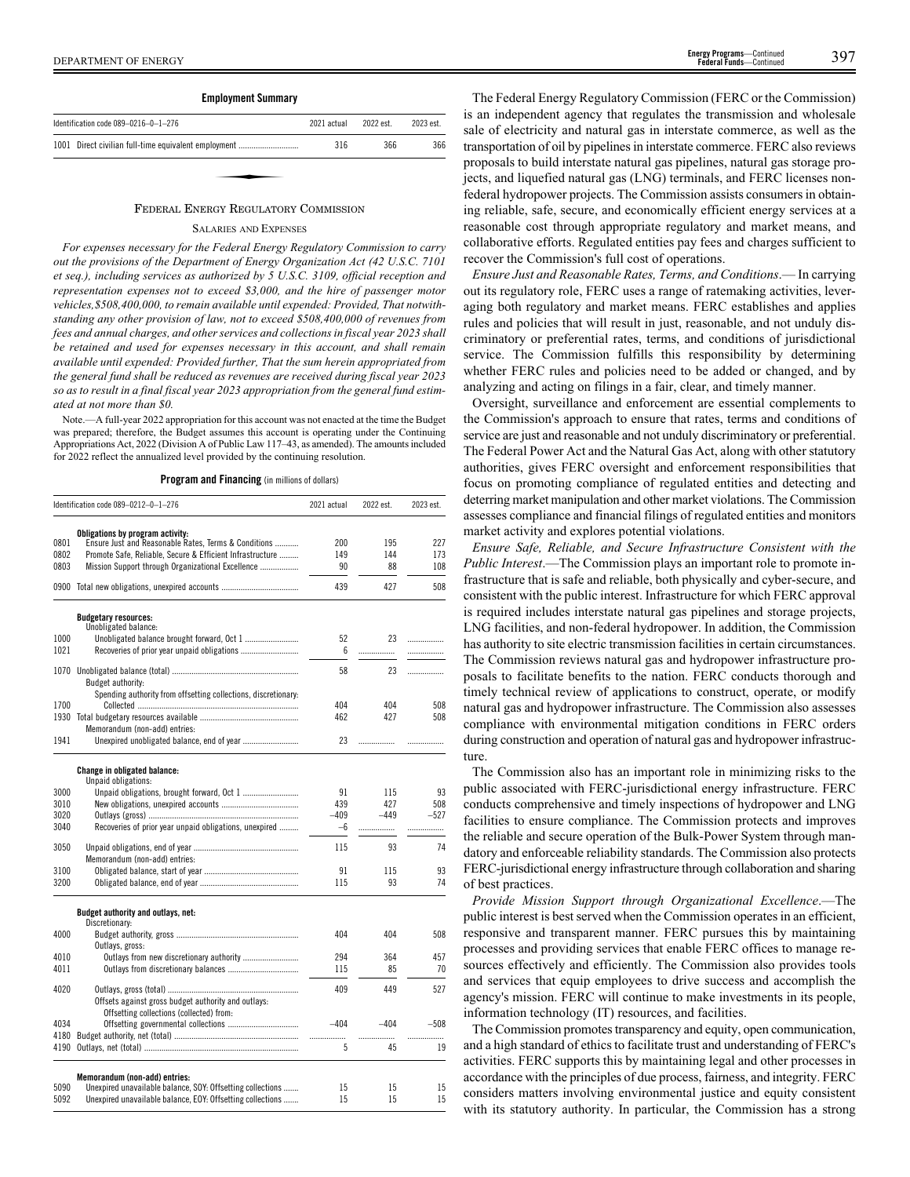

### FEDERAL ENERGY REGULATORY COMMISSION

### SALARIES AND EXPENSES

*For expenses necessary for the Federal Energy Regulatory Commission to carry out the provisions of the Department of Energy Organization Act (42 U.S.C. 7101 et seq.), including services as authorized by 5 U.S.C. 3109, official reception and representation expenses not to exceed \$3,000, and the hire of passenger motor vehicles,\$508,400,000, to remain available until expended: Provided, That notwithstanding any other provision of law, not to exceed \$508,400,000 of revenues from fees and annual charges, and other services and collections in fiscal year 2023 shall be retained and used for expenses necessary in this account, and shall remain available until expended: Provided further, That the sum herein appropriated from the general fund shall be reduced as revenues are received during fiscal year 2023 so as to result in a final fiscal year 2023 appropriation from the general fund estimated at not more than \$0.*

Note.—A full-year 2022 appropriation for this account was not enacted at the time the Budget was prepared; therefore, the Budget assumes this account is operating under the Continuing Appropriations Act, 2022 (Division A of Public Law 117–43, as amended). The amounts included for 2022 reflect the annualized level provided by the continuing resolution.

**Program and Financing** (in millions of dollars)

|      | Identification code 089-0212-0-1-276                           | 2021 actual | 2022 est. | 2023 est. |
|------|----------------------------------------------------------------|-------------|-----------|-----------|
|      | Obligations by program activity:                               |             |           |           |
| 0801 | Ensure Just and Reasonable Rates, Terms & Conditions           | 200         | 195       | 227       |
| 0802 | Promote Safe, Reliable, Secure & Efficient Infrastructure      | 149         | 144       | 173       |
| 0803 | Mission Support through Organizational Excellence              | 90          | 88        | 108       |
|      | 0900 Total new obligations, unexpired accounts                 | 439         | 427       | 508       |
|      | <b>Budgetary resources:</b>                                    |             |           |           |
| 1000 | Unobligated balance:                                           | 52          | 23        |           |
| 1021 |                                                                | 6           |           |           |
|      |                                                                |             | .         |           |
| 1070 |                                                                | 58          | 23        | .         |
|      | Budget authority:                                              |             |           |           |
|      | Spending authority from offsetting collections, discretionary: |             |           |           |
| 1700 |                                                                | 404         | 404       | 508       |
|      |                                                                | 462         | 427       | 508       |
|      | Memorandum (non-add) entries:                                  |             |           |           |
| 1941 |                                                                | 23          |           |           |
|      | <b>Change in obligated balance:</b>                            |             |           |           |
|      | Unpaid obligations:                                            |             |           |           |
| 3000 |                                                                | 91          | 115       | 93        |
| 3010 |                                                                | 439         | 427       | 508       |
| 3020 |                                                                | $-409$      | $-449$    | $-527$    |
| 3040 | Recoveries of prior year unpaid obligations, unexpired         | $-6$        |           |           |
| 3050 |                                                                | 115         | 93        | 74        |
|      | Memorandum (non-add) entries:                                  |             |           |           |
| 3100 |                                                                | 91          | 115       | 93        |
| 3200 |                                                                | 115         | 93        | 74        |
|      | Budget authority and outlays, net:                             |             |           |           |
|      | Discretionary:                                                 |             |           |           |
| 4000 |                                                                | 404         | 404       | 508       |
| 4010 | Outlays, gross:                                                | 294         | 364       | 457       |
| 4011 |                                                                | 115         | 85        | 70        |
|      |                                                                |             |           |           |
| 4020 |                                                                | 409         | 449       | 527       |
|      | Offsets against gross budget authority and outlays:            |             |           |           |
|      | Offsetting collections (collected) from:                       |             |           |           |
| 4034 |                                                                | $-404$      | $-404$    | $-508$    |
| 4180 |                                                                | .           | .         | .         |
| 4190 |                                                                | 5           | 45        | 19        |
|      | Memorandum (non-add) entries:                                  |             |           |           |
| 5090 | Unexpired unavailable balance, SOY: Offsetting collections     | 15          | 15        | 15        |
| 5092 | Unexpired unavailable balance, EOY: Offsetting collections     | 15          | 15        | 15        |

DEPARTMENT OF ENERGY 397 **Energy Programs**—Continued **Federal Funds**—Continued

The Federal Energy Regulatory Commission (FERC or the Commission) is an independent agency that regulates the transmission and wholesale sale of electricity and natural gas in interstate commerce, as well as the transportation of oil by pipelines in interstate commerce. FERC also reviews proposals to build interstate natural gas pipelines, natural gas storage projects, and liquefied natural gas (LNG) terminals, and FERC licenses nonfederal hydropower projects. The Commission assists consumers in obtaining reliable, safe, secure, and economically efficient energy services at a reasonable cost through appropriate regulatory and market means, and collaborative efforts. Regulated entities pay fees and charges sufficient to recover the Commission's full cost of operations.

*Ensure Just and Reasonable Rates, Terms, and Conditions*.— In carrying out its regulatory role, FERC uses a range of ratemaking activities, leveraging both regulatory and market means. FERC establishes and applies rules and policies that will result in just, reasonable, and not unduly discriminatory or preferential rates, terms, and conditions of jurisdictional service. The Commission fulfills this responsibility by determining whether FERC rules and policies need to be added or changed, and by analyzing and acting on filings in a fair, clear, and timely manner.

Oversight, surveillance and enforcement are essential complements to the Commission's approach to ensure that rates, terms and conditions of service are just and reasonable and not unduly discriminatory or preferential. The Federal Power Act and the Natural Gas Act, along with other statutory authorities, gives FERC oversight and enforcement responsibilities that focus on promoting compliance of regulated entities and detecting and deterring market manipulation and other market violations. The Commission assesses compliance and financial filings of regulated entities and monitors market activity and explores potential violations.

*Ensure Safe, Reliable, and Secure Infrastructure Consistent with the Public Interest*.—The Commission plays an important role to promote infrastructure that is safe and reliable, both physically and cyber-secure, and consistent with the public interest. Infrastructure for which FERC approval is required includes interstate natural gas pipelines and storage projects, LNG facilities, and non-federal hydropower. In addition, the Commission has authority to site electric transmission facilities in certain circumstances. The Commission reviews natural gas and hydropower infrastructure proposals to facilitate benefits to the nation. FERC conducts thorough and timely technical review of applications to construct, operate, or modify natural gas and hydropower infrastructure. The Commission also assesses compliance with environmental mitigation conditions in FERC orders during construction and operation of natural gas and hydropower infrastructure.

The Commission also has an important role in minimizing risks to the public associated with FERC-jurisdictional energy infrastructure. FERC conducts comprehensive and timely inspections of hydropower and LNG facilities to ensure compliance. The Commission protects and improves the reliable and secure operation of the Bulk-Power System through mandatory and enforceable reliability standards. The Commission also protects FERC-jurisdictional energy infrastructure through collaboration and sharing of best practices.

*Provide Mission Support through Organizational Excellence*.—The public interest is best served when the Commission operates in an efficient, responsive and transparent manner. FERC pursues this by maintaining processes and providing services that enable FERC offices to manage resources effectively and efficiently. The Commission also provides tools and services that equip employees to drive success and accomplish the agency's mission. FERC will continue to make investments in its people, information technology (IT) resources, and facilities.

The Commission promotes transparency and equity, open communication, and a high standard of ethics to facilitate trust and understanding of FERC's activities. FERC supports this by maintaining legal and other processes in accordance with the principles of due process, fairness, and integrity. FERC considers matters involving environmental justice and equity consistent with its statutory authority. In particular, the Commission has a strong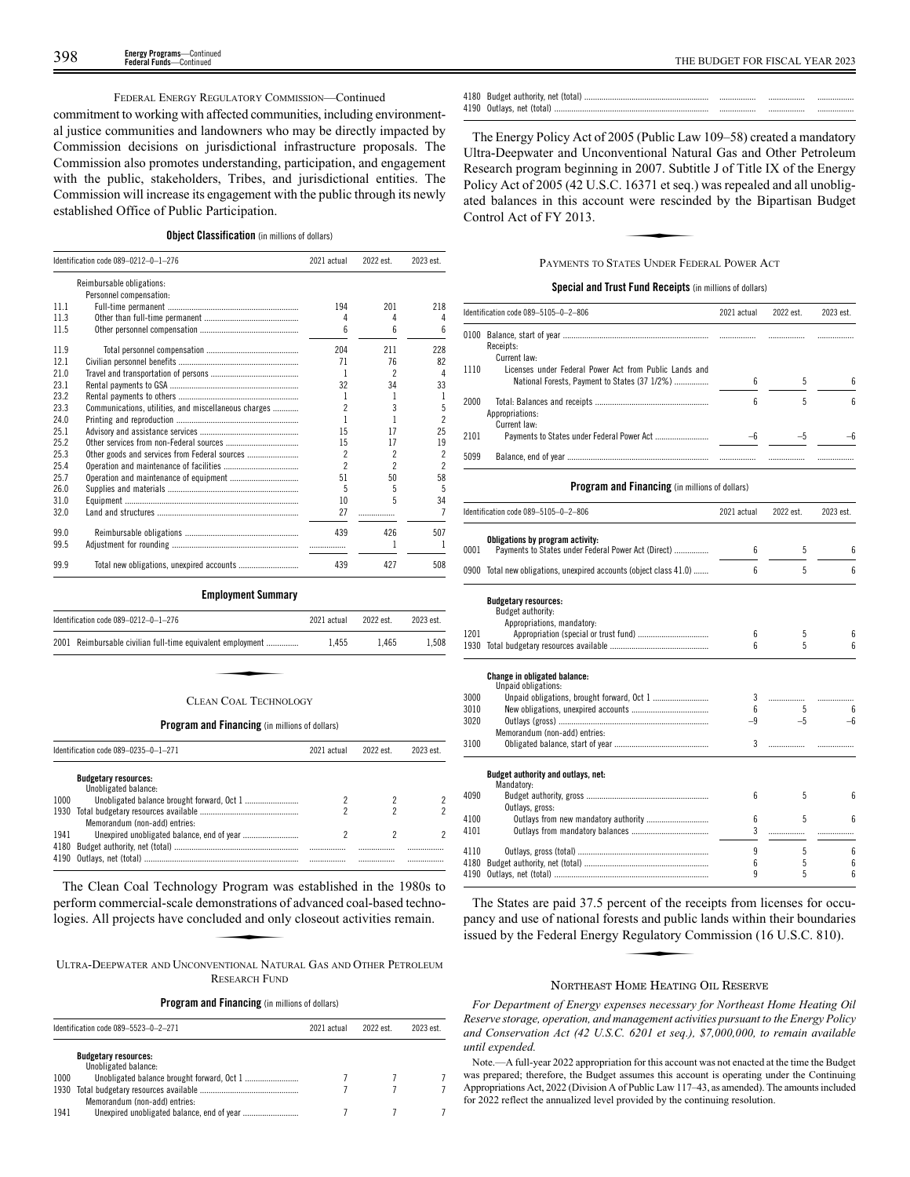### FEDERAL ENERGY REGULATORY COMMISSION—Continued

commitment to working with affected communities, including environmental justice communities and landowners who may be directly impacted by Commission decisions on jurisdictional infrastructure proposals. The Commission also promotes understanding, participation, and engagement with the public, stakeholders, Tribes, and jurisdictional entities. The Commission will increase its engagement with the public through its newly established Office of Public Participation.

### **Object Classification** (in millions of dollars)

|      | Identification code 089-0212-0-1-276                 | 2021 actual              | 2022 est.                | 2023 est.                |
|------|------------------------------------------------------|--------------------------|--------------------------|--------------------------|
|      | Reimbursable obligations:                            |                          |                          |                          |
|      | Personnel compensation:                              |                          |                          |                          |
| 11.1 |                                                      | 194                      | 201                      | 218                      |
| 11.3 |                                                      | 4                        | 4                        | 4                        |
| 11.5 |                                                      | 6                        | 6                        | 6                        |
| 11.9 |                                                      | 204                      | 211                      | 228                      |
| 12.1 |                                                      | 71                       | 76                       | 82                       |
| 21.0 |                                                      | 1                        | $\mathfrak{p}$           | 4                        |
| 23.1 |                                                      | 32                       | 34                       | 33                       |
| 23.2 |                                                      | 1                        | 1                        |                          |
| 23.3 | Communications, utilities, and miscellaneous charges | $\overline{\phantom{a}}$ | 3                        | 5                        |
| 24.0 |                                                      |                          |                          | $\overline{\phantom{a}}$ |
| 25.1 |                                                      | 15                       | 17                       | 25                       |
| 25.2 |                                                      | 15                       | 17                       | 19                       |
| 25.3 | Other goods and services from Federal sources        | $\overline{\phantom{a}}$ | $\overline{\phantom{a}}$ | $\overline{\phantom{a}}$ |
| 25.4 |                                                      | $\boldsymbol{\eta}$      | 2                        | $\overline{\phantom{a}}$ |
| 25.7 |                                                      | 51                       | 50                       | 58                       |
| 26.0 |                                                      | 5                        | 5                        | 5                        |
| 31.0 |                                                      | 10                       | 5                        | 34                       |
| 32.0 |                                                      | 27                       |                          |                          |
| 99.0 |                                                      | 439                      | 426                      | 507                      |
| 99.5 |                                                      |                          |                          |                          |
| 99.9 |                                                      | 439                      | 427                      | 508                      |

### **Employment Summary**

| Identification code 089-0212-0-1-276                       | 2021 actual | 2022 est. | 2023 est. |
|------------------------------------------------------------|-------------|-----------|-----------|
| 2001 Reimbursable civilian full-time equivalent employment | 1.455       | 1.465     | 1.508     |
|                                                            |             |           |           |
| CLEAN COAL TECHNOLOGY                                      |             |           |           |

### **Program and Financing** (in millions of dollars)

|      | Identification code 089-0235-0-1-271                | 2021 actual | 2022 est | 2023 est |
|------|-----------------------------------------------------|-------------|----------|----------|
|      | <b>Budgetary resources:</b><br>Unobligated balance: |             |          |          |
| 1000 |                                                     |             |          |          |
| 1930 | Memorandum (non-add) entries:                       |             |          |          |
| 1941 |                                                     |             |          |          |
| 4180 |                                                     |             |          | <br>     |

The Clean Coal Technology Program was established in the 1980s to perform commercial-scale demonstrations of advanced coal-based technologies. All projects have concluded and only closeout activities remain. **y** Program wa<br>monstrations of<br>luded and only<br>ENTIONAL NATU

ULTRA-DEEPWATER AND UNCONVENTIONAL NATURAL GAS AND OTHER PETROLEUM RESEARCH FUND

### **Program and Financing** (in millions of dollars)

|      | Identification code 089-5523-0-2-271<br>2021 actual |  | 2022 est | 2023 est. |
|------|-----------------------------------------------------|--|----------|-----------|
|      | <b>Budgetary resources:</b><br>Unobligated balance: |  |          |           |
| 1000 |                                                     |  |          |           |
| 1930 | Memorandum (non-add) entries:                       |  |          |           |
| 1941 |                                                     |  |          |           |

| 4180 | Budget authority, net (total) |   |  |
|------|-------------------------------|---|--|
| 4190 | Outlays, net (total)          | . |  |

The Energy Policy Act of 2005 (Public Law 109–58) created a mandatory Ultra-Deepwater and Unconventional Natural Gas and Other Petroleum Research program beginning in 2007. Subtitle J of Title IX of the Energy Policy Act of 2005 (42 U.S.C. 16371 et seq.) was repealed and all unobligated balances in this account were rescinded by the Bipartisan Budget Control Act of FY 2013. ated balances in this account were rescinded by the Bipartisan Budget Control Act of FY 2013.

### PAYMENTS TO STATES UNDER FEDERAL POWER ACT

### **Special and Trust Fund Receipts** (in millions of dollars)

|      | Identification code 089-5105-0-2-806                                                                    | 2021 actual | 2022 est. | 2023 est. |
|------|---------------------------------------------------------------------------------------------------------|-------------|-----------|-----------|
|      | Receipts:<br>Current law:                                                                               |             |           |           |
| 1110 | Licenses under Federal Power Act from Public Lands and<br>National Forests, Payment to States (37 1/2%) | 6           | 5         | ĥ         |
| 2000 | Appropriations:<br>Current law:                                                                         | 6           | 5         | ĥ         |
| 2101 |                                                                                                         |             | -5        |           |
| 5099 |                                                                                                         |             |           |           |

### **Program and Financing** (in millions of dollars)

|      | Identification code 089-5105-0-2-806                                                    | 2021 actual | 2022 est. | 2023 est. |
|------|-----------------------------------------------------------------------------------------|-------------|-----------|-----------|
| 0001 | Obligations by program activity:<br>Payments to States under Federal Power Act (Direct) | 6           | 5         | ĥ         |
|      |                                                                                         |             |           |           |
|      | 0900 Total new obligations, unexpired accounts (object class 41.0)                      | 6           | 5         | 6         |
|      | <b>Budgetary resources:</b><br>Budget authority:                                        |             |           |           |
|      | Appropriations, mandatory:                                                              |             |           |           |
| 1201 |                                                                                         | 6           | 5         |           |
| 1930 |                                                                                         | 6           | 5         |           |
|      | <b>Change in obligated balance:</b><br>Unpaid obligations:                              |             |           |           |
| 3000 |                                                                                         | 3           |           |           |
| 3010 |                                                                                         | 6           | 5         |           |
| 3020 |                                                                                         | $-9$        | $-5$      |           |
|      | Memorandum (non-add) entries:                                                           |             |           |           |
| 3100 |                                                                                         | 3           |           |           |
|      | Budget authority and outlays, net:<br>Mandatory:                                        |             |           |           |
| 4090 | Outlays, gross:                                                                         | 6           | 5         |           |
| 4100 | Outlays from new mandatory authority                                                    | 6           | 5         | ĥ         |
| 4101 |                                                                                         | 3           |           |           |
| 4110 |                                                                                         | 9           | 5         | 6         |
| 4180 |                                                                                         | 6           | 5         | 6         |
| 4190 |                                                                                         | 9           | 5         | 6         |

The States are paid 37.5 percent of the receipts from licenses for occupancy and use of national forests and public lands within their boundaries issued by the Federal Energy Regulatory Commission (16 U.S.C. 810). reent of the recests and public<br>Regulatory Contractory<br>Leonard Leonard

### NORTHEAST HOME HEATING OIL RESERVE

*For Department of Energy expenses necessary for Northeast Home Heating Oil Reserve storage, operation, and management activities pursuant to the Energy Policy and Conservation Act (42 U.S.C. 6201 et seq.), \$7,000,000, to remain available until expended.*

Note.—A full-year 2022 appropriation for this account was not enacted at the time the Budget was prepared; therefore, the Budget assumes this account is operating under the Continuing Appropriations Act, 2022 (Division A of Public Law 117–43, as amended). The amounts included for 2022 reflect the annualized level provided by the continuing resolution.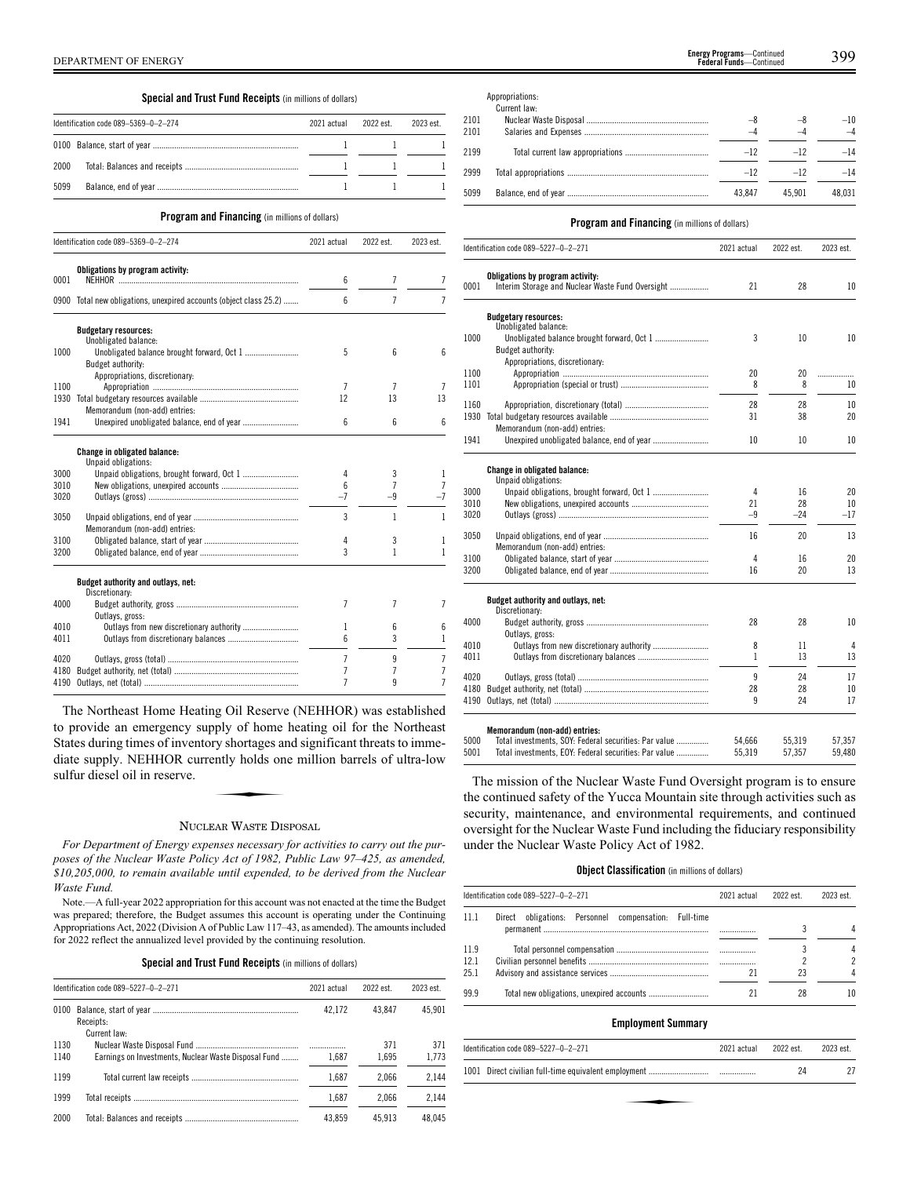# **Special and Trust Fund Receipts** (in millions of dollars)

|      | Identification code 089-5369-0-2-274 | 2021 actual | 2022 est | 2023 est. |
|------|--------------------------------------|-------------|----------|-----------|
|      |                                      |             |          |           |
| 2000 |                                      |             |          |           |
| 5099 |                                      |             |          |           |

### **Program and Financing** (in millions of dollars)

|      | <b>TUEFAMI AND I MANGHIE</b> (III IIIIIIIONS OF GONALS)            |                |                |                |
|------|--------------------------------------------------------------------|----------------|----------------|----------------|
|      | Identification code 089-5369-0-2-274                               | 2021 actual    | 2022 est.      | 2023 est.      |
| 0001 | Obligations by program activity:                                   | 6              | 7              | 7              |
|      | 0900 Total new obligations, unexpired accounts (object class 25.2) | 6              | $\overline{7}$ | $\overline{7}$ |
|      | <b>Budgetary resources:</b><br>Unobligated balance:                |                |                |                |
| 1000 | Budget authority:                                                  | 5              | 6              | 6              |
|      | Appropriations, discretionary:                                     |                |                |                |
| 1100 |                                                                    | 7              | 7              | 7              |
| 1930 | Memorandum (non-add) entries:                                      | 12             | 13             | 13             |
| 1941 |                                                                    | 6              | 6              | 6              |
|      | Change in obligated balance:<br>Unpaid obligations:                |                |                |                |
| 3000 |                                                                    | 4              | 3              | 1              |
| 3010 |                                                                    | 6              | 7              | 7              |
| 3020 |                                                                    | $-7$           | -9             | -7             |
| 3050 | Memorandum (non-add) entries:                                      | 3              | 1              | 1              |
| 3100 |                                                                    | 4              | 3              | 1              |
| 3200 |                                                                    | 3              | 1              | 1              |
|      | Budget authority and outlays, net:<br>Discretionary:               |                |                |                |
| 4000 | Outlays, gross:                                                    | 7              | 7              | 7              |
| 4010 |                                                                    | 1              | 6              | 6              |
| 4011 |                                                                    | 6              | 3              | 1              |
| 4020 |                                                                    | 7              | 9              | 7              |
| 4180 |                                                                    | 7              | 7              | 7              |
| 4190 |                                                                    | $\overline{7}$ | q              | 7              |

The Northeast Home Heating Oil Reserve (NEHHOR) was established to provide an emergency supply of home heating oil for the Northeast States during times of inventory shortages and significant threats to immediate supply. NEHHOR currently holds one million barrels of ultra-low sulfur diesel oil in reserve. diate supply. NEHHOR currently holds one million barrels of ultra-low sulfur diesel oil in reserve.

### NUCLEAR WASTE DISPOSAL

*For Department of Energy expenses necessary for activities to carry out the purposes of the Nuclear Waste Policy Act of 1982, Public Law 97–425, as amended, \$10,205,000, to remain available until expended, to be derived from the Nuclear Waste Fund.*

Note.—A full-year 2022 appropriation for this account was not enacted at the time the Budget was prepared; therefore, the Budget assumes this account is operating under the Continuing Appropriations Act, 2022 (Division A of Public Law 117–43, as amended). The amounts included for 2022 reflect the annualized level provided by the continuing resolution.

|  |  | Special and Trust Fund Receipts (in millions of dollars) |
|--|--|----------------------------------------------------------|
|--|--|----------------------------------------------------------|

|              | Identification code 089-5227-0-2-271                 | 2021 actual | 2022 est.    | 2023 est.    |
|--------------|------------------------------------------------------|-------------|--------------|--------------|
| 0100         | Receipts:<br>Current law:                            | 42.172      | 43.847       | 45.901       |
| 1130<br>1140 | Earnings on Investments, Nuclear Waste Disposal Fund | 1.687       | 371<br>1.695 | 371<br>1.773 |
| 1199         |                                                      | 1.687       | 2.066        | 2.144        |
| 1999         |                                                      | 1.687       | 2.066        | 2.144        |
| 2000         |                                                      | 43.859      | 45.913       | 48.045       |

|      | Appropriations: |        |        |           |
|------|-----------------|--------|--------|-----------|
|      | Current law:    |        |        |           |
| 2101 |                 |        |        | $-10$     |
| 2101 |                 |        | -4     | $-\Delta$ |
| 2199 |                 | $-12$  | $-12$  | $-14$     |
| 2999 |                 | $-12$  | $-12$  | $-14$     |
| 5099 |                 | 43.847 | 45.901 | 48.031    |

### **Program and Financing** (in millions of dollars)

|      | Identification code 089-5227-0-2-271                                                   | 2021 actual | 2022 est. | 2023 est. |
|------|----------------------------------------------------------------------------------------|-------------|-----------|-----------|
| 0001 | Obligations by program activity:<br>Interim Storage and Nuclear Waste Fund Oversight   | 21          | 28        | 10        |
|      | <b>Budgetary resources:</b>                                                            |             |           |           |
| 1000 | Unobligated balance:<br>Budget authority:                                              | 3           | 10        | 10        |
|      | Appropriations, discretionary:                                                         |             |           |           |
| 1100 |                                                                                        | 20          | 20        | .         |
| 1101 |                                                                                        | 8           | 8         | 10        |
| 1160 |                                                                                        | 28          | 28        | 10        |
| 1930 |                                                                                        | 31          | 38        | 20        |
|      | Memorandum (non-add) entries:                                                          |             |           |           |
| 1941 |                                                                                        | 10          | 10        | 10        |
|      | Change in obligated balance:                                                           |             |           |           |
|      | Unpaid obligations:                                                                    |             |           |           |
| 3000 |                                                                                        | 4           | 16        | 20        |
| 3010 |                                                                                        | 21          | 28        | 10        |
| 3020 |                                                                                        | -9          | $-24$     | $-17$     |
| 3050 |                                                                                        | 16          | 20        | 13        |
|      | Memorandum (non-add) entries:                                                          |             |           |           |
| 3100 |                                                                                        | 4           | 16        | 20        |
| 3200 |                                                                                        | 16          | 20        | 13        |
|      | Budget authority and outlays, net:                                                     |             |           |           |
|      | Discretionary:                                                                         |             |           |           |
| 4000 | Outlays, gross:                                                                        | 28          | 28        | 10        |
| 4010 |                                                                                        | 8           | 11        | 4         |
| 4011 |                                                                                        | 1           | 13        | 13        |
| 4020 |                                                                                        | 9           | 24        | 17        |
| 4180 |                                                                                        | 28          | 28        | 10        |
| 4190 |                                                                                        | 9           | 24        | 17        |
|      |                                                                                        |             |           |           |
| 5000 | Memorandum (non-add) entries:<br>Total investments, SOY: Federal securities: Par value | 54,666      | 55,319    | 57,357    |
| 5001 | Total investments, EOY: Federal securities: Par value                                  | 55,319      | 57,357    | 59,480    |

The mission of the Nuclear Waste Fund Oversight program is to ensure the continued safety of the Yucca Mountain site through activities such as security, maintenance, and environmental requirements, and continued oversight for the Nuclear Waste Fund including the fiduciary responsibility under the Nuclear Waste Policy Act of 1982.

### **Object Classification** (in millions of dollars)

|                      | Identification code 089-5227-0-2-271                     | 2021 actual | 2022 est. | 2023 est.      |
|----------------------|----------------------------------------------------------|-------------|-----------|----------------|
| 11 1                 | obligations: Personnel compensation: Full-time<br>Direct |             |           |                |
| 11.9<br>12.1<br>25.1 |                                                          | 21          | 23        | $\mathfrak{p}$ |
| 999                  |                                                          |             | 28        | 10             |

# **Employment Summary**

| Identification code 089-5227-0-2-271 | 2021 actual | 2022 est. | 2023 est. |
|--------------------------------------|-------------|-----------|-----------|
|                                      |             | 24        |           |
|                                      |             |           |           |
|                                      |             |           |           |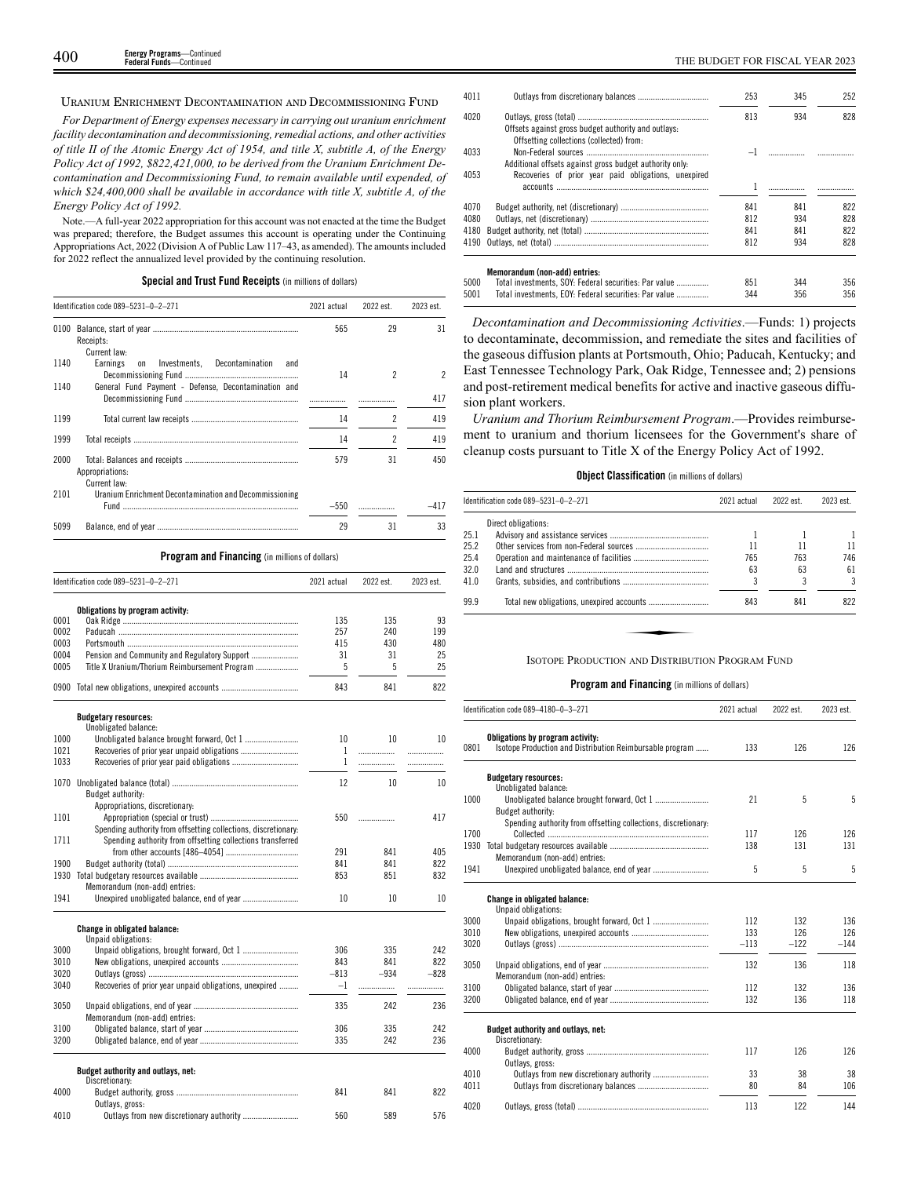### URANIUM ENRICHMENT DECONTAMINATION AND DECOMMISSIONING FUND

*For Department of Energy expenses necessary in carrying out uranium enrichment facility decontamination and decommissioning, remedial actions, and other activities of title II of the Atomic Energy Act of 1954, and title X, subtitle A, of the Energy Policy Act of 1992, \$822,421,000, to be derived from the Uranium Enrichment Decontamination and Decommissioning Fund, to remain available until expended, of which \$24,400,000 shall be available in accordance with title X, subtitle A, of the Energy Policy Act of 1992.*

Note.—A full-year 2022 appropriation for this account was not enacted at the time the Budget was prepared; therefore, the Budget assumes this account is operating under the Continuing Appropriations Act, 2022 (Division A of Public Law 117–43, as amended). The amounts included for 2022 reflect the annualized level provided by the continuing resolution.

### **Special and Trust Fund Receipts** (in millions of dollars)

|              | Identification code 089-5231-0-2-271                                        | 2021 actual     | 2022 est.      | 2023 est.   |
|--------------|-----------------------------------------------------------------------------|-----------------|----------------|-------------|
|              | Receipts:                                                                   | 565             | 29             | 31          |
|              | Current law:                                                                |                 |                |             |
| 1140         | Earnings<br>Investments,<br>Decontamination<br><sub>on</sub><br>and         | 14              | 2              | 2           |
| 1140         | General Fund Payment - Defense, Decontamination and                         | .               |                | 417         |
| 1199         |                                                                             | 14              | 2              | 419         |
| 1999         |                                                                             | 14              | $\overline{c}$ | 419         |
| 2000         | Appropriations:                                                             | 579             | 31             | 450         |
| 2101         | Current law:<br>Uranium Enrichment Decontamination and Decommissioning      | $-550$          |                | $-417$      |
| 5099         |                                                                             | 29              | 31             | 33          |
|              | Program and Financing (in millions of dollars)                              |                 |                |             |
|              | Identification code 089-5231-0-2-271                                        | 2021 actual     | 2022 est.      | 2023 est.   |
|              | Obligations by program activity:                                            |                 |                |             |
| 0001         |                                                                             | 135             | 135            | 93          |
| 0002         |                                                                             | 257             | 240            | 199         |
| 0003         |                                                                             | 415             | 430            | 480         |
| 0004         | Pension and Community and Regulatory Support                                | 31              | 31             | 25          |
| 0005         | Title X Uranium/Thorium Reimbursement Program                               | 5               | 5              | 25          |
|              | 0900 Total new obligations, unexpired accounts                              | 843             | 841            | 822         |
|              | <b>Budgetary resources:</b>                                                 |                 |                |             |
|              | Unobligated balance:                                                        |                 |                |             |
| 1000         |                                                                             | 10              | 10             | 10          |
| 1021         |                                                                             | 1               |                | .           |
| 1033         |                                                                             | 1               | .              | .           |
|              | Budget authority:                                                           | 12              | 10             | 10          |
|              | Appropriations, discretionary:                                              |                 |                |             |
| 1101         |                                                                             | 550             |                | 417         |
|              | Spending authority from offsetting collections, discretionary:              |                 |                |             |
| 1711         | Spending authority from offsetting collections transferred                  |                 |                |             |
|              |                                                                             | 291             | 841            | 405         |
| 1900         |                                                                             | 841             | 841            | 822         |
|              |                                                                             | 853             | 851            | 832         |
| 1941         | Memorandum (non-add) entries:<br>Unexpired unobligated balance, end of year | 10              | 10             | 10          |
|              | <b>Change in obligated balance:</b>                                         |                 |                |             |
|              | Unpaid obligations:                                                         |                 |                |             |
| 3000         | Unpaid obligations, brought forward, Oct 1                                  | 306             | 335            | 242         |
| 3010         |                                                                             | 843             | 841            | 822         |
| 3020<br>3040 | Recoveries of prior year unpaid obligations, unexpired                      | –813<br>$^{-1}$ | $-934$<br>.    | $-828$<br>. |
|              |                                                                             |                 |                |             |
| 3050         | Memorandum (non-add) entries:                                               | 335             | 242            | 236         |
| 3100         |                                                                             | 306             | 335            | 242         |
| 3200         |                                                                             | 335             | 242            | 236         |
|              | Budget authority and outlays, net:                                          |                 |                |             |
| 4000         | Discretionary:                                                              | 841             | 841            | 822         |
|              | Outlays, gross:                                                             |                 |                |             |
| 4010         | Outlays from new discretionary authority                                    | 560             | 589            | 576         |

| 4011 |                                                                                                 | 253 | 345                                                                                                                                                                                                                                                                                                                                                           | 252 |
|------|-------------------------------------------------------------------------------------------------|-----|---------------------------------------------------------------------------------------------------------------------------------------------------------------------------------------------------------------------------------------------------------------------------------------------------------------------------------------------------------------|-----|
| 4020 |                                                                                                 | 813 | 934                                                                                                                                                                                                                                                                                                                                                           | 828 |
|      | Offsets against gross budget authority and outlays:<br>Offsetting collections (collected) from: |     |                                                                                                                                                                                                                                                                                                                                                               |     |
|      |                                                                                                 |     |                                                                                                                                                                                                                                                                                                                                                               |     |
| 4033 |                                                                                                 |     | $\mathcal{L} = \{1, 2, \ldots, 2, \ldots, 2, \ldots, 2, \ldots, 2, \ldots, 2, \ldots, 2, \ldots, 2, \ldots, 2, \ldots, 2, \ldots, 2, \ldots, 2, \ldots, 2, \ldots, 2, \ldots, 2, \ldots, 2, \ldots, 2, \ldots, 2, \ldots, 2, \ldots, 2, \ldots, 2, \ldots, 2, \ldots, 2, \ldots, 2, \ldots, 2, \ldots, 2, \ldots, 2, \ldots, 2, \ldots, 2, \ldots, 2, \ldots$ | .   |
|      | Additional offsets against gross budget authority only.                                         |     |                                                                                                                                                                                                                                                                                                                                                               |     |
| 4053 | Recoveries of prior year paid obligations, unexpired                                            |     |                                                                                                                                                                                                                                                                                                                                                               |     |
|      |                                                                                                 |     |                                                                                                                                                                                                                                                                                                                                                               |     |
| 4070 |                                                                                                 | 841 | 841                                                                                                                                                                                                                                                                                                                                                           | 822 |
| 4080 |                                                                                                 | 812 | 934                                                                                                                                                                                                                                                                                                                                                           | 828 |
| 4180 |                                                                                                 | 841 | 841                                                                                                                                                                                                                                                                                                                                                           | 822 |
| 4190 |                                                                                                 | 812 | 934                                                                                                                                                                                                                                                                                                                                                           | 828 |
|      | Memorandum (non-add) entries:                                                                   |     |                                                                                                                                                                                                                                                                                                                                                               |     |
| 5000 | Total investments, SOY: Federal securities: Par value                                           | 851 | 344                                                                                                                                                                                                                                                                                                                                                           | 356 |
| 5001 | Total investments, EOY: Federal securities: Par value                                           | 344 | 356                                                                                                                                                                                                                                                                                                                                                           | 356 |

*Decontamination and Decommissioning Activities*.—Funds: 1) projects to decontaminate, decommission, and remediate the sites and facilities of the gaseous diffusion plants at Portsmouth, Ohio; Paducah, Kentucky; and East Tennessee Technology Park, Oak Ridge, Tennessee and; 2) pensions and post-retirement medical benefits for active and inactive gaseous diffusion plant workers.

*Uranium and Thorium Reimbursement Program*.—Provides reimbursement to uranium and thorium licensees for the Government's share of cleanup costs pursuant to Title X of the Energy Policy Act of 1992.

### **Object Classification** (in millions of dollars)

|      | Identification code 089-5231-0-2-271             | 2021 actual | 2022 est. | 2023 est. |
|------|--------------------------------------------------|-------------|-----------|-----------|
|      | Direct obligations:                              |             |           |           |
| 25.1 |                                                  |             |           |           |
| 25.2 |                                                  | 11          |           | 11        |
| 25.4 |                                                  | 765         | 763       | 746       |
| 32.0 |                                                  | 63          | 63        | 61        |
| 41.0 |                                                  |             |           | 3         |
| 99.9 |                                                  | 843         | 841       | 822       |
|      |                                                  |             |           |           |
|      |                                                  |             |           |           |
|      | ISOTOPE PRODUCTION AND DISTRIBUTION PROGRAM FUND |             |           |           |

|      | ldentification code 089–4180–0–3–271                                                         | 2021 actual | 2022 est. | 2023 est. |
|------|----------------------------------------------------------------------------------------------|-------------|-----------|-----------|
| 0801 | Obligations by program activity:<br>Isotope Production and Distribution Reimbursable program | 133         | 126       | 126       |
|      |                                                                                              |             |           |           |
|      | <b>Budgetary resources:</b>                                                                  |             |           |           |
|      | Unobligated balance:                                                                         |             |           |           |
| 1000 |                                                                                              | 21          | 5         | 5         |
|      | Budget authority:                                                                            |             |           |           |
|      | Spending authority from offsetting collections, discretionary:                               |             |           |           |
| 1700 |                                                                                              | 117         | 126       | 126       |
| 1930 |                                                                                              | 138         | 131       | 131       |
|      | Memorandum (non-add) entries:                                                                |             |           |           |
| 1941 | Unexpired unobligated balance, end of year                                                   | 5           | 5         | 5         |
|      |                                                                                              |             |           |           |
|      | <b>Change in obligated balance:</b><br>Unpaid obligations:                                   |             |           |           |
| 3000 | Unpaid obligations, brought forward, Oct 1                                                   | 112         | 132       | 136       |
| 3010 |                                                                                              | 133         | 126       | 126       |
| 3020 |                                                                                              | $-113$      | $-122$    | $-144$    |
|      |                                                                                              |             |           |           |
| 3050 |                                                                                              | 132         | 136       | 118       |
|      | Memorandum (non-add) entries:                                                                |             |           |           |
| 3100 |                                                                                              | 112         | 132       | 136       |
| 3200 |                                                                                              | 132         | 136       | 118       |
|      |                                                                                              |             |           |           |
|      | Budget authority and outlays, net:<br>Discretionary:                                         |             |           |           |
| 4000 |                                                                                              | 117         | 126       | 126       |
|      | Outlays, gross:                                                                              |             |           |           |
| 4010 |                                                                                              | 33          | 38        | 38        |
| 4011 |                                                                                              | 80          | 84        | 106       |
|      |                                                                                              |             |           |           |
| 4020 |                                                                                              | 113         | 122       | 144       |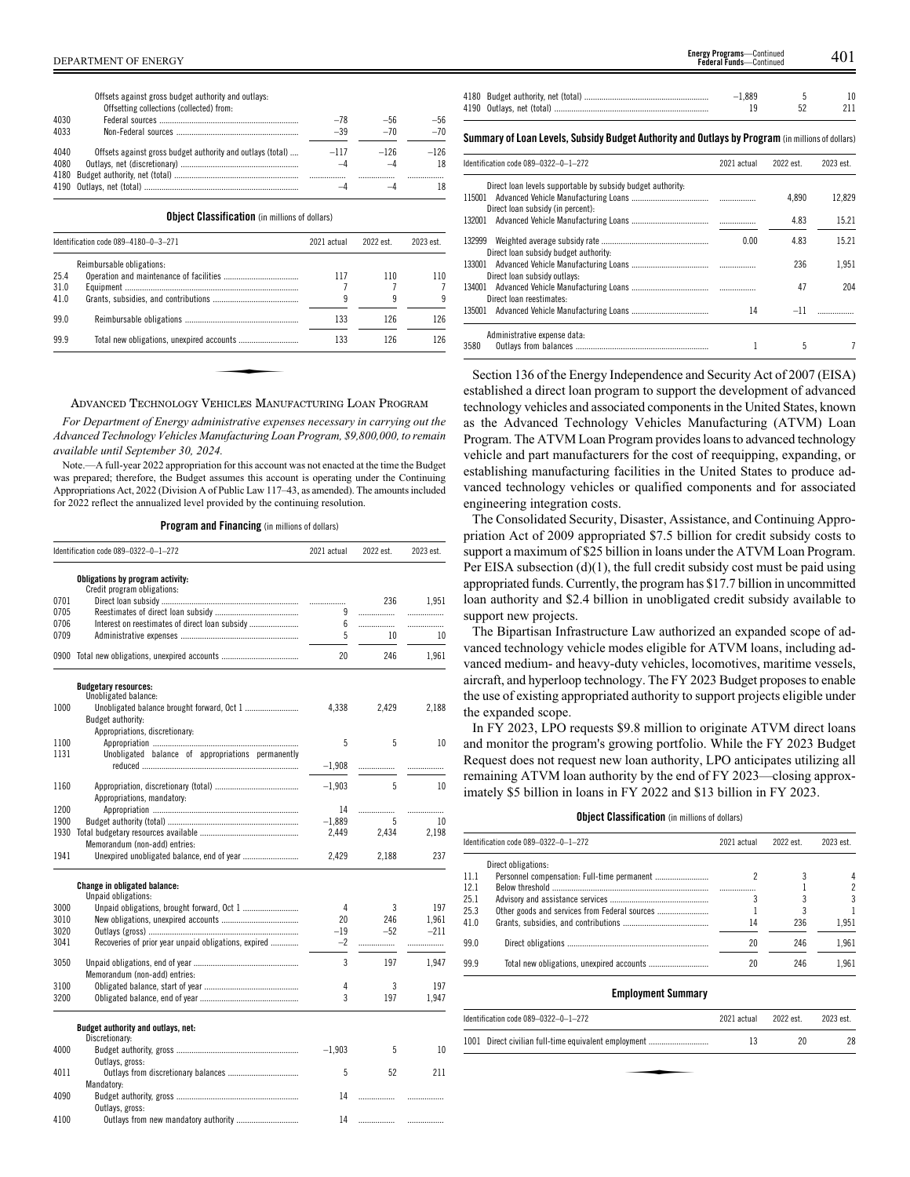|      | Offsetting collections (collected) from:                   |        |           |        |
|------|------------------------------------------------------------|--------|-----------|--------|
| 4030 |                                                            | $-78$  | $-56$     | $-56$  |
| 4033 |                                                            | $-39$  | $-70$     | $-70$  |
| 4040 | Offsets against gross budget authority and outlays (total) | $-117$ | $-126$    | $-126$ |
| 4080 |                                                            |        | $-\Delta$ | 18     |
|      |                                                            |        |           |        |
|      |                                                            |        |           | 18     |

**Object Classification** (in millions of dollars)

|      | Identification code 089-4180-0-3-271 | 2021 actual | 2022 est. | 2023 est. |
|------|--------------------------------------|-------------|-----------|-----------|
|      | Reimbursable obligations:            |             |           |           |
| 25.4 |                                      | 117         | 110       | 110       |
| 31.0 |                                      |             |           |           |
| 41.0 |                                      | q           | q         |           |
| 99.0 |                                      | 133         | 126       | 126       |
| 99.9 |                                      | 133         | 126       | 126       |

### ADVANCED TECHNOLOGY VEHICLES MANUFACTURING LOAN PROGRAM

*For Department of Energy administrative expenses necessary in carrying out the Advanced Technology Vehicles Manufacturing Loan Program, \$9,800,000, to remain available until September 30, 2024.*

Note.—A full-year 2022 appropriation for this account was not enacted at the time the Budget was prepared; therefore, the Budget assumes this account is operating under the Continuing Appropriations Act, 2022 (Division A of Public Law 117–43, as amended). The amounts included for 2022 reflect the annualized level provided by the continuing resolution.

**Program and Financing** (in millions of dollars)

|      | Identification code 089-0322-0-1-272                 | 2021 actual | 2022 est. | 2023 est. |
|------|------------------------------------------------------|-------------|-----------|-----------|
|      | Obligations by program activity:                     |             |           |           |
|      | Credit program obligations:                          |             |           |           |
| 0701 |                                                      | .           | 236       | 1.951     |
| 0705 |                                                      | 9           | .         | .         |
| 0706 |                                                      | 6           | .         | .         |
| 0709 |                                                      | 5           | 10        | 10        |
|      | 0900 Total new obligations, unexpired accounts       | 20          | 246       | 1,961     |
|      | <b>Budgetary resources:</b>                          |             |           |           |
|      | Unobligated balance:                                 |             |           |           |
| 1000 | Unobligated balance brought forward, Oct 1           | 4,338       | 2,429     | 2,188     |
|      | Budget authority:                                    |             |           |           |
|      | Appropriations, discretionary:                       |             |           |           |
| 1100 |                                                      | 5           | 5         | 10        |
| 1131 | Unobligated balance of appropriations permanently    |             |           |           |
|      |                                                      | $-1,908$    | .         |           |
| 1160 |                                                      | $-1.903$    | 5         | 10        |
|      | Appropriations, mandatory:                           |             |           |           |
| 1200 |                                                      | 14          | .         |           |
| 1900 |                                                      | $-1,889$    | 5         | 10        |
| 1930 |                                                      | 2.449       | 2.434     | 2.198     |
|      | Memorandum (non-add) entries:                        |             |           |           |
| 1941 |                                                      | 2,429       | 2,188     | 237       |
|      | Change in obligated balance:                         |             |           |           |
|      | Unpaid obligations:                                  |             |           |           |
| 3000 |                                                      | 4           | 3         | 197       |
| 3010 |                                                      | 20          | 246       | 1.961     |
| 3020 |                                                      | $-19$       | $-52$     | $-211$    |
| 3041 | Recoveries of prior year unpaid obligations, expired | $-2$        | .         | .         |
|      |                                                      |             |           |           |
| 3050 |                                                      | 3           | 197       | 1,947     |
|      | Memorandum (non-add) entries:                        |             |           |           |
| 3100 |                                                      | 4           | 3         | 197       |
| 3200 |                                                      | 3           | 197       | 1,947     |
|      | Budget authority and outlays, net:                   |             |           |           |
|      | Discretionary:                                       |             |           |           |
| 4000 |                                                      | $-1,903$    | 5         | 10        |
|      | Outlays, gross:                                      |             |           |           |
| 4011 |                                                      | 5           | 52        | 211       |
|      | Mandatory:                                           |             |           |           |
| 4090 |                                                      | 14          | .         | .         |
|      | Outlays, gross:                                      |             |           |           |
| 4100 |                                                      | 14          |           |           |

| <b>Energy Programs</b> —Continued<br><b>Federal Funds</b> —Continued<br>DEPARTMENT OF ENERGY    |  |          | 401       |  |
|-------------------------------------------------------------------------------------------------|--|----------|-----------|--|
| Offsets against gross budget authority and outlays:<br>Offsetting collections (collected) from: |  | $-1,889$ | 10<br>211 |  |

**Summary ofLoan Levels, Subsidy Budget Authority and Outlays by Program** (inmillionsof dollars)

| Identification code 089-0322-0-1-272                        | 2021 actual | 2022 est. | 2023 est. |
|-------------------------------------------------------------|-------------|-----------|-----------|
| Direct loan levels supportable by subsidy budget authority. |             |           |           |
|                                                             |             | 4.890     | 12.829    |
| Direct loan subsidy (in percent):                           |             |           |           |
|                                                             |             | 4.83      | 15.21     |
| Direct loan subsidy budget authority:                       | 0.00        | 4.83      | 15.21     |
| Direct loan subsidy outlays:                                |             | 236       | 1.951     |
| Direct loan reestimates:                                    |             | 47        | 204       |
|                                                             | 14          | $-11$     |           |
| Administrative expense data:                                |             |           |           |
| 3580                                                        |             | 5         |           |

Section 136 of the Energy Independence and Security Act of 2007 (EISA) established a direct loan program to support the development of advanced technology vehicles and associated components in the United States, known as the Advanced Technology Vehicles Manufacturing (ATVM) Loan Program. The ATVM Loan Program provides loans to advanced technology vehicle and part manufacturers for the cost of reequipping, expanding, or establishing manufacturing facilities in the United States to produce advanced technology vehicles or qualified components and for associated engineering integration costs.

The Consolidated Security, Disaster, Assistance, and Continuing Appropriation Act of 2009 appropriated \$7.5 billion for credit subsidy costs to support a maximum of \$25 billion in loans under the ATVM Loan Program. Per EISA subsection (d)(1), the full credit subsidy cost must be paid using appropriated funds. Currently, the program has \$17.7 billion in uncommitted loan authority and \$2.4 billion in unobligated credit subsidy available to support new projects.

The Bipartisan Infrastructure Law authorized an expanded scope of advanced technology vehicle modes eligible for ATVM loans, including advanced medium- and heavy-duty vehicles, locomotives, maritime vessels, aircraft, and hyperloop technology. The FY 2023 Budget proposes to enable the use of existing appropriated authority to support projects eligible under the expanded scope.

In FY 2023, LPO requests \$9.8 million to originate ATVM direct loans and monitor the program's growing portfolio. While the FY 2023 Budget Request does not request new loan authority, LPO anticipates utilizing all remaining ATVM loan authority by the end of FY 2023—closing approximately \$5 billion in loans in FY 2022 and \$13 billion in FY 2023.

### **Object Classification** (in millions of dollars)

|      | Identification code 089-0322-0-1-272          | 2021 actual | 2022 est. | 2023 est. |  |
|------|-----------------------------------------------|-------------|-----------|-----------|--|
|      | Direct obligations:                           |             |           |           |  |
| 11.1 |                                               |             |           | 4         |  |
| 121  |                                               |             |           | 2         |  |
| 25.1 |                                               |             |           | 3         |  |
| 25.3 | Other goods and services from Federal sources |             |           |           |  |
| 41.0 |                                               | 14          | 236       | 1.951     |  |
| 99.0 |                                               | 20          | 246       | 1.961     |  |
| 99.9 |                                               | 20          | 246       | 1.961     |  |

### **Employment Summary**

| Identification code 089-0322-0-1-272                 | 2021 actual | 2022 est. | 2023 est. |
|------------------------------------------------------|-------------|-----------|-----------|
| 1001 Direct civilian full-time equivalent employment | 13          | 20        | 28        |
|                                                      |             |           |           |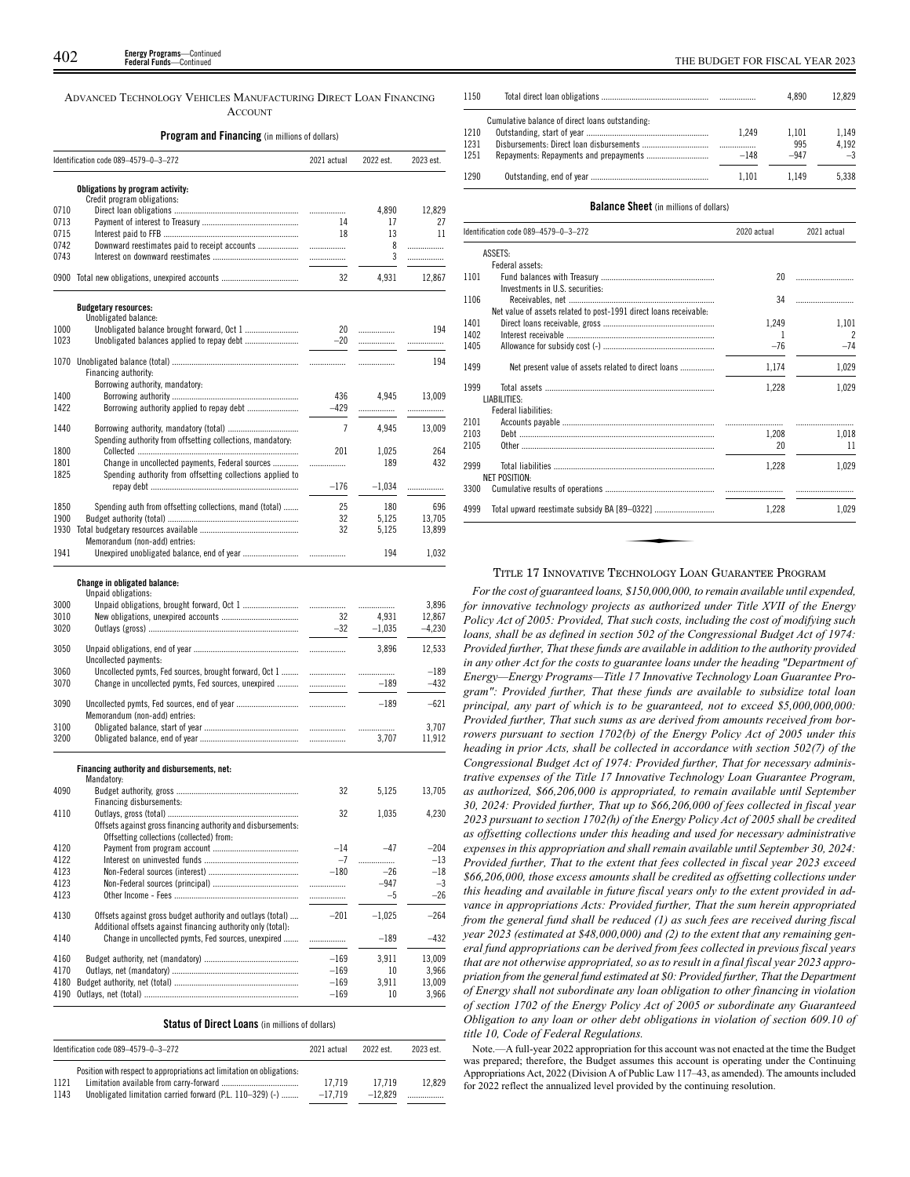ADVANCED TECHNOLOGY VEHICLES MANUFACTURING DIRECT LOAN FINANCING **ACCOUNT** 

### **Program and Financing** (in millions of dollars)

|      | Identification code 089-4579-0-3-272                            | 2021 actual    | 2022 est. | 2023 est. |
|------|-----------------------------------------------------------------|----------------|-----------|-----------|
|      | Obligations by program activity:<br>Credit program obligations: |                |           |           |
| 0710 |                                                                 |                | 4.890     | 12.829    |
| 0713 |                                                                 | 14             | 17        | 27        |
| 0715 |                                                                 | 18             | 13        | 11        |
| 0742 | Downward reestimates paid to receipt accounts                   | .              | 8         | .         |
| 0743 |                                                                 |                | 3         | .         |
| 0900 |                                                                 | 32             | 4,931     | 12,867    |
|      | <b>Budgetary resources:</b>                                     |                |           |           |
|      | Unobligated balance:                                            |                |           |           |
| 1000 |                                                                 | 20             | .         | 194       |
| 1023 |                                                                 | $-20$          | .         |           |
| 1070 |                                                                 |                | .         | 194       |
|      | Financing authority:                                            |                |           |           |
|      | Borrowing authority, mandatory:                                 |                |           |           |
| 1400 |                                                                 | 436            | 4.945     | 13,009    |
| 1422 |                                                                 | $-429$         | .         |           |
| 1440 |                                                                 | $\overline{7}$ | 4.945     | 13.009    |
|      | Spending authority from offsetting collections, mandatory:      |                |           |           |
| 1800 |                                                                 | 201            | 1,025     | 264       |
| 1801 | Change in uncollected payments, Federal sources                 | .              | 189       | 432       |
| 1825 | Spending authority from offsetting collections applied to       |                |           |           |
|      |                                                                 | $-176$         | $-1,034$  |           |
| 1850 | Spending auth from offsetting collections, mand (total)         | 25             | 180       | 696       |
| 1900 |                                                                 | 32             | 5,125     | 13,705    |
| 1930 |                                                                 | 32             | 5,125     | 13,899    |
|      | Memorandum (non-add) entries:                                   |                |           |           |
| 1941 |                                                                 |                | 194       | 1,032     |

### **Change in obligated balance:**

|      | Unpaid obligations:                                    |       |          |          |
|------|--------------------------------------------------------|-------|----------|----------|
| 3000 |                                                        |       |          | 3.896    |
| 3010 |                                                        | 32    | 4.931    | 12.867   |
| 3020 |                                                        | $-32$ | $-1.035$ | $-4.230$ |
| 3050 | Uncollected payments:                                  |       | 3.896    | 12.533   |
| 3060 | Uncollected pymts, Fed sources, brought forward, Oct 1 |       |          | $-189$   |
| 3070 | Change in uncollected pymts, Fed sources, unexpired    | .     | $-189$   | $-432$   |
| 3090 | Memorandum (non-add) entries:                          |       | $-189$   | $-621$   |
| 3100 |                                                        |       |          | 3.707    |
| 3200 |                                                        |       | 3.707    | 11.912   |
|      |                                                        |       |          |          |

### **Financing authority and disbursements, net:**

|      | Mandatory:                                                   |        |          |        |
|------|--------------------------------------------------------------|--------|----------|--------|
| 4090 |                                                              | 32     | 5.125    | 13.705 |
|      | Financing disbursements:                                     |        |          |        |
| 4110 |                                                              | 32     | 1.035    | 4.230  |
|      | Offsets against gross financing authority and disbursements: |        |          |        |
|      | Offsetting collections (collected) from:                     |        |          |        |
| 4120 |                                                              | $-14$  | $-47$    | $-204$ |
| 4122 |                                                              | $-7$   | .        | $-13$  |
| 4123 |                                                              | $-180$ | $-26$    | $-18$  |
| 4123 |                                                              |        | $-947$   | $-3$   |
| 4123 |                                                              | .      | $-5$     | $-26$  |
|      |                                                              |        |          |        |
| 4130 | Offsets against gross budget authority and outlays (total)   | $-201$ | $-1.025$ | $-264$ |
|      | Additional offsets against financing authority only (total): |        |          |        |
| 4140 | Change in uncollected pymts, Fed sources, unexpired          |        | $-189$   | $-432$ |
|      |                                                              |        |          |        |
| 4160 |                                                              | $-169$ | 3.911    | 13.009 |
| 4170 |                                                              | $-169$ | 10       | 3.966  |
| 4180 |                                                              | $-169$ | 3.911    | 13.009 |
| 4190 |                                                              | $-169$ | 10       | 3.966  |

| <b>Status of Direct Loans</b> (in millions of dollars) |  |  |  |  |
|--------------------------------------------------------|--|--|--|--|
|--------------------------------------------------------|--|--|--|--|

| Identification code 089-4579-0-3-272 |                                                                        | 2021 actual | 2022 est. | 2023 est. |
|--------------------------------------|------------------------------------------------------------------------|-------------|-----------|-----------|
|                                      | Position with respect to appropriations act limitation on obligations: |             |           |           |
| 1121                                 |                                                                        | 17.719      | 17.719    | 12.829    |
| 1143                                 | Unobligated limitation carried forward (P.L. 110–329) (-)              | $-17.719$   | $-12.829$ |           |

| 1150                 |                                                 |                 | 4.890                  | 12.829                 |
|----------------------|-------------------------------------------------|-----------------|------------------------|------------------------|
| 1210<br>1231<br>1251 | Cumulative balance of direct loans outstanding: | 1.249<br>$-148$ | 1.101<br>995<br>$-947$ | 1.149<br>4.192<br>$-3$ |
| 1290                 |                                                 | 1.101           | 1.149                  | 5.338                  |

### **Balance Sheet** (in millions of dollars)

| Identification code 089-4579-0-3-272 |                                                                   | 2020 actual | 2021 actual    |
|--------------------------------------|-------------------------------------------------------------------|-------------|----------------|
|                                      | ASSETS:                                                           |             |                |
|                                      | Federal assets:                                                   |             |                |
| 1101                                 | Investments in U.S. securities:                                   | 20          |                |
| 1106                                 |                                                                   | 34          |                |
|                                      | Net value of assets related to post-1991 direct loans receivable: |             |                |
| 1401                                 |                                                                   | 1,249       | 1,101          |
| 1402                                 |                                                                   | 1           | $\overline{2}$ |
| 1405                                 |                                                                   | $-76$       | $-74$          |
| 1499                                 | Net present value of assets related to direct loans               | 1.174       | 1,029          |
| 1999                                 |                                                                   | 1,228       | 1,029          |
|                                      | LIABILITIES:                                                      |             |                |
|                                      | Federal liabilities:                                              |             |                |
| 2101                                 |                                                                   |             |                |
| 2103                                 |                                                                   | 1.208       | 1.018          |
| 2105                                 |                                                                   | 20          | 11             |
| 2999                                 |                                                                   | 1.228       | 1.029          |
|                                      | <b>NET POSITION:</b>                                              |             |                |
| 3300                                 |                                                                   |             |                |
| 4999                                 |                                                                   | 1.228       | 1.029          |

# TITLE 17 INNOVATIVE TECHNOLOGY LOAN GUARANTEE PROGRAM

*For the cost of guaranteed loans, \$150,000,000, to remain available until expended, for innovative technology projects as authorized under Title XVII of the Energy Policy Act of 2005: Provided, That such costs, including the cost of modifying such loans, shall be as defined in section 502 of the Congressional Budget Act of 1974: Provided further, That these funds are available in addition to the authority provided in any other Act for the costs to guarantee loans under the heading "Department of Energy—Energy Programs—Title 17 Innovative Technology Loan Guarantee Program": Provided further, That these funds are available to subsidize total loan principal, any part of which is to be guaranteed, not to exceed \$5,000,000,000: Provided further, That such sums as are derived from amounts received from borrowers pursuant to section 1702(b) of the Energy Policy Act of 2005 under this heading in prior Acts, shall be collected in accordance with section 502(7) of the Congressional Budget Act of 1974: Provided further, That for necessary administrative expenses of the Title 17 Innovative Technology Loan Guarantee Program, as authorized, \$66,206,000 is appropriated, to remain available until September 30, 2024: Provided further, That up to \$66,206,000 of fees collected in fiscal year 2023 pursuant to section 1702(h) of the Energy Policy Act of 2005 shall be credited as offsetting collections under this heading and used for necessary administrative expenses in this appropriation and shall remain available until September 30, 2024: Provided further, That to the extent that fees collected in fiscal year 2023 exceed \$66,206,000, those excess amounts shall be credited as offsetting collections under this heading and available in future fiscal years only to the extent provided in advance in appropriations Acts: Provided further, That the sum herein appropriated from the general fund shall be reduced (1) as such fees are received during fiscal year 2023 (estimated at \$48,000,000) and (2) to the extent that any remaining general fund appropriations can be derived from fees collected in previous fiscal years that are not otherwise appropriated, so as to result in a final fiscal year 2023 appropriation from the general fund estimated at \$0: Provided further, That the Department of Energy shall not subordinate any loan obligation to other financing in violation of section 1702 of the Energy Policy Act of 2005 or subordinate any Guaranteed Obligation to any loan or other debt obligations in violation of section 609.10 of title 10, Code of Federal Regulations.*

Note.—A full-year 2022 appropriation for this account was not enacted at the time the Budget was prepared; therefore, the Budget assumes this account is operating under the Continuing Appropriations Act, 2022 (Division A of Public Law 117–43, as amended). The amounts included for 2022 reflect the annualized level provided by the continuing resolution.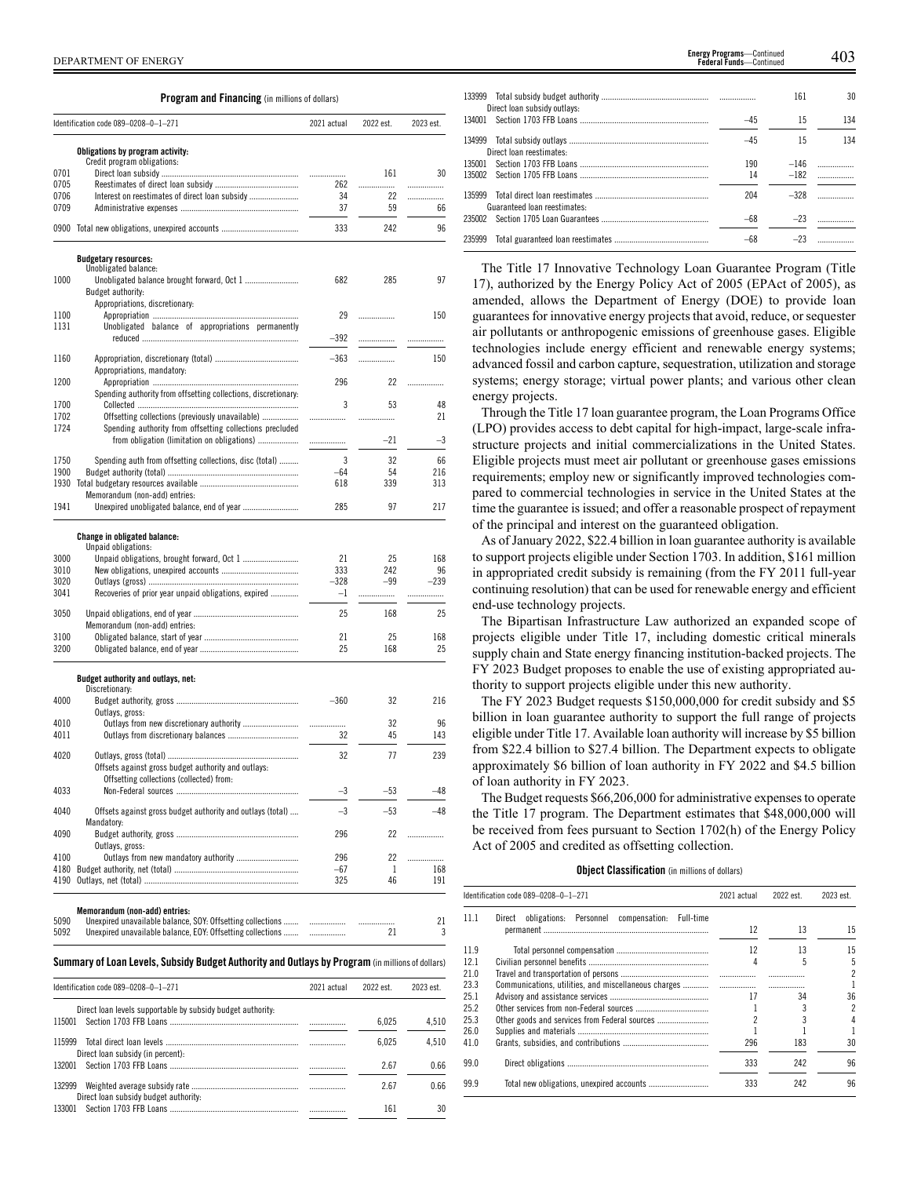Direct loan subsidy (in percent):

Direct loan subsidy budget authority:

**Program and Financing** (in millions of dollars)

|              | Identification code 089-0208-0-1-271                                                                    | 2021 actual  | 2022 est. | 2023 est. |
|--------------|---------------------------------------------------------------------------------------------------------|--------------|-----------|-----------|
|              |                                                                                                         |              |           |           |
|              | Obligations by program activity:<br>Credit program obligations:                                         |              |           |           |
| 0701         |                                                                                                         | .            | 161       | 30        |
| 0705         |                                                                                                         | 262          |           | .         |
| 0706         | Interest on reestimates of direct loan subsidy                                                          | 34           | 22        |           |
| 0709         |                                                                                                         | 37           | 59        | 66        |
|              | 0900 Total new obligations, unexpired accounts                                                          | 333          | 242       | 96        |
|              | <b>Budgetary resources:</b>                                                                             |              |           |           |
|              | Unobligated balance:                                                                                    |              |           |           |
| 1000         | Unobligated balance brought forward, Oct 1<br>Budget authority:                                         | 682          | 285       | 97        |
|              | Appropriations, discretionary:                                                                          |              |           |           |
| 1100         |                                                                                                         | 29           |           | 150       |
| 1131         | Unobligated balance of appropriations permanently                                                       | $-392$       | .         |           |
|              |                                                                                                         |              |           |           |
| 1160         |                                                                                                         | $-363$       |           | 150       |
| 1200         | Appropriations, mandatory:                                                                              | 296          | 22        | .         |
|              | Spending authority from offsetting collections, discretionary:                                          |              |           |           |
| 1700         |                                                                                                         | 3            | 53        | 48        |
| 1702         | Offsetting collections (previously unavailable)                                                         |              |           | 21        |
| 1724         | Spending authority from offsetting collections precluded<br>from obligation (limitation on obligations) |              | $-21$     | $-3$      |
|              |                                                                                                         | .            |           |           |
| 1750         | Spending auth from offsetting collections, disc (total)                                                 | 3            | 32        | 66        |
| 1900         |                                                                                                         | -64          | 54        | 216       |
| 1930         | Memorandum (non-add) entries:                                                                           | 618          | 339       | 313       |
| 1941         |                                                                                                         | 285          | 97        | 217       |
|              | Change in obligated balance:<br>Unpaid obligations:                                                     |              |           |           |
| 3000         |                                                                                                         | 21           | 25        | 168       |
| 3010         |                                                                                                         | 333          | 242       | 96        |
| 3020         |                                                                                                         | $-328$       | $-99$     | $-239$    |
| 3041         | Recoveries of prior year unpaid obligations, expired                                                    | $-1$         | .         | .         |
| 3050         |                                                                                                         | 25           | 168       | 25        |
|              | Memorandum (non-add) entries:                                                                           |              |           |           |
| 3100<br>3200 |                                                                                                         | 21<br>25     | 25<br>168 | 168<br>25 |
|              |                                                                                                         |              |           |           |
|              | Budget authority and outlays, net:<br>Discretionary:                                                    |              |           |           |
| 4000         |                                                                                                         | $-360$       | 32        | 216       |
| 4010         | Outlays, gross:<br>Outlays from new discretionary authority                                             |              | 32        | 96        |
| 4011         |                                                                                                         | <br>32       | 45        | 143       |
|              |                                                                                                         |              |           |           |
| 4020         | Offsets against gross budget authority and outlays:                                                     | 32           | 77        | 239       |
|              | Offsetting collections (collected) from:                                                                |              |           |           |
| 4033         |                                                                                                         | -3           | $-53$     | -48       |
| 4040         | Offsets against gross budget authority and outlays (total)                                              | $-3$         | $-53$     | $-48$     |
|              | Mandatory:                                                                                              |              |           |           |
| 4090         |                                                                                                         | 296          | 22        |           |
| 4100         | Outlays, gross:                                                                                         |              | 22        |           |
| 4180         | Outlays from new mandatory authority                                                                    | 296<br>$-67$ | 1         | .<br>168  |
|              |                                                                                                         | 325          | 46        | 191       |
|              |                                                                                                         |              |           |           |
|              | Memorandum (non-add) entries:                                                                           |              |           |           |
| 5090         | Unexpired unavailable balance, SOY: Offsetting collections                                              |              | .         | 21        |
| 5092         | Unexpired unavailable balance, EOY: Offsetting collections                                              | .            | 21        | 3         |
|              | Summary of Loan Levels, Subsidy Budget Authority and Outlays by Program (in millions of dollars)        |              |           |           |
|              | Identification code 089-0208-0-1-271                                                                    | 2021 actual  | 2022 est. | 2023 est. |
|              | Direct loan levels supportable by subsidy budget authority:                                             |              |           |           |
| 115001       |                                                                                                         | .            | 6,025     | 4,510     |
| 115999       | Total direct loan levels                                                                                |              | 6.025     | 4.510     |

132001 Section 1703 FFB Loans ............................................................ ................. 2.67 0.66 132999 Weighted average subsidy rate .................................................. ................. 2.67 0.66

133001 Section 1703 FFB Loans ............................................................ ................. 161 30

|        |                              |       | 161    | 30                            |
|--------|------------------------------|-------|--------|-------------------------------|
|        | Direct loan subsidy outlays: |       |        |                               |
|        |                              | $-45$ | 15     | 134                           |
|        | Direct loan reestimates:     | $-45$ | 15     | 134                           |
|        |                              | 190   | $-146$ | .                             |
|        |                              | 14    | $-182$ | .                             |
|        | Guaranteed loan reestimates: | 204   | $-328$ |                               |
|        |                              | $-68$ | $-23$  | $\ldots \ldots \ldots \ldots$ |
| 235999 |                              | $-68$ | $-23$  |                               |

The Title 17 Innovative Technology Loan Guarantee Program (Title 17), authorized by the Energy Policy Act of 2005 (EPAct of 2005), as amended, allows the Department of Energy (DOE) to provide loan guarantees for innovative energy projects that avoid, reduce, or sequester air pollutants or anthropogenic emissions of greenhouse gases. Eligible technologies include energy efficient and renewable energy systems; advanced fossil and carbon capture, sequestration, utilization and storage systems; energy storage; virtual power plants; and various other clean energy projects.

Through the Title 17 loan guarantee program, the Loan Programs Office (LPO) provides access to debt capital for high-impact, large-scale infrastructure projects and initial commercializations in the United States. Eligible projects must meet air pollutant or greenhouse gases emissions requirements; employ new or significantly improved technologies compared to commercial technologies in service in the United States at the time the guarantee is issued; and offer a reasonable prospect of repayment of the principal and interest on the guaranteed obligation.

As of January 2022, \$22.4 billion in loan guarantee authority is available to support projects eligible under Section 1703. In addition, \$161 million in appropriated credit subsidy is remaining (from the FY 2011 full-year continuing resolution) that can be used for renewable energy and efficient end-use technology projects.

The Bipartisan Infrastructure Law authorized an expanded scope of projects eligible under Title 17, including domestic critical minerals supply chain and State energy financing institution-backed projects. The FY 2023 Budget proposes to enable the use of existing appropriated authority to support projects eligible under this new authority.

The FY 2023 Budget requests \$150,000,000 for credit subsidy and \$5 billion in loan guarantee authority to support the full range of projects eligible under Title 17. Available loan authority will increase by \$5 billion from \$22.4 billion to \$27.4 billion. The Department expects to obligate approximately \$6 billion of loan authority in FY 2022 and \$4.5 billion of loan authority in FY 2023.

The Budget requests \$66,206,000 for administrative expenses to operate the Title 17 program. The Department estimates that \$48,000,000 will be received from fees pursuant to Section 1702(h) of the Energy Policy Act of 2005 and credited as offsetting collection.

### **Object Classification** (in millions of dollars)

|      | Identification code 089-0208-0-1-271                        | 2021 actual | 2022 est. | 2023 est. |
|------|-------------------------------------------------------------|-------------|-----------|-----------|
| 111  | obligations: Personnel<br>compensation: Full-time<br>Direct |             |           |           |
|      |                                                             | 12          | 13        | 15        |
| 119  |                                                             | 12          | 13        | 15        |
| 121  |                                                             |             | 5         | 5         |
| 21.0 |                                                             |             |           |           |
| 23.3 |                                                             |             |           |           |
| 251  |                                                             | 17          | 34        | 36        |
| 25.2 |                                                             |             |           |           |
| 253  |                                                             |             |           |           |
| 26.0 |                                                             |             |           |           |
| 41.0 |                                                             | 296         | 183       | 30        |
| 99.0 |                                                             | 333         | 242       | 96        |
| 99.9 |                                                             | 333         | 242       | 96        |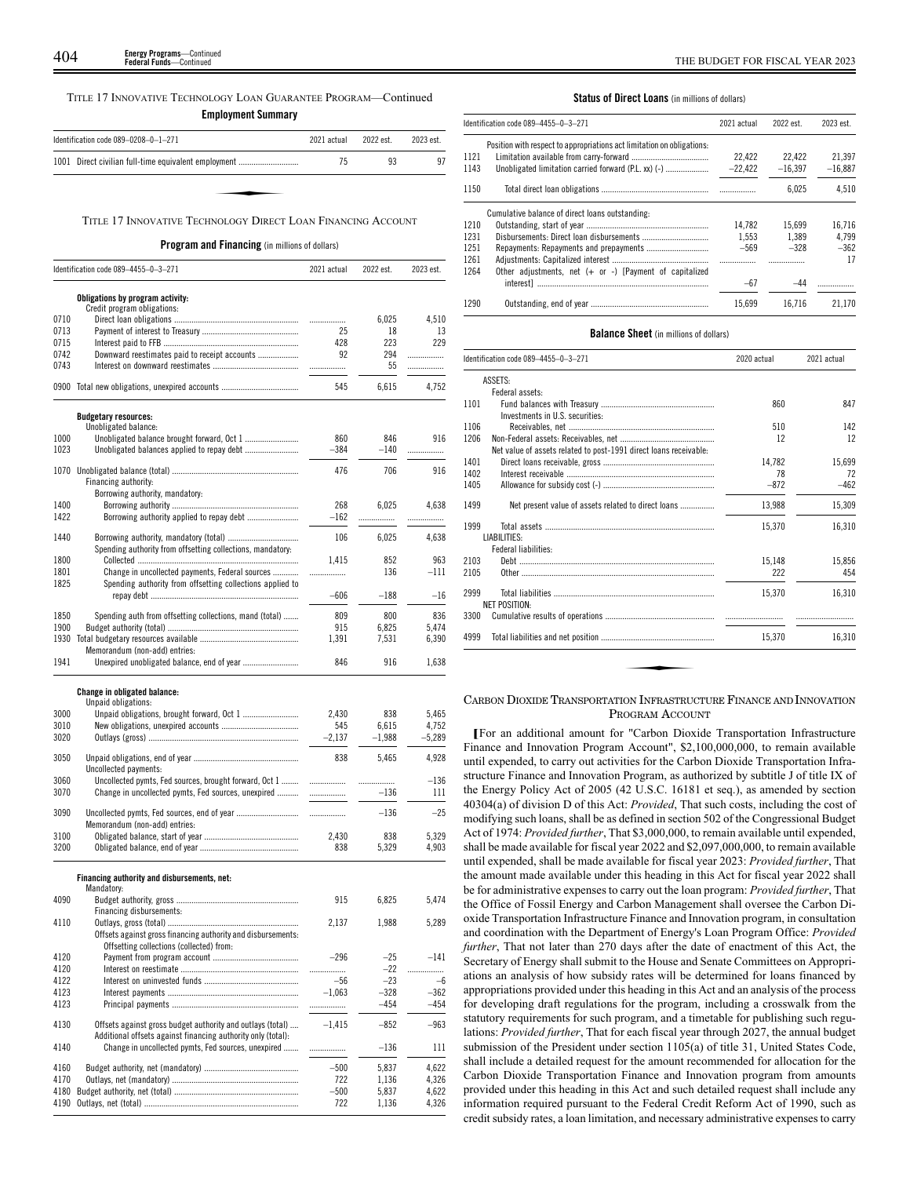404 THE BUDGET FOR FISCAL YEAR 2023 **Energy Programs**—Continued **Federal Funds**—Continued

TITLE 17 INNOVATIVE TECHNOLOGY LOAN GUARANTEE PROGRAM—Continued

**Employment Summary**

| Identification code 089-0208-0-1-271                         | 2021 actual | 2022 est. | 2023 est. |
|--------------------------------------------------------------|-------------|-----------|-----------|
| 1001 Direct civilian full-time equivalent employment         | 75          | 93        | 97        |
|                                                              |             |           |           |
| TITLE 17 INNOVATIVE TECHNOLOGY DIRECT LOAN FINANCING ACCOUNT |             |           |           |

### TITLE 17 INNOVATIVE TECHNOLOGY DIRECT LOAN FINANCING ACCOUNT

### **Program and Financing** (in millions of dollars)

|              | Identification code 089-4455-0-3-271                         | 2021 actual   | 2022 est.      | 2023 est.      |
|--------------|--------------------------------------------------------------|---------------|----------------|----------------|
|              | Obligations by program activity:                             |               |                |                |
|              | Credit program obligations:                                  |               |                |                |
| 0710         |                                                              | .             | 6,025          | 4,510          |
| 0713         |                                                              | 25            | 18             | 13             |
| 0715         |                                                              | 428           | 223            | 229            |
| 0742         | Downward reestimates paid to receipt accounts                | 92            | 294            | .              |
| 0743         |                                                              | .             | 55             | .              |
| 0900         |                                                              | 545           | 6,615          | 4,752          |
|              | <b>Budgetary resources:</b>                                  |               |                |                |
|              | Unobligated balance:                                         |               |                |                |
| 1000         |                                                              | 860           | 846            | 916            |
| 1023         |                                                              | 384           | -140           | .              |
| 1070         |                                                              | 476           | 706            | 916            |
|              | Financing authority:                                         |               |                |                |
|              | Borrowing authority, mandatory:                              |               |                |                |
| 1400         |                                                              | 268           | 6,025          | 4,638          |
| 1422         |                                                              | $-162$        | .              | .              |
| 1440         | Borrowing authority, mandatory (total)                       | 106           | 6,025          | 4,638          |
|              | Spending authority from offsetting collections, mandatory:   |               |                |                |
| 1800         |                                                              | 1,415         | 852            | 963            |
| 1801         | Change in uncollected payments, Federal sources              | .             | 136            | $-111$         |
| 1825         | Spending authority from offsetting collections applied to    |               |                |                |
|              |                                                              | $-606$        | $-188$         | $-16$          |
| 1850         | Spending auth from offsetting collections, mand (total)      | 809           | 800            | 836            |
| 1900         |                                                              | 915           | 6,825          | 5,474          |
| 1930         |                                                              | 1,391         | 7,531          | 6,390          |
|              | Memorandum (non-add) entries:                                |               |                |                |
| 1941         |                                                              | 846           | 916            | 1,638          |
|              | <b>Change in obligated balance:</b>                          |               |                |                |
|              | Unpaid obligations:                                          |               |                |                |
| 3000         | Unpaid obligations, brought forward, Oct 1                   | 2,430         | 838            | 5,465          |
| 3010         |                                                              | 545           | 6,615          | 4,752          |
| 3020         |                                                              | $-2,137$      | $-1,988$       | $-5,289$       |
| 3050         |                                                              | 838           | 5,465          | 4,928          |
|              | Uncollected payments:                                        |               |                |                |
| 3060         | Uncollected pymts, Fed sources, brought forward, Oct 1       | .             | .              | $-136$         |
| 3070         | Change in uncollected pymts, Fed sources, unexpired          | .             | $-136$         | 111            |
|              |                                                              |               |                |                |
| 3090         |                                                              |               | $-136$         | $-25$          |
| 3100         | Memorandum (non-add) entries:                                | 2,430         | 838            | 5,329          |
| 3200         |                                                              | 838           | 5,329          | 4,903          |
|              |                                                              |               |                |                |
|              | Financing authority and disbursements, net:                  |               |                |                |
| 4090         | Mandatory:                                                   | 915           | 6.825          | 5,474          |
|              | Financing disbursements:                                     |               |                |                |
| 4110         |                                                              | 2,137         | 1,988          | 5,289          |
|              | Offsets against gross financing authority and disbursements: |               |                |                |
|              | Offsetting collections (collected) from:                     |               |                |                |
| 4120         |                                                              | $-296$        | $-25$          | $-141$         |
| 4120         |                                                              |               | $-22$          |                |
| 4122         |                                                              | $-56$         | $-23$          | -6             |
| 4123         |                                                              | $-1,063$      | $-328$         | $-362$         |
| 4123         |                                                              |               | $-454$         | $-454$         |
| 4130         | Offsets against gross budget authority and outlays (total)   | $-1,415$      | -852           | $-963$         |
|              | Additional offsets against financing authority only (total): |               |                |                |
| 4140         | Change in uncollected pymts, Fed sources, unexpired          | .             | $-136$         | 111            |
|              |                                                              |               |                |                |
| 4160         |                                                              | $-500$        | 5,837          | 4,622          |
| 4170         |                                                              | 722           | 1,136          | 4,326<br>4,622 |
| 4180<br>4190 |                                                              | $-500$<br>722 | 5,837<br>1,136 | 4,326          |
|              |                                                              |               |                |                |

### **Status of Direct Loans** (in millions of dollars)

|      | Identification code 089-4455-0-3-271                                   | 2021 actual | 2022 est. | 2023 est. |
|------|------------------------------------------------------------------------|-------------|-----------|-----------|
|      | Position with respect to appropriations act limitation on obligations: |             |           |           |
| 1121 |                                                                        | 22.422      | 22,422    | 21.397    |
| 1143 | Unobligated limitation carried forward (P.L. xx) (-)                   | $-22.422$   | $-16.397$ | $-16.887$ |
| 1150 |                                                                        |             | 6.025     | 4.510     |
|      | Cumulative balance of direct loans outstanding:                        |             |           |           |
| 1210 |                                                                        | 14.782      | 15.699    | 16.716    |
| 1231 |                                                                        | 1.553       | 1.389     | 4.799     |
| 1251 |                                                                        | $-569$      | $-328$    | $-362$    |
| 1261 |                                                                        |             | .         | 17        |
| 1264 | Other adjustments, net $(+)$ or $-$ ) [Payment of capitalized          |             |           |           |
|      |                                                                        | $-67$       | $-44$     |           |
| 1290 |                                                                        | 15.699      | 16.716    | 21.170    |

### **Balance Sheet** (in millions of dollars)

|      | Identification code 089-4455-0-3-271                              | 2020 actual | 2021 actual |
|------|-------------------------------------------------------------------|-------------|-------------|
|      | ASSETS:                                                           |             |             |
|      | Federal assets:                                                   |             |             |
| 1101 |                                                                   | 860         | 847         |
|      | Investments in U.S. securities:                                   |             |             |
| 1106 |                                                                   | 510         | 142         |
| 1206 |                                                                   | 12          | 12          |
|      | Net value of assets related to post-1991 direct loans receivable: |             |             |
| 1401 |                                                                   | 14.782      | 15.699      |
| 1402 |                                                                   | 78          | 72          |
| 1405 |                                                                   | $-872$      | $-462$      |
| 1499 | Net present value of assets related to direct loans               | 13,988      | 15,309      |
| 1999 | LIABILITIES:                                                      | 15,370      | 16,310      |
|      | Federal liabilities:                                              |             |             |
| 2103 |                                                                   | 15.148      | 15.856      |
| 2105 |                                                                   | 222         | 454         |
| 2999 | <b>NET POSITION:</b>                                              | 15.370      | 16.310      |
| 3300 |                                                                   |             |             |
| 4999 |                                                                   | 15.370      | 16.310      |

# CARBON DIOXIDE TRANSPORTATION INFRASTRUCTURE FINANCE AND INNOVATION PROGRAM ACCOUNT

**[**For an additional amount for "Carbon Dioxide Transportation Infrastructure Finance and Innovation Program Account", \$2,100,000,000, to remain available until expended, to carry out activities for the Carbon Dioxide Transportation Infrastructure Finance and Innovation Program, as authorized by subtitle J of title IX of the Energy Policy Act of 2005 (42 U.S.C. 16181 et seq.), as amended by section 40304(a) of division D of this Act: *Provided*, That such costs, including the cost of modifying such loans, shall be as defined in section 502 of the Congressional Budget Act of 1974: *Provided further*, That \$3,000,000, to remain available until expended, shall be made available for fiscal year 2022 and \$2,097,000,000, to remain available until expended, shall be made available for fiscal year 2023: *Provided further*, That the amount made available under this heading in this Act for fiscal year 2022 shall be for administrative expenses to carry out the loan program: *Provided further*, That the Office of Fossil Energy and Carbon Management shall oversee the Carbon Dioxide Transportation Infrastructure Finance and Innovation program, in consultation and coordination with the Department of Energy's Loan Program Office: *Provided further*, That not later than 270 days after the date of enactment of this Act, the Secretary of Energy shall submit to the House and Senate Committees on Appropriations an analysis of how subsidy rates will be determined for loans financed by appropriations provided under this heading in this Act and an analysis of the process for developing draft regulations for the program, including a crosswalk from the statutory requirements for such program, and a timetable for publishing such regulations: *Provided further*, That for each fiscal year through 2027, the annual budget submission of the President under section 1105(a) of title 31, United States Code, shall include a detailed request for the amount recommended for allocation for the Carbon Dioxide Transportation Finance and Innovation program from amounts provided under this heading in this Act and such detailed request shall include any information required pursuant to the Federal Credit Reform Act of 1990, such as credit subsidy rates, a loan limitation, and necessary administrative expenses to carry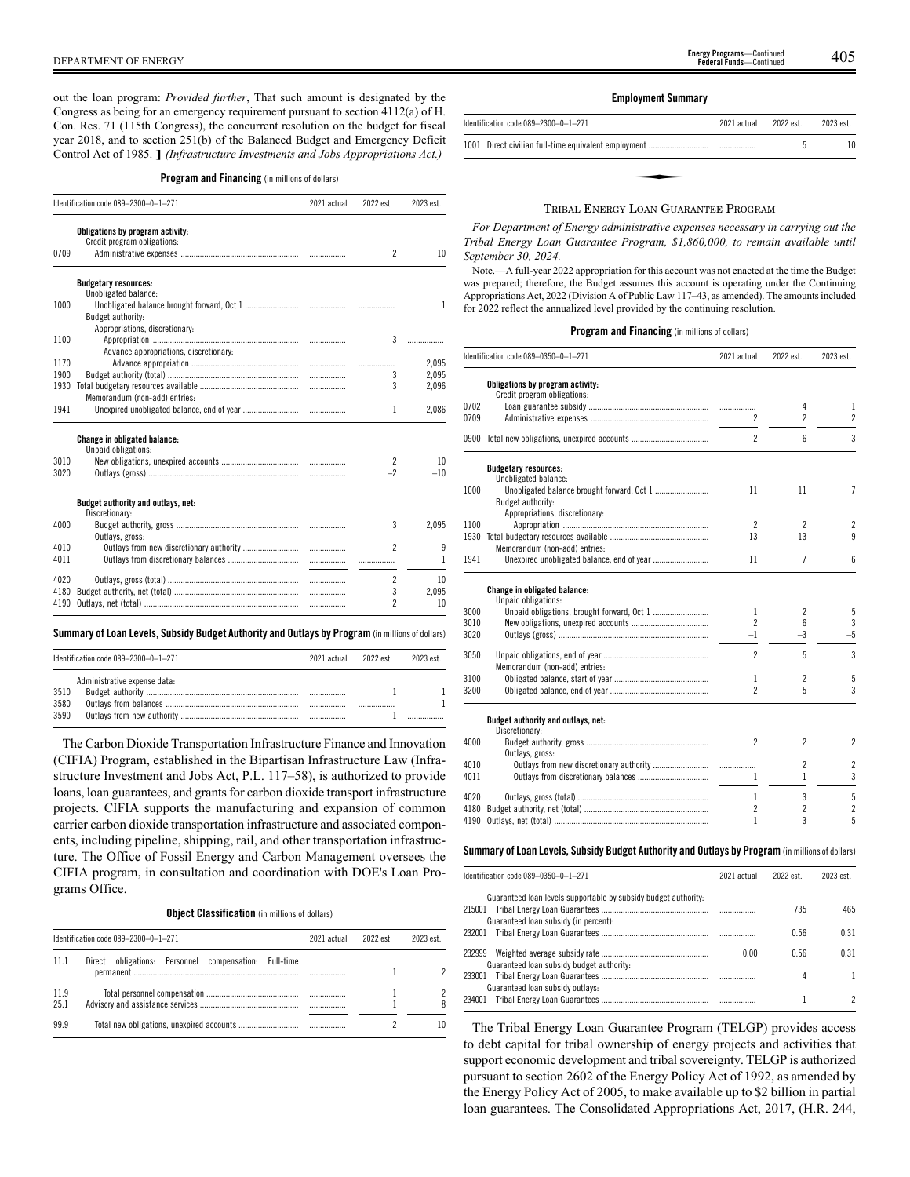out the loan program: *Provided further*, That such amount is designated by the Congress as being for an emergency requirement pursuant to section 4112(a) of H. Con. Res. 71 (115th Congress), the concurrent resolution on the budget for fiscal year 2018, and to section 251(b) of the Balanced Budget and Emergency Deficit Control Act of 1985. **]** *(Infrastructure Investments and Jobs Appropriations Act.)*

### **Program and Financing** (in millions of dollars)

|      | Identification code 089-2300-0-1-271   | 2021 actual | 2022 est.                | 2023 est.    |
|------|----------------------------------------|-------------|--------------------------|--------------|
|      | Obligations by program activity:       |             |                          |              |
|      | Credit program obligations:            |             |                          |              |
| 0709 |                                        |             | $\overline{\phantom{a}}$ | 10           |
|      | <b>Budgetary resources:</b>            |             |                          |              |
|      | Unobligated balance:                   |             |                          |              |
| 1000 |                                        |             |                          | $\mathbf{1}$ |
|      | Budget authority:                      |             |                          |              |
|      | Appropriations, discretionary:         |             |                          |              |
| 1100 |                                        |             | 3                        |              |
|      | Advance appropriations, discretionary: |             |                          |              |
| 1170 |                                        |             | .                        | 2,095        |
| 1900 |                                        |             | 3                        | 2,095        |
| 1930 |                                        |             | 3                        | 2.096        |
|      | Memorandum (non-add) entries:          |             |                          |              |
| 1941 |                                        |             | 1                        | 2,086        |
|      | <b>Change in obligated balance:</b>    |             |                          |              |
|      | Unpaid obligations:                    |             |                          |              |
| 3010 |                                        |             | 2                        | 10           |
| 3020 |                                        |             | $-2$                     | $-10$        |
|      | Budget authority and outlays, net:     |             |                          |              |
|      | Discretionary:                         |             |                          |              |
| 4000 |                                        |             | 3                        | 2,095        |
|      | Outlays, gross:                        |             |                          |              |
| 4010 |                                        |             | $\overline{\phantom{a}}$ | 9            |
| 4011 |                                        |             |                          | 1            |
| 4020 |                                        |             | 2                        | 10           |
| 4180 |                                        |             | 3                        | 2.095        |
| 4190 |                                        |             | $\overline{\phantom{a}}$ | 10           |
|      |                                        |             |                          |              |

### **Summary ofLoan Levels, Subsidy Budget Authority and Outlays by Program** (inmillionsof dollars)

| Identification code 089-2300-0-1-271                 | 2021 actual | 2022 est. | 2023 est |
|------------------------------------------------------|-------------|-----------|----------|
| Administrative expense data:<br>3510<br>3580<br>3590 |             |           |          |

The Carbon Dioxide Transportation Infrastructure Finance and Innovation (CIFIA) Program, established in the Bipartisan Infrastructure Law (Infrastructure Investment and Jobs Act, P.L. 117–58), is authorized to provide loans, loan guarantees, and grants for carbon dioxide transport infrastructure projects. CIFIA supports the manufacturing and expansion of common carrier carbon dioxide transportation infrastructure and associated components, including pipeline, shipping, rail, and other transportation infrastructure. The Office of Fossil Energy and Carbon Management oversees the CIFIA program, in consultation and coordination with DOE's Loan Programs Office.

# **Object Classification** (in millions of dollars)

|              | Identification code 089-2300-0-1-271                  | 2021 actual | 2022 est. | 2023 est. |
|--------------|-------------------------------------------------------|-------------|-----------|-----------|
| 11.1         | Direct obligations: Personnel compensation: Full-time |             |           |           |
| 11.9<br>25.1 |                                                       |             |           | 8         |
| 99.9         |                                                       |             |           | 10        |

### **Employment Summary**

| Identification code 089-2300-0-1-271 | 2021 actual | 2022 est. | 2023 est. |
|--------------------------------------|-------------|-----------|-----------|
|                                      |             |           |           |
|                                      |             |           |           |
|                                      |             |           |           |
|                                      |             |           |           |

### TRIBAL ENERGY LOAN GUARANTEE PROGRAM

*For Department of Energy administrative expenses necessary in carrying out the Tribal Energy Loan Guarantee Program, \$1,860,000, to remain available until September 30, 2024.*

Note.—A full-year 2022 appropriation for this account was not enacted at the time the Budget was prepared; therefore, the Budget assumes this account is operating under the Continuing Appropriations Act, 2022 (Division A of Public Law 117–43, as amended). The amounts included for 2022 reflect the annualized level provided by the continuing resolution.

### **Program and Financing** (in millions of dollars)

| Obligations by program activity:<br>Credit program obligations:<br>0702<br>4<br>1<br>$\overline{2}$<br>0709<br>$\overline{c}$<br>$\overline{c}$<br>$\overline{\phantom{a}}$<br>6<br>0900<br><b>Budgetary resources:</b><br>Unobligated balance:<br>Unobligated balance brought forward, Oct 1<br>7<br>1000<br>11<br>11<br>Budget authority:<br>Appropriations, discretionary:<br>$\overline{2}$<br>1100<br>$\overline{c}$<br>$\overline{c}$<br>9<br>1930<br>13<br>13<br>Memorandum (non-add) entries:<br>$\overline{7}$<br>1941<br>11<br>6<br>Change in obligated balance:<br>Unpaid obligations:<br>5<br>3000<br>$\overline{2}$<br>1<br>3<br>$\mathfrak{p}$<br>6<br>3010<br>$-5$<br>$-1$<br>$-3$<br>3020<br>$\overline{\phantom{a}}$<br>5<br>3<br>3050<br>Memorandum (non-add) entries:<br>5<br>3100<br>$\overline{c}$<br>1<br>$\overline{\phantom{a}}$<br>5<br>3200<br>Budget authority and outlays, net:<br>Discretionary:<br>$\mathfrak{p}$<br>$\overline{2}$<br>2<br>4000<br>Outlays, gross:<br>$\overline{c}$<br>$\overline{c}$<br>4010<br>.<br>3<br>4011<br>1<br>1<br>5<br>3<br>4020<br>1<br>$\overline{c}$<br>$\overline{c}$<br>$\overline{c}$<br>4180<br>5<br>3<br>1<br>4190 | Identification code 089-0350-0-1-271 | 2021 actual | 2022 est. | 2023 est. |
|---------------------------------------------------------------------------------------------------------------------------------------------------------------------------------------------------------------------------------------------------------------------------------------------------------------------------------------------------------------------------------------------------------------------------------------------------------------------------------------------------------------------------------------------------------------------------------------------------------------------------------------------------------------------------------------------------------------------------------------------------------------------------------------------------------------------------------------------------------------------------------------------------------------------------------------------------------------------------------------------------------------------------------------------------------------------------------------------------------------------------------------------------------------------------------------|--------------------------------------|-------------|-----------|-----------|
|                                                                                                                                                                                                                                                                                                                                                                                                                                                                                                                                                                                                                                                                                                                                                                                                                                                                                                                                                                                                                                                                                                                                                                                       |                                      |             |           |           |
|                                                                                                                                                                                                                                                                                                                                                                                                                                                                                                                                                                                                                                                                                                                                                                                                                                                                                                                                                                                                                                                                                                                                                                                       |                                      |             |           |           |
|                                                                                                                                                                                                                                                                                                                                                                                                                                                                                                                                                                                                                                                                                                                                                                                                                                                                                                                                                                                                                                                                                                                                                                                       |                                      |             |           |           |
|                                                                                                                                                                                                                                                                                                                                                                                                                                                                                                                                                                                                                                                                                                                                                                                                                                                                                                                                                                                                                                                                                                                                                                                       |                                      |             |           |           |
|                                                                                                                                                                                                                                                                                                                                                                                                                                                                                                                                                                                                                                                                                                                                                                                                                                                                                                                                                                                                                                                                                                                                                                                       |                                      |             |           | 3         |
|                                                                                                                                                                                                                                                                                                                                                                                                                                                                                                                                                                                                                                                                                                                                                                                                                                                                                                                                                                                                                                                                                                                                                                                       |                                      |             |           |           |
|                                                                                                                                                                                                                                                                                                                                                                                                                                                                                                                                                                                                                                                                                                                                                                                                                                                                                                                                                                                                                                                                                                                                                                                       |                                      |             |           |           |
|                                                                                                                                                                                                                                                                                                                                                                                                                                                                                                                                                                                                                                                                                                                                                                                                                                                                                                                                                                                                                                                                                                                                                                                       |                                      |             |           |           |
|                                                                                                                                                                                                                                                                                                                                                                                                                                                                                                                                                                                                                                                                                                                                                                                                                                                                                                                                                                                                                                                                                                                                                                                       |                                      |             |           |           |
|                                                                                                                                                                                                                                                                                                                                                                                                                                                                                                                                                                                                                                                                                                                                                                                                                                                                                                                                                                                                                                                                                                                                                                                       |                                      |             |           |           |
|                                                                                                                                                                                                                                                                                                                                                                                                                                                                                                                                                                                                                                                                                                                                                                                                                                                                                                                                                                                                                                                                                                                                                                                       |                                      |             |           |           |
|                                                                                                                                                                                                                                                                                                                                                                                                                                                                                                                                                                                                                                                                                                                                                                                                                                                                                                                                                                                                                                                                                                                                                                                       |                                      |             |           |           |
|                                                                                                                                                                                                                                                                                                                                                                                                                                                                                                                                                                                                                                                                                                                                                                                                                                                                                                                                                                                                                                                                                                                                                                                       |                                      |             |           |           |
|                                                                                                                                                                                                                                                                                                                                                                                                                                                                                                                                                                                                                                                                                                                                                                                                                                                                                                                                                                                                                                                                                                                                                                                       |                                      |             |           |           |
|                                                                                                                                                                                                                                                                                                                                                                                                                                                                                                                                                                                                                                                                                                                                                                                                                                                                                                                                                                                                                                                                                                                                                                                       |                                      |             |           |           |
|                                                                                                                                                                                                                                                                                                                                                                                                                                                                                                                                                                                                                                                                                                                                                                                                                                                                                                                                                                                                                                                                                                                                                                                       |                                      |             |           |           |
|                                                                                                                                                                                                                                                                                                                                                                                                                                                                                                                                                                                                                                                                                                                                                                                                                                                                                                                                                                                                                                                                                                                                                                                       |                                      |             |           |           |
|                                                                                                                                                                                                                                                                                                                                                                                                                                                                                                                                                                                                                                                                                                                                                                                                                                                                                                                                                                                                                                                                                                                                                                                       |                                      |             |           |           |
|                                                                                                                                                                                                                                                                                                                                                                                                                                                                                                                                                                                                                                                                                                                                                                                                                                                                                                                                                                                                                                                                                                                                                                                       |                                      |             |           |           |
|                                                                                                                                                                                                                                                                                                                                                                                                                                                                                                                                                                                                                                                                                                                                                                                                                                                                                                                                                                                                                                                                                                                                                                                       |                                      |             |           |           |
|                                                                                                                                                                                                                                                                                                                                                                                                                                                                                                                                                                                                                                                                                                                                                                                                                                                                                                                                                                                                                                                                                                                                                                                       |                                      |             |           |           |
|                                                                                                                                                                                                                                                                                                                                                                                                                                                                                                                                                                                                                                                                                                                                                                                                                                                                                                                                                                                                                                                                                                                                                                                       |                                      |             |           |           |
|                                                                                                                                                                                                                                                                                                                                                                                                                                                                                                                                                                                                                                                                                                                                                                                                                                                                                                                                                                                                                                                                                                                                                                                       |                                      |             |           | 3         |
|                                                                                                                                                                                                                                                                                                                                                                                                                                                                                                                                                                                                                                                                                                                                                                                                                                                                                                                                                                                                                                                                                                                                                                                       |                                      |             |           |           |
|                                                                                                                                                                                                                                                                                                                                                                                                                                                                                                                                                                                                                                                                                                                                                                                                                                                                                                                                                                                                                                                                                                                                                                                       |                                      |             |           |           |
|                                                                                                                                                                                                                                                                                                                                                                                                                                                                                                                                                                                                                                                                                                                                                                                                                                                                                                                                                                                                                                                                                                                                                                                       |                                      |             |           |           |
|                                                                                                                                                                                                                                                                                                                                                                                                                                                                                                                                                                                                                                                                                                                                                                                                                                                                                                                                                                                                                                                                                                                                                                                       |                                      |             |           |           |
|                                                                                                                                                                                                                                                                                                                                                                                                                                                                                                                                                                                                                                                                                                                                                                                                                                                                                                                                                                                                                                                                                                                                                                                       |                                      |             |           |           |
|                                                                                                                                                                                                                                                                                                                                                                                                                                                                                                                                                                                                                                                                                                                                                                                                                                                                                                                                                                                                                                                                                                                                                                                       |                                      |             |           |           |
|                                                                                                                                                                                                                                                                                                                                                                                                                                                                                                                                                                                                                                                                                                                                                                                                                                                                                                                                                                                                                                                                                                                                                                                       |                                      |             |           |           |
|                                                                                                                                                                                                                                                                                                                                                                                                                                                                                                                                                                                                                                                                                                                                                                                                                                                                                                                                                                                                                                                                                                                                                                                       |                                      |             |           |           |
|                                                                                                                                                                                                                                                                                                                                                                                                                                                                                                                                                                                                                                                                                                                                                                                                                                                                                                                                                                                                                                                                                                                                                                                       |                                      |             |           |           |

### **Summary ofLoan Levels, Subsidy Budget Authority and Outlays by Program** (inmillionsof dollars)

| Identification code 089-0350-0-1-271                            | 2021 actual | 2022 est | 2023 est |
|-----------------------------------------------------------------|-------------|----------|----------|
| Guaranteed loan levels supportable by subsidy budget authority. |             |          |          |
|                                                                 |             | 735      | 465      |
| Guaranteed loan subsidy (in percent):                           |             |          |          |
|                                                                 |             | 0.56     | 0.31     |
|                                                                 |             |          |          |
|                                                                 | 0.00        | 0.56     | 0.31     |
| Guaranteed loan subsidy budget authority:                       |             |          |          |
|                                                                 |             | 4        |          |
| Guaranteed loan subsidy outlays:                                |             |          |          |
|                                                                 |             |          |          |
|                                                                 |             |          |          |

The Tribal Energy Loan Guarantee Program (TELGP) provides access to debt capital for tribal ownership of energy projects and activities that support economic development and tribal sovereignty. TELGP is authorized pursuant to section 2602 of the Energy Policy Act of 1992, as amended by the Energy Policy Act of 2005, to make available up to \$2 billion in partial loan guarantees. The Consolidated Appropriations Act, 2017, (H.R. 244,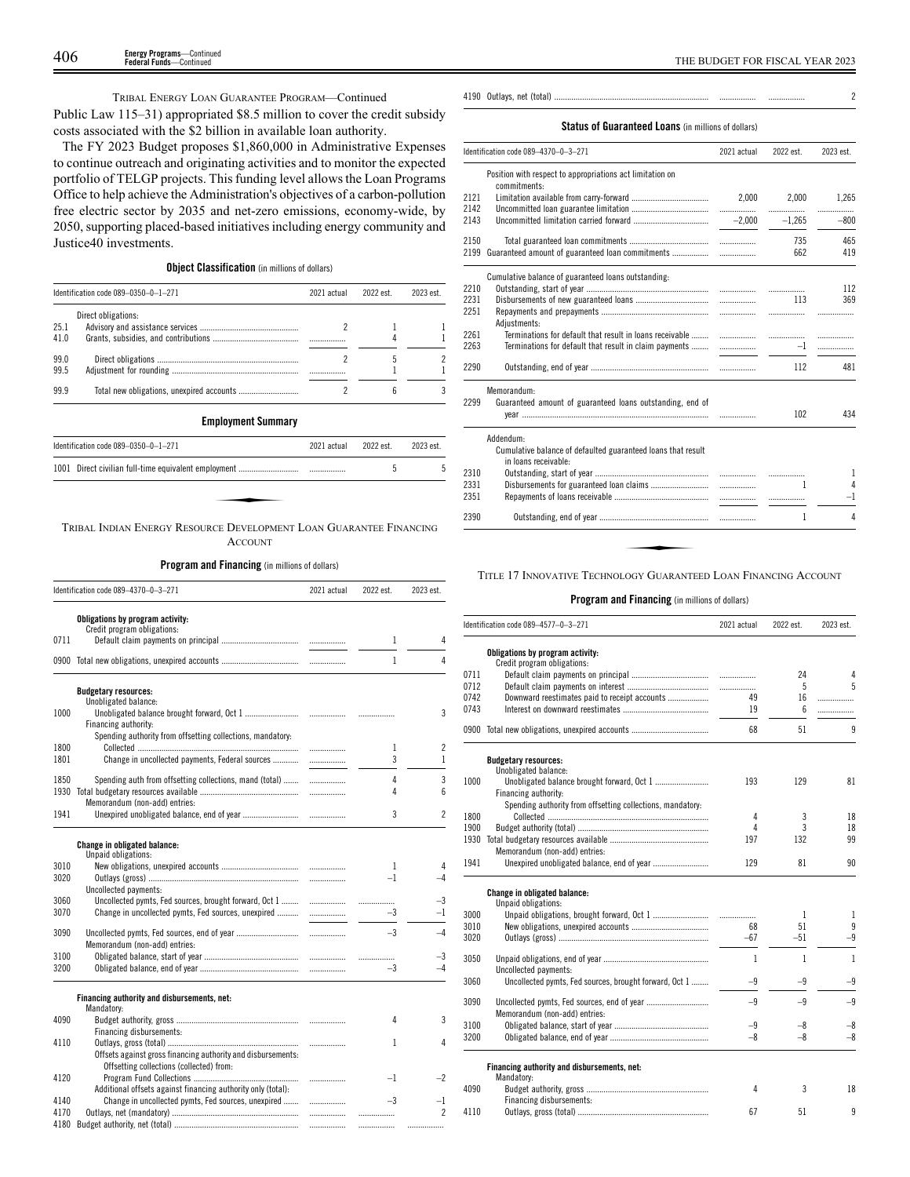TRIBAL ENERGY LOAN GUARANTEE PROGRAM—Continued

Public Law 115–31) appropriated \$8.5 million to cover the credit subsidy costs associated with the \$2 billion in available loan authority.

The FY 2023 Budget proposes \$1,860,000 in Administrative Expenses to continue outreach and originating activities and to monitor the expected portfolio of TELGP projects. This funding level allows the Loan Programs Office to help achieve the Administration's objectives of a carbon-pollution free electric sector by 2035 and net-zero emissions, economy-wide, by 2050, supporting placed-based initiatives including energy community and Justice40 investments.

# **Object Classification** (in millions of dollars)

|              | Identification code 089-0350-0-1-271 | 2021 actual | 2022 est. | 2023 est. |
|--------------|--------------------------------------|-------------|-----------|-----------|
| 25.1<br>41.0 | Direct obligations:                  |             |           |           |
| 99.0<br>99.5 |                                      |             |           |           |
| 999          |                                      |             |           |           |

### **Employment Summary**

| Identification code 089-0350-0-1-271                               | 2021 actual | 2022 est | 2023 est |
|--------------------------------------------------------------------|-------------|----------|----------|
|                                                                    |             |          |          |
|                                                                    |             |          |          |
|                                                                    |             |          |          |
| TRIBAL INDIAN ENERGY RESOURCE DEVELOPMENT LOAN GUARANTEE FINANCING |             |          |          |

ACCOUNT

**Program and Financing** (in millions of dollars)

|      | Identification code 089-4370-0-3-271                                            | 2021 actual | 2022 est.    | 2023 est.                |
|------|---------------------------------------------------------------------------------|-------------|--------------|--------------------------|
|      | Obligations by program activity:<br>Credit program obligations:                 |             |              |                          |
| 0711 |                                                                                 |             | 1            | 4                        |
|      |                                                                                 |             | $\mathbf{1}$ | 4                        |
|      | <b>Budgetary resources:</b>                                                     |             |              |                          |
| 1000 | Unobligated balance:<br>Financing authority:                                    |             |              | 3                        |
|      | Spending authority from offsetting collections, mandatory:                      |             |              |                          |
| 1800 |                                                                                 | .           | 1            | 2                        |
| 1801 | Change in uncollected payments, Federal sources                                 | .           | 3            | $\mathbf{1}$             |
| 1850 | Spending auth from offsetting collections, mand (total)                         | .           | 4            | 3                        |
| 1930 |                                                                                 | .           | 4            | 6                        |
|      | Memorandum (non-add) entries:                                                   |             |              |                          |
| 1941 |                                                                                 |             | 3            | $\overline{\phantom{a}}$ |
|      | <b>Change in obligated balance:</b>                                             |             |              |                          |
|      | Unpaid obligations:                                                             |             |              |                          |
| 3010 |                                                                                 |             | $\mathbf{1}$ | 4                        |
| 3020 |                                                                                 |             | $-1$         | $-4$                     |
| 3060 | Uncollected payments:<br>Uncollected pymts, Fed sources, brought forward, Oct 1 |             |              | $-3$                     |
| 3070 | Change in uncollected pymts, Fed sources, unexpired                             |             | $-3$         | $-1$                     |
|      |                                                                                 |             |              |                          |
| 3090 |                                                                                 |             | $-3$         | $-4$                     |
|      | Memorandum (non-add) entries:                                                   |             |              |                          |
| 3100 |                                                                                 |             |              | $-3$                     |
| 3200 |                                                                                 |             | $-3$         | $-4$                     |
|      | Financing authority and disbursements, net:                                     |             |              |                          |
|      | Mandatory:                                                                      |             |              |                          |
| 4090 |                                                                                 |             | 4            | 3                        |
|      | Financing disbursements:                                                        |             |              |                          |
| 4110 |                                                                                 | .           | 1            | 4                        |
|      | Offsets against gross financing authority and disbursements:                    |             |              |                          |
|      | Offsetting collections (collected) from:                                        |             |              |                          |
| 4120 |                                                                                 | .           | $-1$         | $-2$                     |
|      | Additional offsets against financing authority only (total):                    |             |              |                          |
| 4140 | Change in uncollected pymts, Fed sources, unexpired                             |             | $-3$         | $-1$                     |
| 4170 |                                                                                 |             |              | $\overline{\phantom{a}}$ |
| 4180 |                                                                                 |             | .            | .                        |

4190 Outlays, net (total) ........................................................................ ................. ................. 2

### **Status of Guaranteed Loans** (in millions of dollars)

|              | Identification code 089-4370-0-3-271                                                 | 2021 actual                   | 2022 est.  | 2023 est.  |
|--------------|--------------------------------------------------------------------------------------|-------------------------------|------------|------------|
|              | Position with respect to appropriations act limitation on<br>commitments:            |                               |            |            |
| 2121<br>2142 |                                                                                      | 2.000                         | 2.000<br>. | 1.265<br>. |
| 2143         |                                                                                      | $-2.000$                      | $-1.265$   | $-800$     |
| 2150<br>2199 | Guaranteed amount of guaranteed loan commitments                                     |                               | 735<br>662 | 465<br>419 |
|              | Cumulative balance of guaranteed loans outstanding:                                  |                               |            |            |
| 2210         |                                                                                      |                               | .          | 112        |
| 2231         |                                                                                      | $\ldots \ldots \ldots \ldots$ | 113        | 369        |
| 2251         | Adjustments:                                                                         |                               |            | .          |
| 2261         | Terminations for default that result in loans receivable                             |                               |            |            |
| 2263         |                                                                                      |                               |            |            |
| 2290         |                                                                                      |                               | 112        | 481        |
|              | Memorandum:                                                                          |                               |            |            |
| 2299         | Guaranteed amount of guaranteed loans outstanding, end of                            |                               |            |            |
|              |                                                                                      |                               | 102        | 434        |
|              | Addendum:                                                                            |                               |            |            |
|              | Cumulative balance of defaulted guaranteed loans that result<br>in loans receivable: |                               |            |            |
| 2310         |                                                                                      |                               |            | 1          |
| 2331         |                                                                                      |                               | 1          | 4          |
| 2351         |                                                                                      |                               | .          | $-1$       |
|              |                                                                                      |                               |            |            |
| 2390         |                                                                                      |                               | 1          | 4          |

|      | Identification code 089–4577–0–3–271                       | 2021 actual | 2022 est. | 2023 est. |
|------|------------------------------------------------------------|-------------|-----------|-----------|
|      | Obligations by program activity:                           |             |           |           |
|      | Credit program obligations:                                |             |           |           |
| 0711 |                                                            |             | 24        | 4         |
| 0712 |                                                            | .           | 5         | 5         |
| 0742 | Downward reestimates paid to receipt accounts              | 49          | 16        | .         |
| 0743 |                                                            | 19          | 6         | .         |
|      | 0900 Total new obligations, unexpired accounts             | 68          | 51        | 9         |
|      | <b>Budgetary resources:</b>                                |             |           |           |
|      | Unobligated balance:                                       |             |           |           |
| 1000 |                                                            | 193         | 129       | 81        |
|      | Financing authority:                                       |             |           |           |
|      | Spending authority from offsetting collections, mandatory: |             |           |           |
| 1800 |                                                            | 4           | 3         | 18        |
| 1900 |                                                            | 4           | 3         | 18        |
| 1930 |                                                            | 197         | 132       | 99        |
|      | Memorandum (non-add) entries:                              |             |           |           |
| 1941 |                                                            | 129         | 81        | 90        |
|      | Change in obligated balance:                               |             |           |           |
|      | Unpaid obligations:                                        |             |           |           |
| 3000 |                                                            |             | 1         | 1         |
| 3010 |                                                            | 68          | 51        | 9         |
| 3020 |                                                            | $-67$       | $-51$     | $-9$      |
| 3050 |                                                            | 1           | 1         | 1         |
|      | Uncollected payments:                                      |             |           |           |
| 3060 | Uncollected pymts, Fed sources, brought forward, Oct 1     | -9          | $-9$      | $-9$      |
| 3090 |                                                            | $-9$        | $-9$      | $-9$      |
|      | Memorandum (non-add) entries:                              |             |           |           |
| 3100 |                                                            | -9          | -8        | $-8$      |
| 3200 |                                                            | $-8$        | $-8$      | $-8$      |
|      | Financing authority and disbursements, net:                |             |           |           |
|      | Mandatory:                                                 |             |           |           |
| 4090 |                                                            | 4           | 3         | 18        |
|      | Financing disbursements:                                   |             |           |           |
| 4110 |                                                            | 67          | 51        | 9         |
|      |                                                            |             |           |           |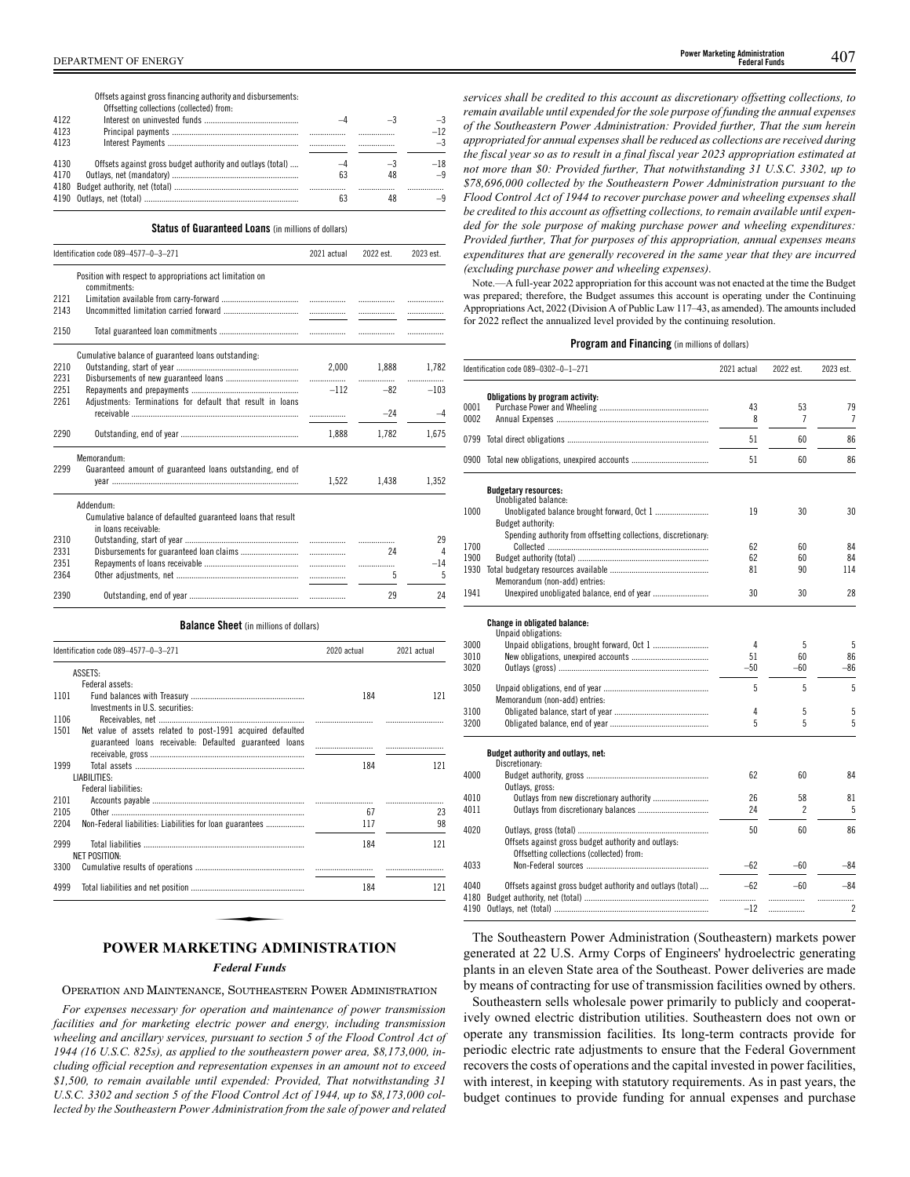Offsets against grossfinancing authority and disbursements:

|      | Offsetting collections (collected) from:                   |           |    |       |
|------|------------------------------------------------------------|-----------|----|-------|
| 4122 |                                                            |           |    | $-3$  |
| 4123 |                                                            |           |    | $-12$ |
| 4123 |                                                            |           |    | $-3$  |
|      |                                                            |           |    |       |
| 4130 | Offsets against gross budget authority and outlays (total) | $-\Delta$ | -3 | $-18$ |
| 4170 |                                                            | 63        | 48 |       |
|      |                                                            |           |    |       |
|      |                                                            | b.i       |    |       |

### **Status of Guaranteed Loans** (in millions of dollars)

|      | Identification code 089-4577-0-3-271                                                 | 2021 actual | 2022 est. | 2023 est. |
|------|--------------------------------------------------------------------------------------|-------------|-----------|-----------|
|      | Position with respect to appropriations act limitation on<br>commitments:            |             |           |           |
| 2121 |                                                                                      |             |           | .         |
| 2143 |                                                                                      |             |           |           |
| 2150 |                                                                                      |             |           |           |
|      | Cumulative balance of guaranteed loans outstanding.                                  |             |           |           |
| 2210 |                                                                                      | 2,000       | 1,888     | 1,782     |
| 2231 |                                                                                      |             |           |           |
| 2251 |                                                                                      | $-112$      | $-82$     | $-103$    |
| 2261 | Adjustments: Terminations for default that result in loans                           |             | $-24$     | -4        |
| 2290 |                                                                                      | 1.888       | 1,782     | 1,675     |
|      | Memorandum:                                                                          |             |           |           |
| 2299 | Guaranteed amount of guaranteed loans outstanding, end of                            | 1,522       | 1,438     | 1,352     |
|      | Addendum:                                                                            |             |           |           |
|      | Cumulative balance of defaulted guaranteed loans that result<br>in loans receivable: |             |           |           |
| 2310 |                                                                                      |             |           | 29        |
| 2331 |                                                                                      | .           | 24        | 4         |
| 2351 |                                                                                      | .           | .         | $-14$     |
| 2364 |                                                                                      | .           | 5         | 5         |
| 2390 |                                                                                      |             | 29        | 24        |
|      |                                                                                      |             |           |           |

### **Balance Sheet** (in millions of dollars)

|      | Identification code 089-4577-0-3-271                                                                                   | 2020 actual | 2021 actual |  |
|------|------------------------------------------------------------------------------------------------------------------------|-------------|-------------|--|
|      | ASSETS:                                                                                                                |             |             |  |
|      | Federal assets:                                                                                                        |             |             |  |
| 1101 | Investments in U.S. securities:                                                                                        | 184         | 121         |  |
| 1106 |                                                                                                                        |             |             |  |
| 1501 | Net value of assets related to post-1991 acquired defaulted<br>guaranteed loans receivable: Defaulted guaranteed loans |             |             |  |
| 1999 |                                                                                                                        | 184         | 121         |  |
|      | LIABILITIES:                                                                                                           |             |             |  |
|      | Federal liabilities:                                                                                                   |             |             |  |
| 2101 |                                                                                                                        |             |             |  |
| 2105 |                                                                                                                        | 67          | 23          |  |
| 2204 | Non-Federal liabilities: Liabilities for loan guarantees                                                               | 117         | 98          |  |
| 2999 |                                                                                                                        | 184         | 121         |  |
|      | NFT POSITION-                                                                                                          |             |             |  |
| 3300 |                                                                                                                        |             |             |  |
| 4999 |                                                                                                                        | 184         | 121         |  |

### *Federal Funds*

OPERATION AND MAINTENANCE, SOUTHEASTERN POWER ADMINISTRATION

*For expenses necessary for operation and maintenance of power transmission facilities and for marketing electric power and energy, including transmission wheeling and ancillary services, pursuant to section 5 of the Flood Control Act of 1944 (16 U.S.C. 825s), as applied to the southeastern power area, \$8,173,000, including official reception and representation expenses in an amount not to exceed \$1,500, to remain available until expended: Provided, That notwithstanding 31 U.S.C. 3302 and section 5 of the Flood Control Act of 1944, up to \$8,173,000 collected by the Southeastern Power Administration from the sale of power and related* *services shall be credited to this account as discretionary offsetting collections, to remain available until expended for the sole purpose of funding the annual expenses of the Southeastern Power Administration: Provided further, That the sum herein appropriated for annual expenses shall be reduced as collections are received during the fiscal year so as to result in a final fiscal year 2023 appropriation estimated at not more than \$0: Provided further, That notwithstanding 31 U.S.C. 3302, up to \$78,696,000 collected by the Southeastern Power Administration pursuant to the Flood Control Act of 1944 to recover purchase power and wheeling expenses shall be credited to this account as offsetting collections, to remain available until expended for the sole purpose of making purchase power and wheeling expenditures: Provided further, That for purposes of this appropriation, annual expenses means expenditures that are generally recovered in the same year that they are incurred (excluding purchase power and wheeling expenses).*

Note.—A full-year 2022 appropriation for this account was not enacted at the time the Budget was prepared; therefore, the Budget assumes this account is operating under the Continuing Appropriations Act, 2022 (Division A of Public Law 117–43, as amended). The amounts included for 2022 reflect the annualized level provided by the continuing resolution.

### **Program and Financing** (in millions of dollars)

|              | Identification code 089-0302-0-1-271                           | 2021 actual | 2022 est. | 2023 est.      |
|--------------|----------------------------------------------------------------|-------------|-----------|----------------|
|              | Obligations by program activity:                               |             |           |                |
| 0001         |                                                                | 43          | 53        | 79             |
| 0002         |                                                                | 8           | 7         | 7              |
|              |                                                                | 51          | 60        | 86             |
|              | 0900 Total new obligations, unexpired accounts                 | 51          | 60        | 86             |
|              | <b>Budgetary resources:</b><br>Unobligated balance:            |             |           |                |
| 1000         |                                                                | 19          | 30        | 30             |
|              | <b>Budget authority:</b>                                       |             |           |                |
|              | Spending authority from offsetting collections, discretionary: |             |           |                |
| 1700         |                                                                | 62          | 60        | 84             |
| 1900         |                                                                | 62          | 60        | 84             |
| 1930         |                                                                | 81          | 90        | 114            |
|              | Memorandum (non-add) entries:                                  |             |           |                |
| 1941         |                                                                | 30          | 30        | 28             |
|              | Change in obligated balance:                                   |             |           |                |
|              | Unpaid obligations:                                            |             |           |                |
| 3000         |                                                                | 4           | 5         | 5              |
| 3010         |                                                                | 51          | 60        | 86             |
| 3020         |                                                                | $-50$       | $-60$     | -86            |
| 3050         |                                                                | 5           | 5         | 5              |
|              | Memorandum (non-add) entries:                                  |             |           |                |
| 3100         |                                                                | 4           | 5         | 5              |
| 3200         |                                                                | 5           | 5         | 5              |
|              | Budget authority and outlays, net:                             |             |           |                |
|              | Discretionary:                                                 |             |           |                |
| 4000         |                                                                | 62          | 60        | 84             |
|              | Outlays, gross:                                                |             |           |                |
| 4010<br>4011 |                                                                | 26<br>24    | 58<br>2   | 81<br>5        |
|              |                                                                |             |           |                |
| 4020         | Offsets against gross budget authority and outlays:            | 50          | 60        | 86             |
| 4033         | Offsetting collections (collected) from:                       | $-62$       | $-60$     | -84            |
|              |                                                                |             |           |                |
| 4040         | Offsets against gross budget authority and outlays (total)     | $-62$       | $-60$     | $-84$          |
| 4180         |                                                                | .           | .         | .              |
| 4190         |                                                                | $-12$       | .         | $\overline{c}$ |

The Southeastern Power Administration (Southeastern) markets power generated at 22 U.S. Army Corps of Engineers' hydroelectric generating plants in an eleven State area of the Southeast. Power deliveries are made by means of contracting for use of transmission facilities owned by others.

Southeastern sells wholesale power primarily to publicly and cooperatively owned electric distribution utilities. Southeastern does not own or operate any transmission facilities. Its long-term contracts provide for periodic electric rate adjustments to ensure that the Federal Government recovers the costs of operations and the capital invested in power facilities, with interest, in keeping with statutory requirements. As in past years, the budget continues to provide funding for annual expenses and purchase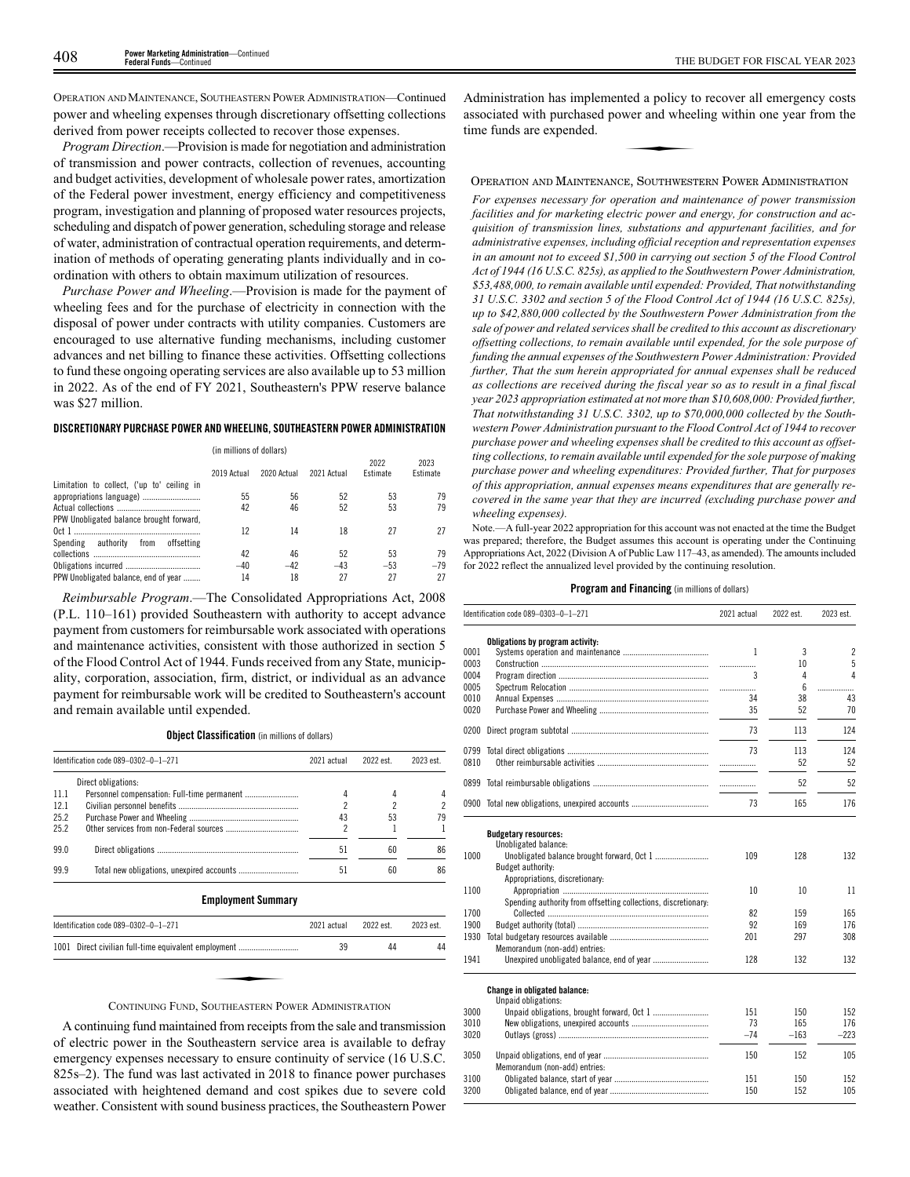OPERATION AND MAINTENANCE, SOUTHEASTERN POWER ADMINISTRATION—Continued power and wheeling expenses through discretionary offsetting collections derived from power receipts collected to recover those expenses.

*Program Direction*.—Provision is made for negotiation and administration of transmission and power contracts, collection of revenues, accounting and budget activities, development of wholesale power rates, amortization of the Federal power investment, energy efficiency and competitiveness program, investigation and planning of proposed water resources projects, scheduling and dispatch of power generation, scheduling storage and release of water, administration of contractual operation requirements, and determination of methods of operating generating plants individually and in coordination with others to obtain maximum utilization of resources.

*Purchase Power and Wheeling*.—Provision is made for the payment of wheeling fees and for the purchase of electricity in connection with the disposal of power under contracts with utility companies. Customers are encouraged to use alternative funding mechanisms, including customer advances and net billing to finance these activities. Offsetting collections to fund these ongoing operating services are also available up to 53 million in 2022. As of the end of FY 2021, Southeastern's PPW reserve balance was \$27 million.

### **DISCRETIONARY PURCHASE POWER AND WHEELING, SOUTHEASTERN POWER ADMINISTRATION**

|                                            | (in millions of dollars) |             |             |                         |                  |
|--------------------------------------------|--------------------------|-------------|-------------|-------------------------|------------------|
|                                            | 2019 Actual              | 2020 Actual | 2021 Actual | 2022<br><b>Fstimate</b> | 2023<br>Estimate |
| Limitation to collect, ('up to' ceiling in |                          |             |             |                         |                  |
| appropriations language)                   | 55                       | 56          | 52          | 53                      | 79               |
|                                            | 42                       | 46          | 52          | 53                      | 79               |
| PPW Unobligated balance brought forward,   |                          |             |             |                         |                  |
|                                            | 12                       | 14          | 18          | 27                      | 27               |
| Spending authority from<br>offsetting      |                          |             |             |                         |                  |
|                                            | 42                       | 46          | 52          | 53                      | 79               |
|                                            | $-40$                    | $-42$       | $-43$       | $-53$                   | $-79$            |
| PPW Unobligated balance, end of year       | 14                       | 18          | 27          | 27                      | 27               |

*Reimbursable Program*.—The Consolidated Appropriations Act, 2008 (P.L. 110–161) provided Southeastern with authority to accept advance payment from customers for reimbursable work associated with operations and maintenance activities, consistent with those authorized in section 5 of the Flood Control Act of 1944. Funds received from any State, municipality, corporation, association, firm, district, or individual as an advance payment for reimbursable work will be credited to Southeastern's account and remain available until expended.

**Object Classification** (in millions of dollars)

|      | Identification code 089-0302-0-1-271<br>2021 actual |    | 2022 est | 2023 est. |
|------|-----------------------------------------------------|----|----------|-----------|
|      | Direct obligations:                                 |    |          |           |
| 11.1 |                                                     |    |          |           |
| 12.1 |                                                     |    |          |           |
| 25.2 |                                                     | 43 | 53       |           |
| 25.2 |                                                     |    |          |           |
| 99.0 |                                                     | 51 | 60       | 86        |
| 99.9 |                                                     | 51 | 60       | 86        |

### **Employment Summary**

| Identification code 089-0302-0-1-271                 | 2021 actual | 2022 est. | 2023 est. |
|------------------------------------------------------|-------------|-----------|-----------|
| 1001 Direct civilian full-time equivalent employment | 39          | 44        | 44        |
|                                                      |             |           |           |
| CONTINUING FUND SOUTHEASTERN POWER ADMINISTRATION    |             |           |           |

### CONTINUING FUND, SOUTHEASTERN POWER ADMINISTRATION

A continuing fund maintained from receipts from the sale and transmission of electric power in the Southeastern service area is available to defray emergency expenses necessary to ensure continuity of service (16 U.S.C. 825s–2). The fund was last activated in 2018 to finance power purchases associated with heightened demand and cost spikes due to severe cold weather. Consistent with sound business practices, the Southeastern Power

Administration has implemented a policy to recover all emergency costs associated with purchased power and wheeling within one year from the time funds are expended. ted a policy to<br>wer and whee

### OPERATION AND MAINTENANCE, SOUTHWESTERN POWER ADMINISTRATION

*For expenses necessary for operation and maintenance of power transmission facilities and for marketing electric power and energy, for construction and acquisition of transmission lines, substations and appurtenant facilities, and for administrative expenses, including official reception and representation expenses in an amount not to exceed \$1,500 in carrying out section 5 of the Flood Control Act of 1944 (16 U.S.C. 825s), as applied to the Southwestern Power Administration, \$53,488,000, to remain available until expended: Provided, That notwithstanding 31 U.S.C. 3302 and section 5 of the Flood Control Act of 1944 (16 U.S.C. 825s), up to \$42,880,000 collected by the Southwestern Power Administration from the sale of power and related services shall be credited to this account as discretionary offsetting collections, to remain available until expended, for the sole purpose of funding the annual expenses of the Southwestern Power Administration: Provided further, That the sum herein appropriated for annual expenses shall be reduced as collections are received during the fiscal year so as to result in a final fiscal year 2023 appropriation estimated at not more than \$10,608,000: Provided further, That notwithstanding 31 U.S.C. 3302, up to \$70,000,000 collected by the Southwestern Power Administration pursuant to the Flood Control Act of 1944 to recover purchase power and wheeling expenses shall be credited to this account as offsetting collections, to remain available until expended for the sole purpose of making purchase power and wheeling expenditures: Provided further, That for purposes of this appropriation, annual expenses means expenditures that are generally recovered in the same year that they are incurred (excluding purchase power and wheeling expenses).*

Note.—A full-year 2022 appropriation for this account was not enacted at the time the Budget was prepared; therefore, the Budget assumes this account is operating under the Continuing Appropriations Act, 2022 (Division A of Public Law 117–43, as amended). The amounts included for 2022 reflect the annualized level provided by the continuing resolution.

| Identification code 089-0303-0-1-271 |                                                                | 2021 actual | 2022 est. | 2023 est.      |  |
|--------------------------------------|----------------------------------------------------------------|-------------|-----------|----------------|--|
|                                      | Obligations by program activity:                               |             |           |                |  |
| 0001                                 |                                                                | 1           | 3         | $\overline{2}$ |  |
| 0003                                 |                                                                |             | 10        | 5              |  |
| 0004                                 |                                                                | 3           | 4         | $\Delta$       |  |
| 0005                                 |                                                                | .           | 6         | .              |  |
| 0010                                 |                                                                | 34          | 38        | 43             |  |
| 0020                                 |                                                                | 35          | 52        | 70             |  |
| 0200                                 |                                                                | 73          | 113       | 124            |  |
| 0799                                 |                                                                | 73          | 113       | 124            |  |
| 0810                                 |                                                                | .           | 52        | 52             |  |
| 0899                                 |                                                                |             | 52        | 52             |  |
|                                      | 0900 Total new obligations, unexpired accounts                 | 73          | 165       | 176            |  |
|                                      | <b>Budgetary resources:</b><br>Unobligated balance:            |             |           |                |  |
| 1000                                 | Budget authority:                                              | 109         | 128       | 132            |  |
|                                      | Appropriations, discretionary:                                 |             |           |                |  |
| 1100                                 |                                                                | 10          | 10        | 11             |  |
|                                      | Spending authority from offsetting collections, discretionary: |             |           |                |  |
| 1700                                 |                                                                | 82          | 159       | 165            |  |
| 1900                                 |                                                                | 92          | 169       | 176            |  |
| 1930                                 | Memorandum (non-add) entries:                                  | 201         | 297       | 308            |  |
| 1941                                 |                                                                | 128         | 132       | 132            |  |
|                                      | Change in obligated balance:<br>Unpaid obligations:            |             |           |                |  |
| 3000                                 |                                                                | 151         | 150       | 152            |  |
| 3010                                 |                                                                | 73          | 165       | 176            |  |
| 3020                                 |                                                                | $-74$       | $-163$    | $-223$         |  |
| 3050                                 | Memorandum (non-add) entries:                                  | 150         | 152       | 105            |  |
| 3100                                 |                                                                | 151         | 150       | 152            |  |
| 3200                                 |                                                                | 150         | 152       | 105            |  |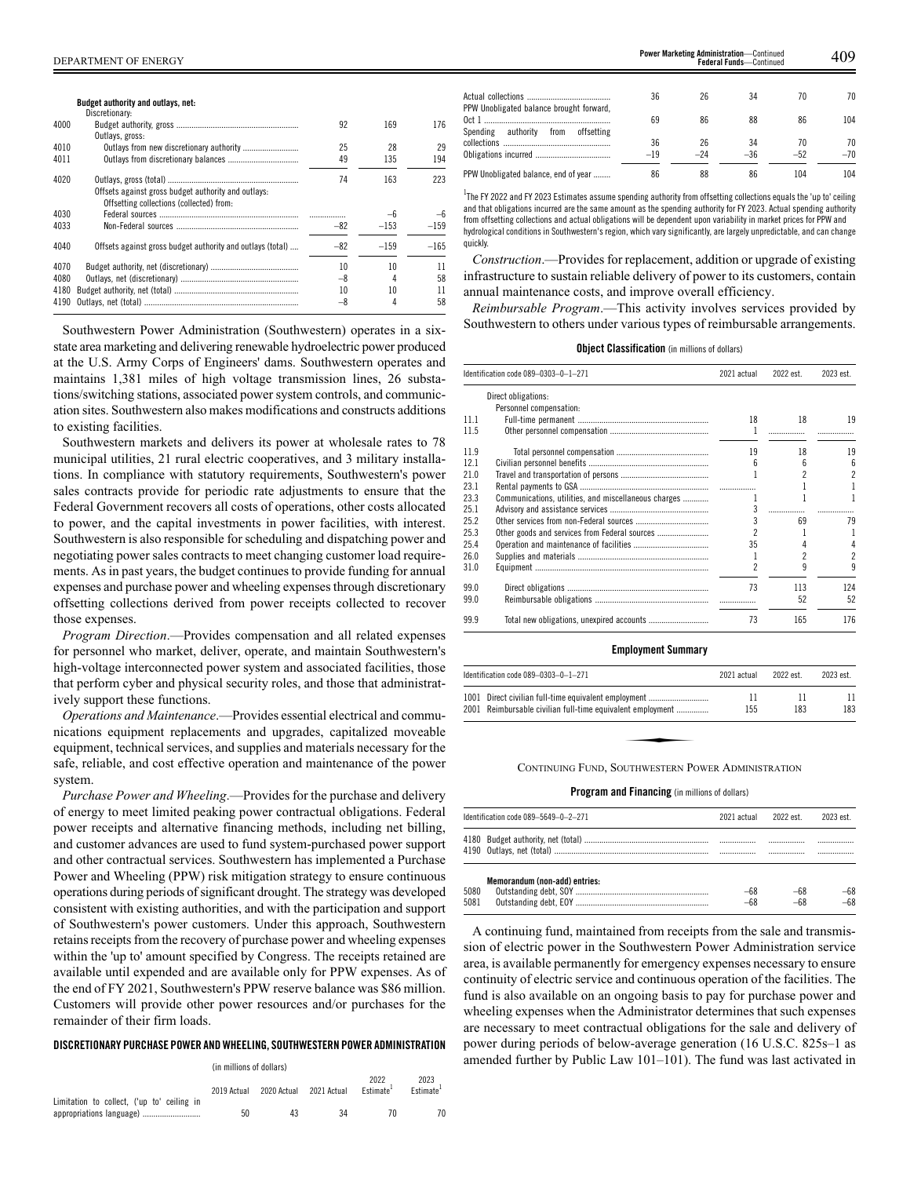### **Budget authority and outlays, net:**

|      | Discretionary:                                                                                  |       |        |        |
|------|-------------------------------------------------------------------------------------------------|-------|--------|--------|
| 4000 |                                                                                                 | 92    | 169    | 176    |
|      | Outlays, gross:                                                                                 |       |        |        |
| 4010 |                                                                                                 | 25    | 28     | 29     |
| 4011 |                                                                                                 | 49    | 135    | 194    |
| 4020 | Offsets against gross budget authority and outlays:<br>Offsetting collections (collected) from: | 74    | 163    | 223    |
| 4030 |                                                                                                 |       | $-6$   | $-6$   |
| 4033 |                                                                                                 | $-82$ | $-153$ | $-159$ |
| 4040 | Offsets against gross budget authority and outlays (total)                                      | $-82$ | $-159$ | $-165$ |
| 4070 |                                                                                                 | 10    | 10     | 11     |
| 4080 |                                                                                                 | -8    |        | 58     |
| 4180 |                                                                                                 | 10    | 10     | 11     |
| 4190 |                                                                                                 | $-8$  |        | 58     |

Southwestern Power Administration (Southwestern) operates in a sixstate area marketing and delivering renewable hydroelectric power produced at the U.S. Army Corps of Engineers' dams. Southwestern operates and maintains 1,381 miles of high voltage transmission lines, 26 substations/switching stations, associated power system controls, and communication sites. Southwestern also makes modifications and constructs additions to existing facilities.

Southwestern markets and delivers its power at wholesale rates to 78 municipal utilities, 21 rural electric cooperatives, and 3 military installations. In compliance with statutory requirements, Southwestern's power sales contracts provide for periodic rate adjustments to ensure that the Federal Government recovers all costs of operations, other costs allocated to power, and the capital investments in power facilities, with interest. Southwestern is also responsible for scheduling and dispatching power and negotiating power sales contracts to meet changing customer load requirements. As in past years, the budget continues to provide funding for annual expenses and purchase power and wheeling expenses through discretionary offsetting collections derived from power receipts collected to recover those expenses.

*Program Direction*.—Provides compensation and all related expenses for personnel who market, deliver, operate, and maintain Southwestern's high-voltage interconnected power system and associated facilities, those that perform cyber and physical security roles, and those that administratively support these functions.

*Operations and Maintenance*.—Provides essential electrical and communications equipment replacements and upgrades, capitalized moveable equipment, technical services, and supplies and materials necessary for the safe, reliable, and cost effective operation and maintenance of the power system.

*Purchase Power and Wheeling*.—Provides for the purchase and delivery of energy to meet limited peaking power contractual obligations. Federal power receipts and alternative financing methods, including net billing, and customer advances are used to fund system-purchased power support and other contractual services. Southwestern has implemented a Purchase Power and Wheeling (PPW) risk mitigation strategy to ensure continuous operations during periods of significant drought. The strategy was developed consistent with existing authorities, and with the participation and support of Southwestern's power customers. Under this approach, Southwestern retains receipts from the recovery of purchase power and wheeling expenses within the 'up to' amount specified by Congress. The receipts retained are available until expended and are available only for PPW expenses. As of the end of FY 2021, Southwestern's PPW reserve balance was \$86 million. Customers will provide other power resources and/or purchases for the remainder of their firm loads.

### **DISCRETIONARY PURCHASE POWER ANDWHEELING, SOUTHWESTERN POWER ADMINISTRATION**

|                                            | (in millions of dollars) |             |             |                               |                               |
|--------------------------------------------|--------------------------|-------------|-------------|-------------------------------|-------------------------------|
| Limitation to collect, ('up to' ceiling in | 2019 Actual              | 2020 Actual | 2021 Actual | 2022<br>Fstimate <sup>+</sup> | 2023<br>Fstimate <sup>+</sup> |
|                                            | 50                       | 43          | 34          | 70                            |                               |

|                                          | 36    | 26    | 34    | 70    | 70    |
|------------------------------------------|-------|-------|-------|-------|-------|
| PPW Unobligated balance brought forward, |       |       |       |       |       |
|                                          | 69    | 86    | 88    | 86    | 104   |
| Spending authority from offsetting       |       |       |       |       |       |
|                                          | 36    | 26    | 34    | 70    | 70    |
|                                          | $-19$ | $-24$ | $-36$ | $-52$ | $-70$ |
| PPW Unobligated balance, end of year     | 86    | 88    | 86    | 104   | 104   |

**Fower Marketing Administration—Continued Federal Funds—Continued** 

 $^{\rm 1}$ The FY 2022 and FY 2023 Estimates assume spending authority from offsetting collections equals the 'up to' ceiling and that obligations incurred are the same amount as the spending authority for FY 2023. Actual spending authority from offsetting collections and actual obligations will be dependent upon variability in market prices for PPW and hydrological conditions in Southwestern's region, which vary significantly, are largely unpredictable, and can change quickly.

*Construction*.—Provides for replacement, addition or upgrade of existing infrastructure to sustain reliable delivery of power to its customers, contain annual maintenance costs, and improve overall efficiency.

*Reimbursable Program*.—This activity involves services provided by Southwestern to others under various types of reimbursable arrangements.

### **Object Classification** (in millions of dollars)

|      | Identification code 089-0303-0-1-271                 | 2021 actual | 2022 est. | 2023 est.                |
|------|------------------------------------------------------|-------------|-----------|--------------------------|
|      | Direct obligations:                                  |             |           |                          |
|      | Personnel compensation:                              |             |           |                          |
| 11.1 |                                                      | 18          | 18        | 19                       |
| 11.5 |                                                      |             | .         |                          |
|      |                                                      |             |           |                          |
| 11.9 |                                                      | 19          | 18        | 19                       |
| 12.1 |                                                      | 6           | 6         | 6                        |
| 21.0 |                                                      |             |           | $\overline{2}$           |
| 23.1 |                                                      |             |           |                          |
| 23.3 | Communications, utilities, and miscellaneous charges |             |           | 1                        |
| 25.1 |                                                      | 3           |           |                          |
| 25.2 |                                                      |             | 69        | 79                       |
| 25.3 | Other goods and services from Federal sources        |             |           |                          |
| 25.4 |                                                      | 35          |           | 4                        |
|      |                                                      |             |           |                          |
| 26.0 |                                                      |             |           | $\overline{\mathcal{C}}$ |
| 31.0 |                                                      |             | 9         | 9                        |
| 99.0 |                                                      | 73          | 113       | 124                      |
| 99.0 |                                                      |             | 52        | 52                       |
|      |                                                      |             |           |                          |
| 99.9 |                                                      | 73          | 165       | 176                      |
|      |                                                      |             |           |                          |

### **Employment Summary**

|      | Identification code $089-0303-0-1-271$                                                                        | 2021 actual | 2022 est. | 2023 est. |  |  |
|------|---------------------------------------------------------------------------------------------------------------|-------------|-----------|-----------|--|--|
| 1001 | Direct civilian full-time equivalent employment<br>2001 Reimbursable civilian full-time equivalent employment | 11<br>155   | 11<br>183 | 11<br>183 |  |  |
|      |                                                                                                               |             |           |           |  |  |
|      | CONTINUING FUND, SOUTHWESTERN POWER ADMINISTRATION                                                            |             |           |           |  |  |

### **Program and Financing** (in millions of dollars)

|              | Identification code 089-5649-0-2-271 | 2021 actual    | 2022 est       | 2023 est.    |
|--------------|--------------------------------------|----------------|----------------|--------------|
|              |                                      |                | .              |              |
| 5080<br>5081 | Memorandum (non-add) entries:        | $-68$<br>$-68$ | $-68$<br>$-68$ | -68<br>$-68$ |

A continuing fund, maintained from receipts from the sale and transmission of electric power in the Southwestern Power Administration service area, is available permanently for emergency expenses necessary to ensure continuity of electric service and continuous operation of the facilities. The fund is also available on an ongoing basis to pay for purchase power and wheeling expenses when the Administrator determines that such expenses are necessary to meet contractual obligations for the sale and delivery of power during periods of below-average generation (16 U.S.C. 825s–1 as amended further by Public Law 101–101). The fund was last activated in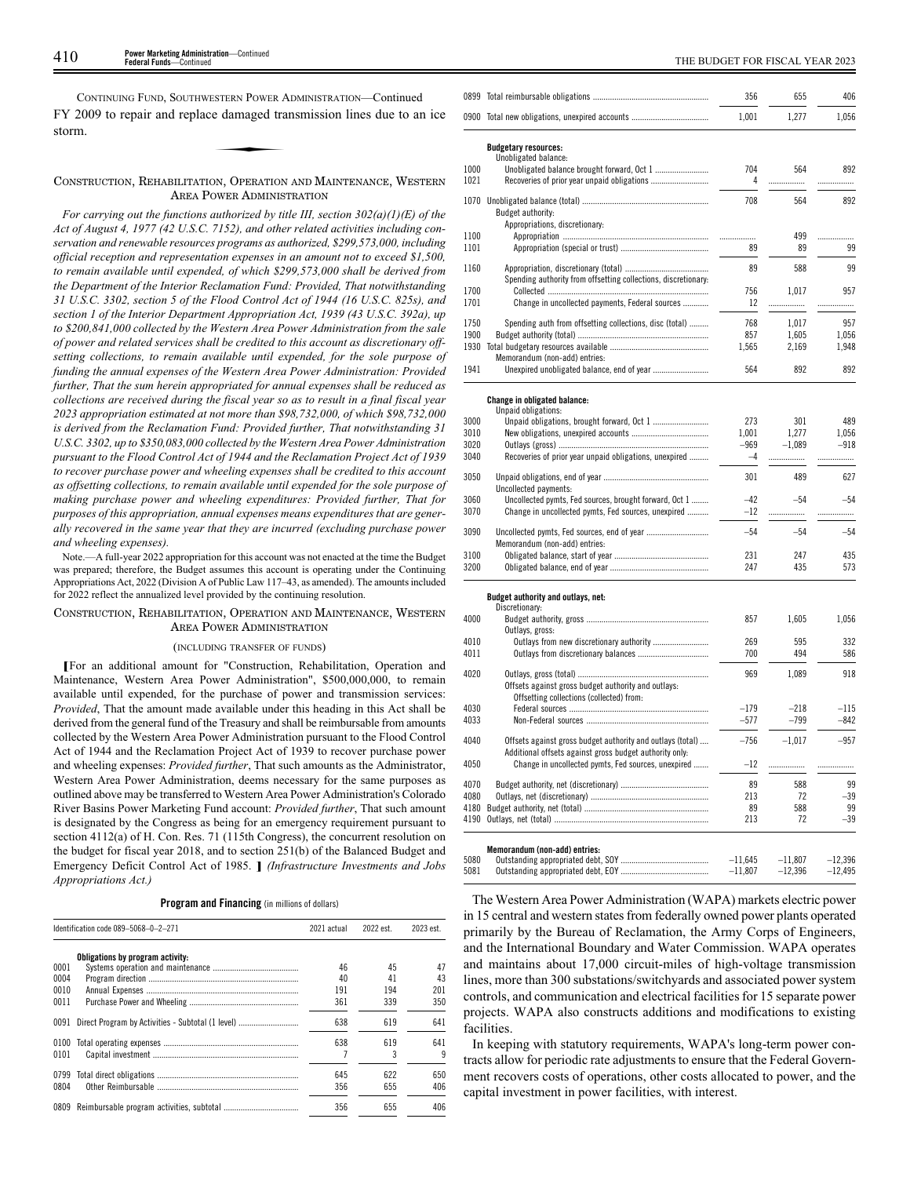CONTINUING FUND, SOUTHWESTERN POWER ADMINISTRATION—Continued FY 2009 to repair and replace damaged transmission lines due to an ice storm. ESTERN POWER A<br>
e damaged tra<br>
A<br>
e Comparence

### CONSTRUCTION, REHABILITATION, OPERATION AND MAINTENANCE, WESTERN AREA POWER ADMINISTRATION

*For carrying out the functions authorized by title III, section 302(a)(1)(E) of the Act of August 4, 1977 (42 U.S.C. 7152), and other related activities including conservation and renewable resources programs as authorized, \$299,573,000, including official reception and representation expenses in an amount not to exceed \$1,500, to remain available until expended, of which \$299,573,000 shall be derived from the Department of the Interior Reclamation Fund: Provided, That notwithstanding 31 U.S.C. 3302, section 5 of the Flood Control Act of 1944 (16 U.S.C. 825s), and section 1 of the Interior Department Appropriation Act, 1939 (43 U.S.C. 392a), up to \$200,841,000 collected by the Western Area Power Administration from the sale of power and related services shall be credited to this account as discretionary offsetting collections, to remain available until expended, for the sole purpose of funding the annual expenses of the Western Area Power Administration: Provided further, That the sum herein appropriated for annual expenses shall be reduced as collections are received during the fiscal year so as to result in a final fiscal year 2023 appropriation estimated at not more than \$98,732,000, of which \$98,732,000 is derived from the Reclamation Fund: Provided further, That notwithstanding 31 U.S.C. 3302, up to \$350,083,000 collected by the Western Area Power Administration pursuant to the Flood Control Act of 1944 and the Reclamation Project Act of 1939 to recover purchase power and wheeling expenses shall be credited to this account as offsetting collections, to remain available until expended for the sole purpose of making purchase power and wheeling expenditures: Provided further, That for purposes of this appropriation, annual expenses means expenditures that are generally recovered in the same year that they are incurred (excluding purchase power and wheeling expenses).*

Note.—A full-year 2022 appropriation for this account was not enacted at the time the Budget was prepared; therefore, the Budget assumes this account is operating under the Continuing Appropriations Act, 2022 (Division A of Public Law 117–43, as amended). The amounts included for 2022 reflect the annualized level provided by the continuing resolution.

### CONSTRUCTION, REHABILITATION, OPERATION AND MAINTENANCE, WESTERN AREA POWER ADMINISTRATION

### (INCLUDING TRANSFER OF FUNDS)

**[**For an additional amount for "Construction, Rehabilitation, Operation and Maintenance, Western Area Power Administration", \$500,000,000, to remain available until expended, for the purchase of power and transmission services: *Provided*, That the amount made available under this heading in this Act shall be derived from the general fund of the Treasury and shall be reimbursable from amounts collected by the Western Area Power Administration pursuant to the Flood Control Act of 1944 and the Reclamation Project Act of 1939 to recover purchase power and wheeling expenses: *Provided further*, That such amounts as the Administrator, Western Area Power Administration, deems necessary for the same purposes as outlined above may be transferred to Western Area Power Administration's Colorado River Basins Power Marketing Fund account: *Provided further*, That such amount is designated by the Congress as being for an emergency requirement pursuant to section 4112(a) of H. Con. Res. 71 (115th Congress), the concurrent resolution on the budget for fiscal year 2018, and to section 251(b) of the Balanced Budget and Emergency Deficit Control Act of 1985. **]** *(Infrastructure Investments and Jobs Appropriations Act.)*

### **Program and Financing** (in millions of dollars)

|      | Identification code 089-5068-0-2-271              | 2021 actual | 2022 est. | 2023 est. |
|------|---------------------------------------------------|-------------|-----------|-----------|
|      | Obligations by program activity:                  |             |           |           |
| 0001 |                                                   | 46          | 45        | 47        |
| 0004 |                                                   | 40          | 41        | 43        |
| 0010 |                                                   | 191         | 194       | 201       |
| 0011 |                                                   | 361         | 339       | 350       |
| 0091 | Direct Program by Activities - Subtotal (1 level) | 638         | 619       | 641       |
| 0100 |                                                   | 638         | 619       | 641       |
| 0101 |                                                   |             |           |           |
| 0799 |                                                   | 645         | 622       | 650       |
| 0804 |                                                   | 356         | 655       | 406       |
| 0809 |                                                   | 356         | 655       | 406       |

|              |                                                                                 | 356        | 655            | 406          |
|--------------|---------------------------------------------------------------------------------|------------|----------------|--------------|
|              | 0900 Total new obligations, unexpired accounts                                  | 1,001      | 1,277          | 1,056        |
|              | <b>Budgetary resources:</b>                                                     |            |                |              |
|              | Unobligated balance:                                                            |            |                |              |
| 1000         |                                                                                 | 704        | 564            | 892          |
| 1021         | Recoveries of prior year unpaid obligations                                     | 4          | .              | .            |
|              |                                                                                 |            |                |              |
| 1070         | Budget authority:                                                               | 708        | 564            | 892          |
|              | Appropriations, discretionary:                                                  |            |                |              |
| 1100         |                                                                                 |            | 499            | .            |
| 1101         |                                                                                 | 89         | 89             | 99           |
| 1160         |                                                                                 | 89         | 588            | 99           |
|              | Spending authority from offsetting collections, discretionary:                  |            |                |              |
| 1700         |                                                                                 | 756        | 1,017          | 957          |
| 1701         | Change in uncollected payments, Federal sources                                 | 12         | .              |              |
|              |                                                                                 |            |                |              |
| 1750<br>1900 | Spending auth from offsetting collections, disc (total)                         | 768<br>857 | 1,017<br>1,605 | 957<br>1,056 |
| 1930         |                                                                                 | 1,565      | 2,169          | 1,948        |
|              | Memorandum (non-add) entries:                                                   |            |                |              |
| 1941         |                                                                                 | 564        | 892            | 892          |
|              |                                                                                 |            |                |              |
|              | <b>Change in obligated balance:</b>                                             |            |                |              |
|              | Unpaid obligations:                                                             |            |                |              |
| 3000         |                                                                                 | 273        | 301            | 489          |
| 3010         |                                                                                 | 1,001      | 1.277          | 1,056        |
| 3020         |                                                                                 | $-969$     | $-1,089$       | $-918$       |
| 3040         | Recoveries of prior year unpaid obligations, unexpired                          | $-4$       | .              | .            |
| 3050         |                                                                                 | 301        | 489            | 627          |
| 3060         | Uncollected payments:<br>Uncollected pymts, Fed sources, brought forward, Oct 1 | $-42$      | $-54$          | $-54$        |
| 3070         | Change in uncollected pymts, Fed sources, unexpired                             | $-12$      | .              | .            |
|              |                                                                                 |            |                |              |
| 3090         |                                                                                 | $-54$      | -54            | $-54$        |
|              | Memorandum (non-add) entries:                                                   |            |                |              |
| 3100<br>3200 |                                                                                 | 231<br>247 | 247<br>435     | 435<br>573   |
|              |                                                                                 |            |                |              |
|              | Budget authority and outlays, net:                                              |            |                |              |
|              | Discretionary:                                                                  |            |                |              |
| 4000         |                                                                                 | 857        | 1,605          | 1,056        |
|              | Outlays, gross:                                                                 |            |                |              |
| 4010         |                                                                                 | 269        | 595            | 332          |
| 4011         |                                                                                 | 700        | 494            | 586          |
| 4020         |                                                                                 | 969        | 1,089          | 918          |
|              | Offsets against gross budget authority and outlays:                             |            |                |              |
|              | Offsetting collections (collected) from:                                        |            |                |              |
| 4030         |                                                                                 | $-179$     | -218           | $-115$       |
| 4033         |                                                                                 | $-577$     | $-799$         | -842         |
| 4040         | Offsets against gross budget authority and outlays (total)                      | $-756$     | $-1,017$       | -957         |
|              | Additional offsets against gross budget authority only:                         |            |                |              |
| 4050         | Change in uncollected pymts, Fed sources, unexpired                             | $-12$      | .              | .            |
| 4070         |                                                                                 | 89         | 588            | 99           |
| 4080         |                                                                                 | 213        | 72             | $-39$        |
| 4180         |                                                                                 | 89         | 588            | 99           |
| 4190         |                                                                                 | 213        | 72             | $-39$        |
|              |                                                                                 |            |                |              |
|              | Memorandum (non-add) entries:                                                   |            |                |              |
| 5080         |                                                                                 | $-11,645$  | $-11,807$      | $-12,396$    |
| 5081         |                                                                                 | $-11,807$  | $-12,396$      | $-12,495$    |

The Western Area Power Administration (WAPA) markets electric power in 15 central and western states from federally owned power plants operated primarily by the Bureau of Reclamation, the Army Corps of Engineers, and the International Boundary and Water Commission. WAPA operates and maintains about 17,000 circuit-miles of high-voltage transmission lines, more than 300 substations/switchyards and associated power system controls, and communication and electrical facilities for 15 separate power projects. WAPA also constructs additions and modifications to existing facilities.

In keeping with statutory requirements, WAPA's long-term power contracts allow for periodic rate adjustments to ensure that the Federal Government recovers costs of operations, other costs allocated to power, and the capital investment in power facilities, with interest.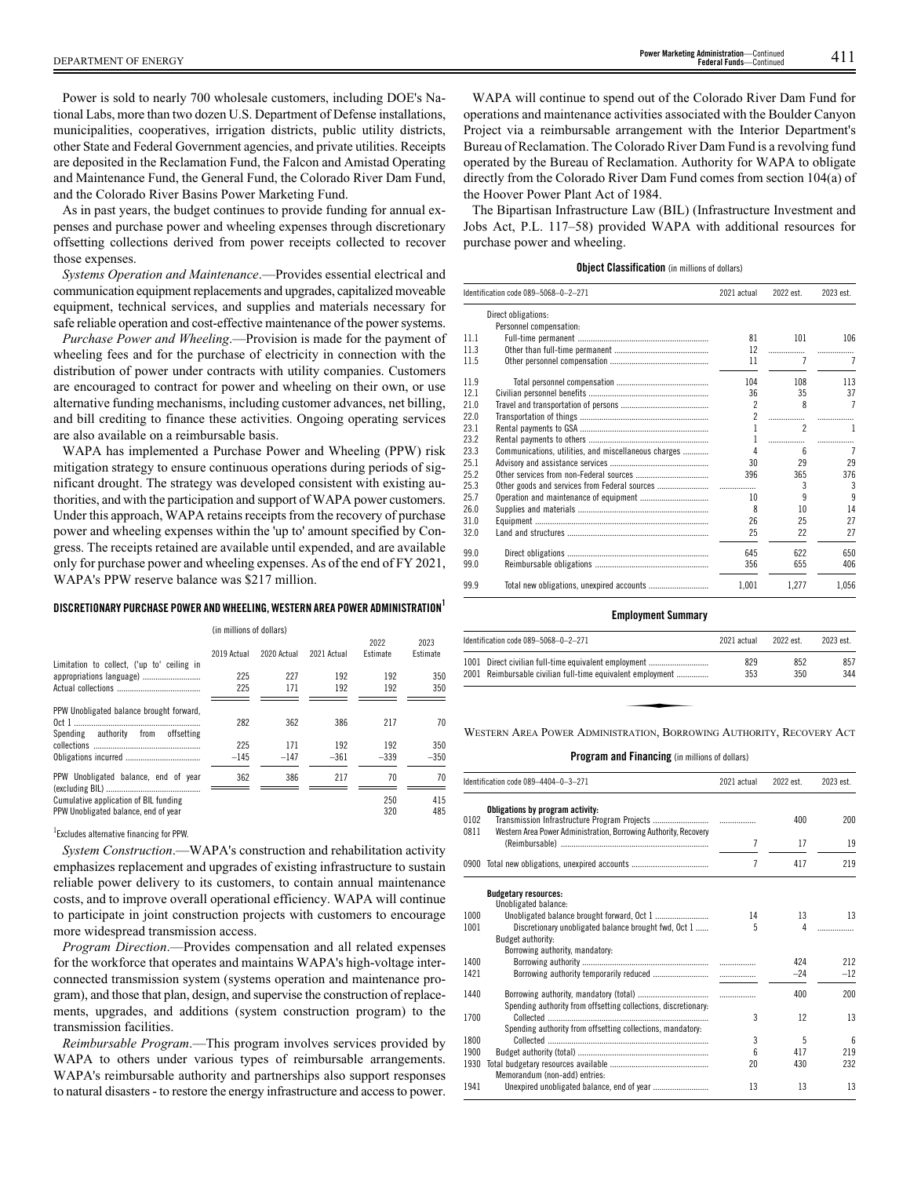Power is sold to nearly 700 wholesale customers, including DOE's National Labs, more than two dozen U.S. Department of Defense installations, municipalities, cooperatives, irrigation districts, public utility districts, other State and Federal Government agencies, and private utilities. Receipts are deposited in the Reclamation Fund, the Falcon and Amistad Operating and Maintenance Fund, the General Fund, the Colorado River Dam Fund, and the Colorado River Basins Power Marketing Fund.

As in past years, the budget continues to provide funding for annual expenses and purchase power and wheeling expenses through discretionary offsetting collections derived from power receipts collected to recover those expenses.

*Systems Operation and Maintenance*.—Provides essential electrical and communication equipment replacements and upgrades, capitalized moveable equipment, technical services, and supplies and materials necessary for safe reliable operation and cost-effective maintenance of the power systems.

*Purchase Power and Wheeling*.—Provision is made for the payment of wheeling fees and for the purchase of electricity in connection with the distribution of power under contracts with utility companies. Customers are encouraged to contract for power and wheeling on their own, or use alternative funding mechanisms, including customer advances, net billing, and bill crediting to finance these activities. Ongoing operating services are also available on a reimbursable basis.

WAPA has implemented a Purchase Power and Wheeling (PPW) risk mitigation strategy to ensure continuous operations during periods of significant drought. The strategy was developed consistent with existing authorities, and with the participation and support of WAPA power customers. Under this approach, WAPA retains receipts from the recovery of purchase power and wheeling expenses within the 'up to' amount specified by Congress. The receipts retained are available until expended, and are available only for purchase power and wheeling expenses. As of the end of FY 2021, WAPA's PPW reserve balance was \$217 million.

### **DISCRETIONARY PURCHASE POWER ANDWHEELING,WESTERN AREA POWER ADMINISTRATION<sup>1</sup>**

|                                            | (in millions of dollars) |             |             |                         |                  |
|--------------------------------------------|--------------------------|-------------|-------------|-------------------------|------------------|
|                                            | 2019 Actual              | 2020 Actual | 2021 Actual | 2022<br><b>Fstimate</b> | 2023<br>Estimate |
| Limitation to collect, ('up to' ceiling in |                          |             |             |                         |                  |
| appropriations language)                   | 225                      | 227         | 192         | 192                     | 350              |
|                                            | 225                      | 171         | 192         | 192                     | 350              |
|                                            |                          |             |             |                         |                  |
| PPW Unobligated balance brought forward,   |                          |             |             |                         |                  |
|                                            | 282                      | 362         | 386         | 217                     | 70               |
| Spending authority from offsetting         |                          |             |             |                         |                  |
|                                            | 225                      | 171         | 192         | 192                     | 350              |
|                                            | $-145$                   | $-147$      | $-361$      | $-339$                  | $-350$           |
|                                            |                          |             |             |                         |                  |
| PPW Unobligated balance, end of year       | 362                      | 386         | 217         | 70                      | 70               |
|                                            |                          |             |             |                         |                  |
| Cumulative application of BIL funding      |                          |             |             | 250                     | 415              |
| PPW Unobligated balance, end of year       |                          |             |             | 320                     | 485              |

### 1 Excludes alternative financing for PPW.

*System Construction*.—WAPA's construction and rehabilitation activity emphasizes replacement and upgrades of existing infrastructure to sustain reliable power delivery to its customers, to contain annual maintenance costs, and to improve overall operational efficiency. WAPA will continue to participate in joint construction projects with customers to encourage more widespread transmission access.

*Program Direction*.—Provides compensation and all related expenses for the workforce that operates and maintains WAPA's high-voltage interconnected transmission system (systems operation and maintenance program), and those that plan, design, and supervise the construction of replacements, upgrades, and additions (system construction program) to the transmission facilities.

*Reimbursable Program*.—This program involves services provided by WAPA to others under various types of reimbursable arrangements. WAPA's reimbursable authority and partnerships also support responses to natural disasters - to restore the energy infrastructure and access to power.

WAPA will continue to spend out of the Colorado River Dam Fund for operations and maintenance activities associated with the Boulder Canyon Project via a reimbursable arrangement with the Interior Department's Bureau of Reclamation. The Colorado River Dam Fund is a revolving fund operated by the Bureau of Reclamation. Authority for WAPA to obligate directly from the Colorado River Dam Fund comes from section 104(a) of the Hoover Power Plant Act of 1984.

The Bipartisan Infrastructure Law (BIL) (Infrastructure Investment and Jobs Act, P.L. 117–58) provided WAPA with additional resources for purchase power and wheeling.

### **Object Classification** (in millions of dollars)

|      | Identification code 089-5068-0-2-271                 | 2021 actual    | 2022 est.        | 2023 est. |
|------|------------------------------------------------------|----------------|------------------|-----------|
|      | Direct obligations:                                  |                |                  |           |
|      | Personnel compensation:                              |                |                  |           |
| 11.1 |                                                      | 81             | 101              | 106       |
| 11.3 |                                                      | 12             | .                |           |
| 11.5 |                                                      | 11             |                  | 7         |
| 11.9 |                                                      | 104            | 108              | 113       |
| 121  |                                                      | 36             | 35               | 37        |
| 21.0 |                                                      | $\mathfrak{p}$ | $\boldsymbol{8}$ | 7         |
| 22.0 |                                                      | 2              | .                |           |
| 23.1 |                                                      |                | $\overline{c}$   |           |
| 23.2 |                                                      | 1              | .                |           |
| 23.3 | Communications, utilities, and miscellaneous charges | Δ              | ĥ                | 7         |
| 25.1 |                                                      | 30             | 29               | 29        |
| 25.2 |                                                      | 396            | 365              | 376       |
| 25.3 |                                                      | .              | 3                | 3         |
| 25.7 |                                                      | 10             | 9                | 9         |
| 26.0 |                                                      | 8              | 10               | 14        |
| 31.0 |                                                      | 26             | 25               | 27        |
| 32.0 |                                                      | 25             | 22               | 27        |
| 99.0 |                                                      | 645            | 622              | 650       |
| 99.0 |                                                      | 356            | 655              | 406       |
| 99.9 |                                                      | 1.001          | 1,277            | 1.056     |

### **Employment Summary**

| Identification code 089-5068-0-2-271                                 | 2021 actual | 2022 est. | 2023 est. |  |  |
|----------------------------------------------------------------------|-------------|-----------|-----------|--|--|
| 1001 Direct civilian full-time equivalent employment                 | 829         | 852       | 857       |  |  |
| 2001 Reimbursable civilian full-time equivalent employment           | 353         | 350       | 344       |  |  |
|                                                                      |             |           |           |  |  |
|                                                                      |             |           |           |  |  |
| WESTERN AREA POWER ADMINISTRATION, BORROWING AUTHORITY, RECOVERY ACT |             |           |           |  |  |

|              | Identification code 089-4404-0-3-271                                                                 | 2021 actual    | 2022 est. | 2023 est.       |
|--------------|------------------------------------------------------------------------------------------------------|----------------|-----------|-----------------|
| 0102<br>0811 | Obligations by program activity:<br>Western Area Power Administration, Borrowing Authority, Recovery |                | 400       | 200             |
|              |                                                                                                      | 7              | 17        | 19              |
|              | 0900 Total new obligations, unexpired accounts                                                       | $\overline{1}$ | 417       | 219             |
|              | <b>Budgetary resources:</b><br>Unobligated balance:                                                  |                |           |                 |
| 1000         |                                                                                                      | 14             | 13        | 13              |
| 1001         | Discretionary unobligated balance brought fwd, Oct 1                                                 | 5              | 4         |                 |
|              | Budget authority:                                                                                    |                |           |                 |
|              | Borrowing authority, mandatory:                                                                      |                |           |                 |
| 1400         |                                                                                                      |                | 424       | 212             |
| 1421         |                                                                                                      |                | $-24$     | $-12$           |
|              |                                                                                                      |                |           |                 |
| 1440         |                                                                                                      |                | 400       | 200             |
|              | Spending authority from offsetting collections, discretionary:                                       |                |           |                 |
| 1700         |                                                                                                      | 3              | 12        | 13              |
|              | Spending authority from offsetting collections, mandatory:                                           |                |           |                 |
| 1800         |                                                                                                      | 3              | 5         | $6\overline{6}$ |
| 1900         |                                                                                                      | 6              | 417       | 219             |
| 1930         |                                                                                                      | 20             | 430       | 232             |
|              | Memorandum (non-add) entries:                                                                        |                |           |                 |
| 1941         |                                                                                                      | 13             | 13        | 13              |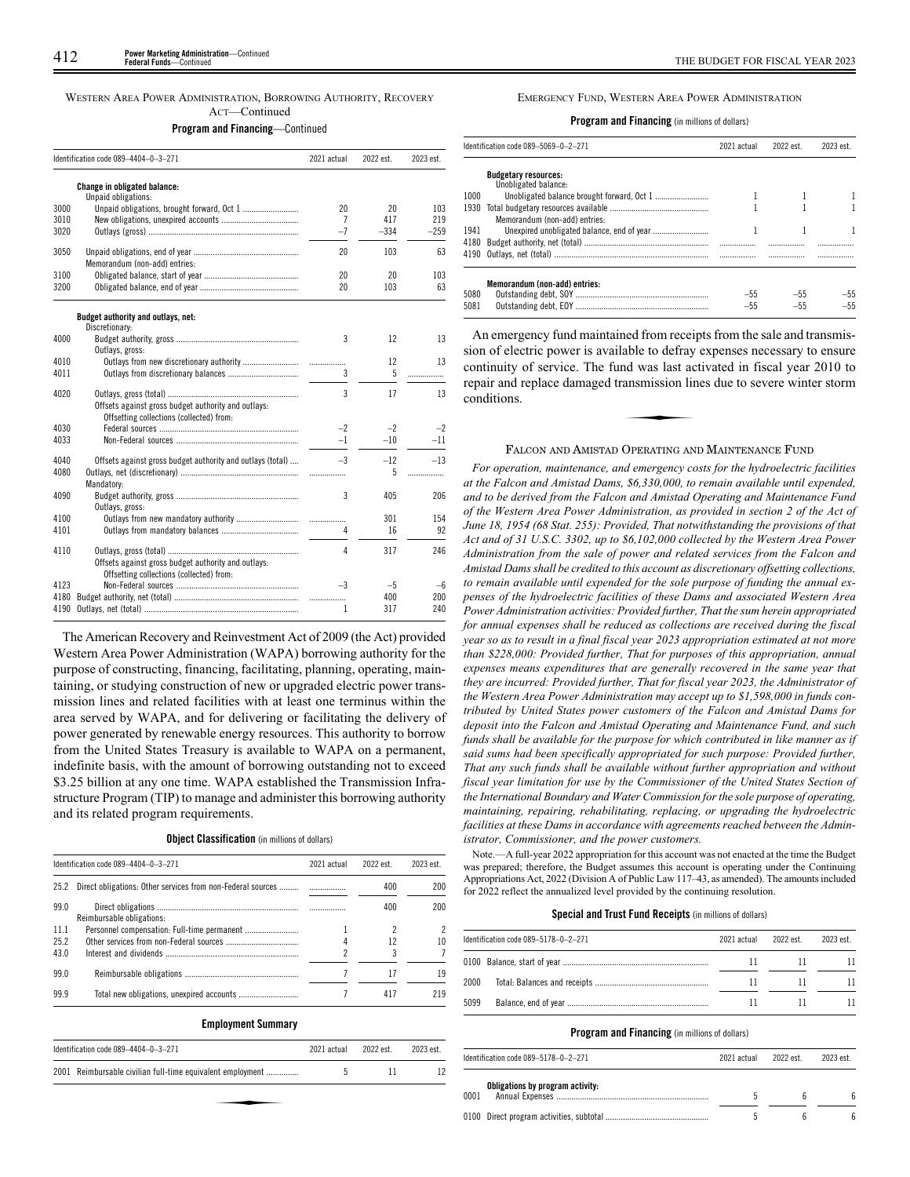WESTERN AREA POWER ADMINISTRATION, BORROWING AUTHORITY, RECOVERY ACT—Continued

### **Program and Financing**—Continued

|      | Identification code 089-4404-0-3-271                       | 2021 actual | 2022 est. | 2023 est. |
|------|------------------------------------------------------------|-------------|-----------|-----------|
|      | <b>Change in obligated balance:</b><br>Unpaid obligations: |             |           |           |
| 3000 |                                                            | 20          | 20        | 103       |
| 3010 |                                                            | 7           | 417       | 219       |
| 3020 |                                                            | $-7$        | $-334$    | $-259$    |
| 3050 | Memorandum (non-add) entries:                              | 20          | 103       | 63        |
| 3100 |                                                            | 20          | 20        | 103       |
| 3200 |                                                            | 20          | 103       | 63        |
|      | Budget authority and outlays, net:<br>Discretionary:       |             |           |           |
| 4000 | Outlays, gross:                                            | 3           | 12        | 13        |
| 4010 |                                                            | .           | 12        | 13        |
| 4011 |                                                            | 3           | 5         | .         |
| 4020 | Offsets against gross budget authority and outlays:        | 3           | 17        | 13        |
|      | Offsetting collections (collected) from:                   |             |           |           |
| 4030 |                                                            | $-2$        | $-2$      | $-2$      |
| 4033 |                                                            | $-1$        | $-10$     | $-11$     |
| 4040 | Offsets against gross budget authority and outlays (total) | $-3$        | $-12$     | $-13$     |
| 4080 | Mandatory:                                                 |             | 5         | .         |
| 4090 | Outlays, gross:                                            | 3           | 405       | 206       |
| 4100 |                                                            | .           | 301       | 154       |
| 4101 |                                                            | 4           | 16        | 92        |
| 4110 | Offsets against gross budget authority and outlays:        | 4           | 317       | 246       |
|      | Offsetting collections (collected) from:                   |             |           |           |
| 4123 |                                                            | $-3$        | $-5$      | —հ        |
| 4180 |                                                            | .           | 400       | 200       |
| 4190 |                                                            | 1           | 317       | 240       |

The American Recovery and Reinvestment Act of 2009 (the Act) provided Western Area Power Administration (WAPA) borrowing authority for the purpose of constructing, financing, facilitating, planning, operating, maintaining, or studying construction of new or upgraded electric power transmission lines and related facilities with at least one terminus within the area served by WAPA, and for delivering or facilitating the delivery of power generated by renewable energy resources. This authority to borrow from the United States Treasury is available to WAPA on a permanent, indefinite basis, with the amount of borrowing outstanding not to exceed \$3.25 billion at any one time. WAPA established the Transmission Infrastructure Program (TIP) to manage and administer this borrowing authority and its related program requirements.

### **Object Classification** (in millions of dollars)

|      | Identification code 089-4404-0-3-271 | 2021 actual | 2022 est. | 2023 est. |
|------|--------------------------------------|-------------|-----------|-----------|
| 25.2 |                                      |             | 400       | 200       |
| 99.0 | Reimbursable obligations:            |             | 400       | 200       |
| 11.1 |                                      |             |           |           |
| 25.2 |                                      |             | 12        | 10        |
| 43.0 |                                      |             | 3         |           |
| 99.0 |                                      |             | 17        | 19        |
| 99.9 |                                      |             | 417       | 219       |
|      | <b>Employment Summary</b>            |             |           |           |

| Identification code 089-4404-0-3-271                       | 2021 actual | 2022 est. | 2023 est. |
|------------------------------------------------------------|-------------|-----------|-----------|
| 2001 Reimbursable civilian full-time equivalent employment | b           |           | 12        |
|                                                            |             |           |           |
|                                                            |             |           |           |

### EMERGENCY FUND, WESTERN AREA POWER ADMINISTRATION

**Program and Financing** (in millions of dollars)

|      | Identification code 089-5069-0-2-271                | 2021 actual | 2022 est. | 2023 est. |  |
|------|-----------------------------------------------------|-------------|-----------|-----------|--|
|      | <b>Budgetary resources:</b><br>Unobligated balance: |             |           |           |  |
| 1000 |                                                     |             |           |           |  |
| 1930 | Memorandum (non-add) entries:                       |             |           |           |  |
| 1941 |                                                     |             |           |           |  |
| 4180 |                                                     |             |           |           |  |
| 5080 | Memorandum (non-add) entries:                       | $-55$       | $-55$     | $-55$     |  |
| 5081 |                                                     | $-55$       | $-55$     | $-55$     |  |

An emergency fund maintained from receipts from the sale and transmission of electric power is available to defray expenses necessary to ensure continuity of service. The fund was last activated in fiscal year 2010 to repair and replace damaged transmission lines due to severe winter storm conditions. repair and replace damaged transmission lines due to severe winter storm conditions.

### FALCON AND AMISTAD OPERATING AND MAINTENANCE FUND

*For operation, maintenance, and emergency costs for the hydroelectric facilities at the Falcon and Amistad Dams, \$6,330,000, to remain available until expended, and to be derived from the Falcon and Amistad Operating and Maintenance Fund of the Western Area Power Administration, as provided in section 2 of the Act of June 18, 1954 (68 Stat. 255): Provided, That notwithstanding the provisions of that Act and of 31 U.S.C. 3302, up to \$6,102,000 collected by the Western Area Power Administration from the sale of power and related services from the Falcon and Amistad Dams shall be credited to this account as discretionary offsetting collections, to remain available until expended for the sole purpose of funding the annual expenses of the hydroelectric facilities of these Dams and associated Western Area Power Administration activities: Provided further, That the sum herein appropriated for annual expenses shall be reduced as collections are received during the fiscal year so as to result in a final fiscal year 2023 appropriation estimated at not more than \$228,000: Provided further, That for purposes of this appropriation, annual expenses means expenditures that are generally recovered in the same year that they are incurred: Provided further, That for fiscal year 2023, the Administrator of the Western Area Power Administration may accept up to \$1,598,000 in funds contributed by United States power customers of the Falcon and Amistad Dams for deposit into the Falcon and Amistad Operating and Maintenance Fund, and such funds shall be available for the purpose for which contributed in like manner as if said sums had been specifically appropriated for such purpose: Provided further, That any such funds shall be available without further appropriation and without fiscal year limitation for use by the Commissioner of the United States Section of the International Boundary and Water Commission for the sole purpose of operating, maintaining, repairing, rehabilitating, replacing, or upgrading the hydroelectric facilities at these Dams in accordance with agreements reached between the Administrator, Commissioner, and the power customers.*

Note.—A full-year 2022 appropriation for this account was not enacted at the time the Budget was prepared; therefore, the Budget assumes this account is operating under the Continuing Appropriations Act, 2022 (Division A of Public Law 117–43, as amended). The amounts included for 2022 reflect the annualized level provided by the continuing resolution.

### **Special and Trust Fund Receipts** (in millions of dollars)

|      | Identification code 089-5178-0-2-271<br>2021 actual |  | 2022 est. | 2023 est. |
|------|-----------------------------------------------------|--|-----------|-----------|
|      |                                                     |  |           |           |
| 2000 |                                                     |  |           |           |
| 5099 |                                                     |  |           |           |

| Identification code 089-5178-0-2-271 |                                  | 2021 actual | 2022 est. | 2023 est. |  |
|--------------------------------------|----------------------------------|-------------|-----------|-----------|--|
| 0001                                 | Obligations by program activity: |             |           |           |  |
|                                      |                                  |             |           |           |  |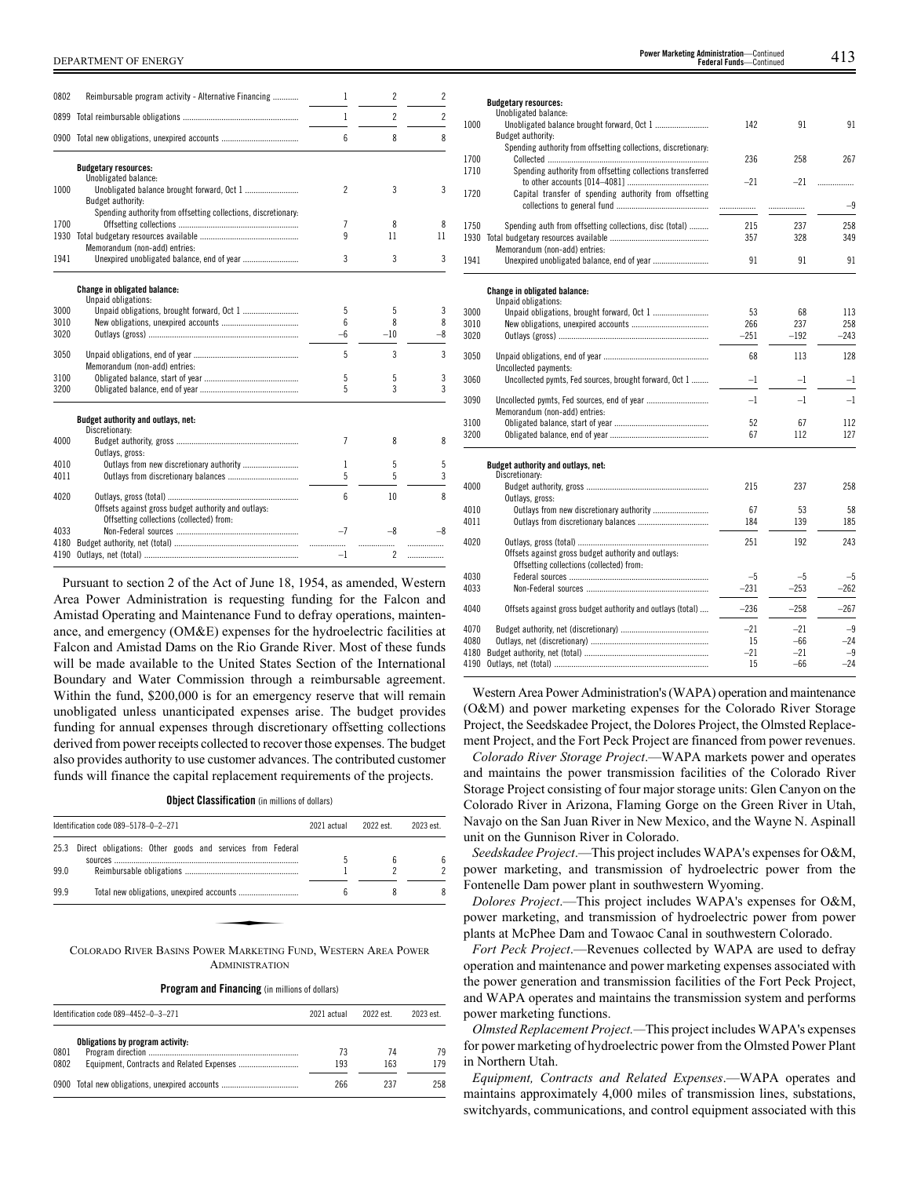| 0802         | Reimbursable program activity - Alternative Financing          | 1              | 2              | $\overline{c}$           |
|--------------|----------------------------------------------------------------|----------------|----------------|--------------------------|
|              |                                                                | 1              | $\overline{c}$ | $\overline{\phantom{a}}$ |
|              |                                                                | 6              | 8              | 8                        |
|              | <b>Budgetary resources:</b>                                    |                |                |                          |
| 1000         | Unobligated balance:<br>Budget authority:                      | $\overline{c}$ | 3              | 3                        |
|              | Spending authority from offsetting collections, discretionary: |                |                |                          |
| 1700         |                                                                | 7              | 8              | 8                        |
| 1930         | Memorandum (non-add) entries:                                  | 9              | 11             | 11                       |
| 1941         |                                                                | 3              | 3              | 3                        |
|              | Change in obligated balance:                                   |                |                |                          |
|              | Unpaid obligations:                                            |                |                |                          |
| 3000         | Unpaid obligations, brought forward, Oct 1                     | 5              | 5              | 3                        |
| 3010         |                                                                | 6              | 8              | 8                        |
| 3020         |                                                                | $-6$           | $-10$          | $-8$                     |
| 3050         | Memorandum (non-add) entries:                                  | 5              | 3              | 3                        |
| 3100         |                                                                | 5              | 5              | 3                        |
| 3200         |                                                                | 5              | 3              | 3                        |
|              | Budget authority and outlays, net:<br>Discretionary:           |                |                |                          |
| 4000         | Outlays, gross:                                                | 7              | 8              | 8                        |
| 4010         | Outlays from new discretionary authority                       | 1              | 5              | 5                        |
| 4011         |                                                                | 5              | 5              | 3                        |
| 4020         | Offsets against gross budget authority and outlays:            | 6              | 10             | 8                        |
| 4033<br>4180 | Offsetting collections (collected) from:                       | $-7$           | $-8$           | -8                       |
| 4190         |                                                                | $-1$           | .<br>2         | .                        |

Pursuant to section 2 of the Act of June 18, 1954, as amended, Western Area Power Administration is requesting funding for the Falcon and Amistad Operating and Maintenance Fund to defray operations, maintenance, and emergency (OM&E) expenses for the hydroelectric facilities at Falcon and Amistad Dams on the Rio Grande River. Most of these funds will be made available to the United States Section of the International Boundary and Water Commission through a reimbursable agreement. Within the fund, \$200,000 is for an emergency reserve that will remain unobligated unless unanticipated expenses arise. The budget provides funding for annual expenses through discretionary offsetting collections derived from power receipts collected to recover those expenses. The budget also provides authority to use customer advances. The contributed customer funds will finance the capital replacement requirements of the projects.

**Object Classification** (in millions of dollars)

|      |                                                           |   | 2022 est. | 2023 est. |
|------|-----------------------------------------------------------|---|-----------|-----------|
| 25.3 | Direct obligations: Other goods and services from Federal |   |           | 6         |
| 99.0 |                                                           |   |           |           |
| 99.9 |                                                           | ĥ | 8         |           |

**ADMINISTRATION** 

**Program and Financing** (in millions of dollars)

| Identification code 089-4452-0-3-271 |                                                | 2021 actual | 2022 est  | 2023 est. |
|--------------------------------------|------------------------------------------------|-------------|-----------|-----------|
| 0801<br>0802                         | Obligations by program activity:               | 73<br>193   | 74<br>163 | 79<br>179 |
|                                      | 0900 Total new obligations, unexpired accounts | 266         | 237       | 258       |

|      | <b>Budgetary resources:</b><br>Unobligated balance:            |        |        |        |
|------|----------------------------------------------------------------|--------|--------|--------|
| 1000 |                                                                | 142    | 91     | 91     |
|      | Budget authority:                                              |        |        |        |
|      | Spending authority from offsetting collections, discretionary: |        |        |        |
| 1700 |                                                                | 236    | 258    | 267    |
| 1710 | Spending authority from offsetting collections transferred     |        |        |        |
|      |                                                                | $-21$  | $-21$  | .      |
| 1720 | Capital transfer of spending authority from offsetting         |        |        |        |
|      |                                                                |        | .      | $-9$   |
| 1750 | Spending auth from offsetting collections, disc (total)        | 215    | 237    | 258    |
| 1930 |                                                                | 357    | 328    | 349    |
|      | Memorandum (non-add) entries:                                  |        |        |        |
| 1941 |                                                                | 91     | 91     | 91     |
|      |                                                                |        |        |        |
|      | <b>Change in obligated balance:</b>                            |        |        |        |
|      | Unpaid obligations:                                            |        |        |        |
| 3000 |                                                                | 53     | 68     | 113    |
| 3010 |                                                                | 266    | 237    | 258    |
| 3020 |                                                                | $-251$ | $-192$ | $-243$ |
|      |                                                                |        |        | 128    |
| 3050 | Uncollected payments:                                          | 68     | 113    |        |
| 3060 | Uncollected pymts, Fed sources, brought forward, Oct 1         | $-1$   | $-1$   | $-1$   |
|      |                                                                |        |        |        |
| 3090 |                                                                | $-1$   | $-1$   | $-1$   |
|      | Memorandum (non-add) entries:                                  |        |        |        |
| 3100 |                                                                | 52     | 67     | 112    |
| 3200 |                                                                | 67     | 112    | 127    |
|      |                                                                |        |        |        |
|      | Budget authority and outlays, net:                             |        |        |        |
|      | Discretionary:                                                 |        |        |        |
| 4000 |                                                                | 215    | 237    | 258    |
| 4010 | Outlays, gross:                                                | 67     | 53     | 58     |
| 4011 |                                                                | 184    | 139    | 185    |
|      |                                                                |        |        |        |
| 4020 |                                                                | 251    | 192    | 243    |
|      | Offsets against gross budget authority and outlays:            |        |        |        |
|      | Offsetting collections (collected) from:                       |        |        |        |
| 4030 |                                                                | $-5$   | $-5$   | -5     |
| 4033 |                                                                | $-231$ | $-253$ | $-262$ |
| 4040 | Offsets against gross budget authority and outlays (total)     | $-236$ | $-258$ | $-267$ |
|      |                                                                |        |        |        |
| 4070 |                                                                | $-21$  | $-21$  | $-9$   |
| 4080 |                                                                | 15     | $-66$  | $-24$  |
| 4180 |                                                                | $-21$  | $-21$  | $-9$   |
| 4190 |                                                                | 15     | $-66$  | $-24$  |

**Budgetary resources:**

Western Area Power Administration's (WAPA) operation and maintenance (O&M) and power marketing expenses for the Colorado River Storage Project, the Seedskadee Project, the Dolores Project, the Olmsted Replacement Project, and the Fort Peck Project are financed from power revenues.

*Colorado River Storage Project*.—WAPA markets power and operates and maintains the power transmission facilities of the Colorado River Storage Project consisting of four major storage units: Glen Canyon on the Colorado River in Arizona, Flaming Gorge on the Green River in Utah, Navajo on the San Juan River in New Mexico, and the Wayne N. Aspinall unit on the Gunnison River in Colorado.

*Seedskadee Project*.—This project includes WAPA's expenses for O&M, power marketing, and transmission of hydroelectric power from the Fontenelle Dam power plant in southwestern Wyoming.

*Dolores Project*.—This project includes WAPA's expenses for O&M, power marketing, and transmission of hydroelectric power from power plants at McPhee Dam and Towaoc Canal in southwestern Colorado.

*Fort Peck Project*.—Revenues collected by WAPA are used to defray operation and maintenance and power marketing expenses associated with the power generation and transmission facilities of the Fort Peck Project, and WAPA operates and maintains the transmission system and performs power marketing functions.

*Olmsted Replacement Project.—*This project includes WAPA's expenses for power marketing of hydroelectric power from the Olmsted Power Plant in Northern Utah.

*Equipment, Contracts and Related Expenses*.—WAPA operates and maintains approximately 4,000 miles of transmission lines, substations, switchyards, communications, and control equipment associated with this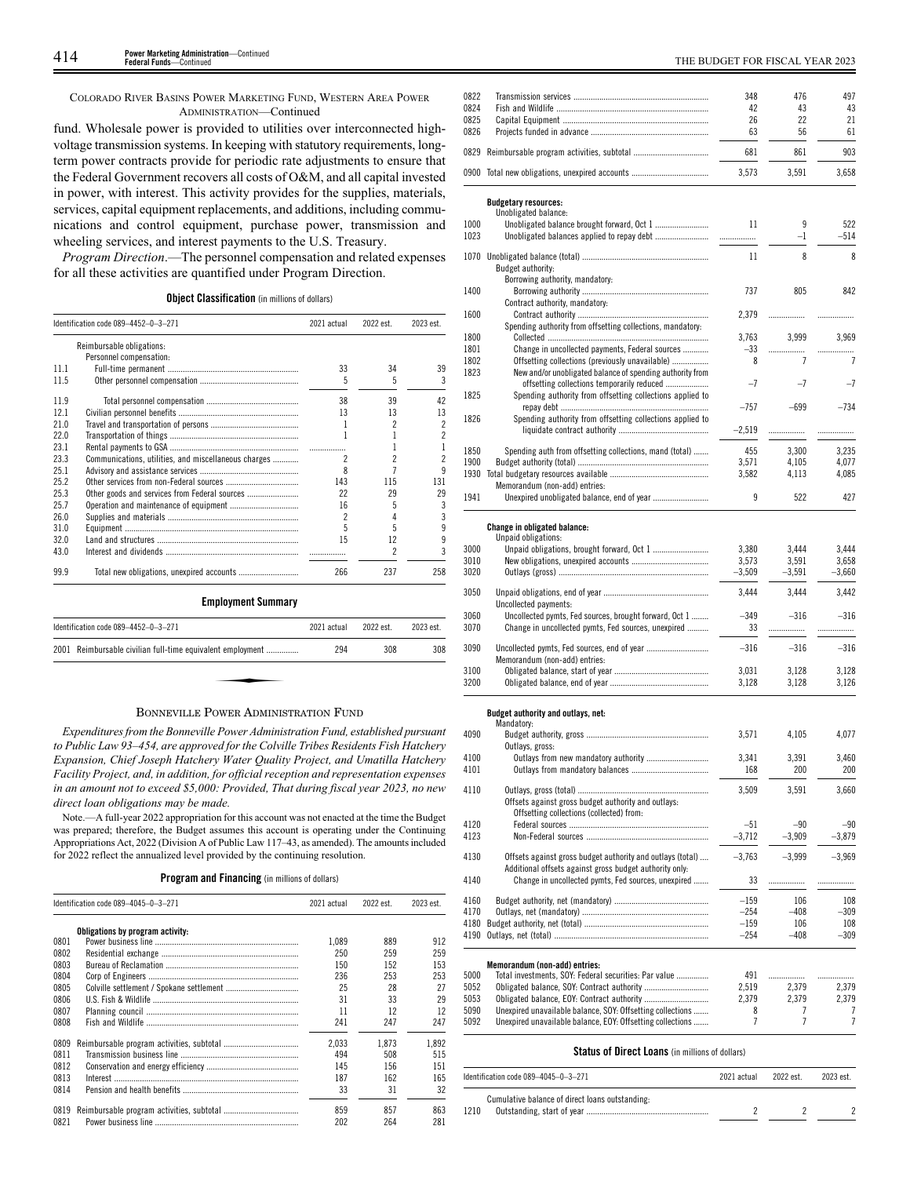COLORADO RIVER BASINS POWER MARKETING FUND, WESTERN AREA POWER ADMINISTRATION—Continued

fund. Wholesale power is provided to utilities over interconnected highvoltage transmission systems. In keeping with statutory requirements, longterm power contracts provide for periodic rate adjustments to ensure that the Federal Government recovers all costs of O&M, and all capital invested in power, with interest. This activity provides for the supplies, materials, services, capital equipment replacements, and additions, including communications and control equipment, purchase power, transmission and wheeling services, and interest payments to the U.S. Treasury.

*Program Direction*.—The personnel compensation and related expenses for all these activities are quantified under Program Direction.

| <b>Object Classification</b> (in millions of dollars) |  |  |
|-------------------------------------------------------|--|--|

|      | Identification code 089-4452-0-3-271                 | 2021 actual | 2022 est. | 2023 est. |
|------|------------------------------------------------------|-------------|-----------|-----------|
|      | Reimbursable obligations:                            |             |           |           |
|      | Personnel compensation:                              |             |           |           |
| 111  |                                                      | 33          | 34        | 39        |
| 11.5 |                                                      | 5           | 5         | 3         |
| 119  |                                                      | 38          | 39        | 42        |
| 121  |                                                      | 13          | 13        | 13        |
| 210  |                                                      | 1           | 2         | 2         |
| 22.0 |                                                      | 1           |           | 2         |
| 231  |                                                      |             |           |           |
| 23.3 | Communications, utilities, and miscellaneous charges | 2           |           | 2         |
| 25.1 |                                                      | 8           |           | q         |
| 25.2 |                                                      | 143         | 115       | 131       |
| 25.3 |                                                      | 22          | 29        | 29        |
| 25.7 |                                                      | 16          |           | 3         |
| 26.0 |                                                      | 2           |           | 3         |
| 310  |                                                      | 5           | 5         | 9         |
| 32.0 |                                                      | 15          | 12        | 9         |
| 43.0 |                                                      |             |           | 3         |
| 99.9 |                                                      | 266         | 237       | 258       |

# ✦

Identification code 089–4452–0–3–271 2021 actual 2022 est. 2023 est. 2001 Reimbursable civilian full-time equivalent employment ............... 294 308 308

BONNEVILLE POWER ADMINISTRATION FUND *Expenditures from the Bonneville Power Administration Fund, established pursuant to Public Law 93–454, are approved for the Colville Tribes Residents Fish Hatchery Expansion, Chief Joseph Hatchery Water Quality Project, and Umatilla Hatchery Facility Project, and, in addition, for official reception and representation expenses*

*in an amount not to exceed \$5,000: Provided, That during fiscal year 2023, no new direct loan obligations may be made.*

Note.—A full-year 2022 appropriation for this account was not enacted at the time the Budget was prepared; therefore, the Budget assumes this account is operating under the Continuing Appropriations Act, 2022 (Division A of Public Law 117–43, as amended). The amounts included for 2022 reflect the annualized level provided by the continuing resolution.

**Program and Financing** (in millions of dollars)

|      | Identification code 089-4045-0-3-271 |       | 2022 est. | 2023 est. |
|------|--------------------------------------|-------|-----------|-----------|
|      | Obligations by program activity:     |       |           |           |
| 0801 |                                      | 1.089 | 889       | 912       |
| 0802 |                                      | 250   | 259       | 259       |
| 0803 |                                      | 150   | 152       | 153       |
| 0804 |                                      | 236   | 253       | 253       |
| 0805 |                                      | 25    | 28        | 27        |
| 0806 |                                      | 31    | 33        | 29        |
| 0807 |                                      | 11    | 12        | 12        |
| 0808 |                                      | 241   | 247       | 247       |
| 0809 |                                      | 2.033 | 1.873     | 1.892     |
| 0811 |                                      | 494   | 508       | 515       |
| 0812 |                                      | 145   | 156       | 151       |
| 0813 |                                      | 187   | 162       | 165       |
| 0814 |                                      | 33    | 31        | 32        |
| 0819 |                                      | 859   | 857       | 863       |
| 0821 |                                      | 202   | 264       | 281       |

| 0822         |                                                                                                                | 348               | 476               | 497             |
|--------------|----------------------------------------------------------------------------------------------------------------|-------------------|-------------------|-----------------|
| 0824<br>0825 |                                                                                                                | 42<br>26          | 43<br>22          | 43<br>21        |
| 0826         |                                                                                                                | 63                | 56                | 61              |
| 0829         |                                                                                                                | 681               | 861               | 903             |
|              | 0900 Total new obligations, unexpired accounts                                                                 | 3,573             | 3,591             | 3.658           |
|              |                                                                                                                |                   |                   |                 |
|              | <b>Budgetary resources:</b><br>Unobligated balance:                                                            |                   |                   |                 |
| 1000         |                                                                                                                | 11                | 9                 | 522             |
| 1023         |                                                                                                                |                   | $-1$              | $-514$          |
| 1070         |                                                                                                                | 11                | 8                 | 8               |
|              | Budget authority:<br>Borrowing authority, mandatory:                                                           |                   |                   |                 |
| 1400         |                                                                                                                | 737               | 805               | 842             |
|              | Contract authority, mandatory:                                                                                 |                   |                   |                 |
| 1600         | Spending authority from offsetting collections, mandatory:                                                     | 2,379             |                   | .               |
| 1800         |                                                                                                                | 3,763             | 3,999             | 3,969           |
| 1801         | Change in uncollected payments, Federal sources                                                                | -33               | .                 | .               |
| 1802         | Offsetting collections (previously unavailable)                                                                | 8                 | 7                 | 7               |
| 1823         | New and/or unobligated balance of spending authority from<br>offsetting collections temporarily reduced        | $-7$              | $-7$              | $-7$            |
| 1825         | Spending authority from offsetting collections applied to                                                      |                   |                   |                 |
|              |                                                                                                                | $-757$            | $-699$            | $-734$          |
| 1826         | Spending authority from offsetting collections applied to                                                      | $-2,519$          | .                 | .               |
|              |                                                                                                                |                   |                   |                 |
| 1850         | Spending auth from offsetting collections, mand (total)                                                        | 455               | 3,300             | 3,235           |
| 1900<br>1930 |                                                                                                                | 3.571<br>3,582    | 4,105<br>4.113    | 4,077<br>4,085  |
|              | Memorandum (non-add) entries:                                                                                  |                   |                   |                 |
| 1941         |                                                                                                                | 9                 | 522               | 427             |
|              |                                                                                                                |                   |                   |                 |
|              | <b>Change in obligated balance:</b><br>Unpaid obligations:                                                     |                   |                   |                 |
| 3000         |                                                                                                                | 3,380             | 3,444             | 3,444           |
| 3010<br>3020 |                                                                                                                | 3,573             | 3,591             | 3,658           |
|              |                                                                                                                | $-3,509$          | $-3,591$          | $-3,660$        |
| 3050         | Uncollected payments:                                                                                          | 3,444             | 3,444             | 3,442           |
| 3060         | Uncollected pymts, Fed sources, brought forward, Oct 1                                                         | $-349$            | $-316$            | $-316$          |
| 3070         | Change in uncollected pymts, Fed sources, unexpired                                                            | 33                | .                 | .               |
| 3090         |                                                                                                                | $-316$            | $-316$            | $-316$          |
|              | Memorandum (non-add) entries:                                                                                  |                   |                   |                 |
| 3100         |                                                                                                                | 3,031<br>3.128    | 3,128             | 3,128           |
| 3200         |                                                                                                                |                   | 3,128             | 3,126           |
|              | Budget authority and outlays, net:                                                                             |                   |                   |                 |
|              | Mandatory:                                                                                                     |                   |                   |                 |
| 4090         | Outlays, gross:                                                                                                | 3,571             | 4,105             | 4,077           |
| 4100         |                                                                                                                | 3,341             | 3,391             | 3,460           |
| 4101         |                                                                                                                | 168               | 200               | 200             |
| 4110         |                                                                                                                | 3,509             | 3,591             | 3,660           |
|              | Offsets against gross budget authority and outlays:                                                            |                   |                   |                 |
|              | Offsetting collections (collected) from:                                                                       |                   |                   |                 |
| 4120<br>4123 |                                                                                                                | $-51$<br>$-3,712$ | $-90$<br>$-3,909$ | $-90$<br>-3,879 |
|              |                                                                                                                |                   |                   |                 |
| 4130         | Offsets against gross budget authority and outlays (total)                                                     | $-3,763$          | $-3,999$          | $-3,969$        |
| 4140         | Additional offsets against gross budget authority only:<br>Change in uncollected pymts, Fed sources, unexpired | 33                | .                 | .               |
|              |                                                                                                                |                   |                   |                 |
| 4160<br>4170 |                                                                                                                | $-159$            | 106               | 108<br>$-309$   |
| 4180         |                                                                                                                | $-254$<br>$-159$  | $-408$<br>106     | 108             |
| 4190         |                                                                                                                | $-254$            | $-408$            | $-309$          |
|              |                                                                                                                |                   |                   |                 |
|              | Memorandum (non-add) entries:                                                                                  |                   |                   |                 |
| 5000         | Total investments, SOY: Federal securities: Par value                                                          | 491               | .                 |                 |
| 5052<br>5053 |                                                                                                                | 2,519<br>2,379    | 2,379<br>2,379    | 2,379<br>2,379  |
| 5090         | Unexpired unavailable balance, SOY: Offsetting collections                                                     | 8                 | 7                 | 7               |
| 5092         | Ilnexnired unavailable balance EOY. Offsetting collections                                                     | $\overline{7}$    | 7                 | 7               |

### **Status of Direct Loans** (in millions of dollars)

5092 Unexpired unavailable balance, EOY: Offsetting collections ....

| Identification code 089-4045-0-3-271 |                                                 | 2021 actual | 2022 est. | 2023 est. |
|--------------------------------------|-------------------------------------------------|-------------|-----------|-----------|
|                                      | Cumulative balance of direct loans outstanding: |             |           |           |
| 1210                                 |                                                 |             |           |           |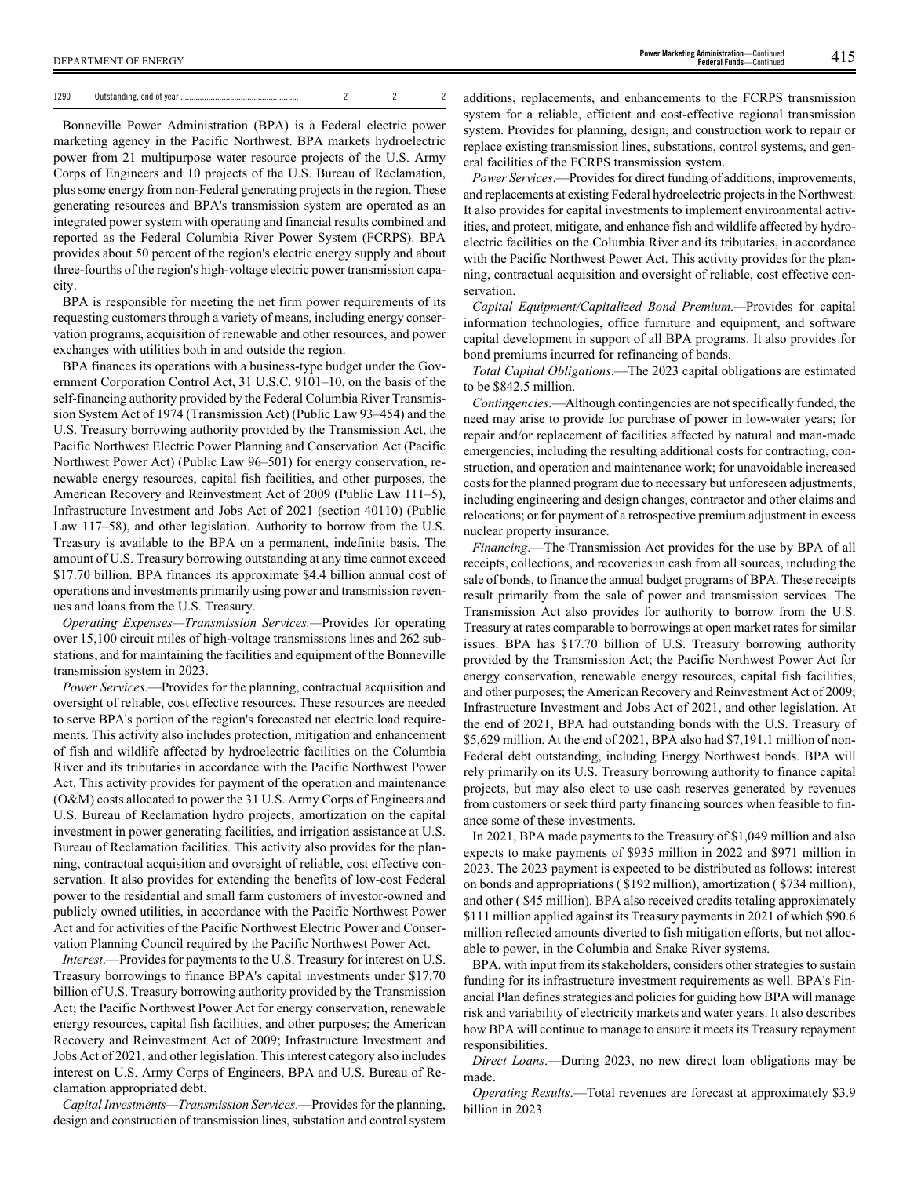| 1290 |  |  |
|------|--|--|
|      |  |  |

Bonneville Power Administration (BPA) is a Federal electric power marketing agency in the Pacific Northwest. BPA markets hydroelectric power from 21 multipurpose water resource projects of the U.S. Army Corps of Engineers and 10 projects of the U.S. Bureau of Reclamation, plus some energy from non-Federal generating projects in the region. These generating resources and BPA's transmission system are operated as an integrated power system with operating and financial results combined and reported as the Federal Columbia River Power System (FCRPS). BPA provides about 50 percent of the region's electric energy supply and about three-fourths of the region's high-voltage electric power transmission capacity.

BPA is responsible for meeting the net firm power requirements of its requesting customers through a variety of means, including energy conservation programs, acquisition of renewable and other resources, and power exchanges with utilities both in and outside the region.

BPA finances its operations with a business-type budget under the Government Corporation Control Act, 31 U.S.C. 9101–10, on the basis of the self-financing authority provided by the Federal Columbia River Transmission System Act of 1974 (Transmission Act) (Public Law 93–454) and the U.S. Treasury borrowing authority provided by the Transmission Act, the Pacific Northwest Electric Power Planning and Conservation Act (Pacific Northwest Power Act) (Public Law 96–501) for energy conservation, renewable energy resources, capital fish facilities, and other purposes, the American Recovery and Reinvestment Act of 2009 (Public Law 111–5), Infrastructure Investment and Jobs Act of 2021 (section 40110) (Public Law 117–58), and other legislation. Authority to borrow from the U.S. Treasury is available to the BPA on a permanent, indefinite basis. The amount of U.S. Treasury borrowing outstanding at any time cannot exceed \$17.70 billion. BPA finances its approximate \$4.4 billion annual cost of operations and investments primarily using power and transmission revenues and loans from the U.S. Treasury.

*Operating Expenses—Transmission Services.—*Provides for operating over 15,100 circuit miles of high-voltage transmissions lines and 262 substations, and for maintaining the facilities and equipment of the Bonneville transmission system in 2023.

*Power Services*.—Provides for the planning, contractual acquisition and oversight of reliable, cost effective resources. These resources are needed to serve BPA's portion of the region's forecasted net electric load requirements. This activity also includes protection, mitigation and enhancement of fish and wildlife affected by hydroelectric facilities on the Columbia River and its tributaries in accordance with the Pacific Northwest Power Act. This activity provides for payment of the operation and maintenance (O&M) costs allocated to power the 31 U.S. Army Corps of Engineers and U.S. Bureau of Reclamation hydro projects, amortization on the capital investment in power generating facilities, and irrigation assistance at U.S. Bureau of Reclamation facilities. This activity also provides for the planning, contractual acquisition and oversight of reliable, cost effective conservation. It also provides for extending the benefits of low-cost Federal power to the residential and small farm customers of investor-owned and publicly owned utilities, in accordance with the Pacific Northwest Power Act and for activities of the Pacific Northwest Electric Power and Conservation Planning Council required by the Pacific Northwest Power Act.

*Interest*.—Provides for payments to the U.S. Treasury for interest on U.S. Treasury borrowings to finance BPA's capital investments under \$17.70 billion of U.S. Treasury borrowing authority provided by the Transmission Act; the Pacific Northwest Power Act for energy conservation, renewable energy resources, capital fish facilities, and other purposes; the American Recovery and Reinvestment Act of 2009; Infrastructure Investment and Jobs Act of 2021, and other legislation. This interest category also includes interest on U.S. Army Corps of Engineers, BPA and U.S. Bureau of Reclamation appropriated debt.

*Capital Investments—Transmission Services*.—Provides for the planning, design and construction of transmission lines, substation and control system additions, replacements, and enhancements to the FCRPS transmission system for a reliable, efficient and cost-effective regional transmission system. Provides for planning, design, and construction work to repair or replace existing transmission lines, substations, control systems, and general facilities of the FCRPS transmission system.

*Power Services*.—Provides for direct funding of additions, improvements, and replacements at existing Federal hydroelectric projects in the Northwest. It also provides for capital investments to implement environmental activities, and protect, mitigate, and enhance fish and wildlife affected by hydroelectric facilities on the Columbia River and its tributaries, in accordance with the Pacific Northwest Power Act. This activity provides for the planning, contractual acquisition and oversight of reliable, cost effective conservation.

*Capital Equipment/Capitalized Bond Premium.—*Provides for capital information technologies, office furniture and equipment, and software capital development in support of all BPA programs. It also provides for bond premiums incurred for refinancing of bonds.

*Total Capital Obligations*.—The 2023 capital obligations are estimated to be \$842.5 million.

*Contingencies*.—Although contingencies are not specifically funded, the need may arise to provide for purchase of power in low-water years; for repair and/or replacement of facilities affected by natural and man-made emergencies, including the resulting additional costs for contracting, construction, and operation and maintenance work; for unavoidable increased costs for the planned program due to necessary but unforeseen adjustments, including engineering and design changes, contractor and other claims and relocations; or for payment of a retrospective premium adjustment in excess nuclear property insurance.

*Financing*.—The Transmission Act provides for the use by BPA of all receipts, collections, and recoveries in cash from all sources, including the sale of bonds, to finance the annual budget programs of BPA. These receipts result primarily from the sale of power and transmission services. The Transmission Act also provides for authority to borrow from the U.S. Treasury at rates comparable to borrowings at open market rates for similar issues. BPA has \$17.70 billion of U.S. Treasury borrowing authority provided by the Transmission Act; the Pacific Northwest Power Act for energy conservation, renewable energy resources, capital fish facilities, and other purposes; the American Recovery and Reinvestment Act of 2009; Infrastructure Investment and Jobs Act of 2021, and other legislation. At the end of 2021, BPA had outstanding bonds with the U.S. Treasury of \$5,629 million. At the end of 2021, BPA also had \$7,191.1 million of non-Federal debt outstanding, including Energy Northwest bonds. BPA will rely primarily on its U.S. Treasury borrowing authority to finance capital projects, but may also elect to use cash reserves generated by revenues from customers or seek third party financing sources when feasible to finance some of these investments.

In 2021, BPA made payments to the Treasury of \$1,049 million and also expects to make payments of \$935 million in 2022 and \$971 million in 2023. The 2023 payment is expected to be distributed as follows: interest on bonds and appropriations ( \$192 million), amortization ( \$734 million), and other ( \$45 million). BPA also received credits totaling approximately \$111 million applied against its Treasury payments in 2021 of which \$90.6 million reflected amounts diverted to fish mitigation efforts, but not allocable to power, in the Columbia and Snake River systems.

BPA, with input from its stakeholders, considers other strategies to sustain funding for its infrastructure investment requirements as well. BPA's Financial Plan defines strategies and policies for guiding how BPA will manage risk and variability of electricity markets and water years. It also describes how BPA will continue to manage to ensure it meets its Treasury repayment responsibilities.

*Direct Loans*.—During 2023, no new direct loan obligations may be made.

*Operating Results*.—Total revenues are forecast at approximately \$3.9 billion in 2023.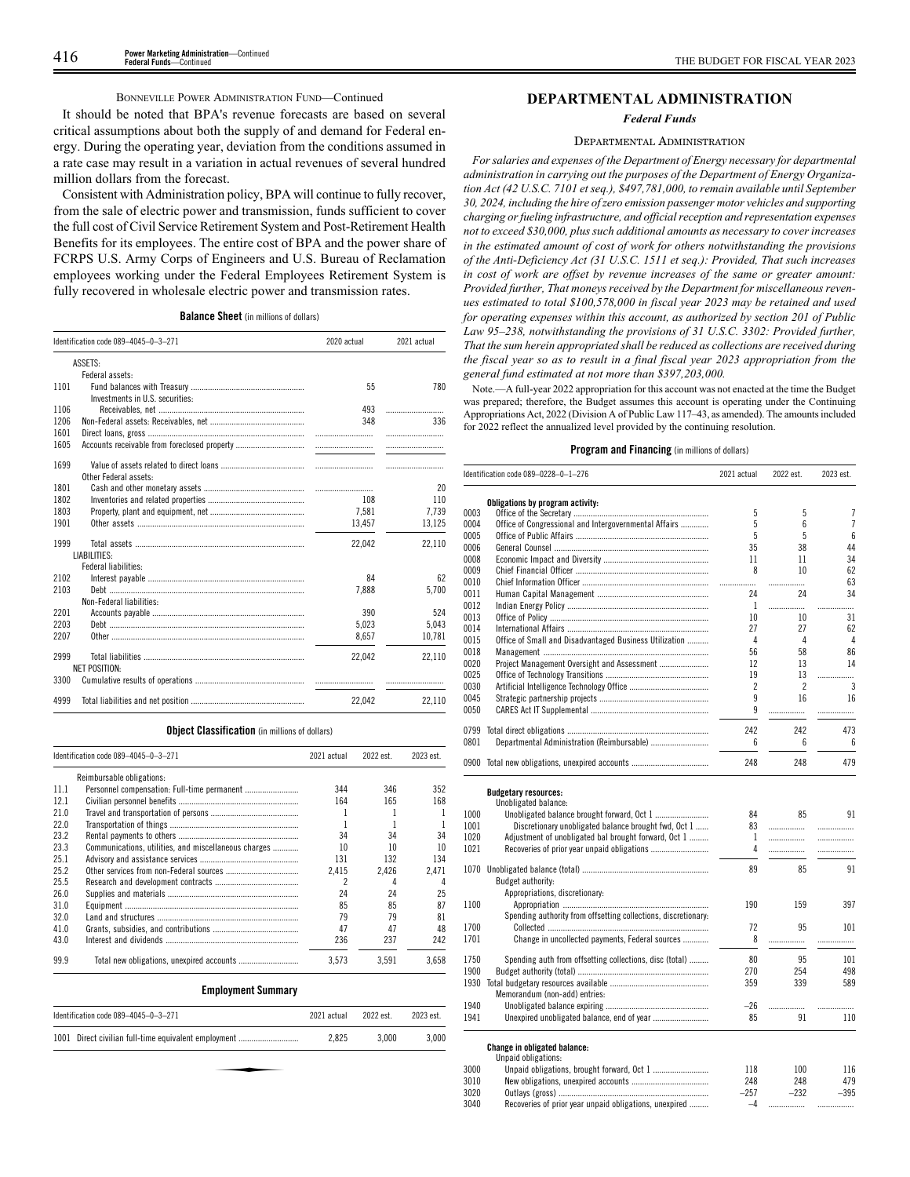### BONNEVILLE POWER ADMINISTRATION FUND—Continued

It should be noted that BPA's revenue forecasts are based on several critical assumptions about both the supply of and demand for Federal energy. During the operating year, deviation from the conditions assumed in a rate case may result in a variation in actual revenues of several hundred million dollars from the forecast.

Consistent with Administration policy, BPA will continue to fully recover, from the sale of electric power and transmission, funds sufficient to cover the full cost of Civil Service Retirement System and Post-Retirement Health Benefits for its employees. The entire cost of BPA and the power share of FCRPS U.S. Army Corps of Engineers and U.S. Bureau of Reclamation employees working under the Federal Employees Retirement System is fully recovered in wholesale electric power and transmission rates.

**Balance Sheet** (in millions of dollars)

| Identification code 089-4045-0-3-271 |                                 | 2020 actual | 2021 actual |
|--------------------------------------|---------------------------------|-------------|-------------|
|                                      | ASSETS:                         |             |             |
|                                      | Federal assets:                 |             |             |
| 1101                                 |                                 | 55          | 780         |
|                                      | Investments in U.S. securities: |             |             |
| 1106                                 |                                 | 493         |             |
| 1206                                 |                                 | 348         | 336         |
| 1601                                 |                                 |             |             |
| 1605                                 |                                 |             |             |
|                                      |                                 |             |             |
| 1699                                 |                                 |             |             |
|                                      | Other Federal assets:           |             |             |
| 1801                                 |                                 |             | 20          |
| 1802                                 |                                 | 108         | 110         |
| 1803                                 |                                 | 7,581       | 7,739       |
| 1901                                 |                                 | 13.457      | 13,125      |
| 1999                                 |                                 | 22.042      | 22.110      |
|                                      | LIABILITIES:                    |             |             |
|                                      | <b>Federal liabilities:</b>     |             |             |
| 2102                                 |                                 | 84          | 62          |
| 2103                                 |                                 | 7.888       | 5.700       |
|                                      | Non-Federal liabilities:        |             |             |
| 2201                                 |                                 | 390         | 524         |
| 2203                                 |                                 | 5,023       | 5.043       |
| 2207                                 |                                 | 8,657       | 10,781      |
| 2999                                 |                                 | 22.042      | 22.110      |
|                                      | <b>NET POSITION:</b>            |             |             |
| 3300                                 |                                 |             |             |
| 4999                                 |                                 | 22.042      | 22.110      |

### **Object Classification** (in millions of dollars)

|      | Identification code 089-4045-0-3-271                 | 2021 actual | 2022 est. | 2023 est. |
|------|------------------------------------------------------|-------------|-----------|-----------|
|      | Reimbursable obligations:                            |             |           |           |
| 11.1 |                                                      | 344         | 346       | 352       |
| 12.1 |                                                      | 164         | 165       | 168       |
| 21.0 |                                                      |             |           |           |
| 22.0 |                                                      |             |           |           |
| 23.2 |                                                      | 34          | 34        | 34        |
| 23.3 | Communications, utilities, and miscellaneous charges | 10          | 10        | 10        |
| 25.1 |                                                      | 131         | 132       | 134       |
| 25.2 |                                                      | 2.415       | 2.426     | 2.471     |
| 25.5 |                                                      | 2           | 4         | 4         |
| 26.0 |                                                      | 24          | 24        | 25        |
| 31.0 |                                                      | 85          | 85        | 87        |
| 32.0 |                                                      | 79          | 79        | 81        |
| 41.0 |                                                      | 47          | 47        | 48        |
| 43.0 |                                                      | 236         | 237       | 242       |
| 99.9 |                                                      | 3.573       | 3.591     | 3.658     |

### **Employment Summary**

|       | 2022 est. | 2023 est. |
|-------|-----------|-----------|
| 2.825 | 3.000     | 3.000     |
|       |           |           |
|       |           |           |
|       |           |           |

### **DEPARTMENTAL ADMINISTRATION**

*Federal Funds*

### DEPARTMENTAL ADMINISTRATION

*For salaries and expenses of the Department of Energy necessary for departmental administration in carrying out the purposes of the Department of Energy Organization Act (42 U.S.C. 7101 et seq.), \$497,781,000, to remain available until September 30, 2024, including the hire of zero emission passenger motor vehicles and supporting charging or fueling infrastructure, and official reception and representation expenses not to exceed \$30,000, plus such additional amounts as necessary to cover increases in the estimated amount of cost of work for others notwithstanding the provisions of the Anti-Deficiency Act (31 U.S.C. 1511 et seq.): Provided, That such increases in cost of work are offset by revenue increases of the same or greater amount: Provided further, That moneys received by the Department for miscellaneous revenues estimated to total \$100,578,000 in fiscal year 2023 may be retained and used for operating expenses within this account, as authorized by section 201 of Public Law 95–238, notwithstanding the provisions of 31 U.S.C. 3302: Provided further, That the sum herein appropriated shall be reduced as collections are received during the fiscal year so as to result in a final fiscal year 2023 appropriation from the general fund estimated at not more than \$397,203,000.*

Note.—A full-year 2022 appropriation for this account was not enacted at the time the Budget was prepared; therefore, the Budget assumes this account is operating under the Continuing Appropriations Act, 2022 (Division A of Public Law 117–43, as amended). The amounts included for 2022 reflect the annualized level provided by the continuing resolution.

### **Program and Financing** (in millions of dollars)

|      | Identification code 089-0228-0-1-276                           | 2021 actual | 2022 est.      | 2023 est.       |
|------|----------------------------------------------------------------|-------------|----------------|-----------------|
|      | Obligations by program activity:                               |             |                |                 |
| 0003 |                                                                | 5           | 5              | 7               |
| 0004 | Office of Congressional and Intergovernmental Affairs          | 5           | 6              | $\overline{7}$  |
| 0005 |                                                                | 5           | 5              | 6               |
| 0006 |                                                                | 35          | 38             | 44              |
| 0008 |                                                                | 11          | 11             | 34              |
| 0009 |                                                                | 8           | 10             | 62              |
| 0010 |                                                                | .           | .              | 63              |
| 0011 |                                                                | 24          | 24             | 34              |
| 0012 |                                                                | 1           | .              | .               |
| 0013 |                                                                | 10          | 10             | 31              |
| 0014 |                                                                | 27          | 27             | 62              |
| 0015 | Office of Small and Disadvantaged Business Utilization         | 4           | 4              | 4               |
|      |                                                                | 56          |                | 86              |
| 0018 |                                                                |             | 58             |                 |
| 0020 |                                                                | 12          | 13             | 14              |
| 0025 |                                                                | 19          | 13             | .               |
| 0030 |                                                                | 2           | $\overline{c}$ | 3               |
| 0045 |                                                                | 9           | 16             | 16              |
| 0050 |                                                                | 9           |                | .               |
| 0799 |                                                                | 242         | 242            | 473             |
| 0801 | Departmental Administration (Reimbursable)                     | 6           | 6              | $6\overline{6}$ |
| 0900 |                                                                | 248         | 248            | 479             |
|      | <b>Budgetary resources:</b>                                    |             |                |                 |
|      | Unobligated balance:                                           |             |                |                 |
| 1000 |                                                                | 84          | 85             | 91              |
| 1001 | Discretionary unobligated balance brought fwd, Oct 1           | 83          | .              |                 |
| 1020 | Adjustment of unobligated bal brought forward, Oct 1           | 1           | .              | .               |
| 1021 |                                                                | 4           | .              | .               |
| 1070 |                                                                | 89          | 85             | 91              |
|      | Budget authority:                                              |             |                |                 |
|      | Appropriations, discretionary:                                 |             |                |                 |
| 1100 |                                                                | 190         | 159            | 397             |
|      | Spending authority from offsetting collections, discretionary: |             |                |                 |
| 1700 |                                                                | 72          | 95             | 101             |
| 1701 | Change in uncollected payments, Federal sources                | 8           |                |                 |
|      |                                                                |             | .              | .               |
| 1750 | Spending auth from offsetting collections, disc (total)        | 80          | 95             | 101             |
| 1900 |                                                                | 270         | 254            | 498             |
| 1930 |                                                                | 359         | 339            | 589             |
|      | Memorandum (non-add) entries:                                  |             |                |                 |
| 1940 |                                                                | $-26$       | .              | .               |
| 1941 |                                                                | 85          | 91             | 110             |
|      | <b>Change in obligated balance:</b>                            |             |                |                 |

### Unpaid obligations: 3000 Unpaid obligations, brought forward, Oct 1 .......................... 118 100 116 3010 New obligations, unexpired accounts .................................... 248 248 479 3020 Outlays (gross) ...................................................................... –257 –232 –395 3040 Recoveries of prior year unpaid obligations, unexpired ......... –4 ................. .................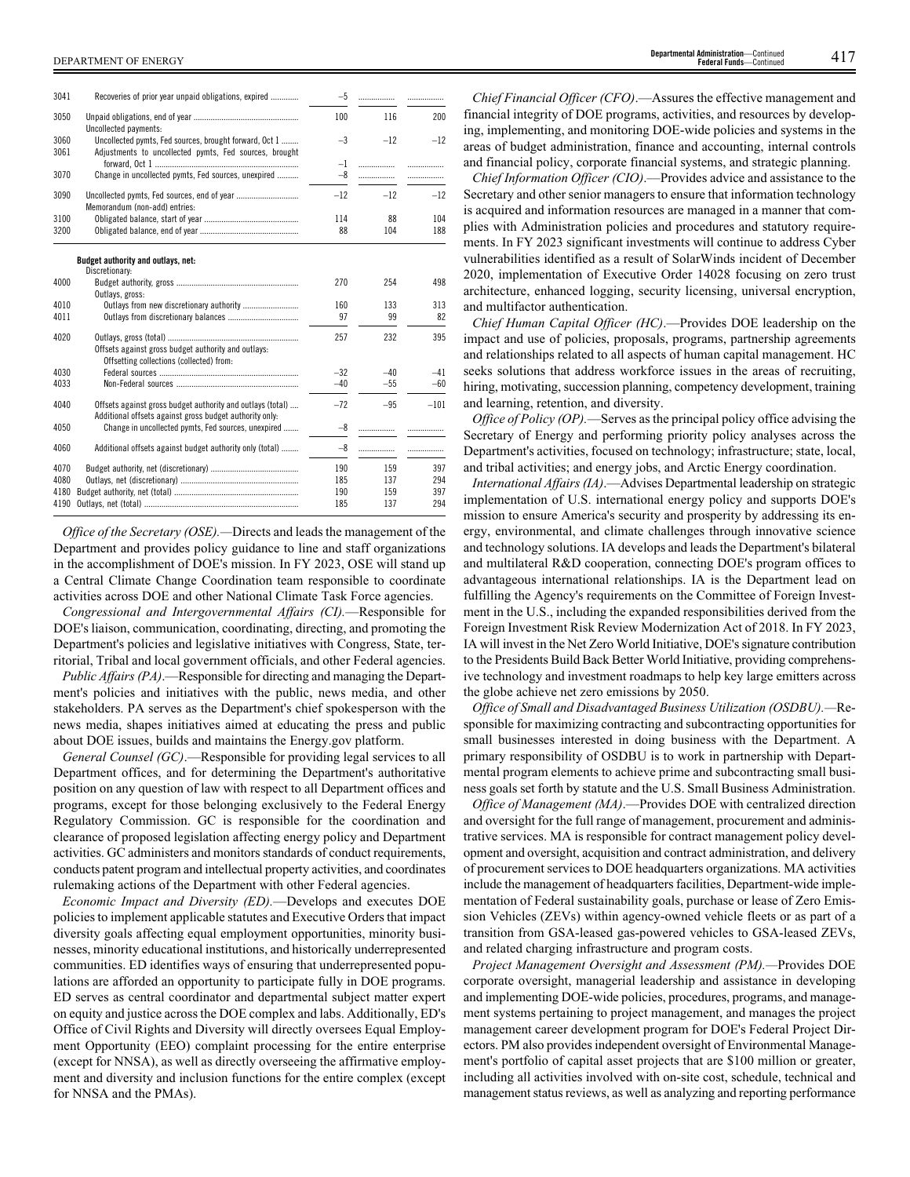| 3041         | Recoveries of prior year unpaid obligations, expired                                                                  | $-5$  | .     |        |
|--------------|-----------------------------------------------------------------------------------------------------------------------|-------|-------|--------|
| 3050         | Uncollected payments:                                                                                                 | 100   | 116   | 200    |
| 3060<br>3061 | Uncollected pymts, Fed sources, brought forward, Oct 1<br>Adjustments to uncollected pymts, Fed sources, brought      | $-3$  | $-12$ | $-12$  |
|              |                                                                                                                       | $-1$  | .     | .      |
| 3070         | Change in uncollected pymts, Fed sources, unexpired                                                                   | $-8$  | .     |        |
|              |                                                                                                                       |       |       |        |
| 3090         | Uncollected pymts, Fed sources, end of year<br>Memorandum (non-add) entries:                                          | $-12$ | $-12$ | $-12$  |
| 3100         |                                                                                                                       | 114   | 88    | 104    |
| 3200         |                                                                                                                       | 88    | 104   | 188    |
|              | Budget authority and outlays, net:                                                                                    |       |       |        |
|              | Discretionary:                                                                                                        |       |       |        |
| 4000         | Outlays, gross:                                                                                                       | 270   | 254   | 498    |
| 4010         | Outlays from new discretionary authority                                                                              | 160   | 133   | 313    |
| 4011         |                                                                                                                       | 97    | 99    | 82     |
|              |                                                                                                                       |       |       |        |
| 4020         |                                                                                                                       | 257   | 232   | 395    |
|              | Offsets against gross budget authority and outlays:                                                                   |       |       |        |
|              | Offsetting collections (collected) from:                                                                              |       |       |        |
| 4030         |                                                                                                                       | $-32$ | $-40$ | $-41$  |
| 4033         |                                                                                                                       | $-40$ | $-55$ | $-60$  |
|              |                                                                                                                       |       |       |        |
| 4040         | Offsets against gross budget authority and outlays (total)<br>Additional offsets against gross budget authority only: | $-72$ | $-95$ | $-101$ |
| 4050         | Change in uncollected pymts, Fed sources, unexpired                                                                   | $-8$  | .     |        |
| 4060         | Additional offsets against budget authority only (total)                                                              | $-8$  | .     |        |
|              |                                                                                                                       |       |       |        |
| 4070         |                                                                                                                       | 190   | 159   | 397    |
| 4080         |                                                                                                                       | 185   | 137   | 294    |
| 4180         |                                                                                                                       | 190   | 159   | 397    |
| 4190         |                                                                                                                       | 185   | 137   | 294    |

*Office of the Secretary (OSE).—*Directs and leads the management of the Department and provides policy guidance to line and staff organizations in the accomplishment of DOE's mission. In FY 2023, OSE will stand up a Central Climate Change Coordination team responsible to coordinate activities across DOE and other National Climate Task Force agencies.

*Congressional and Intergovernmental Affairs (CI).*—Responsible for DOE's liaison, communication, coordinating, directing, and promoting the Department's policies and legislative initiatives with Congress, State, territorial, Tribal and local government officials, and other Federal agencies.

*Public Affairs (PA)*.—Responsible for directing and managing the Department's policies and initiatives with the public, news media, and other stakeholders. PA serves as the Department's chief spokesperson with the news media, shapes initiatives aimed at educating the press and public about DOE issues, builds and maintains the Energy.gov platform.

*General Counsel (GC)*.—Responsible for providing legal services to all Department offices, and for determining the Department's authoritative position on any question of law with respect to all Department offices and programs, except for those belonging exclusively to the Federal Energy Regulatory Commission. GC is responsible for the coordination and clearance of proposed legislation affecting energy policy and Department activities. GC administers and monitors standards of conduct requirements, conducts patent program and intellectual property activities, and coordinates rulemaking actions of the Department with other Federal agencies.

*Economic Impact and Diversity (ED).*—Develops and executes DOE policies to implement applicable statutes and Executive Orders that impact diversity goals affecting equal employment opportunities, minority businesses, minority educational institutions, and historically underrepresented communities. ED identifies ways of ensuring that underrepresented populations are afforded an opportunity to participate fully in DOE programs. ED serves as central coordinator and departmental subject matter expert on equity and justice across the DOE complex and labs. Additionally, ED's Office of Civil Rights and Diversity will directly oversees Equal Employment Opportunity (EEO) complaint processing for the entire enterprise (except for NNSA), as well as directly overseeing the affirmative employment and diversity and inclusion functions for the entire complex (except for NNSA and the PMAs).

*Chief Financial Officer (CFO)*.—Assures the effective management and financial integrity of DOE programs, activities, and resources by developing, implementing, and monitoring DOE-wide policies and systems in the areas of budget administration, finance and accounting, internal controls and financial policy, corporate financial systems, and strategic planning.

*Chief Information Officer (CIO)*.—Provides advice and assistance to the Secretary and other senior managers to ensure that information technology is acquired and information resources are managed in a manner that complies with Administration policies and procedures and statutory requirements. In FY 2023 significant investments will continue to address Cyber vulnerabilities identified as a result of SolarWinds incident of December 2020, implementation of Executive Order 14028 focusing on zero trust architecture, enhanced logging, security licensing, universal encryption, and multifactor authentication.

*Chief Human Capital Officer (HC)*.—Provides DOE leadership on the impact and use of policies, proposals, programs, partnership agreements and relationships related to all aspects of human capital management. HC seeks solutions that address workforce issues in the areas of recruiting, hiring, motivating, succession planning, competency development, training and learning, retention, and diversity.

*Office of Policy (OP).*—Serves as the principal policy office advising the Secretary of Energy and performing priority policy analyses across the Department's activities, focused on technology; infrastructure; state, local, and tribal activities; and energy jobs, and Arctic Energy coordination.

*International Affairs (IA)*.—Advises Departmental leadership on strategic implementation of U.S. international energy policy and supports DOE's mission to ensure America's security and prosperity by addressing its energy, environmental, and climate challenges through innovative science and technology solutions. IA develops and leads the Department's bilateral and multilateral R&D cooperation, connecting DOE's program offices to advantageous international relationships. IA is the Department lead on fulfilling the Agency's requirements on the Committee of Foreign Investment in the U.S., including the expanded responsibilities derived from the Foreign Investment Risk Review Modernization Act of 2018. In FY 2023, IA will invest in the Net Zero World Initiative, DOE's signature contribution to the Presidents Build Back Better World Initiative, providing comprehensive technology and investment roadmaps to help key large emitters across the globe achieve net zero emissions by 2050.

*Office of Small and Disadvantaged Business Utilization (OSDBU).—*Responsible for maximizing contracting and subcontracting opportunities for small businesses interested in doing business with the Department. A primary responsibility of OSDBU is to work in partnership with Departmental program elements to achieve prime and subcontracting small business goals set forth by statute and the U.S. Small Business Administration.

*Office of Management (MA)*.—Provides DOE with centralized direction and oversight for the full range of management, procurement and administrative services. MA is responsible for contract management policy development and oversight, acquisition and contract administration, and delivery of procurement services to DOE headquarters organizations. MA activities include the management of headquarters facilities, Department-wide implementation of Federal sustainability goals, purchase or lease of Zero Emission Vehicles (ZEVs) within agency-owned vehicle fleets or as part of a transition from GSA-leased gas-powered vehicles to GSA-leased ZEVs, and related charging infrastructure and program costs.

*Project Management Oversight and Assessment (PM).—*Provides DOE corporate oversight, managerial leadership and assistance in developing and implementing DOE-wide policies, procedures, programs, and management systems pertaining to project management, and manages the project management career development program for DOE's Federal Project Directors. PM also provides independent oversight of Environmental Management's portfolio of capital asset projects that are \$100 million or greater, including all activities involved with on-site cost, schedule, technical and management status reviews, as well as analyzing and reporting performance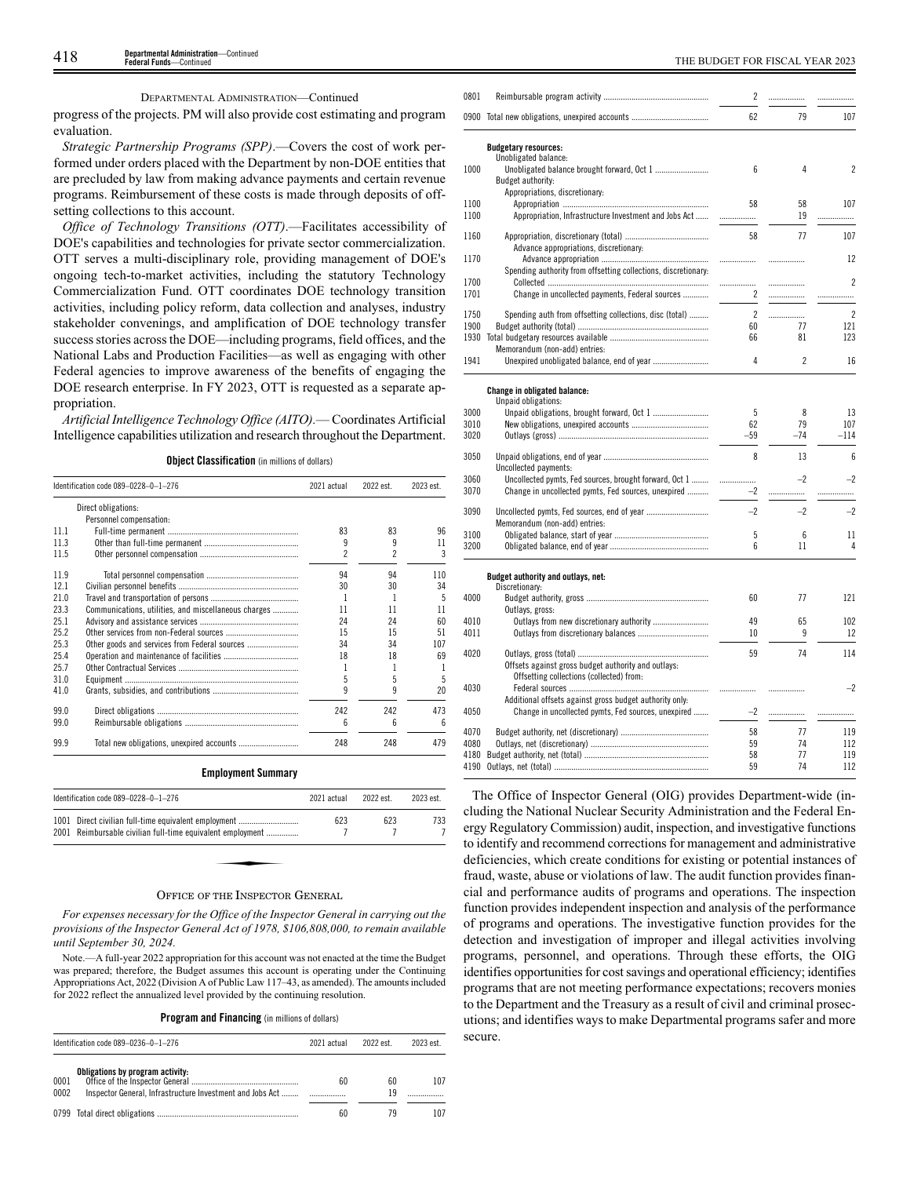### DEPARTMENTAL ADMINISTRATION—Continued

progress of the projects. PM will also provide cost estimating and program evaluation.

*Strategic Partnership Programs (SPP)*.—Covers the cost of work performed under orders placed with the Department by non-DOE entities that are precluded by law from making advance payments and certain revenue programs. Reimbursement of these costs is made through deposits of offsetting collections to this account.

*Office of Technology Transitions (OTT)*.—Facilitates accessibility of DOE's capabilities and technologies for private sector commercialization. OTT serves a multi-disciplinary role, providing management of DOE's ongoing tech-to-market activities, including the statutory Technology Commercialization Fund. OTT coordinates DOE technology transition activities, including policy reform, data collection and analyses, industry stakeholder convenings, and amplification of DOE technology transfer success stories across the DOE—including programs, field offices, and the National Labs and Production Facilities—as well as engaging with other Federal agencies to improve awareness of the benefits of engaging the DOE research enterprise. In FY 2023, OTT is requested as a separate appropriation.

*Artificial Intelligence Technology Office (AITO).*— Coordinates Artificial Intelligence capabilities utilization and research throughout the Department.

**Object Classification** (in millions of dollars)

|      | Identification code 089-0228-0-1-276<br>2021 actual  |     | 2022 est. | 2023 est. |
|------|------------------------------------------------------|-----|-----------|-----------|
|      | Direct obligations:                                  |     |           |           |
|      | Personnel compensation:                              |     |           |           |
| 111  |                                                      | 83  | 83        | 96        |
| 11.3 |                                                      | 9   | 9         | 11        |
| 11.5 |                                                      | 2   | 2         | 3         |
| 11.9 |                                                      | 94  | 94        | 110       |
| 121  |                                                      | 30  | 30        | 34        |
| 21.0 |                                                      | 1   |           | 5         |
| 23.3 | Communications, utilities, and miscellaneous charges | 11  | 11        | 11        |
| 25.1 |                                                      | 24  | 24        | 60        |
| 25.2 |                                                      | 15  | 15        | 51        |
| 25.3 | Other goods and services from Federal sources        | 34  | 34        | 107       |
| 25.4 |                                                      | 18  | 18        | 69        |
| 25.7 |                                                      |     |           |           |
| 31.0 |                                                      | 5   | 5         | 5         |
| 41.0 |                                                      | 9   |           | 20        |
| 99.0 |                                                      | 242 | 242       | 473       |
| 99.0 |                                                      | 6   | 6         | 6         |
| 99.9 |                                                      | 248 | 248       | 479       |

### **Employment Summary**

### OFFICE OF THE INSPECTOR GENERAL

*For expenses necessary for the Office of the Inspector General in carrying out the provisions of the Inspector General Act of 1978, \$106,808,000, to remain available until September 30, 2024.*

Note.—A full-year 2022 appropriation for this account was not enacted at the time the Budget was prepared; therefore, the Budget assumes this account is operating under the Continuing Appropriations Act, 2022 (Division A of Public Law 117–43, as amended). The amounts included for 2022 reflect the annualized level provided by the continuing resolution.

**Program and Financing** (in millions of dollars)

| Identification code 089-0236-0-1-276 |                                                                                               | 2021 actual |          | 2023 est. |
|--------------------------------------|-----------------------------------------------------------------------------------------------|-------------|----------|-----------|
| 0001<br>0002                         | Obligations by program activity:<br>Inspector General, Infrastructure Investment and Jobs Act | 60          | 60<br>19 | 107       |
|                                      |                                                                                               | 60          | 79       | 107       |

| 0801         |                                                                | 2                  |                          |                      |
|--------------|----------------------------------------------------------------|--------------------|--------------------------|----------------------|
|              | 0900 Total new obligations, unexpired accounts                 | 62                 | 79                       | 107                  |
|              | <b>Budgetary resources:</b>                                    |                    |                          |                      |
|              | Unobligated balance:                                           |                    |                          |                      |
| 1000         |                                                                | 6                  | 4                        | 2                    |
|              | Budget authority:                                              |                    |                          |                      |
| 1100         | Appropriations, discretionary:                                 | 58                 | 58                       | 107                  |
| 1100         | Appropriation, Infrastructure Investment and Jobs Act          | .                  | 19                       | .                    |
|              |                                                                |                    |                          |                      |
| 1160         |                                                                | 58                 | 77                       | 107                  |
|              | Advance appropriations, discretionary:                         |                    |                          |                      |
| 1170         |                                                                | .                  | .                        | 12                   |
|              | Spending authority from offsetting collections, discretionary: |                    |                          | $\overline{c}$       |
| 1700<br>1701 | Change in uncollected payments, Federal sources                | <br>$\overline{c}$ |                          |                      |
|              |                                                                |                    |                          | .                    |
| 1750         | Spending auth from offsetting collections, disc (total)        | $\overline{2}$     | .                        | $\overline{c}$       |
| 1900         |                                                                | 60                 | 77                       | 121                  |
| 1930         |                                                                | 66                 | 81                       | 123                  |
|              | Memorandum (non-add) entries:                                  |                    |                          |                      |
| 1941         |                                                                | 4                  | $\overline{\phantom{a}}$ | 16                   |
|              |                                                                |                    |                          |                      |
|              | Change in obligated balance:<br>Unpaid obligations:            |                    |                          |                      |
| 3000         |                                                                | 5                  | 8                        | 13                   |
| 3010         |                                                                | 62                 | 79                       | 107                  |
| 3020         |                                                                | $-59$              | $-74$                    | $-114$               |
|              |                                                                |                    |                          |                      |
| 3050         | Uncollected payments:                                          | 8                  | 13                       | 6                    |
| 3060         | Uncollected pymts, Fed sources, brought forward, Oct 1         | .                  | $-2$                     | $-2$                 |
| 3070         | Change in uncollected pymts, Fed sources, unexpired            | $-2$               | .                        | .                    |
|              |                                                                |                    |                          |                      |
| 3090         | Uncollected pymts, Fed sources, end of year                    | $-2$               | $-2$                     | $-2$                 |
|              | Memorandum (non-add) entries:                                  |                    |                          |                      |
| 3100<br>3200 |                                                                | 5<br>6             | 6<br>11                  | 11<br>$\overline{4}$ |
|              |                                                                |                    |                          |                      |
|              | Budget authority and outlays, net:                             |                    |                          |                      |
|              | Discretionary:                                                 |                    |                          |                      |
| 4000         |                                                                | 60                 | 77                       | 121                  |
|              | Outlays, gross:                                                |                    |                          |                      |
| 4010         | Outlays from new discretionary authority                       | 49                 | 65                       | 102                  |
| 4011         |                                                                | 10                 | 9                        | 12                   |
| 4020         |                                                                | 59                 | 74                       | 114                  |
|              | Offsets against gross budget authority and outlays:            |                    |                          |                      |
|              | Offsetting collections (collected) from:                       |                    |                          |                      |
| 4030         |                                                                | .                  | .                        | $-2$                 |
|              | Additional offsets against gross budget authority only:        |                    |                          |                      |
| 4050         | Change in uncollected pymts, Fed sources, unexpired            | $-2$               | .                        | .                    |
| 4070         |                                                                | 58                 | 77                       | 119                  |
| 4080         |                                                                | 59                 | 74                       | 112                  |
| 4180         |                                                                | 58                 | 77                       | 119                  |
|              |                                                                | 59                 | 74                       | 112                  |
|              |                                                                |                    |                          |                      |

The Office of Inspector General (OIG) provides Department-wide (including the National Nuclear Security Administration and the Federal Energy Regulatory Commission) audit, inspection, and investigative functions to identify and recommend corrections for management and administrative deficiencies, which create conditions for existing or potential instances of fraud, waste, abuse or violations of law. The audit function provides financial and performance audits of programs and operations. The inspection function provides independent inspection and analysis of the performance of programs and operations. The investigative function provides for the detection and investigation of improper and illegal activities involving programs, personnel, and operations. Through these efforts, the OIG identifies opportunities for cost savings and operational efficiency; identifies programs that are not meeting performance expectations; recovers monies to the Department and the Treasury as a result of civil and criminal prosecutions; and identifies ways to make Departmental programs safer and more secure.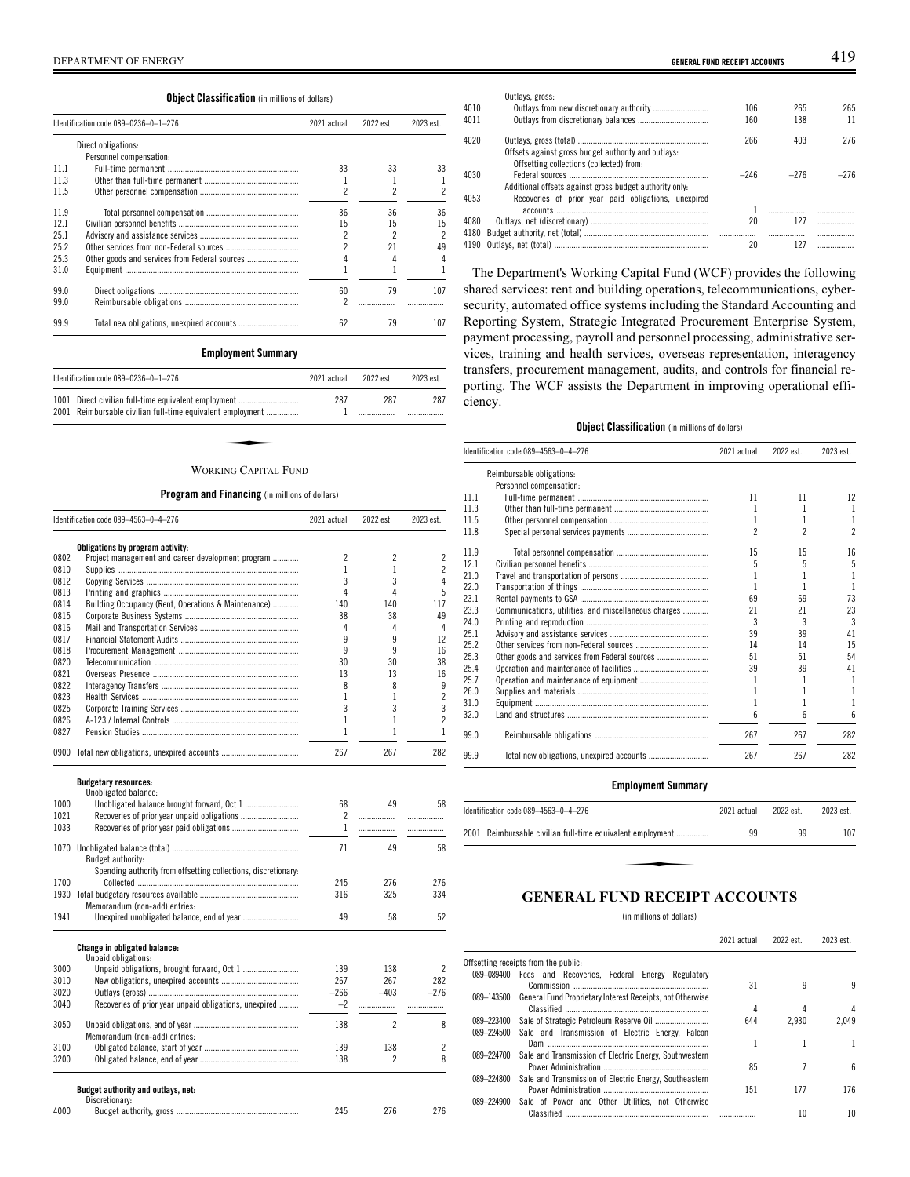# **Object Classification** (in millions of dollars)

|      | Identification code 089-0236-0-1-276 | 2021 actual | 2022 est. | 2023 est. |
|------|--------------------------------------|-------------|-----------|-----------|
|      | Direct obligations:                  |             |           |           |
|      | Personnel compensation:              |             |           |           |
| 11 1 |                                      | 33          | 33        | 33        |
| 11.3 |                                      |             |           |           |
| 11.5 |                                      | 2           |           |           |
| 11.9 |                                      | 36          | 36        | 36        |
| 12.1 |                                      | 15          | 15        | 15        |
| 25.1 |                                      | 2           |           | 2         |
| 25.2 |                                      |             | 21        | 49        |
| 25.3 |                                      | 4           |           |           |
| 31.0 |                                      |             |           |           |
| 99.0 |                                      | 60          | 79        | 107       |
| 99.0 |                                      | 2           |           |           |
| 99.9 |                                      | 62          | 79        | 107       |

# **Employment Summary**

| Identification code 089-0236-0-1-276                                                                               | 2021 actual | 2022 est | 2023 est |
|--------------------------------------------------------------------------------------------------------------------|-------------|----------|----------|
| 1001 Direct civilian full-time equivalent employment<br>2001 Reimbursable civilian full-time equivalent employment | 287         | 287      | 287      |
|                                                                                                                    |             |          |          |
| WORKING CAPITAL FUND                                                                                               |             |          |          |

### **Program and Financing** (in millions of dollars)

| Identification code 089-4563-0-4-276 |                                                                | 2021 actual    | 2022 est.      | 2023 est.      |
|--------------------------------------|----------------------------------------------------------------|----------------|----------------|----------------|
|                                      | Obligations by program activity:                               |                |                |                |
| 0802                                 | Project management and career development program              | $\overline{2}$ | $\overline{2}$ | $\overline{c}$ |
| 0810                                 |                                                                | 1              | 1              | $\overline{c}$ |
| 0812                                 |                                                                | 3              | 3              | 4              |
| 0813                                 |                                                                | 4              | 4              | 5              |
| 0814                                 | Building Occupancy (Rent, Operations & Maintenance)            | 140            | 140            | 117            |
| 0815                                 |                                                                | 38             | 38             | 49             |
| 0816                                 |                                                                | 4              | 4              | 4              |
| 0817                                 |                                                                | 9              | 9              | 12             |
| 0818                                 |                                                                | 9              | 9              | 16             |
| 0820                                 |                                                                | 30             | 30             | 38             |
| 0821                                 |                                                                | 13             | 13             | 16             |
| 0822                                 |                                                                | 8              | 8              | 9              |
| 0823                                 |                                                                | 1              | 1              | $\overline{c}$ |
| 0825                                 |                                                                | 3              | 3              | 3              |
| 0826                                 |                                                                | $\mathbf{1}$   | 1              | $\overline{c}$ |
| 0827                                 |                                                                | 1              | 1              | 1              |
|                                      | 0900 Total new obligations, unexpired accounts                 | 267            | 267            | 282            |
| 1000                                 | <b>Budgetary resources:</b><br>Unobligated balance:            | 68             | 49             | 58             |
| 1021                                 |                                                                | $\overline{c}$ | .              | .              |
| 1033                                 |                                                                | $\mathbf{1}$   | .              |                |
|                                      |                                                                |                |                |                |
| 1070                                 |                                                                | 71             | 49             | 58             |
|                                      | Budget authority:                                              |                |                |                |
|                                      | Spending authority from offsetting collections, discretionary: |                |                |                |
| 1700                                 |                                                                | 245            | 276            | 276            |
|                                      |                                                                | 316            | 325            | 334            |
|                                      | Memorandum (non-add) entries:                                  |                |                |                |
| 1941                                 |                                                                | 49             | 58             | 52             |
|                                      | <b>Change in obligated balance:</b>                            |                |                |                |
|                                      | Unpaid obligations:                                            |                |                |                |
| 3000                                 |                                                                | 139            | 138            | 2              |
| 3010                                 |                                                                | 267            | 267            | 282            |
| 3020                                 |                                                                | $-266$         | $-403$         | $-276$         |
| 3040                                 | Recoveries of prior year unpaid obligations, unexpired         | $-2$           | .              | .              |
| 3050                                 | Memorandum (non-add) entries:                                  | 138            | $\overline{c}$ | 8              |
| 3100                                 |                                                                | 139            | 138            | 2              |
| 3200                                 |                                                                | 138            | $\overline{c}$ | 8              |
|                                      | Budget authority and outlays, net:                             |                |                |                |
|                                      | Discretionary:                                                 |                |                |                |
| 4000                                 |                                                                | 245            | 276            | 276            |

| DEF<br><b>ENERGY</b><br>OF<br>±ME∟<br>Αĸ | GENERAL<br>. FUND RECEIPT ACCOUNTS | - - |
|------------------------------------------|------------------------------------|-----|
|                                          |                                    |     |

| 4010<br>4011 | Outlays, gross:                                                                                 | 106<br>160 | 265<br>138 | 265<br>11 |
|--------------|-------------------------------------------------------------------------------------------------|------------|------------|-----------|
| 4020         | Offsets against gross budget authority and outlays:<br>Offsetting collections (collected) from: | 266        | 403        | 276       |
| 4030         | Additional offsets against gross budget authority only:                                         | $-246$     | $-276$     | $-276$    |
| 4053         | Recoveries of prior year paid obligations, unexpired                                            |            |            |           |
|              |                                                                                                 |            |            |           |
| 4080<br>4180 |                                                                                                 | 20         | 127<br>    |           |
| 4190         |                                                                                                 | 20         | 127        |           |

The Department's Working Capital Fund (WCF) provides the following shared services: rent and building operations, telecommunications, cybersecurity, automated office systems including the Standard Accounting and Reporting System, Strategic Integrated Procurement Enterprise System, payment processing, payroll and personnel processing, administrative services, training and health services, overseas representation, interagency transfers, procurement management, audits, and controls for financial reporting. The WCF assists the Department in improving operational efficiency.

### **Object Classification** (in millions of dollars)

|      | Identification code 089-4563-0-4-276                 | 2021 actual | 2022 est. | 2023 est.                |
|------|------------------------------------------------------|-------------|-----------|--------------------------|
|      | Reimbursable obligations:                            |             |           |                          |
|      | Personnel compensation:                              |             |           |                          |
| 11.1 |                                                      | 11          | 11        | 12                       |
| 11.3 |                                                      |             |           | 1                        |
| 11.5 |                                                      |             |           | 1                        |
| 11.8 |                                                      | 2           | 2         | $\overline{\mathcal{C}}$ |
| 11.9 |                                                      | 15          | 15        | 16                       |
| 12.1 |                                                      | 5           | 5         | 5                        |
| 21.0 |                                                      |             |           |                          |
| 22.0 |                                                      |             |           | 1                        |
| 23.1 |                                                      | 69          | 69        | 73                       |
| 23.3 | Communications, utilities, and miscellaneous charges | 21          | 21        | 23                       |
| 24.0 |                                                      | 3           | 3         | 3                        |
| 25.1 |                                                      | 39          | 39        | 41                       |
| 25.2 |                                                      | 14          | 14        | 15                       |
| 25.3 |                                                      | 51          | 51        | 54                       |
| 25.4 |                                                      | 39          | 39        | 41                       |
| 25.7 |                                                      |             |           | 1                        |
| 26.0 |                                                      |             |           | 1                        |
| 31.0 |                                                      |             |           | 1                        |
| 32.0 |                                                      | 6           | հ         | 6                        |
| 99.0 |                                                      | 267         | 267       | 282                      |
| 99.9 |                                                      | 267         | 267       | 282                      |
|      |                                                      |             |           |                          |

# **Employment Summary**

| Identification code 089-4563-0-4-276 |                                                            | 2021 actual | 2022 est. | 2023 est. |
|--------------------------------------|------------------------------------------------------------|-------------|-----------|-----------|
|                                      | 2001 Reimbursable civilian full-time equivalent employment | 99          | 99        | 107       |
|                                      |                                                            |             |           |           |
|                                      |                                                            |             |           |           |

# **GENERAL FUND RECEIPT ACCOUNTS**

(in millions of dollars)

 $\overline{a}$ 

|            |                                                           | 2021 actual | 2022 est. | 2023 est. |
|------------|-----------------------------------------------------------|-------------|-----------|-----------|
|            | Offsetting receipts from the public:                      |             |           |           |
| 089-089400 | Fees and Recoveries, Federal Energy Regulatory            |             |           |           |
|            |                                                           | 31          | 9         | 9         |
| 089-143500 | General Fund Proprietary Interest Receipts, not Otherwise |             |           |           |
|            |                                                           | 4           | 4         |           |
| 089-223400 |                                                           | 644         | 2.930     | 2.049     |
| 089-224500 | Sale and Transmission of Electric Energy, Falcon          |             |           |           |
|            |                                                           |             |           |           |
| 089-224700 | Sale and Transmission of Electric Energy, Southwestern    |             |           |           |
|            |                                                           | 85          |           | ĥ         |
| 089-224800 | Sale and Transmission of Electric Energy, Southeastern    |             |           |           |
|            |                                                           | 151         | 177       | 176       |
| 089-224900 | Sale of Power and Other Utilities, not Otherwise          |             |           |           |
|            |                                                           |             | 10        | 10        |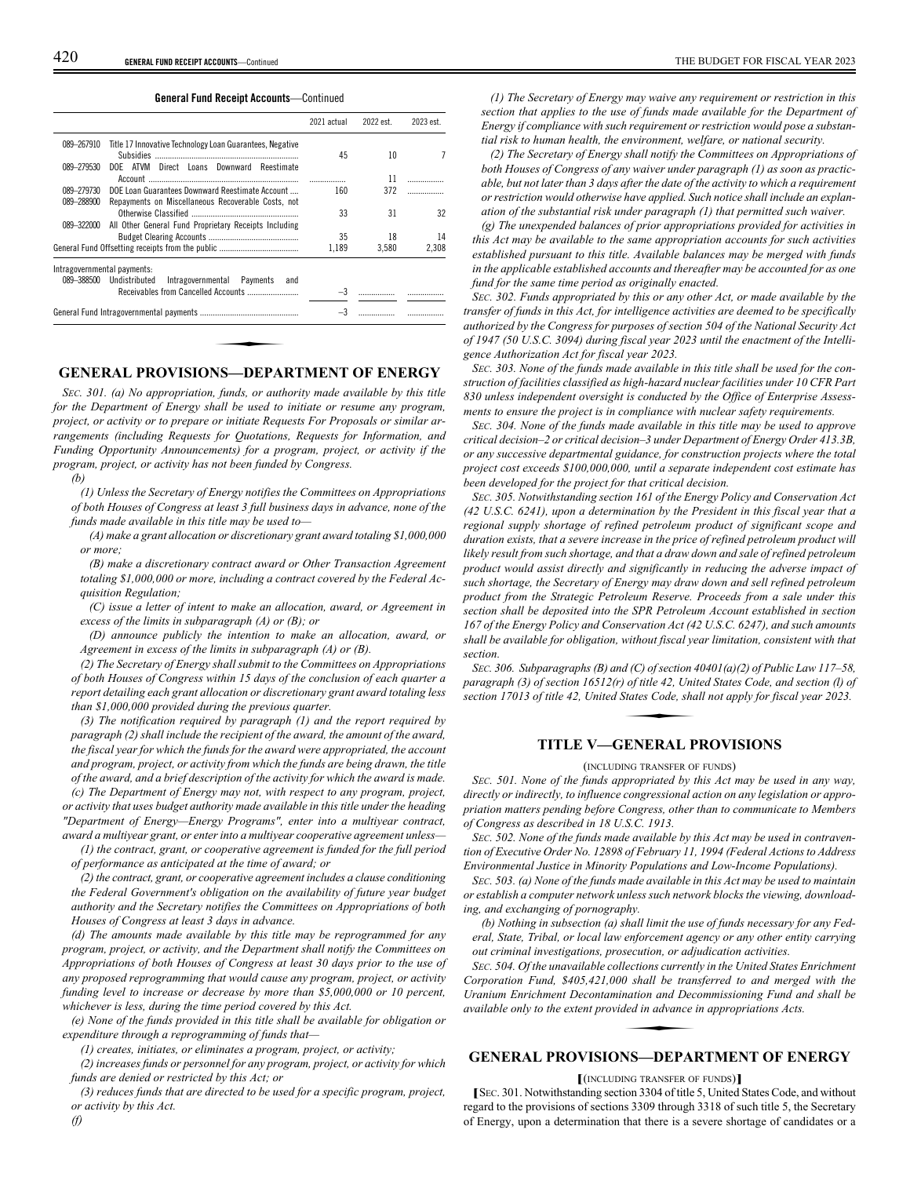**General Fund Receipt Accounts**—Continued

|                             |                                                          | 2021 actual | 2022 est. | 2023 est. |
|-----------------------------|----------------------------------------------------------|-------------|-----------|-----------|
| 089-267910                  | Title 17 Innovative Technology Loan Guarantees, Negative |             |           |           |
| 089-279530                  | DOE ATVM Direct Loans Downward Reestimate                | 45          | 10        |           |
|                             |                                                          |             | 11        |           |
| 089-279730                  | DOE Loan Guarantees Downward Reestimate Account          | 160         | 372       |           |
| 089-288900                  | Repayments on Miscellaneous Recoverable Costs, not       |             |           |           |
|                             |                                                          | 33          | 31        | 32        |
| 089-322000                  | All Other General Fund Proprietary Receipts Including    |             |           |           |
|                             |                                                          | 35          | 18        | 14        |
|                             |                                                          | 1,189       | 3,580     | 2,308     |
| Intragovernmental payments: |                                                          |             |           |           |
| 089-388500                  | Undistributed<br>Intragovernmental Payments and          |             |           |           |
|                             |                                                          | $-3$        |           |           |
|                             |                                                          | $-3$        |           |           |

# **GENERAL PROVISIONS—DEPARTMENT OF ENERGY**

*SEC. 301. (a) No appropriation, funds, or authority made available by this title for the Department of Energy shall be used to initiate or resume any program, project, or activity or to prepare or initiate Requests For Proposals or similar arrangements (including Requests for Quotations, Requests for Information, and Funding Opportunity Announcements) for a program, project, or activity if the program, project, or activity has not been funded by Congress.*

*(b)*

*(1) Unless the Secretary of Energy notifies the Committees on Appropriations of both Houses of Congress at least 3 full business days in advance, none of the funds made available in this title may be used to—*

*(A) make a grant allocation or discretionary grant award totaling \$1,000,000 or more;*

*(B) make a discretionary contract award or Other Transaction Agreement totaling \$1,000,000 or more, including a contract covered by the Federal Acquisition Regulation;*

*(C) issue a letter of intent to make an allocation, award, or Agreement in excess of the limits in subparagraph (A) or (B); or*

*(D) announce publicly the intention to make an allocation, award, or Agreement in excess of the limits in subparagraph (A) or (B).*

*(2) The Secretary of Energy shall submit to the Committees on Appropriations of both Houses of Congress within 15 days of the conclusion of each quarter a report detailing each grant allocation or discretionary grant award totaling less than \$1,000,000 provided during the previous quarter.*

*(3) The notification required by paragraph (1) and the report required by paragraph (2) shall include the recipient of the award, the amount of the award, the fiscal year for which the funds for the award were appropriated, the account and program, project, or activity from which the funds are being drawn, the title of the award, and a brief description of the activity for which the award is made.*

*(c) The Department of Energy may not, with respect to any program, project, or activity that uses budget authority made available in this title under the heading "Department of Energy—Energy Programs", enter into a multiyear contract, award a multiyear grant, or enter into a multiyear cooperative agreement unless—*

*(1) the contract, grant, or cooperative agreement is funded for the full period of performance as anticipated at the time of award; or*

*(2) the contract, grant, or cooperative agreement includes a clause conditioning the Federal Government's obligation on the availability of future year budget authority and the Secretary notifies the Committees on Appropriations of both Houses of Congress at least 3 days in advance.*

*(d) The amounts made available by this title may be reprogrammed for any program, project, or activity, and the Department shall notify the Committees on Appropriations of both Houses of Congress at least 30 days prior to the use of any proposed reprogramming that would cause any program, project, or activity funding level to increase or decrease by more than \$5,000,000 or 10 percent, whichever is less, during the time period covered by this Act.*

*(e) None of the funds provided in this title shall be available for obligation or expenditure through a reprogramming of funds that—*

*(1) creates, initiates, or eliminates a program, project, or activity;*

*(2) increases funds or personnel for any program, project, or activity for which funds are denied or restricted by this Act; or*

*(3) reduces funds that are directed to be used for a specific program, project, or activity by this Act. (f)*

*(1) The Secretary of Energy may waive any requirement or restriction in this section that applies to the use of funds made available for the Department of Energy if compliance with such requirement or restriction would pose a substantial risk to human health, the environment, welfare, or national security.*

*(2) The Secretary of Energy shall notify the Committees on Appropriations of both Houses of Congress of any waiver under paragraph (1) as soon as practicable, but not later than 3 days after the date of the activity to which a requirement or restriction would otherwise have applied. Such notice shall include an explanation of the substantial risk under paragraph (1) that permitted such waiver.*

*(g) The unexpended balances of prior appropriations provided for activities in this Act may be available to the same appropriation accounts for such activities established pursuant to this title. Available balances may be merged with funds in the applicable established accounts and thereafter may be accounted for as one fund for the same time period as originally enacted.*

*SEC. 302. Funds appropriated by this or any other Act, or made available by the transfer of funds in this Act, for intelligence activities are deemed to be specifically authorized by the Congress for purposes of section 504 of the National Security Act of 1947 (50 U.S.C. 3094) during fiscal year 2023 until the enactment of the Intelligence Authorization Act for fiscal year 2023.*

*SEC. 303. None of the funds made available in this title shall be used for the construction of facilities classified as high-hazard nuclear facilities under 10 CFR Part 830 unless independent oversight is conducted by the Office of Enterprise Assessments to ensure the project is in compliance with nuclear safety requirements.*

*SEC. 304. None of the funds made available in this title may be used to approve critical decision–2 or critical decision–3 under Department of Energy Order 413.3B, or any successive departmental guidance, for construction projects where the total project cost exceeds \$100,000,000, until a separate independent cost estimate has been developed for the project for that critical decision.*

*SEC. 305. Notwithstanding section 161 of the Energy Policy and Conservation Act (42 U.S.C. 6241), upon a determination by the President in this fiscal year that a regional supply shortage of refined petroleum product of significant scope and duration exists, that a severe increase in the price of refined petroleum product will likely result from such shortage, and that a draw down and sale of refined petroleum product would assist directly and significantly in reducing the adverse impact of such shortage, the Secretary of Energy may draw down and sell refined petroleum product from the Strategic Petroleum Reserve. Proceeds from a sale under this section shall be deposited into the SPR Petroleum Account established in section 167 of the Energy Policy and Conservation Act (42 U.S.C. 6247), and such amounts shall be available for obligation, without fiscal year limitation, consistent with that section.*

*SEC. 306. Subparagraphs (B) and (C) of section 40401(a)(2) of Public Law 117–58, paragraph (3) of section 16512(r) of title 42, United States Code, and section (l) of section 17013 of title 42, United States Code, shall not apply for fiscal year 2023. d (C) of section 4*<br>*of title 42, Uni.*<br>States Code, sha<br>**FNFRAI** P

# **TITLE V—GENERAL PROVISIONS**

(INCLUDING TRANSFER OF FUNDS)

*SEC. 501. None of the funds appropriated by this Act may be used in any way, directly or indirectly, to influence congressional action on any legislation or appropriation matters pending before Congress, other than to communicate to Members of Congress as described in 18 U.S.C. 1913.*

*SEC. 502. None of the funds made available by this Act may be used in contravention of Executive Order No. 12898 of February 11, 1994 (Federal Actions to Address Environmental Justice in Minority Populations and Low-Income Populations).*

*SEC. 503. (a) None of the funds made available in this Act may be used to maintain or establish a computer network unless such network blocks the viewing, downloading, and exchanging of pornography.*

*(b) Nothing in subsection (a) shall limit the use of funds necessary for any Federal, State, Tribal, or local law enforcement agency or any other entity carrying out criminal investigations, prosecution, or adjudication activities.*

*SEC. 504. Of the unavailable collections currently in the United States Enrichment Corporation Fund, \$405,421,000 shall be transferred to and merged with the Uranium Enrichment Decontamination and Decommissioning Fund and shall be available only to the extent provided in advance in appropriations Acts. lections current.*<br>0 shall be tran<br>nation and Dec<br>ded in advance i<br>NS DEPA1

# **GENERAL PROVISIONS—DEPARTMENT OF ENERGY**

**[**(INCLUDING TRANSFER OF FUNDS)**]**

**[**<sup>S</sup>EC. 301. Notwithstanding section 3304 of title 5, United States Code, and without regard to the provisions of sections 3309 through 3318 of such title 5, the Secretary of Energy, upon a determination that there is a severe shortage of candidates or a